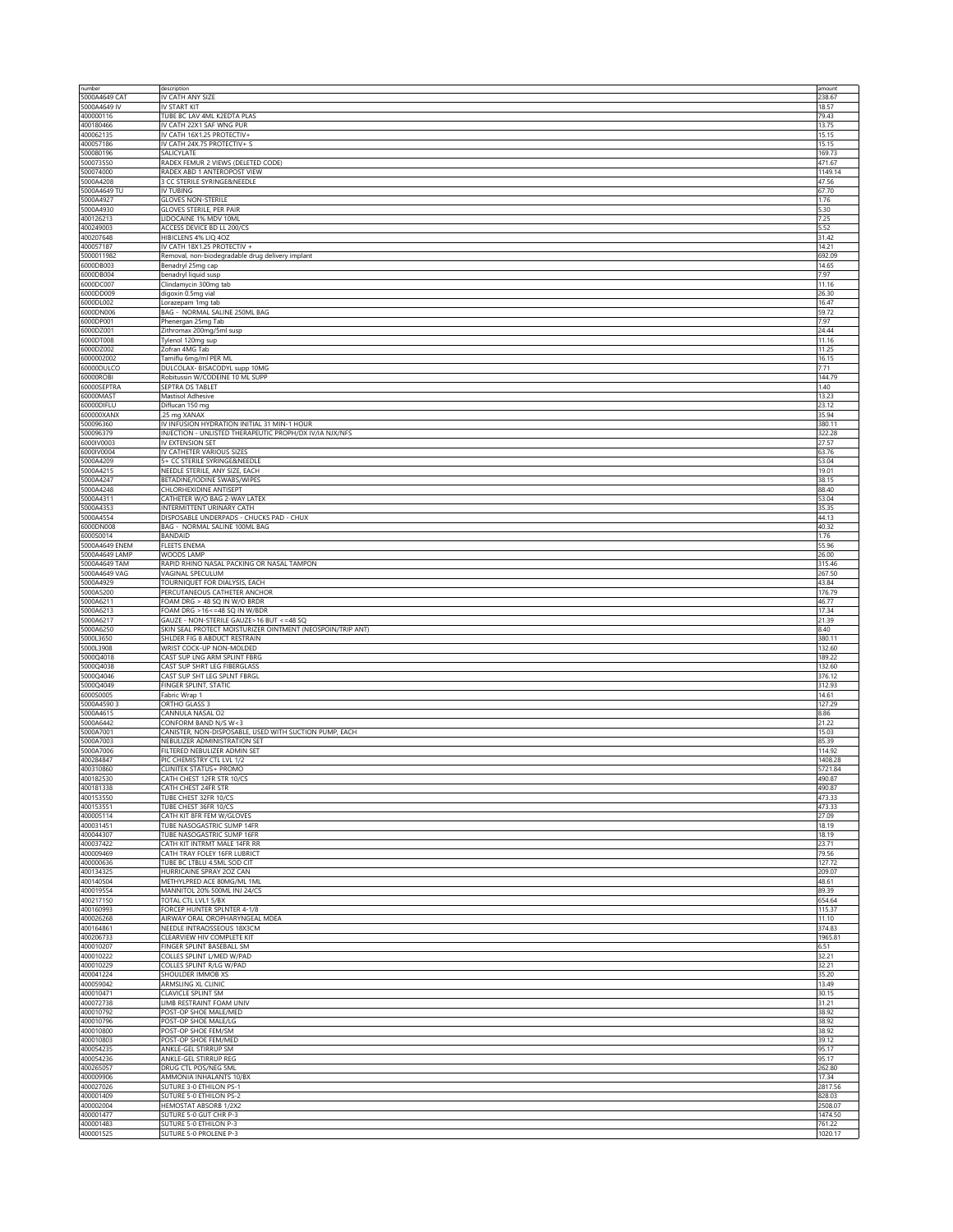| number                    | description                                                                 | amount            |
|---------------------------|-----------------------------------------------------------------------------|-------------------|
| 5000A4649 CAT             | IV CATH ANY SIZE                                                            | 238.67<br>18.57   |
| 5000A4649 IV<br>400000116 | IV START KIT<br>TUBE BC LAV 4ML K2EDTA PLAS                                 | 79.43             |
| 400180466                 | IV CATH 22X1 SAF WNG PUR                                                    | 13.75             |
| 400062135                 | IV CATH 16X1.25 PROTECTIV+                                                  | 15.15             |
| 400057186                 | IV CATH 24X.75 PROTECTIV+ S                                                 | 15.15             |
| 500080196                 | SALICYLATE                                                                  | 169.73            |
| 500073550<br>500074000    | RADEX FEMUR 2 VIEWS (DELETED CODE)<br>RADEX ABD 1 ANTEROPOST VIEW           | 471.67<br>1149.14 |
| 5000A4208                 | 3 CC STERILE SYRINGE&NEEDLE                                                 | 47.56             |
| 5000A4649 TU              | IV TUBING                                                                   | 67.70             |
| 5000A4927                 | <b>GLOVES NON-STERILE</b>                                                   | 1.76              |
| 5000A4930                 | GLOVES STERILE, PER PAIR                                                    | 5.30              |
| 400126213                 | LIDOCAINE 1% MDV 10ML                                                       | 7.25              |
| 400249003                 | ACCESS DEVICE BD LL 200/CS                                                  | 5.52              |
| 400207648<br>400057187    | HIBICLENS 4% LIQ 4OZ<br>IV CATH 18X1.25 PROTECTIV +                         | 31.42<br>14.21    |
| 5000011982                | Removal, non-biodegradable drug delivery implant                            | 692.09            |
| 6000DB003                 | Benadryl 25mg cap                                                           | 14.65             |
| 6000DB004                 | benadryl liquid susp                                                        | 7.97              |
| 6000DC007                 | Clindamycin 300mg tab                                                       | 11.16             |
| 6000DD009                 | digoxin 0.5mg vial                                                          | 26.30             |
| 6000DL002<br>6000DN006    | Lorazepam 1mg tab<br>BAG - NORMAL SALINE 250ML BAG                          | 16.47<br>59.72    |
| 6000DP001                 | Phenergan 25mg Tab                                                          | 7.97              |
| 6000DZ001                 | Zithromax 200mg/5ml susp                                                    | 24.44             |
| 6000DT008                 | Tylenol 120mg sup                                                           | 11.16             |
| 6000DZ002                 | Zofran 4MG Tab                                                              | 11.25             |
| 6000002002                | Tamiflu 6mg/ml PER ML                                                       | 16.15             |
| 60000DULCO<br>60000ROBI   | DULCOLAX- BISACODYL supp 10MG<br>Robitussin W/CODEINE 10 ML SUPP            | 7.71<br>144.79    |
| 60000SEPTRA               | SEPTRA DS TABLET                                                            | 1.40              |
| 60000MAST                 | Mastisol Adhesive                                                           | 13.23             |
| 60000DIFLU                | Diflucan 150 mg                                                             | 23.12             |
| 600000XANX                | .25 mg XANAX                                                                | 35.94             |
| 500096360                 | IV INFUSION HYDRATION INITIAL 31 MIN-1 HOUR                                 | 380.11            |
| 500096379                 | INJECTION - UNLISTED THERAPEUTIC PROPH/DX IV/IA NJX/NFS<br>IV EXTENSION SET | 322.28<br>27.57   |
| 6000IV0003<br>6000IV0004  | IV CATHETER VARIOUS SIZES                                                   | 63.76             |
| 5000A4209                 | 5+ CC STERILE SYRINGE&NEEDLE                                                | 53.04             |
| 5000A4215                 | NEEDLE STERILE, ANY SIZE, EACH                                              | 19.01             |
| 5000A4247                 | BETADINE/IODINE SWABS/WIPES                                                 | 38.15             |
| 5000A4248                 | CHLORHEXIDINE ANTISEPT                                                      | 88.40             |
| 5000A4311                 | CATHETER W/O BAG 2-WAY LATEX                                                | 53.04             |
| 5000A4353<br>5000A4554    | INTERMITTENT URINARY CATH<br>DISPOSABLE UNDERPADS - CHUCKS PAD - CHUX       | 35.35             |
| 6000DN008                 | BAG - NORMAL SALINE 100ML BAG                                               | 44.13<br>40.32    |
| 6000S0014                 | <b>BANDAID</b>                                                              | 1.76              |
| 5000A4649 ENEM            | <b>FLEETS ENEMA</b>                                                         | 55.96             |
| 5000A4649 LAMP            | WOODS LAMP                                                                  | 26.00             |
| 5000A4649 TAM             | RAPID RHINO NASAL PACKING OR NASAL TAMPON                                   | 315.46            |
| 5000A4649 VAG             | VAGINAL SPECULUM                                                            | 267.50            |
| 5000A4929<br>5000A5200    | TOURNIQUET FOR DIALYSIS, EACH<br>PERCUTANEOUS CATHETER ANCHOR               | 43.84<br>176.79   |
| 5000A6211                 | FOAM DRG > 48 SQ IN W/O BRDR                                                | 46.77             |
|                           |                                                                             |                   |
|                           |                                                                             |                   |
| 5000A6213<br>5000A6217    | FOAM DRG > 16<=48 SQ IN W/BDR<br>GAUZE - NON-STERILE GAUZE>16 BUT <= 48 SQ  | 17.34<br>21.39    |
| 5000A6250                 | SKIN SEAL PROTECT MOISTURIZER OINTMENT (NEOSPOIN/TRIP ANT)                  | 8.40              |
| 5000L3650                 | SHLDER FIG 8 ABDUCT RESTRAIN                                                | 380.11            |
| 5000L3908                 | WRIST COCK-UP NON-MOLDED                                                    | 132.60            |
| 5000Q4018                 | CAST SUP LNG ARM SPLINT FBRG                                                | 189.22            |
| 5000Q4038                 | CAST SUP SHRT LEG FIBERGLASS                                                | 132.60            |
| 5000Q4046<br>5000Q4049    | CAST SUP SHT LEG SPLNT FBRGL<br>FINGER SPLINT, STATIC                       | 376.12<br>312.93  |
| 6000S0005                 | Fabric Wrap 1                                                               | 14.61             |
| 5000A4590 3               | ORTHO GLASS 3                                                               | 127.29            |
| 5000A4615                 | CANNULA NASAL O2                                                            | 8.86              |
| 5000A6442                 | CONFORM BAND N/S W<3                                                        | 21.22             |
| 5000A7001                 | CANISTER, NON-DISPOSABLE, USED WITH SUCTION PUMP, EACH                      | 15.03             |
| 5000A7003                 | NEBULIZER ADMINISTRATION SET                                                | 85.39<br>114.92   |
| 5000A7006<br>400284847    | FILTERED NEBULIZER ADMIN SET<br>PIC CHEMISTRY CTL LVL 1/2                   | 1408.28           |
| 400310860                 | CLINITEK STATUS+ PROMO                                                      | 5721.84           |
| 400182530                 | CATH CHEST 12FR STR 10/CS                                                   | 490.87            |
| 400181338                 | CATH CHEST 24FR STR                                                         | 490.87            |
| 400153550                 | TUBE CHEST 32FR 10/CS                                                       | 473.33            |
| 400153551<br>400005114    | TUBE CHEST 36FR 10/CS<br>CATH KIT 8FR FEM W/GLOVES                          | 473.33<br>27.09   |
| 400031451                 | TUBE NASOGASTRIC SUMP 14FR                                                  | 18.19             |
| 400044307                 | TUBE NASOGASTRIC SUMP 16FR                                                  | 18.19             |
| 400037422                 | CATH KIT INTRMT MALE 14FR RR                                                | 23.71             |
| 400009469                 | CATH TRAY FOLEY 16FR LUBRICT                                                | 79.56             |
| 400000636                 | TUBE BC LTBLU 4.5ML SOD CIT                                                 | 127.72            |
| 400134325                 | HURRICAINE SPRAY 20Z CAN                                                    | 209.07            |
| 400140504<br>400019554    | METHYLPRED ACE 80MG/ML 1ML<br>MANNITOL 20% 500ML INJ 24/CS                  | 48.61<br>89.39    |
| 400217150                 | TOTAL CTL LVL1 5/BX                                                         | 654.64            |
| 400160993                 | FORCEP HUNTER SPLNTER 4-1/8                                                 | 115.37            |
| 400026268                 | AIRWAY ORAL OROPHARYNGEAL MDEA                                              | 11.10             |
| 400164861                 | NEEDLE INTRAOSSEOUS 18X3CM                                                  | 374.83            |
| 400206733                 | CLEARVIEW HIV COMPLETE KIT                                                  | 1965.81<br>6.51   |
| 400010207<br>400010222    | FINGER SPLINT BASEBALL SM<br>COLLES SPLINT L/MED W/PAD                      | 32.21             |
| 400010229                 | COLLES SPLINT R/LG W/PAD                                                    | 32.21             |
| 400041224                 | SHOULDER IMMOB XS                                                           | 35.20             |
| 400059042                 | ARMSLING XL CLINIC                                                          | 13.49             |
| 400010471                 | CLAVICLE SPLINT SM                                                          | 30.15             |
| 400072738                 | LIMB RESTRAINT FOAM UNIV                                                    | 31.21             |
| 400010792<br>400010796    | POST-OP SHOE MALE/MED<br>POST-OP SHOE MALE/LG                               | 38.92<br>38.92    |
| 400010800                 | POST-OP SHOE FEM/SM                                                         | 38.92             |
| 400010803                 | POST-OP SHOE FEM/MED                                                        | 39.12             |
| 400054235                 | ANKLE-GEL STIRRUP SM                                                        | 95.17             |
| 400054236                 | ANKLE-GEL STIRRUP REG                                                       | 95.17             |
| 400265057                 | DRUG CTL POS/NEG 5ML                                                        | 262.80            |
| 400009906                 | AMMONIA INHALANTS 10/BX                                                     | 17.34             |
| 400027026<br>400001409    | SUTURE 3-0 ETHILON PS-1<br>SUTURE 5-0 ETHILON PS-2                          | 2817.56<br>828.03 |
| 400002004                 | HEMOSTAT ABSORB 1/2X2                                                       | 2508.07           |
| 400001477                 | SUTURE 5-0 GUT CHR P-3                                                      | 1474.50           |
| 400001483<br>400001525    | SUTURE 5-0 ETHILON P-3<br>SUTURE 5-0 PROLENE P-3                            | 761.22<br>1020.17 |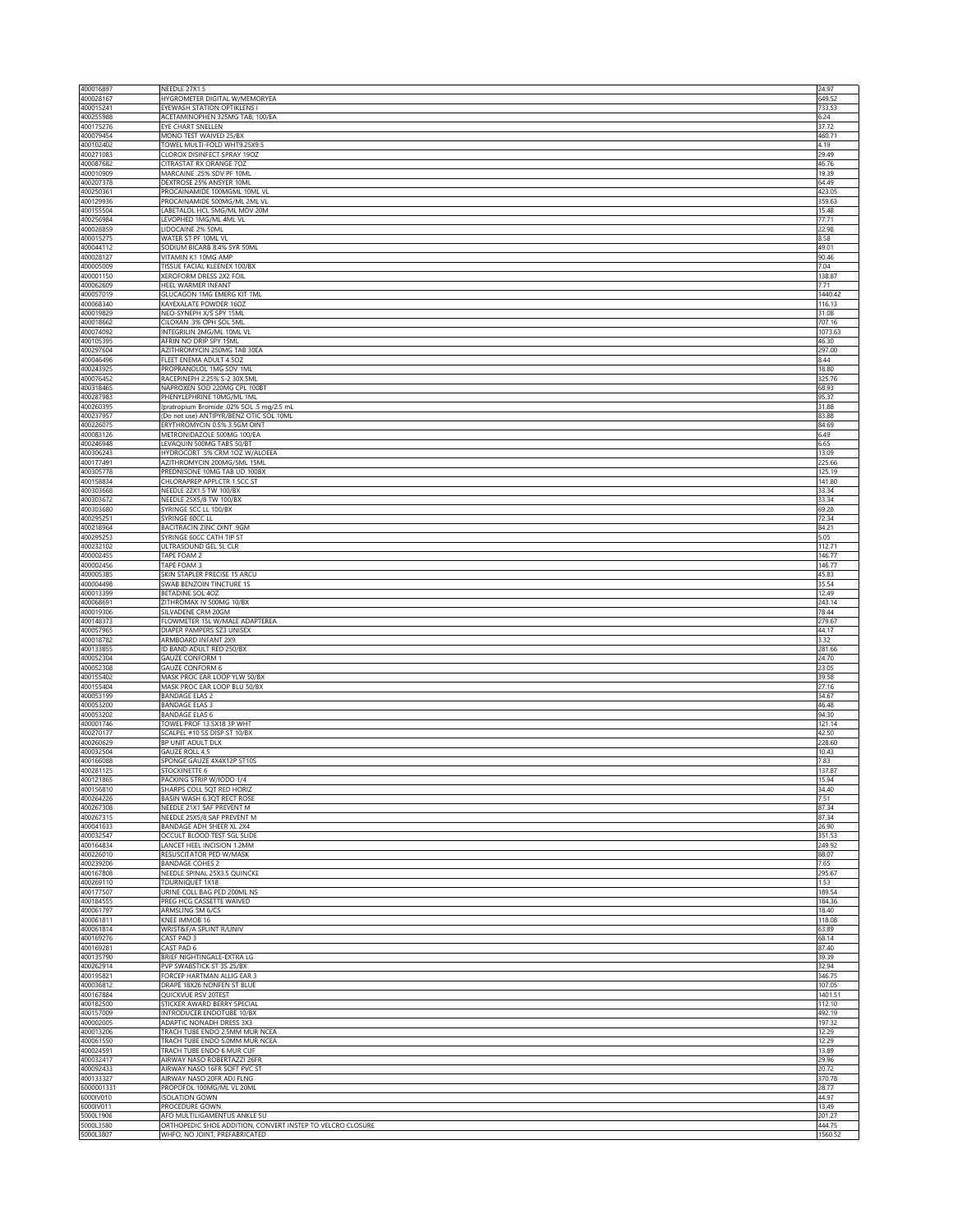| 400016897               | NEEDLE 27X1.5                                                                               | 24.97             |
|-------------------------|---------------------------------------------------------------------------------------------|-------------------|
| 400028167<br>400015241  | HYGROMETER DIGITAL W/MEMORYEA<br>EYEWASH STATION OPTIKLENS I                                | 649.52<br>733.53  |
| 400255988               | ACETAMINOPHEN 325MG TAB; 100/EA                                                             | 6.24              |
| 400175276               | EYE CHART SNELLEN                                                                           | 37.72             |
| 400079454<br>400102402  | MONO TEST WAIVED 25/BX<br>TOWEL MULTI-FOLD WHT9.25X9.5                                      | 460.71<br>4.19    |
| 400271083               | CLOROX DISINFECT SPRAY 19OZ                                                                 | 29.49             |
| 400087682               | CITRASTAT RX ORANGE 70Z                                                                     | 46.76             |
| 400010909<br>400207378  | MARCAINE .25% SDV PF 10ML<br>DEXTROSE 25% ANSYER 10ML                                       | 19.39<br>64.49    |
| 400250361               | PROCAINAMIDE 100MGML 10ML VL                                                                | 423.05            |
| 400129936               | PROCAINAMIDE 500MG/ML 2ML VL                                                                | 359.63            |
| 400155504<br>400256984  | LABETALOL HCL 5MG/ML MDV 20M<br>LEVOPHED 1MG/ML 4ML VL                                      | 15.48<br>77.71    |
| 400028859               | LIDOCAINE 2% 50ML                                                                           | 22.98             |
| 400015275               | WATER ST PF 10ML VL                                                                         | 8.58              |
| 400044112<br>400028127  | SODIUM BICARB 8.4% SYR 50ML<br>VITAMIN K1 10MG AMP                                          | 49.01<br>90.46    |
| 400005009               | TISSUE FACIAL KLEENEX 100/BX                                                                | 7.04              |
| 400001150               | XEROFORM DRESS 2X2 FOIL                                                                     | 138.87            |
| 400062609<br>400057019  | HEEL WARMER INFANT<br>GLUCAGON 1MG EMERG KIT 1ML                                            | 7.71<br>1440.42   |
| 400068340               | KAYEXALATE POWDER 16OZ                                                                      | 116.13            |
| 400019829               | NEO-SYNEPH X/S SPY 15ML                                                                     | 31.08             |
| 400018662<br>400074092  | CILOXAN .3% OPH SOL 5ML<br>INTEGRILIN 2MG/ML 10ML VL                                        | 707.16<br>1073.63 |
| 400105395               | AFRIN NO DRIP SPY 15ML                                                                      | 46.30             |
| 400297604               | AZITHROMYCIN 250MG TAB 30EA                                                                 | 297.00            |
| 400046496<br>400243925  | FLEET ENEMA ADULT 4.5OZ<br>PROPRANOLOL 1MG SDV 1ML                                          | 8.44<br>18.80     |
| 400076452               | RACEPINEPH 2.25% S-2 30X.5ML                                                                | 325.76            |
| 400318465               | NAPROXEN SOD 220MG CPL 100BT                                                                | 68.93             |
| 400287983<br>400260395  | PHENYLEPHRINE 10MG/ML 1ML<br>Ipratropium Bromide .02% SOL .5 mg/2.5 mL                      | 95.37<br>31.88    |
| 400237957               | (Do not use) ANTIPYR/BENZ OTIC SOL 10ML                                                     | 83.88             |
| 400226075               | ERYTHROMYCIN 0.5% 3.5GM OINT                                                                | 84.69             |
| 400083126               | METRONIDAZOLE 500MG 100/EA                                                                  | 6.49<br>6.65      |
| 400246948<br>400306243  | LEVAQUIN 500MG TABS 50/BT<br>HYDROCORT .5% CRM 1OZ W/ALOEEA                                 | 13.09             |
| 400177491               | AZITHROMYCIN 200MG/5ML 15ML                                                                 | 225.66            |
| 400305778               | PREDNISONE 10MG TAB UD 100BX                                                                | 125.19            |
| 400158834<br>400303668  | CHLORAPREP APPLCTR 1.5CC ST<br>NEEDLE 22X1.5 TW 100/BX                                      | 141.80<br>33.34   |
| 400303672               | NEEDLE 25X5/8 TW 100/BX                                                                     | 33.34             |
| 400303680               | SYRINGE 5CC LL 100/BX                                                                       | 69.28             |
| 400295251               | SYRINGE 60CC LL<br>BACITRACIN ZINC OINT .9GM                                                | 72.34             |
| 400218964<br>400295253  | SYRINGE 60CC CATH TIP ST                                                                    | 84.21<br>5.05     |
| 400232102               | ULTRASOUND GEL 5L CLR                                                                       | 112.71            |
| 400002455               | TAPE FOAM 2                                                                                 | 146.77            |
| 400002456<br>400005385  | TAPE FOAM 3<br>SKIN STAPLER PRECISE 15 ARCU                                                 | 146.77<br>45.83   |
| 400004498               | SWAB BENZOIN TINCTURE 1S                                                                    | 35.54             |
| 400013399               | BETADINE SOL 40Z                                                                            | 12.49             |
| 400068691<br>400019306  | ZITHROMAX IV 500MG 10/BX<br>SILVADENE CRM 20GM                                              | 243.14<br>78.44   |
| 400148373               | FLOWMETER 15L W/MALE ADAPTEREA                                                              | 279.67            |
| 400057965               | DIAPER PAMPERS SZ3 UNISEX                                                                   | 44.17             |
| 400018782               | ARMBOARD INFANT 2X9                                                                         | 3.32              |
| 400133855<br>400052304  | ID BAND ADULT RED 250/BX<br><b>GAUZE CONFORM 1</b>                                          | 281.66<br>24.70   |
| 400052308               | <b>GAUZE CONFORM 6</b>                                                                      | 23.05             |
| 400155402               | MASK PROC EAR LOOP YLW 50/BX                                                                | 39.58             |
| 400155404<br>400053199  | MASK PROC EAR LOOP BLU 50/BX<br><b>BANDAGE ELAS 2</b>                                       | 27.16<br>34.67    |
| 400053200               | BANDAGE ELAS 3                                                                              | 46.48             |
| 400053202               | BANDAGE ELAS 6                                                                              | 94.30             |
| 400001746<br>400270177  | TOWEL PROF 13.5X18 3P WHT<br>SCALPEL #10 SS DISP ST 10/BX                                   | 121.14<br>42.50   |
| 400260629               | BP UNIT ADULT DLX                                                                           | 228.60            |
| 400032504               | <b>GAUZE ROLL 4.5</b>                                                                       | 10.43             |
| 400166088<br>400281125  | SPONGE GAUZE 4X4X12P ST10S                                                                  | 7.83<br>137.87    |
| 400121865               | STOCKINETTE 6<br>PACKING STRIP W/IODO 1/4                                                   | 15.94             |
| 400156810               | SHARPS COLL 5QT RED HORIZ                                                                   | 34.40             |
| 400264226               | BASIN WASH 6.3QT RECT ROSE                                                                  | 7.51              |
| 400267308<br>400267315  | NEEDLE 21X1 SAF PREVENT M<br>NEEDLE 25X5/8 SAF PREVENT M                                    | 87.34<br>87.34    |
| 400041633               | BANDAGE ADH SHEER XL 2X4                                                                    | 26.90             |
| 400032547               | OCCULT BLOOD TEST SGL SLIDE                                                                 | 351.53            |
| 400164834<br>400226010  | LANCET HEEL INCISION 1.2MM<br>RESUSCITATOR PED W/MASK                                       | 249.92<br>88.07   |
| 400239206               | <b>BANDAGE COHES 2</b>                                                                      | 7.65              |
| 400167808               | NEEDLE SPINAL 25X3.5 QUINCKE                                                                | 295.67            |
| 400269110<br>400177507  | TOURNIQUET 1X18                                                                             | 1.53<br>189.54    |
| 400184555               | URINE COLL BAG PED 200ML NS<br>PREG HCG CASSETTE WAIVED                                     | 184.36            |
| 400061797               | ARMSLING SM 6/CS                                                                            | 18.40             |
| 400061811<br>400061814  | KNEE IMMOB 16                                                                               | 118.08            |
| 400169276               | WRIST&F/A SPLINT R/UNIV<br>CAST PAD 3                                                       | 63.89<br>68.14    |
| 400169281               | CAST PAD 6                                                                                  | 87.40             |
| 400135790               | BRIEF NIGHTINGALE-EXTRA LG                                                                  | 39.39             |
| 400262914<br>400195821  | PVP SWABSTICK ST 3S 25/BX<br>FORCEP HARTMAN ALLIG EAR 3                                     | 32.94<br>346.75   |
| 400036812               | DRAPE 18X26 NONFEN ST BLUE                                                                  | 107.05            |
| 400167884               | <b>OUICKVUE RSV 20TEST</b>                                                                  | 1401.51           |
| 400182500<br>400157009  | STICKER AWARD BERRY SPECIAL<br>INTRODUCER ENDOTUBE 10/BX                                    | 112.10<br>492.19  |
| 400002005               | ADAPTIC NONADH DRESS 3X3                                                                    | 197.32            |
| 400013206               | TRACH TUBE ENDO 2.5MM MUR NCEA                                                              | 12.29             |
| 400061550               | TRACH TUBE ENDO 5.0MM MUR NCEA                                                              | 12.29<br>13.89    |
| 400024591<br>400032417  | TRACH TUBE ENDO 6 MUR CUF<br>AIRWAY NASO ROBERTAZZI 26FR                                    | 29.96             |
| 400092433               | AIRWAY NASO 16FR SOFT PVC ST                                                                | 20.72             |
| 400133327               | AIRWAY NASO 20FR ADJ FLNG                                                                   | 370.78            |
| 6000001331<br>6000IV010 | PROPOFOL 100MG/ML VL 20ML<br><b>ISOLATION GOWN</b>                                          | 28.77<br>44.97    |
| 6000IV011               | PROCEDURE GOWN                                                                              | 13.49             |
| 5000L1906               | AFO MULTILIGAMENTUS ANKLE SU                                                                | 201.27<br>444.75  |
| 5000L3580<br>5000L3807  | ORTHOPEDIC SHOE ADDITION, CONVERT INSTEP TO VELCRO CLOSURE<br>WHFO, NO JOINT, PREFABRICATED | 1560.52           |
|                         |                                                                                             |                   |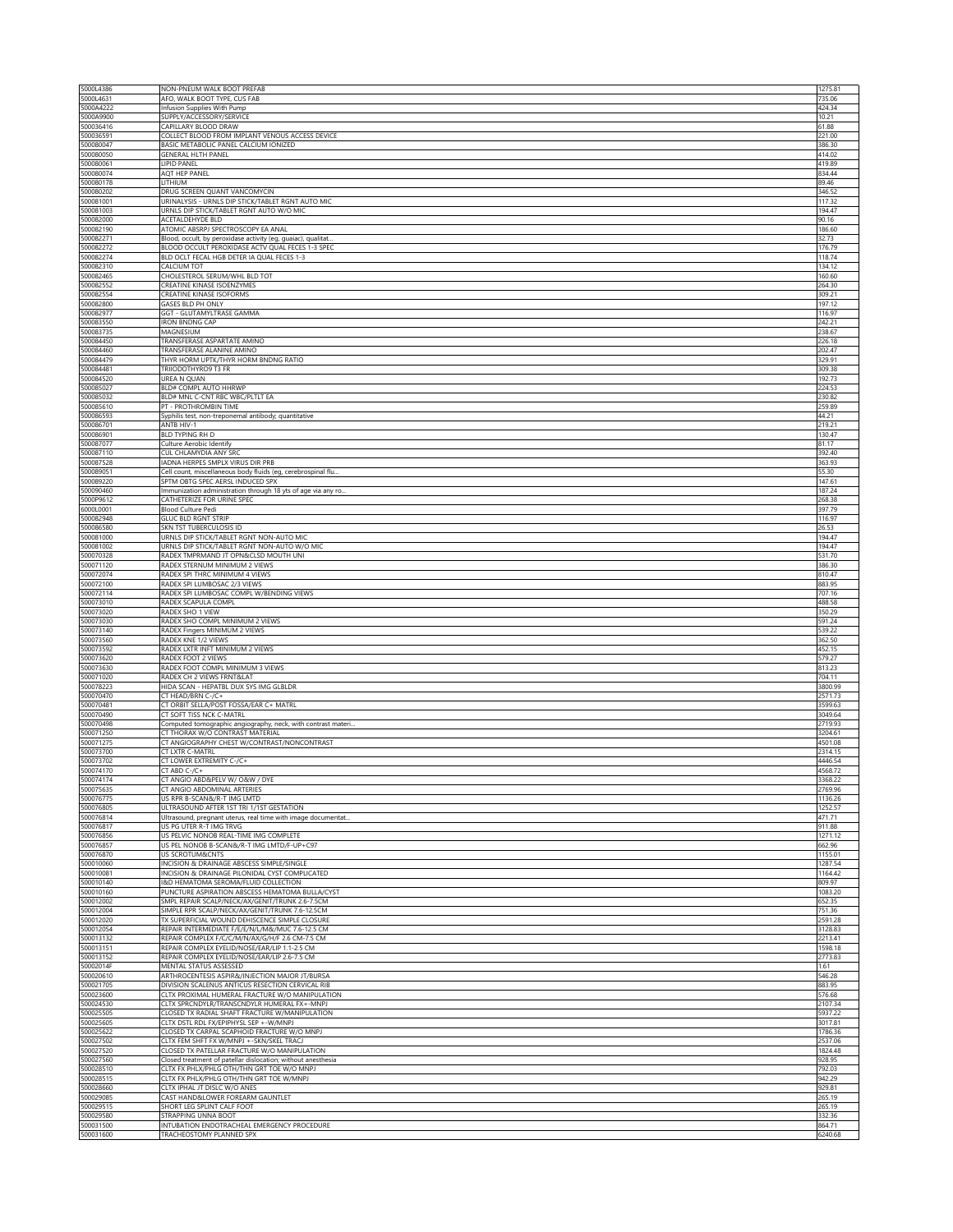| 5000L4386              | NON-PNEUM WALK BOOT PREFAB                                                                         | 1275.81            |
|------------------------|----------------------------------------------------------------------------------------------------|--------------------|
| 5000L4631              | AFO, WALK BOOT TYPE, CUS FAB                                                                       | 735.06             |
| 5000A4222<br>5000A9900 | Infusion Supplies With Pump<br>SUPPLY/ACCESSORY/SERVICE                                            | 424.34<br>10.21    |
| 500036416              | CAPILLARY BLOOD DRAW                                                                               | 61.88              |
| 500036591              | COLLECT BLOOD FROM IMPLANT VENOUS ACCESS DEVICE                                                    | 221.00             |
| 500080047              | BASIC METABOLIC PANEL CALCIUM IONIZED                                                              | 386.30             |
| 500080050<br>500080061 | <b>GENERAL HLTH PANEL</b><br>LIPID PANEL                                                           | 414.02<br>419.89   |
| 500080074              | AQT HEP PANEL                                                                                      | 834.44             |
| 500080178              | LITHIUM                                                                                            | 89.46              |
| 500080202              | DRUG SCREEN QUANT VANCOMYCIN                                                                       | 346.52             |
| 500081001              | URINALYSIS - URNLS DIP STICK/TABLET RGNT AUTO MIC                                                  | 117.32             |
| 500081003<br>500082000 | URNLS DIP STICK/TABLET RGNT AUTO W/O MIC<br>ACETALDEHYDE BLD                                       | 194.47<br>90.16    |
| 500082190              | ATOMIC ABSRPJ SPECTROSCOPY EA ANAL                                                                 | 186.60             |
| 500082271              | Blood, occult, by peroxidase activity (eg, guaiac), qualitat.                                      | 32.73              |
| 500082272              | BLOOD OCCULT PEROXIDASE ACTV QUAL FECES 1-3 SPEC                                                   | 176.79             |
| 500082274              | BLD OCLT FECAL HGB DETER IA QUAL FECES 1-3<br>CALCIUM TOT                                          | 118.74             |
| 500082310<br>500082465 | CHOLESTEROL SERUM/WHL BLD TOT                                                                      | 134.12<br>160.60   |
| 500082552              | CREATINE KINASE ISOENZYMES                                                                         | 264.30             |
| 500082554              | CREATINE KINASE ISOFORMS                                                                           | 309.21             |
| 500082800              | GASES BLD PH ONLY                                                                                  | 197.12             |
| 500082977<br>500083550 | GGT - GLUTAMYLTRASE GAMMA<br><b>IRON BNDNG CAP</b>                                                 | 116.97<br>242.21   |
| 500083735              | MAGNESIUM                                                                                          | 238.67             |
| 500084450              | TRANSFERASE ASPARTATE AMINO                                                                        | 226.18             |
| 500084460              | TRANSFERASE ALANINE AMINO                                                                          | 202.47             |
| 500084479<br>500084481 | THYR HORM UPTK/THYR HORM BNDNG RATIO<br>TRIIODOTHYRO9 T3 FR                                        | 329.91<br>309.38   |
| 500084520              | <b>UREA N QUAN</b>                                                                                 | 192.73             |
| 500085027              | <b>BLD# COMPL AUTO HHRWP</b>                                                                       | 224.53             |
| 500085032              | BLD# MNL C-CNT RBC WBC/PLTLT EA                                                                    | 230.82             |
| 500085610<br>500086593 | PT - PROTHROMBIN TIME<br>Syphilis test, non-treponemal antibody; quantitative                      | 259.89<br>44.21    |
| 500086701              | ANTB HIV-1                                                                                         | 219.21             |
| 500086901              | <b>BLD TYPING RH D</b>                                                                             | 130.47             |
| 500087077              | Culture Aerobic Identify                                                                           | 81.17              |
| 500087110<br>500087528 | CUL CHLAMYDIA ANY SRC<br>IADNA HERPES SMPLX VIRUS DIR PRB                                          | 392.40<br>363.93   |
| 500089051              | Cell count, miscellaneous body fluids (eg, cerebrospinal flu.                                      | 55.30              |
| 500089220              | SPTM OBTG SPEC AERSL INDUCED SPX                                                                   | 147.61             |
| 500090460              | Immunization administration through 18 yts of age via any ro                                       | 187.24             |
| 5000P9612              | CATHETERIZE FOR URINE SPEC                                                                         | 268.38             |
| 6000L0001<br>500082948 | Blood Culture Pedi<br><b>GLUC BLD RGNT STRIP</b>                                                   | 397.79<br>116.97   |
| 500086580              | SKN TST TUBERCULOSIS ID                                                                            | 26.53              |
| 500081000              | URNLS DIP STICK/TABLET RGNT NON-AUTO MIC                                                           | 194.47             |
| 500081002              | URNLS DIP STICK/TABLET RGNT NON-AUTO W/O MIC                                                       | 194.47             |
| 500070328              | RADEX TMPRMAND JT OPN&CLSD MOUTH UNI                                                               | 531.70             |
| 500071120<br>500072074 | RADEX STERNUM MINIMUM 2 VIEWS<br>RADEX SPI THRC MINIMUM 4 VIEWS                                    | 386.30<br>810.47   |
| 500072100              | RADEX SPI LUMBOSAC 2/3 VIEWS                                                                       | 883.95             |
| 500072114              | RADEX SPI LUMBOSAC COMPL W/BENDING VIEWS                                                           | 707.16             |
| 500073010              | RADEX SCAPULA COMPL                                                                                | 488.58             |
| 500073020<br>500073030 | RADEX SHO 1 VIEW<br>RADEX SHO COMPL MINIMUM 2 VIEWS                                                | 350.29<br>591.24   |
| 500073140              | RADEX Fingers MINIMUM 2 VIEWS                                                                      | 539.22             |
| 500073560              | RADEX KNE 1/2 VIEWS                                                                                | 362.50             |
| 500073592              | RADEX LXTR INFT MINIMUM 2 VIEWS                                                                    | 452.15             |
| 500073620              | RADEX FOOT 2 VIEWS                                                                                 | 579.27             |
| 500073630<br>500071020 | RADEX FOOT COMPL MINIMUM 3 VIEWS<br>RADEX CH 2 VIEWS FRNT&LAT                                      | 813.23<br>704.11   |
| 500078223              | HIDA SCAN - HEPATBL DUX SYS IMG GLBLDR                                                             | 3800.99            |
| 500070470              | CT HEAD/BRN C-/C+                                                                                  | 2571.73            |
| 500070481              | CT ORBIT SELLA/POST FOSSA/EAR C+ MATRL                                                             | 3599.63            |
| 500070490<br>500070498 | CT SOFT TISS NCK C-MATRL                                                                           | 3049.64<br>2719.93 |
| 500071250              | Computed tomographic angiography, neck, with contrast materi<br>CT THORAX W/O CONTRAST MATERIAL    | 3204.61            |
| 500071275              | CT ANGIOGRAPHY CHEST W/CONTRAST/NONCONTRAST                                                        | 4501.08            |
| 500073700              | CT LXTR C-MATRL                                                                                    | 2314.15            |
| 500073702              | CT LOWER EXTREMITY C-/C+                                                                           | 4446.54            |
| 500074170<br>500074174 | $CT$ ABD $C$ -/ $C$ +<br>CT ANGIO ABD&PELV W/ O&W / DYE                                            | 4568.72<br>3368.22 |
| 500075635              | CT ANGIO ABDOMINAL ARTERIES                                                                        | 2769.96            |
| 500076775              | US RPR B-SCAN&/R-T IMG LMTD                                                                        | 1136.26            |
| 500076805              | ULTRASOUND AFTER 1ST TRI 1/1ST GESTATION                                                           | 1252.57            |
| 500076814<br>500076817 | Ultrasound, pregnant uterus, real time with image documentat<br>US PG UTER R-T IMG TRVG            | 471.71<br>911.88   |
| 500076856              | US PELVIC NONOB REAL-TIME IMG COMPLETE                                                             | 1271.12            |
| 500076857              | US PEL NONOB B-SCAN&/R-T IMG LMTD/F-UP+C97                                                         | 662.96             |
| 500076870              | <b>US SCROTUM&amp;CNTS</b>                                                                         | 1155.01            |
| 500010060              | INCISION & DRAINAGE ABSCESS SIMPLE/SINGLE                                                          | 1287.54            |
| 500010081<br>500010140 | INCISION & DRAINAGE PILONIDAL CYST COMPLICATED<br>I&D HEMATOMA SEROMA/FLUID COLLECTION             | 1164.42<br>809.97  |
| 500010160              | PUNCTURE ASPIRATION ABSCESS HEMATOMA BULLA/CYST                                                    | 1083.20            |
| 500012002              | SMPL REPAIR SCALP/NECK/AX/GENIT/TRUNK 2.6-7.5CM                                                    | 652.35             |
| 500012004              | SIMPLE RPR SCALP/NECK/AX/GENIT/TRUNK 7.6-12.5CM                                                    | 751.36             |
| 500012020<br>500012054 | TX SUPERFICIAL WOUND DEHISCENCE SIMPLE CLOSURE<br>REPAIR INTERMEDIATE F/E/E/N/L/M&/MUC 7.6-12.5 CM | 2591.28<br>3128.83 |
| 500013132              | REPAIR COMPLEX F/C/C/M/N/AX/G/H/F 2.6 CM-7.5 CM                                                    | 2213.41            |
| 500013151              | REPAIR COMPLEX EYELID/NOSE/EAR/LIP 1.1-2.5 CM                                                      | 1598.18            |
| 500013152              | REPAIR COMPLEX EYELID/NOSE/EAR/LIP 2.6-7.5 CM                                                      | 2773.83            |
| 50002014F              | MENTAL STATUS ASSESSED<br>ARTHROCENTESIS ASPIR&/INJECTION MAJOR JT/BURSA                           | 1.61               |
| 500020610<br>500021705 | DIVISION SCALENUS ANTICUS RESECTION CERVICAL RIB                                                   | 546.28<br>883.95   |
| 500023600              | CLTX PROXIMAL HUMERAL FRACTURE W/O MANIPULATION                                                    | 576.68             |
| 500024530              | CLTX SPRCNDYLR/TRANSCNDYLR HUMERAL FX+-MNPJ                                                        | 2107.34            |
| 500025505              | CLOSED TX RADIAL SHAFT FRACTURE W/MANIPULATION                                                     | 5937.22            |
| 500025605<br>500025622 | CLTX DSTL RDL FX/EPIPHYSL SEP +-W/MNPJ                                                             | 3017.81            |
| 500027502              | CLOSED TX CARPAL SCAPHOID FRACTURE W/O MNPJ<br>CLTX FEM SHFT FX W/MNPJ +-SKN/SKEL TRACJ            | 1786.36<br>2537.06 |
| 500027520              | CLOSED TX PATELLAR FRACTURE W/O MANIPULATION                                                       | 1824.48            |
| 500027560              | Closed treatment of patellar dislocation; without anesthesia                                       | 928.95             |
| 500028510              | CLTX FX PHLX/PHLG OTH/THN GRT TOE W/O MNPJ                                                         | 792.03             |
| 500028515<br>500028660 | CLTX FX PHLX/PHLG OTH/THN GRT TOE W/MNPJ<br>CLTX IPHAL JT DISLC W/O ANES                           | 942.29<br>929.81   |
| 500029085              | CAST HAND&LOWER FOREARM GAUNTLET                                                                   | 265.19             |
| 500029515              | SHORT LEG SPLINT CALF FOOT                                                                         | 265.19             |
| 500029580              | STRAPPING UNNA BOOT                                                                                | 332.36             |
| 500031500<br>500031600 | INTUBATION ENDOTRACHEAL EMERGENCY PROCEDURE<br>TRACHEOSTOMY PLANNED SPX                            | 864.71<br>6240.68  |
|                        |                                                                                                    |                    |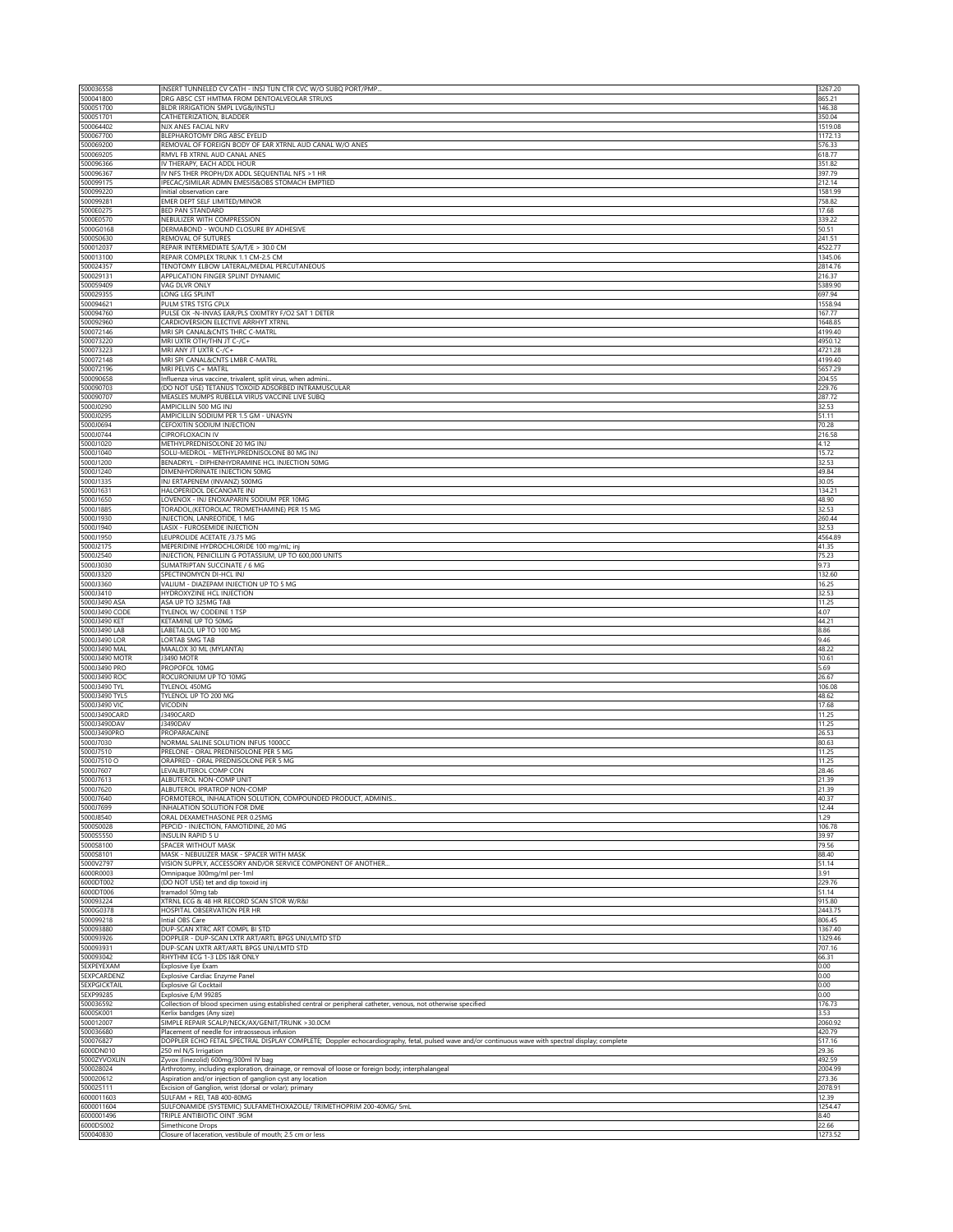| 500036558                                 | INSERT TUNNELED CV CATH - INSJ TUN CTR CVC W/O SUBQ PORT/PMP.<br>DRG ABSC CST HMTMA FROM DENTOALVEOLAR STRUXS                                                  | 3267.20            |
|-------------------------------------------|----------------------------------------------------------------------------------------------------------------------------------------------------------------|--------------------|
| 500041800<br>500051700                    | BLDR IRRIGATION SMPL LVG&/INSTLJ                                                                                                                               | 865.21<br>146.38   |
| 500051701                                 | CATHETERIZATION, BLADDER                                                                                                                                       | 350.04             |
| 500064402                                 | NJX ANES FACIAL NRV                                                                                                                                            | 1519.08            |
| 500067700<br>500069200                    | BLEPHAROTOMY DRG ABSC EYELID<br>REMOVAL OF FOREIGN BODY OF EAR XTRNL AUD CANAL W/O ANES                                                                        | 1172.13<br>576.33  |
| 500069205                                 | RMVL FB XTRNL AUD CANAL ANES                                                                                                                                   | 618.77             |
| 500096366                                 | IV THERAPY, EACH ADDL HOUR                                                                                                                                     | 351.82             |
| 500096367<br>500099175                    | IV NFS THER PROPH/DX ADDL SEQUENTIAL NFS > 1 HR<br>IPECAC/SIMILAR ADMN EMESIS&OBS STOMACH EMPTIED                                                              | 397.79<br>212.14   |
| 500099220                                 | Initial observation care                                                                                                                                       | 1581.99            |
| 500099281                                 | EMER DEPT SELF LIMITED/MINOR                                                                                                                                   | 758.82             |
| 5000E0275<br>5000E0570                    | BED PAN STANDARD                                                                                                                                               | 17.68              |
| 5000G0168                                 | NEBULIZER WITH COMPRESSION<br>DERMABOND - WOUND CLOSURE BY ADHESIVE                                                                                            | 339.22<br>50.51    |
| 5000S0630                                 | REMOVAL OF SUTURES                                                                                                                                             | 241.51             |
| 500012037                                 | REPAIR INTERMEDIATE S/A/T/E > 30.0 CM                                                                                                                          | 4522.77            |
| 500013100<br>500024357                    | REPAIR COMPLEX TRUNK 1.1 CM-2.5 CM<br>TENOTOMY ELBOW LATERAL/MEDIAL PERCUTANEOUS                                                                               | 1345.06<br>2814.76 |
| 500029131                                 | APPLICATION FINGER SPLINT DYNAMIC                                                                                                                              | 216.37             |
| 500059409                                 | VAG DLVR ONLY                                                                                                                                                  | 5389.90            |
| 500029355                                 | LONG LEG SPLINT                                                                                                                                                | 697.94             |
| 500094621<br>500094760                    | PULM STRS TSTG CPLX<br>PULSE OX -N-INVAS EAR/PLS OXIMTRY F/O2 SAT 1 DETER                                                                                      | 1558.94<br>167.77  |
| 500092960                                 | CARDIOVERSION ELECTIVE ARRHYT XTRNL                                                                                                                            | 1648.85            |
| 500072146                                 | MRI SPI CANAL&CNTS THRC C-MATRL                                                                                                                                | 4199.40            |
| 500073220                                 | MRI UXTR OTH/THN JT C-/C+                                                                                                                                      | 4950.12            |
| 500073223<br>500072148                    | MRI ANY JT UXTR C-/C+<br>MRI SPI CANAL&CNTS LMBR C-MATRL                                                                                                       | 4721.28<br>4199.40 |
| 500072196                                 | MRI PELVIS C+ MATRL                                                                                                                                            | 5657.29            |
| 500090658                                 | Influenza virus vaccine, trivalent, split virus, when admini                                                                                                   | 204.55             |
| 500090703<br>500090707                    | (DO NOT USE) TETANUS TOXOID ADSORBED INTRAMUSCULAR<br>MEASLES MUMPS RUBELLA VIRUS VACCINE LIVE SUBQ                                                            | 229.76<br>287.72   |
| 5000J0290                                 | AMPICILLIN 500 MG INJ                                                                                                                                          | 32.53              |
| 5000J0295                                 | AMPICILLIN SODIUM PER 1.5 GM - UNASYN                                                                                                                          | 51.11              |
| 5000J0694                                 | CEFOXITIN SODIUM INJECTION                                                                                                                                     | 70.28              |
| 5000J0744<br>5000J1020                    | CIPROFLOXACIN IV<br>METHYLPREDNISOLONE 20 MG INJ                                                                                                               | 216.58<br>4.12     |
| 5000J1040                                 | SOLU-MEDROL - METHYLPREDNISOLONE 80 MG INJ                                                                                                                     | 15.72              |
| 5000J1200                                 | BENADRYL - DIPHENHYDRAMINE HCL INJECTION 50MG                                                                                                                  | 32.53              |
| 5000J1240                                 | DIMENHYDRINATE INJECTION 50MG                                                                                                                                  | 49.84              |
| 5000J1335<br>5000J1631                    | INJ ERTAPENEM (INVANZ) 500MG<br>HALOPERIDOL DECANOATE INJ                                                                                                      | 30.05<br>134.21    |
| 5000J1650                                 | LOVENOX - INJ ENOXAPARIN SODIUM PER 10MG                                                                                                                       | 48.90              |
| 5000J1885                                 | TORADOL, (KETOROLAC TROMETHAMINE) PER 15 MG                                                                                                                    | 32.53              |
| 5000J1930                                 | INJECTION, LANREOTIDE, 1 MG                                                                                                                                    | 260.44             |
| 5000J1940<br>5000J1950                    | LASIX - FUROSEMIDE INJECTION<br>LEUPROLIDE ACETATE /3.75 MG                                                                                                    | 32.53<br>4564.89   |
| 5000J2175                                 | MEPERIDINE HYDROCHLORIDE 100 mg/mL; inj                                                                                                                        | 41.35              |
| 5000J2540                                 | INJECTION, PENICILLIN G POTASSIUM, UP TO 600,000 UNITS                                                                                                         | 75.23              |
| 5000J3030                                 | SUMATRIPTAN SUCCINATE / 6 MG<br>SPECTINOMYCN DI-HCL INJ                                                                                                        | 9.73<br>132.60     |
| 5000J3320<br>5000J3360                    | VALIUM - DIAZEPAM INJECTION UP TO 5 MG                                                                                                                         | 16.25              |
| 5000J3410                                 | HYDROXYZINE HCL INJECTION                                                                                                                                      | 32.53              |
| 5000J3490 ASA                             | ASA UP TO 325MG TAB                                                                                                                                            | 11.25              |
| 5000J3490 CODE<br>5000J3490 KET           | TYLENOL W/ CODEINE 1 TSP<br>KETAMINE UP TO 50MG                                                                                                                | 4.07<br>44.21      |
|                                           |                                                                                                                                                                |                    |
| 5000J3490 LAB                             | LABETALOL UP TO 100 MG                                                                                                                                         | 8.86               |
| 5000J3490 LOR                             | LORTAB 5MG TAB                                                                                                                                                 | 9.46               |
| 5000J3490 MAL                             | MAALOX 30 ML (MYLANTA)                                                                                                                                         | 48.22              |
| 5000J3490 MOTR                            | J3490 MOTR                                                                                                                                                     | 10.61              |
| 5000J3490 PRO<br>5000J3490 ROC            | PROPOFOL 10MG<br>ROCURONIUM UP TO 10MG                                                                                                                         | 5.69<br>26.67      |
| 5000J3490 TYL                             | TYLENOL 450MG                                                                                                                                                  | 106.08             |
| 5000J3490 TYL5                            | TYLENOL UP TO 200 MG                                                                                                                                           | 48.62              |
| 5000J3490 VIC                             | <b>VICODIN</b>                                                                                                                                                 | 17.68              |
| 5000J3490CARD<br>5000J3490DAV             | J3490CARD<br>J3490DAV                                                                                                                                          | 11.25<br>11.25     |
| 5000J3490PRO                              | PROPARACAINE                                                                                                                                                   | 26.53              |
| 5000J7030                                 | NORMAL SALINE SOLUTION INFUS 1000CC                                                                                                                            | 80.63              |
| 5000J7510<br>5000J7510O                   | PRELONE - ORAL PREDNISOLONE PER 5 MG<br>ORAPRED - ORAL PREDNISOLONE PER 5 MG                                                                                   | 11.25<br>11.25     |
| 5000J7607                                 | LEVALBUTEROL COMP CON                                                                                                                                          | 28.46              |
| 5000J7613                                 | ALBUTEROL NON-COMP UNIT                                                                                                                                        | 21.39              |
| 5000J7620                                 | ALBUTEROL IPRATROP NON-COMP                                                                                                                                    | 21.39              |
| 5000J7640<br>5000J7699                    | FORMOTEROL, INHALATION SOLUTION, COMPOUNDED PRODUCT, ADMINIS.<br>INHALATION SOLUTION FOR DME                                                                   | 40.37<br>12.44     |
| 5000J8540                                 | ORAL DEXAMETHASONE PER 0.25MG                                                                                                                                  | 1.29               |
| 5000S0028                                 | PEPCID - INJECTION, FAMOTIDINE, 20 MG                                                                                                                          | 106.78             |
| 5000S5550<br>5000S8100                    | INSULIN RAPID 5 U<br>SPACER WITHOUT MASK                                                                                                                       | 39.97<br>79.56     |
| 5000S8101                                 | MASK - NEBULIZER MASK - SPACER WITH MASK                                                                                                                       | 88.40              |
| 5000V2797                                 | VISION SUPPLY, ACCESSORY AND/OR SERVICE COMPONENT OF ANOTHER.                                                                                                  | 51.14              |
| 6000R0003                                 | Omnipaque 300mg/ml per-1ml                                                                                                                                     | 3.91               |
| 6000DT002<br>6000DT006                    | (DO NOT USE) tet and dip toxoid inj<br>tramadol 50mg tab                                                                                                       | 229.76<br>51.14    |
| 500093224                                 | XTRNL ECG & 48 HR RECORD SCAN STOR W/R&I                                                                                                                       | 915.80             |
| 5000G0378                                 | HOSPITAL OBSERVATION PER HR                                                                                                                                    | 2443.75            |
| 500099218                                 | Intial OBS Care                                                                                                                                                | 806.45             |
| 500093880<br>500093926                    | DUP-SCAN XTRC ART COMPL BI STD<br>DOPPLER - DUP-SCAN LXTR ART/ARTL BPGS UNI/LMTD STD                                                                           | 1367.40<br>1329.46 |
| 500093931                                 | DUP-SCAN UXTR ART/ARTL BPGS UNI/LMTD STD                                                                                                                       | 707.16             |
| 500093042                                 | RHYTHM ECG 1-3 LDS I&R ONLY                                                                                                                                    | 66.31              |
| <b>SEXPEYEXAM</b>                         | Explosive Eye Exam                                                                                                                                             | 0.00               |
| <b>SEXPCARDENZ</b><br><b>SEXPGICKTAIL</b> | Explosive Cardiac Enzyme Panel<br><b>Explosive GI Cocktail</b>                                                                                                 | 0.00<br>0.00       |
| 5EXP99285                                 | Explosive E/M 99285                                                                                                                                            | 0.00               |
| 500036592                                 | Collection of blood specimen using established central or peripheral catheter, venous, not otherwise specified                                                 | 176.73             |
| 6000SK001<br>500012007                    | Kerlix bandges (Any size)<br>SIMPLE REPAIR SCALP/NECK/AX/GENIT/TRUNK >30.0CM                                                                                   | 3.53<br>2060.92    |
| 500036680                                 | Placement of needle for intraosseous infusion                                                                                                                  | 420.79             |
| 500076827                                 | DOPPLER ECHO FETAL SPECTRAL DISPLAY COMPLETE; Doppler echocardiography, fetal, pulsed wave and/or continuous wave with spectral display, complete              | 517.16             |
| 6000DN010                                 | 250 ml N/S Irrigation                                                                                                                                          | 29.36              |
| 5000ZYVOXLIN<br>500028024                 | Zyvox (linezolid) 600mg/300ml IV bag                                                                                                                           | 492.59<br>2004.99  |
| 500020612                                 | Arthrotomy, including exploration, drainage, or removal of loose or foreign body; interphalangeal<br>Aspiration and/or injection of ganglion cyst any location | 273.36             |
| 500025111                                 | Excision of Ganglion, wrist (dorsal or volar); primary                                                                                                         | 2078.91            |
| 6000011603                                | SULFAM + REI, TAB 400-80MG                                                                                                                                     | 12.39              |
| 6000011604<br>6000001496                  | SULFONAMIDE (SYSTEMIC) SULFAMETHOXAZOLE/ TRIMETHOPRIM 200-40MG/ 5mL<br>TRIPLE ANTIBIOTIC OINT .9GM                                                             | 1254.47<br>8.40    |
| 6000DS002<br>500040830                    | Simethicone Drops<br>Closure of laceration, vestibule of mouth; 2.5 cm or less                                                                                 | 22.66<br>1273.52   |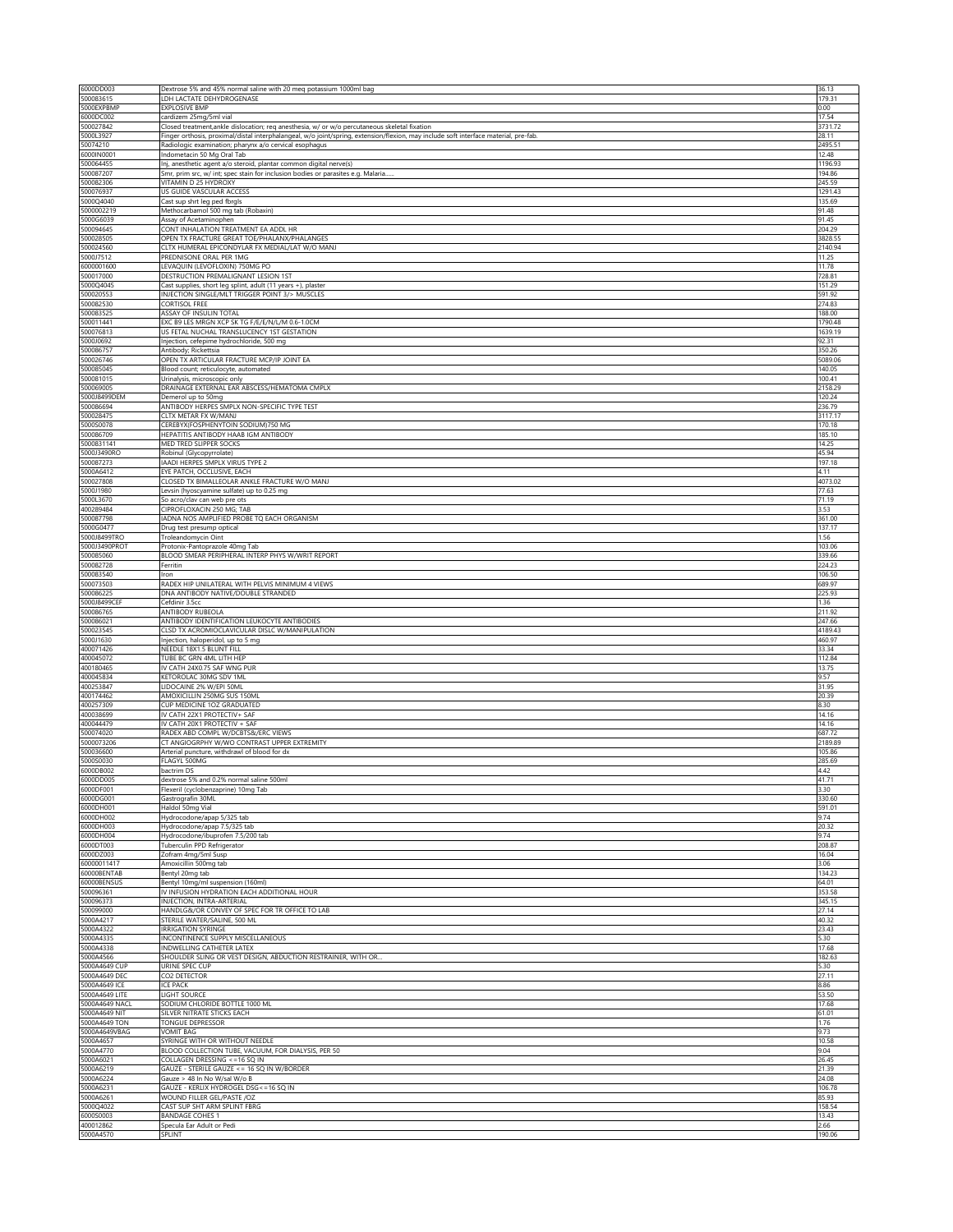| 6000DD003                        | Dextrose 5% and 45% normal saline with 20 meq potassium 1000ml bag                                                                   | 36.13              |
|----------------------------------|--------------------------------------------------------------------------------------------------------------------------------------|--------------------|
| 500083615                        | LDH LACTATE DEHYDROGENASE                                                                                                            | 179.31             |
| 5000EXPBMP                       | <b>EXPLOSIVE BMP</b>                                                                                                                 | 0.00               |
| 6000DC002<br>500027842           | cardizem 25mg/5ml vial<br>Closed treatment, ankle dislocation; req anesthesia, w/ or w/o percutaneous skeletal fixation              | 17.54<br>3731.72   |
| 5000L3927                        | Finger orthosis, proximal/distal interphalangeal, w/o joint/spring, extension/flexion, may include soft interface material, pre-fab. | 28.11              |
| 50074210                         | Radiologic examination; pharynx a/o cervical esophagus                                                                               | 2495.51            |
| 6000IN0001                       | Indometacin 50 Mg Oral Tab                                                                                                           | 12.48              |
| 500064455                        | Inj, anesthetic agent a/o steroid, plantar common digital nerve(s)                                                                   | 1196.93            |
| 500087207<br>500082306           | Smr, prim src, w/ int; spec stain for inclusion bodies or parasites e.g. Malaria<br>VITAMIN D 25 HYDROXY                             | 194.86<br>245.59   |
| 500076937                        | US GUIDE VASCULAR ACCESS                                                                                                             | 1291.43            |
| 5000Q4040                        | Cast sup shrt leg ped fbrgls                                                                                                         | 135.69             |
| 5000002219                       | Methocarbamol 500 mg tab (Robaxin)                                                                                                   | 91.48              |
| 5000G6039                        | Assay of Acetaminophen                                                                                                               | 91.45              |
| 500094645                        | CONT INHALATION TREATMENT EA ADDL HR                                                                                                 | 204.29             |
| 500028505<br>500024560           | OPEN TX FRACTURE GREAT TOE/PHALANX/PHALANGES<br>CLTX HUMERAL EPICONDYLAR FX MEDIAL/LAT W/O MANJ                                      | 3828.55<br>2140.94 |
| 5000J7512                        | PREDNISONE ORAL PER 1MG                                                                                                              | 11.25              |
| 6000001600                       | LEVAQUIN (LEVOFLOXIN) 750MG PO                                                                                                       | 11.78              |
| 500017000                        | DESTRUCTION PREMALIGNANT LESION 1ST                                                                                                  | 728.81             |
| 5000Q4045                        | Cast supplies, short leg splint, adult (11 years +), plaster                                                                         | 151.29             |
| 500020553<br>500082530           | INJECTION SINGLE/MLT TRIGGER POINT 3/> MUSCLES<br><b>CORTISOL FREE</b>                                                               | 591.92<br>274.83   |
| 500083525                        | ASSAY OF INSULIN TOTAL                                                                                                               | 188.00             |
| 500011441                        | EXC B9 LES MRGN XCP SK TG F/E/E/N/L/M 0.6-1.0CM                                                                                      | 1790.48            |
| 500076813                        | US FETAL NUCHAL TRANSLUCENCY 1ST GESTATION                                                                                           | 1639.19            |
| 5000J0692                        | Injection, cefepime hydrochloride, 500 mg                                                                                            | 92.31              |
| 500086757                        | Antibody; Rickettsia<br>OPEN TX ARTICULAR FRACTURE MCP/IP JOINT EA                                                                   | 350.26             |
| 500026746<br>500085045           | Blood count; reticulocyte, automated                                                                                                 | 5089.06<br>140.05  |
| 500081015                        | Urinalysis, microscopic only                                                                                                         | 100.41             |
| 500069005                        | DRAINAGE EXTERNAL EAR ABSCESS/HEMATOMA CMPLX                                                                                         | 2158.29            |
| 5000J8499DEM                     | Demerol up to 50mg                                                                                                                   | 120.24             |
| 500086694<br>500028475           | ANTIBODY HERPES SMPLX NON-SPECIFIC TYPE TEST<br>CLTX METAR FX W/MANJ                                                                 | 236.79<br>3117.17  |
| 5000S0078                        | CEREBYX(FOSPHENYTOIN SODIUM)750 MG                                                                                                   | 170.18             |
| 500086709                        | HEPATITIS ANTIBODY HAAB IGM ANTIBODY                                                                                                 | 185.10             |
| 5000831141                       | MED TRED SLIPPER SOCKS                                                                                                               | 14.25              |
| 5000J3490RC                      | Robinul (Glycopyrrolate)                                                                                                             | 45.94              |
| 500087273                        | IAADI HERPES SMPLX VIRUS TYPE 2                                                                                                      | 197.18             |
| 5000A6412<br>500027808           | EYE PATCH, OCCLUSIVE, EACH<br>CLOSED TX BIMALLEOLAR ANKLE FRACTURE W/O MANJ                                                          | 4.11<br>4073.02    |
| 5000J1980                        | Levsin (hyoscyamine sulfate) up to 0.25 mg                                                                                           | 77.63              |
| 5000L3670                        | So acro/clav can web pre ots                                                                                                         | 71.19              |
| 400289484                        | CIPROFLOXACIN 250 MG; TAB                                                                                                            | 3.53               |
| 500087798                        | IADNA NOS AMPLIFIED PROBE TQ EACH ORGANISM                                                                                           | 361.00             |
| 5000G0477                        | Drug test presump optical                                                                                                            | 137.17             |
| 5000J8499TRO<br>5000J3490PROT    | Troleandomycin Oint<br>Protonix-Pantoprazole 40mg Tab                                                                                | 1.56<br>103.06     |
| 500085060                        | BLOOD SMEAR PERIPHERAL INTERP PHYS W/WRIT REPORT                                                                                     | 339.66             |
| 500082728                        | Ferritin                                                                                                                             | 224.23             |
| 500083540                        | Iron                                                                                                                                 | 106.50             |
| 500073503                        | RADEX HIP UNILATERAL WITH PELVIS MINIMUM 4 VIEWS                                                                                     | 689.97             |
| 500086225                        | DNA ANTIBODY NATIVE/DOUBLE STRANDED                                                                                                  | 225.93             |
| 5000J8499CEF<br>500086765        | Cefdinir 3.5cc<br>ANTIBODY RUBEOLA                                                                                                   | 1.36<br>211.92     |
| 500086021                        | ANTIBODY IDENTIFICATION LEUKOCYTE ANTIBODIES                                                                                         | 247.66             |
| 500023545                        | CLSD TX ACROMIOCLAVICULAR DISLC W/MANIPULATION                                                                                       | 4189.43            |
| 5000J1630                        | Injection, haloperidol, up to 5 mg                                                                                                   | 460.97             |
| 400071426                        | NEEDLE 18X1.5 BLUNT FILL                                                                                                             | 33.34              |
| 400045072<br>400180465           | TUBE BC GRN 4ML LITH HEP<br>IV CATH 24X0.75 SAF WNG PUR                                                                              | 112.84<br>13.75    |
| 400045834                        | KETOROLAC 30MG SDV 1ML                                                                                                               | 9.57               |
| 400253847                        | LIDOCAINE 2% W/EPI 50ML                                                                                                              | 31.95              |
| 400174462                        | AMOXICILLIN 250MG SUS 150MI                                                                                                          | 20.39              |
| 400257309                        | CUP MEDICINE 1OZ GRADUATED                                                                                                           | 8.30               |
| 400038699<br>400044479           | IV CATH 22X1 PROTECTIV+ SAF<br>IV CATH 20X1 PROTECTIV + SAF                                                                          | 14.16<br>14.16     |
| 500074020                        | RADEX ABD COMPL W/DCBTS&/ERC VIEWS                                                                                                   | 687.72             |
| 5000073206                       | CT ANGIOGRPHY W/WO CONTRAST UPPER EXTREMITY                                                                                          | 2189.89            |
| 500036600                        | Arterial puncture, withdrawl of blood for dx                                                                                         | 105.86             |
| 5000S0030                        | FLAGYL 500MG                                                                                                                         | 285.69             |
| 6000DB002                        | bactrim DS                                                                                                                           | 4.42               |
| 6000DD005<br>6000DF001           | dextrose 5% and 0.2% normal saline 500ml<br>Flexeril (cyclobenzaprine) 10mg Tab                                                      | 41.71<br>3.30      |
| 6000DG001                        | Gastrografin 30ML                                                                                                                    | 330.60             |
| 6000DH001                        | Haldol 50mg Vial                                                                                                                     | 591.01             |
| 6000DH002                        | Hydrocodone/apap 5/325 tab                                                                                                           | 9.74               |
| 6000DH003<br>6000DH004           | Hydrocodone/apap 7.5/325 tab                                                                                                         | 20.32<br>9.74      |
| 6000DT003                        | Hydrocodone/ibuprofen 7.5/200 tab<br>Tuberculin PPD Refrigerator                                                                     | 208.87             |
| 6000DZ003                        | Zofram 4mg/5ml Susp                                                                                                                  | 16.04              |
| 60000011417                      | Amoxicillin 500mg tab                                                                                                                | 3.06               |
| 60000BENTAB                      | Bentyl 20mg tab                                                                                                                      | 134.23             |
| 60000BENSUS<br>500096361         | Bentyl 10mg/ml suspension (160ml)<br>IV INFUSION HYDRATION EACH ADDITIONAL HOUR                                                      | 64.01<br>353.58    |
| 500096373                        | INJECTION, INTRA-ARTERIAL                                                                                                            | 345.15             |
| 500099000                        | HANDLG&/OR CONVEY OF SPEC FOR TR OFFICE TO LAB                                                                                       | 27.14              |
| 5000A4217                        | STERILE WATER/SALINE, 500 ML                                                                                                         | 40.32              |
| 5000A4322                        | <b>IRRIGATION SYRINGE</b>                                                                                                            | 23.43              |
| 5000A4335<br>5000A4338           | INCONTINENCE SUPPLY MISCELLANEOUS<br>INDWELLING CATHETER LATEX                                                                       | 5.30<br>17.68      |
| 5000A4566                        | SHOULDER SLING OR VEST DESIGN, ABDUCTION RESTRAINER, WITH OR.                                                                        | 182.63             |
| 5000A4649 CUP                    | URINE SPEC CUP                                                                                                                       | 5.30               |
| 5000A4649 DEC                    | CO2 DETECTOR                                                                                                                         | 27.11              |
| 5000A4649 ICE                    | <b>ICE PACK</b>                                                                                                                      | 8.86               |
| 5000A4649 LITE<br>5000A4649 NACL | <b>LIGHT SOURCE</b><br>SODIUM CHLORIDE BOTTLE 1000 ML                                                                                | 53.50<br>17.68     |
| 5000A4649 NIT                    | SILVER NITRATE STICKS EACH                                                                                                           | 61.01              |
| 5000A4649 TON                    | TONGUE DEPRESSOR                                                                                                                     | 1.76               |
| 5000A4649VBAG                    | <b>VOMIT BAG</b>                                                                                                                     | 9.73               |
| 5000A4657                        | SYRINGE WITH OR WITHOUT NEEDLE                                                                                                       | 10.58              |
| 5000A4770<br>5000A6021           | BLOOD COLLECTION TUBE, VACUUM, FOR DIALYSIS, PER 50<br>COLLAGEN DRESSING <= 16 SQ IN                                                 | 9.04<br>26.45      |
| 5000A6219                        | GAUZE - STERILE GAUZE <= 16 SQ IN W/BORDER                                                                                           | 21.39              |
| 5000A6224                        | Gauze > 48 In No W/sal W/o B                                                                                                         | 24.08              |
| 5000A6231                        | GAUZE - KERLIX HYDROGEL DSG <= 16 SQ IN                                                                                              | 106.78             |
| 5000A6261                        | WOUND FILLER GEL/PASTE /OZ                                                                                                           | 85.93              |
| 5000Q4022<br>6000S0003           | CAST SUP SHT ARM SPLINT FBRG<br><b>BANDAGE COHES 1</b>                                                                               | 158.54<br>13.43    |
| 400012862                        | Specula Ear Adult or Pedi                                                                                                            | 2.66               |
| 5000A4570                        | SPLINT                                                                                                                               | 190.06             |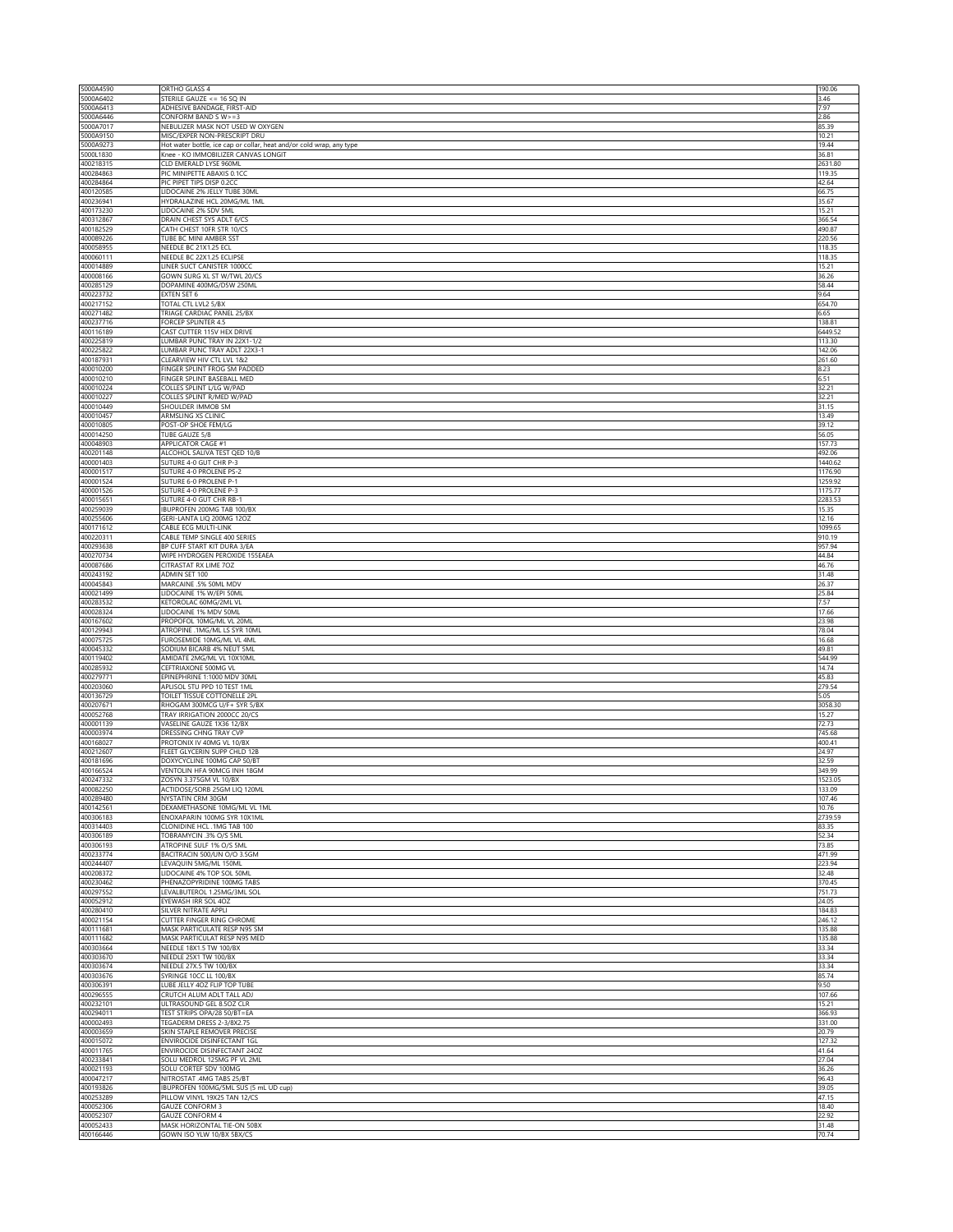| 5000A4590              | ORTHO GLASS 4                                                                                        | 190.06             |
|------------------------|------------------------------------------------------------------------------------------------------|--------------------|
| 5000A6402<br>5000A6413 | STERILE GAUZE <= 16 SQ IN<br>ADHESIVE BANDAGE, FIRST-AID                                             | 3.46<br>7.97       |
| 5000A6446              | CONFORM BAND SW>=3                                                                                   | 2.86               |
| 5000A7017              | NEBULIZER MASK NOT USED W OXYGEN                                                                     | 85.39              |
| 5000A9150<br>5000A9273 | MISC/EXPER NON-PRESCRIPT DRU<br>Hot water bottle, ice cap or collar, heat and/or cold wrap, any type | 10.21<br>19.44     |
| 5000L1830              | Knee - KO IMMOBILIZER CANVAS LONGIT                                                                  | 36.81              |
| 400218315              | CLD EMERALD LYSE 960ML                                                                               | 2631.80            |
| 400284863<br>400284864 | PIC MINIPETTE ABAXIS 0.1CC<br>PIC PIPET TIPS DISP 0.2CC                                              | 119.35<br>42.64    |
| 400120585              | LIDOCAINE 2% JELLY TUBE 30ML                                                                         | 66.75              |
| 400236941              | HYDRALAZINE HCL 20MG/ML 1ML                                                                          | 35.67              |
| 400173230              | LIDOCAINE 2% SDV 5ML                                                                                 | 15.21<br>366.54    |
| 400312867<br>400182529 | DRAIN CHEST SYS ADLT 6/CS<br>CATH CHEST 10FR STR 10/CS                                               | 490.87             |
| 400089226              | TUBE BC MINI AMBER SST                                                                               | 220.56             |
| 400058955              | NEEDLE BC 21X1.25 ECL                                                                                | 118.35             |
| 400060111<br>400014889 | NEEDLE BC 22X1.25 ECLIPSE<br>LINER SUCT CANISTER 1000CC                                              | 118.35<br>15.21    |
| 400008166              | GOWN SURG XL ST W/TWL 20/CS                                                                          | 36.26              |
| 400285129              | DOPAMINE 400MG/D5W 250ML                                                                             | 58.44              |
| 400223732<br>400217152 | EXTEN SET 6<br>TOTAL CTL LVL2 5/BX                                                                   | 9.64<br>654.70     |
| 400271482              | TRIAGE CARDIAC PANEL 25/BX                                                                           | 6.65               |
| 400237716              | FORCEP SPLINTER 4.5                                                                                  | 138.81             |
| 400116189              | CAST CUTTER 115V HEX DRIVE                                                                           | 6449.52            |
| 400225819<br>400225822 | LUMBAR PUNC TRAY IN 22X1-1/2<br>LUMBAR PUNC TRAY ADLT 22X3-1                                         | 113.30<br>142.06   |
| 400187931              | CLEARVIEW HIV CTL LVL 1&2                                                                            | 261.60             |
| 400010200              | FINGER SPLINT FROG SM PADDED                                                                         | 8.23               |
| 400010210<br>400010224 | FINGER SPLINT BASEBALL MED<br>COLLES SPLINT L/LG W/PAD                                               | 6.51<br>32.21      |
| 400010227              | COLLES SPLINT R/MED W/PAD                                                                            | 32.21              |
| 400010449              | SHOULDER IMMOB SM                                                                                    | 31.15              |
| 400010457<br>400010805 | ARMSLING XS CLINIC                                                                                   | 13.49<br>39.12     |
| 400014250              | POST-OP SHOE FEM/LG<br>TUBE GAUZE 5/8                                                                | 56.05              |
| 400048903              | APPLICATOR CAGE #1                                                                                   | 157.73             |
| 400201148              | ALCOHOL SALIVA TEST QED 10/B                                                                         | 492.06             |
| 400001403<br>400001517 | SUTURE 4-0 GUT CHR P-3<br>SUTURE 4-0 PROLENE PS-2                                                    | 1440.62<br>1176.90 |
| 400001524              | SUTURE 6-0 PROLENE P-1                                                                               | 1259.92            |
| 400001526              | SUTURE 4-0 PROLENE P-3                                                                               | 1175.77            |
| 400015651              | SUTURE 4-0 GUT CHR RB-1<br>BUPROFEN 200MG TAB 100/BX                                                 | 2283.53            |
| 400259039<br>400255606 | GERI-LANTA LIQ 200MG 12OZ                                                                            | 15.35<br>12.16     |
| 400171612              | CABLE ECG MULTI-LINK                                                                                 | 1099.65            |
| 400220311              | CABLE TEMP SINGLE 400 SERIES                                                                         | 910.19             |
| 400293638<br>400270734 | BP CUFF START KIT DURA 3/EA<br>WIPE HYDROGEN PEROXIDE 155EAEA                                        | 957.94<br>44.84    |
| 400087686              | CITRASTAT RX LIME 70Z                                                                                | 46.76              |
| 400243192              | ADMIN SET 100                                                                                        | 31.48              |
| 400045843              | MARCAINE .5% 50ML MDV                                                                                | 26.37              |
| 400021499<br>400283532 | LIDOCAINE 1% W/EPI 50ML<br>KETOROLAC 60MG/2ML VL                                                     | 25.84<br>7.57      |
| 400028324              | LIDOCAINE 1% MDV 50ML                                                                                | 17.66              |
| 400167602              | PROPOFOL 10MG/ML VL 20ML                                                                             | 23.98              |
| 400129943<br>400075725 | ATROPINE .1MG/ML LS SYR 10ML<br>FUROSEMIDE 10MG/ML VL 4ML                                            | 78.04<br>16.68     |
| 400045332              | SODIUM BICARB 4% NEUT 5ML                                                                            | 49.81              |
| 400119402              | AMIDATE 2MG/ML VL 10X10ML                                                                            | 544.99             |
| 400285932              | CEFTRIAXONE 500MG VL                                                                                 | 14.74<br>45.83     |
| 400279771<br>400203060 | EPINEPHRINE 1:1000 MDV 30ML<br>APLISOL 5TU PPD 10 TEST 1ML                                           | 279.54             |
| 400136729              | TOILET TISSUE COTTONELLE 2PL                                                                         | 5.05               |
| 400207671              | RHOGAM 300MCG U/F+ SYR 5/BX                                                                          | 3058.30            |
| 400052768<br>400001139 | TRAY IRRIGATION 2000CC 20/CS<br>VASELINE GAUZE 1X36 12/BX                                            | 15.27<br>72.73     |
| 400003974              | DRESSING CHNG TRAY CVP                                                                               | 745.68             |
| 400168027              | PROTONIX IV 40MG VL 10/BX                                                                            | 400.41             |
| 400212607<br>400181696 | FLEET GLYCERIN SUPP CHLD 12B<br>DOXYCYCLINE 100MG CAP 50/BT                                          | 24.97<br>32.59     |
| 400166524              | VENTOLIN HFA 90MCG INH 18GM                                                                          | 349.99             |
| 400247332              | ZOSYN 3.375GM VL 10/BX                                                                               | 1523.05            |
| 400082250<br>400289480 | ACTIDOSE/SORB 25GM LIQ 120ML<br>NYSTATIN CRM 30GM                                                    | 133.09<br>107.46   |
| 400142561              | DEXAMETHASONE 10MG/ML VL 1ML                                                                         | 10.76              |
| 400306183              | ENOXAPARIN 100MG SYR 10X1ML                                                                          | 2739.59            |
| 400314403<br>400306189 | CLONIDINE HCL .1MG TAB 100                                                                           | 83.35              |
| 400306193              | TOBRAMYCIN .3% O/S 5ML<br>ATROPINE SULF 1% O/S 5ML                                                   | 52.34<br>73.85     |
| 400233774              | BACITRACIN 500/UN O/O 3.5GM                                                                          | 471.99             |
| 400244407              | LEVAQUIN 5MG/ML 150ML                                                                                | 223.94             |
| 400208372<br>400230462 | LIDOCAINE 4% TOP SOL 50ML<br>PHENAZOPYRIDINE 100MG TABS                                              | 32.48<br>370.45    |
| 400297552              | LEVALBUTEROL 1.25MG/3ML SOL                                                                          | 751.73             |
| 400052912              | EYEWASH IRR SOL 4OZ                                                                                  | 24.05              |
| 400280410<br>400021154 | SILVER NITRATE APPLI<br>CUTTER FINGER RING CHROME                                                    | 184.83<br>246.12   |
| 400111681              | MASK PARTICULATE RESP N95 SM                                                                         | 135.88             |
| 400111682              | MASK PARTICULAT RESP N95 MED                                                                         | 135.88             |
| 400303664              | NEEDLE 18X1.5 TW 100/BX                                                                              | 33.34              |
| 400303670<br>400303674 | NEEDLE 25X1 TW 100/BX<br>NEEDLE 27X.5 TW 100/BX                                                      | 33.34<br>33.34     |
| 400303676              | SYRINGE 10CC LL 100/BX                                                                               | 85.74              |
| 400306391              | LUBE JELLY 40Z FLIP TOP TUBE                                                                         | 9.50               |
| 400296555<br>400232101 | CRUTCH ALUM ADLT TALL ADJ<br>JLTRASOUND GEL 8.5OZ CLR                                                | 107.66<br>15.21    |
| 400294011              | TEST STRIPS OPA/28 50/BT=EA                                                                          | 366.93             |
| 400002493              | TEGADERM DRESS 2-3/8X2.75                                                                            | 331.00             |
| 400003659              | SKIN STAPLE REMOVER PRECISE                                                                          | 20.79              |
| 400015072<br>400011765 | ENVIROCIDE DISINFECTANT 1GL<br>ENVIROCIDE DISINFECTANT 24OZ                                          | 127.32<br>41.64    |
| 400233841              | SOLU MEDROL 125MG PF VL 2ML                                                                          | 27.04              |
| 400021193              | SOLU CORTEF SDV 100MG                                                                                | 36.26              |
| 400047217<br>400193826 | NITROSTAT .4MG TABS 25/BT<br>BUPROFEN 100MG/5ML SUS (5 mL UD cup)                                    | 96.43<br>39.05     |
| 400253289              | PILLOW VINYL 19X25 TAN 12/CS                                                                         | 47.15              |
| 400052306              | <b>GAUZE CONFORM 3</b>                                                                               | 18.40              |
| 400052307<br>400052433 | <b>GAUZE CONFORM 4</b><br>MASK HORIZONTAL TIE-ON 50BX                                                | 22.92<br>31.48     |
| 400166446              | GOWN ISO YLW 10/BX 5BX/CS                                                                            | 70.74              |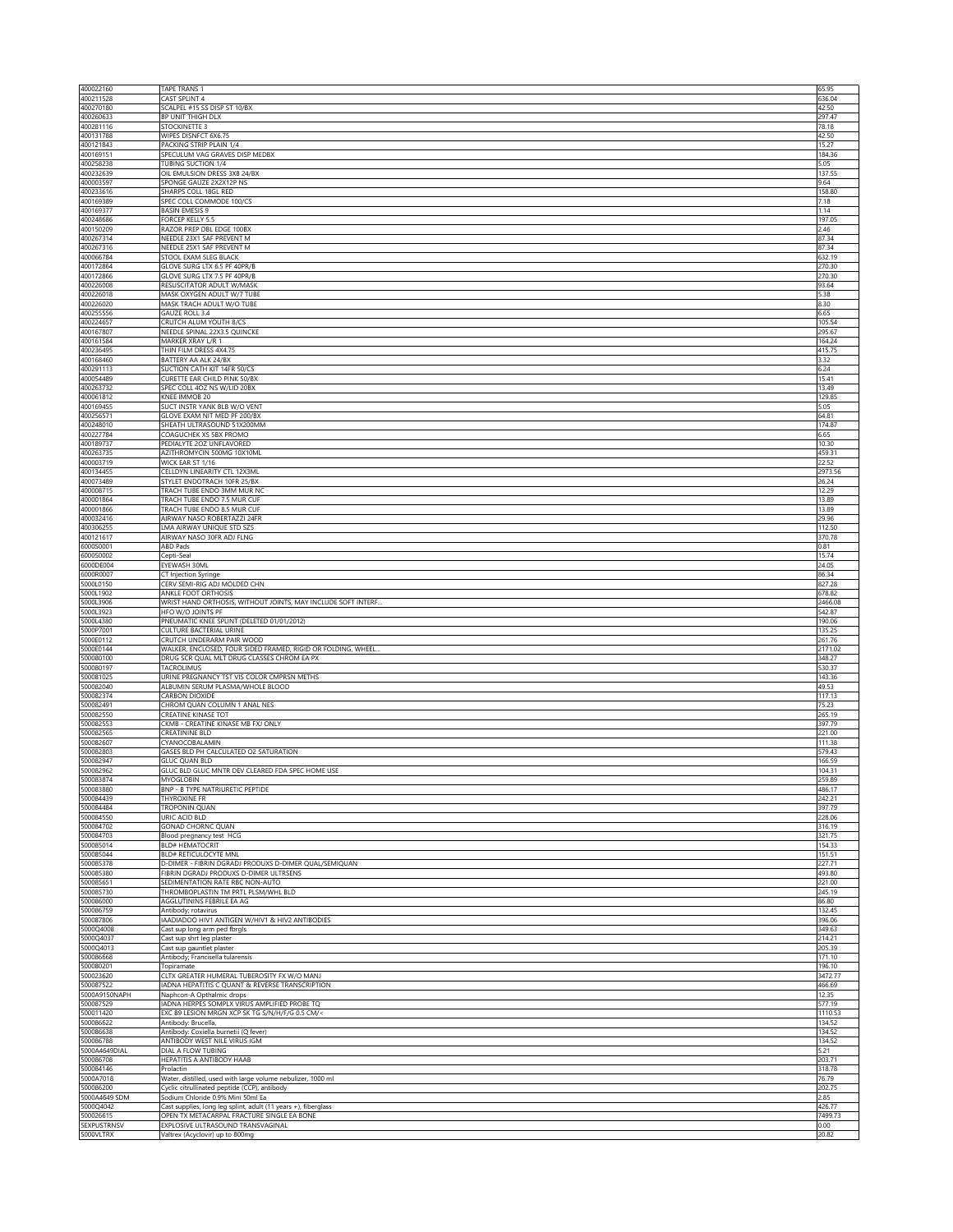| 400022160                       | <b>TAPE TRANS 1</b>                                                               | 65.95            |
|---------------------------------|-----------------------------------------------------------------------------------|------------------|
| 400211528<br>400270180          | CAST SPLINT 4<br>SCALPEL #15 SS DISP ST 10/BX                                     | 636.04<br>42.50  |
| 400260633                       | BP UNIT THIGH DLX                                                                 | 297.47           |
| 400281116                       | STOCKINETTE 3                                                                     | 78.18            |
| 400131788<br>400121843          | WIPES DISNFCT 6X6.75<br>PACKING STRIP PLAIN 1/4                                   | 42.50<br>15.27   |
| 400169151                       | SPECULUM VAG GRAVES DISP MEDBX                                                    | 184.36           |
| 400258238                       | TUBING SUCTION 1/4                                                                | 5.05             |
| 400232639<br>400003597          | OIL EMULSION DRESS 3X8 24/BX<br>SPONGE GAUZE 2X2X12P NS                           | 137.55<br>9.64   |
| 400233616                       | SHARPS COLL 18GL RED                                                              | 158.80           |
| 400169389                       | SPEC COLL COMMODE 100/CS                                                          | 7.18             |
| 400169377                       | BASIN EMESIS 9                                                                    | 1.14             |
| 400248686<br>400150209          | FORCEP KELLY 5.5<br>RAZOR PREP DBL EDGE 100BX                                     | 197.05<br>2.46   |
| 400267314                       | NEEDLE 23X1 SAF PREVENT M                                                         | 87.34            |
| 400267316                       | NEEDLE 25X1 SAF PREVENT M                                                         | 87.34            |
| 400066784                       | STOOL EXAM 5LEG BLACK                                                             | 632.19           |
| 400172864<br>400172866          | GLOVE SURG LTX 6.5 PF 40PR/B<br>GLOVE SURG LTX 7.5 PF 40PR/B                      | 270.30<br>270.30 |
| 400226008                       | RESUSCITATOR ADULT W/MASK                                                         | 93.64            |
| 400226018                       | MASK OXYGEN ADULT W/7 TUBE                                                        | 5.38             |
| 400226020<br>400255556          | MASK TRACH ADULT W/O TUBE<br>GAUZE ROLL 3.4                                       | 8.30<br>6.65     |
| 400224657                       | CRUTCH ALUM YOUTH 8/CS                                                            | 105.54           |
| 400167807                       | NEEDLE SPINAL 22X3.5 QUINCKE                                                      | 295.67           |
| 400161584                       | MARKER XRAY L/R 1                                                                 | 164.24           |
| 400236495<br>400168460          | THIN FILM DRESS 4X4.75<br>BATTERY AA ALK 24/BX                                    | 415.75<br>3.32   |
| 400291113                       | SUCTION CATH KIT 14FR 50/CS                                                       | 6.24             |
| 400054489                       | CURETTE EAR CHILD PINK 50/BX                                                      | 15.41            |
| 400263732                       | SPEC COLL 4OZ NS W/LID 20BX                                                       | 13.49            |
| 400061812<br>400169455          | KNEE IMMOB 20<br>SUCT INSTR YANK BLB W/O VENT                                     | 129.85<br>5.05   |
| 400256571                       | GLOVE EXAM NIT MED PF 200/BX                                                      | 64.81            |
| 400248010                       | SHEATH ULTRASOUND 51X200MM                                                        | 174.87           |
| 400227784<br>400189737          | COAGUCHEK XS 5BX PROMO<br>PEDIALYTE 20Z UNFLAVORED                                | 6.65<br>10.30    |
| 400263735                       | AZITHROMYCIN 500MG 10X10ML                                                        | 459.31           |
| 400003719                       | WICK EAR ST 1/16                                                                  | 22.52            |
| 400134455                       | CELLDYN LINEARITY CTL 12X3ML<br>STYLET ENDOTRACH 10FR 25/BX                       | 2973.56          |
| 400073489<br>400008715          | TRACH TUBE ENDO 3MM MUR NO                                                        | 26.24<br>12.29   |
| 400001864                       | TRACH TUBE ENDO 7.5 MUR CUF                                                       | 13.89            |
| 400001866                       | TRACH TUBE ENDO 8.5 MUR CUF                                                       | 13.89            |
| 400032416<br>400306255          | AIRWAY NASO ROBERTAZZI 24FR<br>LMA AIRWAY UNIQUE STD SZ5                          | 29.96<br>112.50  |
| 400121617                       | AIRWAY NASO 30FR ADJ FLNG                                                         | 370.78           |
| 6000S0001                       | ABD Pads                                                                          | 0.81             |
| 6000S0002                       | Cepti-Seal                                                                        | 15.74            |
| 6000DE004<br>6000R0007          | EYEWASH 30ML<br>CT Injection Syringe                                              | 24.05<br>86.34   |
| 5000L0150                       | CERV SEMI-RIG ADJ MOLDED CHN                                                      | 827.28           |
| 5000L1902                       | ANKLE FOOT ORTHOSIS                                                               | 678.82           |
| 5000L3906<br>5000L3923          | WRIST HAND ORTHOSIS, WITHOUT JOINTS, MAY INCLUDE SOFT INTERF                      | 2466.08          |
| 5000L4380                       | hfo w/o Joints Pf<br>PNEUMATIC KNEE SPLINT (DELETED 01/01/2012)                   | 542.87<br>190.06 |
| 5000P7001                       | CULTURE BACTERIAL URINE                                                           | 135.25           |
| 5000E0112                       | CRUTCH UNDERARM PAIR WOOD                                                         | 261.76           |
| 5000E0144                       | WALKER, ENCLOSED, FOUR SIDED FRAMED, RIGID OR FOLDING, WHEEL.                     | 2171.02          |
|                                 |                                                                                   |                  |
| 500080100                       | DRUG SCR QUAL MLT DRUG CLASSES CHROM EA PX                                        | 348.27           |
| 500080197<br>500081025          | TACROLIMUS<br>URINE PREGNANCY TST VIS COLOR CMPRSN METHS                          | 530.37<br>143.36 |
| 500082040                       | ALBUMIN SERUM PLASMA/WHOLE BLOOD                                                  | 49.53            |
| 500082374                       | CARBON DIOXIDE                                                                    | 117.13           |
| 500082491<br>500082550          | CHROM QUAN COLUMN 1 ANAL NES<br>CREATINE KINASE TOT                               | 75.23<br>265.19  |
| 500082553                       | CKMB - CREATINE KINASE MB FXJ ONLY                                                | 397.79           |
| 500082565                       | CREATININE BLD                                                                    | 221.00           |
| 500082607<br>500082803          | CYANOCOBALAMIN                                                                    | 111.38           |
| 500082947                       | GASES BLD PH CALCULATED O2 SATURATION<br>GLUC QUAN BLD                            | 579.43<br>166.59 |
| 500082962                       | GLUC BLD GLUC MNTR DEV CLEARED FDA SPEC HOME USE                                  | 104.31           |
| 500083874                       | <b>MYOGLOBIN</b>                                                                  | 259.89           |
| 500083880<br>500084439          | BNP - B TYPE NATRIURETIC PEPTIDE<br>THYROXINE FR                                  | 486.17<br>242.21 |
| 500084484                       | TROPONIN QUAN                                                                     | 397.79           |
| 500084550                       | URIC ACID BLD                                                                     | 228.06           |
| 500084702<br>500084703          | GONAD CHORNC QUAN<br>Blood pregnancy test HCG                                     | 316.19<br>321.75 |
| 500085014                       | <b>BLD# HEMATOCRIT</b>                                                            | 154.33           |
| 500085044                       | <b>BLD# RETICULOCYTE MNL</b>                                                      | 151.51           |
| 500085378                       | D-DIMER - FIBRIN DGRADJ PRODUXS D-DIMER QUAL/SEMIQUAN                             | 227.71           |
| 500085380<br>500085651          | FIBRIN DGRADJ PRODUXS D-DIMER ULTRSENS<br>SEDIMENTATION RATE RBC NON-AUTO         | 493.80<br>221.00 |
| 500085730                       | THROMBOPLASTIN TM PRTL PLSM/WHL BLD                                               | 245.19           |
| 500086000                       | AGGLUTININS FEBRILE EA AG                                                         | 86.80            |
| 500086759                       | Antibody; rotavirus                                                               | 132.45           |
| 500087806<br>5000Q4008          | IAADIADOO HIV1 ANTIGEN W/HIV1 & HIV2 ANTIBODIES<br>Cast sup long arm ped fbrgls   | 396.06<br>349.63 |
| 5000Q4037                       | Cast sup shrt leg plaster                                                         | 214.21           |
| 5000Q4013                       | Cast sup gauntlet plaster                                                         | 205.39           |
| 500086668<br>500080201          | Antibody; Francisella tularensis<br>Topiramate                                    | 171.10<br>196.10 |
| 500023620                       | CLTX GREATER HUMERAL TUBEROSITY FX W/O MANJ                                       | 3472.77          |
| 500087522                       | IADNA HEPATITIS C QUANT & REVERSE TRANSCRIPTION                                   | 466.69           |
| 5000A9150NAPH<br>500087529      | Naphcon-A Opthalmic drops<br>IADNA HERPES SOMPLX VIRUS AMPLIFIED PROBE TQ         | 12.35<br>577.19  |
| 500011420                       | EXC B9 LESION MRGN XCP SK TG S/N/H/F/G 0.5 CM/<                                   | 1110.53          |
|                                 | Antibody: Brucella,                                                               | 134.52           |
| 500086622<br>500086638          | Antibody: Coxiella burnetii (Q fever)                                             | 134.52           |
| 500086788<br>5000A4649DIAL      | ANTIBODY WEST NILE VIRUS IGM<br>DIAL A FLOW TUBING                                | 134.52<br>5.21   |
| 500086708                       | HEPATITIS A ANTIBODY HAAB                                                         | 203.71           |
| 500084146                       | Prolactin                                                                         | 318.78           |
| 5000A7018                       | Water, distilled, used with large volume nebulizer, 1000 ml                       | 76.79            |
| 500086200<br>5000A4649 SDM      | Cyclic citrullinated peptide (CCP), antibody<br>Sodium Chloride 0.9% Mini 50ml Ea | 202.75<br>2.85   |
| 5000Q4042                       | Cast supplies, long leg splint, adult (11 years +), fiberglass                    | 426.77           |
| 500026615<br><b>5EXPUSTRNSV</b> | OPEN TX METACARPAL FRACTURE SINGLE EA BONE<br>EXPLOSIVE ULTRASOUND TRANSVAGINAL   | 7499.73<br>0.00  |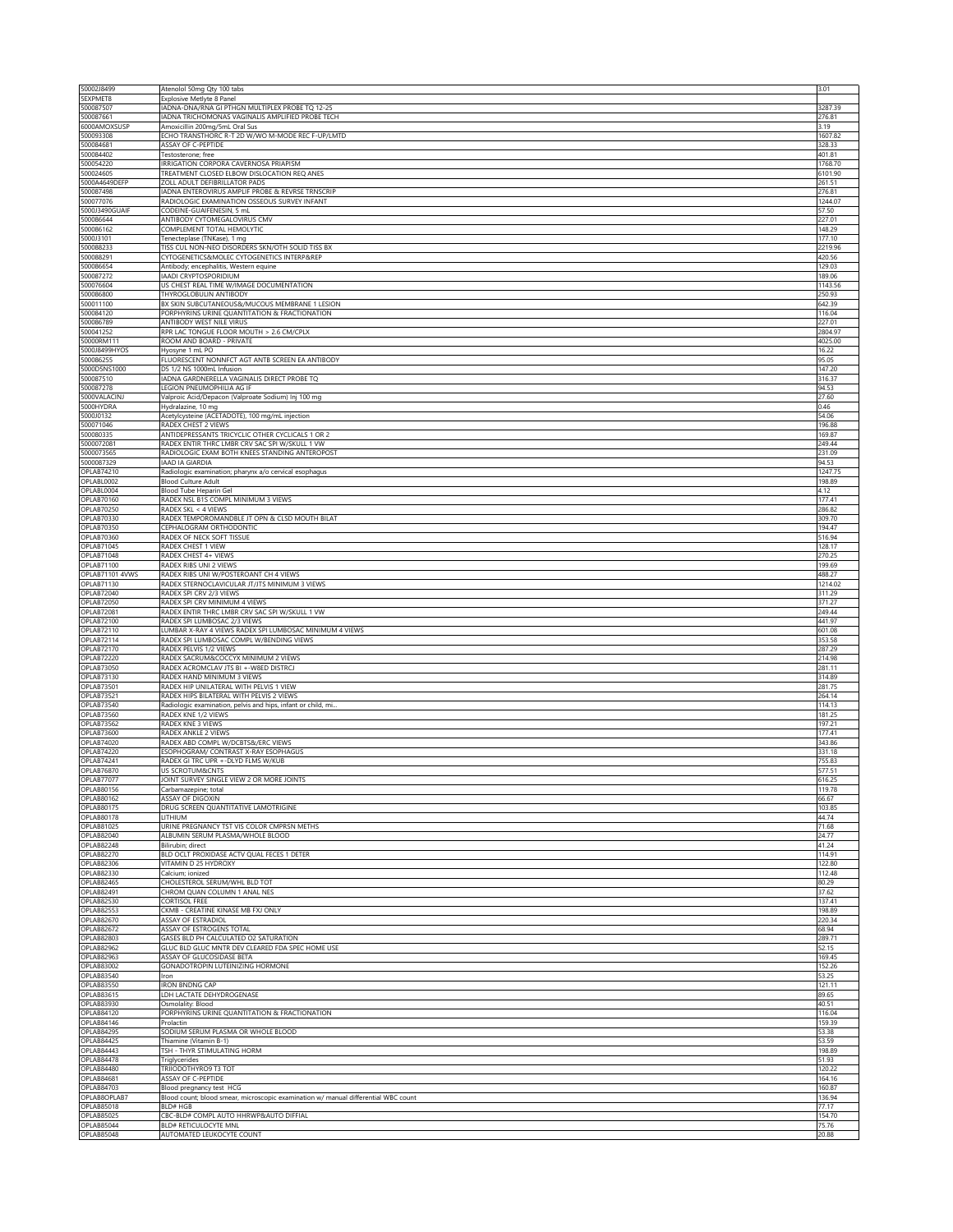| 50002J8499<br>5EXPMET8                 | Atenolol 50mg Qty 100 tabs<br>Explosive Metlyte 8 Panel                                             | 3.01              |
|----------------------------------------|-----------------------------------------------------------------------------------------------------|-------------------|
| 500087507                              | IADNA-DNA/RNA GI PTHGN MULTIPLEX PROBE TQ 12-25                                                     | 3287.39           |
| 500087661<br>6000AMOXSUSP              | ADNA TRICHOMONAS VAGINALIS AMPLIFIED PROBE TECH<br>Amoxicillin 200mg/5mL Oral Sus                   | 276.81<br>3.19    |
| 500093308                              | ECHO TRANSTHORC R-T 2D W/WO M-MODE REC F-UP/LMTD                                                    | 1607.82           |
| 500084681<br>500084402                 | ASSAY OF C-PEPTIDE<br>Testosterone: free                                                            | 328.33<br>401.81  |
| 500054220                              | IRRIGATION CORPORA CAVERNOSA PRIAPISM                                                               | 1768.70           |
| 500024605<br>5000A4649DEFP             | TREATMENT CLOSED ELBOW DISLOCATION REO ANES<br>ZOLL ADULT DEFIBRILLATOR PADS                        | 6101.90<br>261.51 |
| 500087498                              | ADNA ENTEROVIRUS AMPLIF PROBE & REVRSE TRNSCRIP                                                     | 276.81            |
| 500077076                              | RADIOLOGIC EXAMINATION OSSEOUS SURVEY INFANT<br>CODEINE-GUAIFENESIN, 5 mL                           | 1244.07<br>57.50  |
| 5000J3490GUAIF<br>500086644            | ANTIBODY CYTOMEGALOVIRUS CMV                                                                        | 227.01            |
| 500086162                              | COMPLEMENT TOTAL HEMOLYTIC                                                                          | 148.29            |
| 5000J3101<br>500088233                 | Tenecteplase (TNKase), 1 mg<br>TISS CUL NON-NEO DISORDERS SKN/OTH SOLID TISS BX                     | 177.10<br>2219.96 |
| 500088291                              | CYTOGENETICS&MOLEC CYTOGENETICS INTERP&REP                                                          | 420.56            |
| 500086654<br>500087272                 | Antibody; encephalitis, Western equine<br><b>IAADI CRYPTOSPORIDIUM</b>                              | 129.03<br>189.06  |
| 500076604                              | US CHEST REAL TIME W/IMAGE DOCUMENTATION                                                            | 1143.56           |
| 500086800<br>500011100                 | THYROGLOBULIN ANTIBODY<br>BX SKIN SUBCUTANEOUS&/MUCOUS MEMBRANE 1 LESION                            | 250.93<br>642.39  |
| 500084120                              | PORPHYRINS URINE QUANTITATION & FRACTIONATION                                                       | 116.04            |
| 500086789<br>500041252                 | ANTIBODY WEST NILE VIRUS<br>RPR LAC TONGUE FLOOR MOUTH > 2.6 CM/CPLX                                | 227.01<br>2804.97 |
| 50000RM111                             | ROOM AND BOARD - PRIVATE                                                                            | 4025.00           |
| 5000J8499HYOS<br>500086255             | Hyosyne 1 mL PO<br>FLUORESCENT NONNFCT AGT ANTB SCREEN EA ANTIBODY                                  | 16.22<br>95.05    |
| 5000D5NS1000                           | D5 1/2 NS 1000mL Infusion                                                                           | 147.20            |
| 500087510<br>500087278                 | IADNA GARDNERELLA VAGINALIS DIRECT PROBE TQ                                                         | 316.37            |
| 5000VALACINJ                           | LEGION PNEUMOPHILIA AG IF<br>Valproic Acid/Depacon (Valproate Sodium) Inj 100 mg                    | 94.53<br>27.60    |
| 5000HYDRA                              | Hydralazine, 10 mg                                                                                  | 0.46              |
| 5000J0132<br>500071046                 | Acetylcysteine (ACETADOTE), 100 mg/mL injection<br>RADEX CHEST 2 VIEWS                              | 54.06<br>196.88   |
| 500080335                              | ANTIDEPRESSANTS TRICYCLIC OTHER CYCLICALS 1 OR 2                                                    | 169.87            |
| 5000072081<br>5000073565               | RADEX ENTIR THRC LMBR CRV SAC SPI W/SKULL 1 VW<br>RADIOLOGIC EXAM BOTH KNEES STANDING ANTEROPOST    | 249.44<br>231.09  |
| 5000087329                             | <b>IAAD IA GIARDIA</b>                                                                              | 94.53             |
| <b>OPLAB74210</b><br>OPLABL0002        | Radiologic examination; pharynx a/o cervical esophagus<br><b>Blood Culture Adult</b>                | 1247.75<br>198.89 |
| OPLABL0004                             | Blood Tube Heparin Gel                                                                              | 4.12              |
| OPLAB70160<br>OPLAB70250               | RADEX NSL B1S COMPL MINIMUM 3 VIEWS                                                                 | 177.41            |
| OPLAB70330                             | RADEX SKL < 4 VIEWS<br>RADEX TEMPOROMANDBLE JT OPN & CLSD MOUTH BILAT                               | 286.82<br>309.70  |
| OPLAB70350                             | CEPHALOGRAM ORTHODONTIC                                                                             | 194.47            |
| OPLAB70360<br><b>OPLAB71045</b>        | RADEX OF NECK SOFT TISSUE<br>RADEX CHEST 1 VIEW                                                     | 516.94<br>128.17  |
| OPLAB71048                             | RADEX CHEST 4+ VIEWS                                                                                | 270.25            |
| OPLAB71100<br>OPLAB71101 4VWS          | RADEX RIBS UNI 2 VIEWS<br>RADEX RIBS UNI W/POSTEROANT CH 4 VIEWS                                    | 199.69<br>488.27  |
| OPLAB71130                             | RADEX STERNOCLAVICULAR JT/JTS MINIMUM 3 VIEWS                                                       | 1214.02           |
| OPLAB72040<br>OPLAB72050               | RADEX SPI CRV 2/3 VIEWS                                                                             | 311.29<br>371.27  |
|                                        |                                                                                                     |                   |
| OPLAB72081                             | RADEX SPI CRV MINIMUM 4 VIEWS<br>RADEX ENTIR THRC LMBR CRV SAC SPI W/SKULL 1 VW                     | 249.44            |
| OPLAB72100                             | RADEX SPI LUMBOSAC 2/3 VIEWS                                                                        | 441.97            |
| OPLAB72110<br>OPLAB72114               | LUMBAR X-RAY 4 VIEWS RADEX SPI LUMBOSAC MINIMUM 4 VIEWS<br>RADEX SPI LUMBOSAC COMPL W/BENDING VIEWS | 601.08<br>353.58  |
| OPLAB72170                             | RADEX PELVIS 1/2 VIEWS                                                                              | 287.29            |
| OPLAB72220<br><b>OPLAB73050</b>        | RADEX SACRUM&COCCYX MINIMUM 2 VIEWS<br>RADEX ACROMCLAV JTS BI +-W8ED DISTRCJ                        | 214.98<br>281.11  |
| OPLAB73130                             | RADEX HAND MINIMUM 3 VIEWS                                                                          | 314.89            |
| OPLAB73501<br><b>OPLAB73521</b>        | RADEX HIP UNILATERAL WITH PELVIS 1 VIEW<br>RADEX HIPS BILATERAL WITH PELVIS 2 VIEWS                 | 281.75<br>264.14  |
| OPLAB73540                             | Radiologic examination, pelvis and hips, infant or child, mi                                        | 114.13            |
| OPLAB73560                             | RADEX KNE 1/2 VIEWS                                                                                 | 181.25            |
| <b>OPLAB73562</b><br>OPLAB73600        | RADEX KNE 3 VIEWS<br>RADEX ANKLE 2 VIEWS                                                            | 197.21<br>177.41  |
| OPLAB74020                             | RADEX ABD COMPL W/DCBTS&/ERC VIEWS                                                                  | 343.86            |
| OPLAB74220<br>OPLAB74241               | ESOPHOGRAM/ CONTRAST X-RAY ESOPHAGUS<br>RADEX GI TRC UPR +-DLYD FLMS W/KUB                          | 331.18<br>755.83  |
| <b>OPLAB76870</b>                      | US SCROTUM&CNTS                                                                                     | 577.51            |
| <b>OPLAB77077</b><br>OPLAB80156        | JOINT SURVEY SINGLE VIEW 2 OR MORE JOINTS<br>Carbamazepine; total                                   | 616.25<br>119.78  |
| OPLAB80162                             | ASSAY OF DIGOXIN                                                                                    | 66.67             |
| OPLAB80175<br>OPLAB80178               | DRUG SCREEN QUANTITATIVE LAMOTRIGINE<br>LITHIUM                                                     | 103.85<br>44.74   |
| OPLAB81025                             | URINE PREGNANCY TST VIS COLOR CMPRSN METHS                                                          | 71.68             |
| <b>OPLAB82040</b><br>OPLAB82248        | ALBUMIN SERUM PLASMA/WHOLE BLOOD<br>Bilirubin; direct                                               | 24.77<br>41.24    |
| <b>OPLAB82270</b>                      | BLD OCLT PROXIDASE ACTV OUAL FECES 1 DETER                                                          | 114.91            |
| <b>OPLAB82306</b>                      | VITAMIN D 25 HYDROXY<br>Calcium: ionized                                                            | 122.80            |
| OPLAB82330<br><b>OPLAB82465</b>        | CHOLESTEROL SERUM/WHL BLD TOT                                                                       | 112.48<br>80.29   |
| <b>OPLAB82491</b>                      | CHROM QUAN COLUMN 1 ANAL NES                                                                        | 37.62             |
| <b>OPLAB82530</b><br><b>OPLAB82553</b> | CORTISOL FREE<br>CKMB - CREATINE KINASE MB FXJ ONLY                                                 | 137.41<br>198.89  |
| <b>OPLAB82670</b>                      | ASSAY OF ESTRADIOL                                                                                  | 220.34            |
| <b>OPLAB82672</b><br><b>OPLAB82803</b> | ASSAY OF ESTROGENS TOTAL<br>GASES BLD PH CALCULATED O2 SATURATION                                   | 68.94<br>289.71   |
| <b>OPLAB82962</b>                      | GLUC BLD GLUC MNTR DEV CLEARED FDA SPEC HOME USE                                                    | 52.15             |
| <b>OPLAB82963</b><br>OPLAB83002        | ASSAY OF GLUCOSIDASE BETA<br>GONADOTROPIN LUTEINIZING HORMONE                                       | 169.45<br>152.26  |
| OPLAB83540                             | Iron                                                                                                | 53.25             |
| <b>OPLAB83550</b><br><b>OPLAB83615</b> | <b>IRON BNDNG CAP</b><br>LDH LACTATE DEHYDROGENASE                                                  | 121.11<br>89.65   |
| OPLAB83930                             | Osmolality: Blood                                                                                   | 40.51             |
| OPLAB84120<br><b>OPLAB84146</b>        | PORPHYRINS URINE QUANTITATION & FRACTIONATION<br>Prolactin                                          | 116.04<br>159.39  |
| <b>OPLAB84295</b>                      | SODIUM SERUM PLASMA OR WHOLE BLOOD                                                                  | 53.38             |
| <b>OPLAB84425</b><br>OPLAB84443        | Thiamine (Vitamin B-1)<br>TSH - THYR STIMULATING HORM                                               | 53.59<br>198.89   |
| OPLAB84478                             | <b>Triglycerides</b>                                                                                | 51.93             |
| OPLAB84480                             | TRIIODOTHYRO9 T3 TOT                                                                                | 120.22            |
| OPLAB84681<br>OPLAB84703               | ASSAY OF C-PEPTIDE<br>Blood pregnancy test HCG                                                      | 164.16<br>160.87  |
| OPLAB8OPLAB7                           | Blood count; blood smear, microscopic examination w/ manual differential WBC count                  | 136.94            |
| OPLAB85018<br><b>OPLAB85025</b>        | <b>BLD# HGB</b><br>CBC-BLD# COMPL AUTO HHRWP&AUTO DIFFIAL                                           | 77.17<br>154.70   |
| <b>OPLAB85044</b><br><b>OPLAB85048</b> | <b>BLD# RETICULOCYTE MNL</b><br>AUTOMATED LEUKOCYTE COUNT                                           | 75.76<br>20.88    |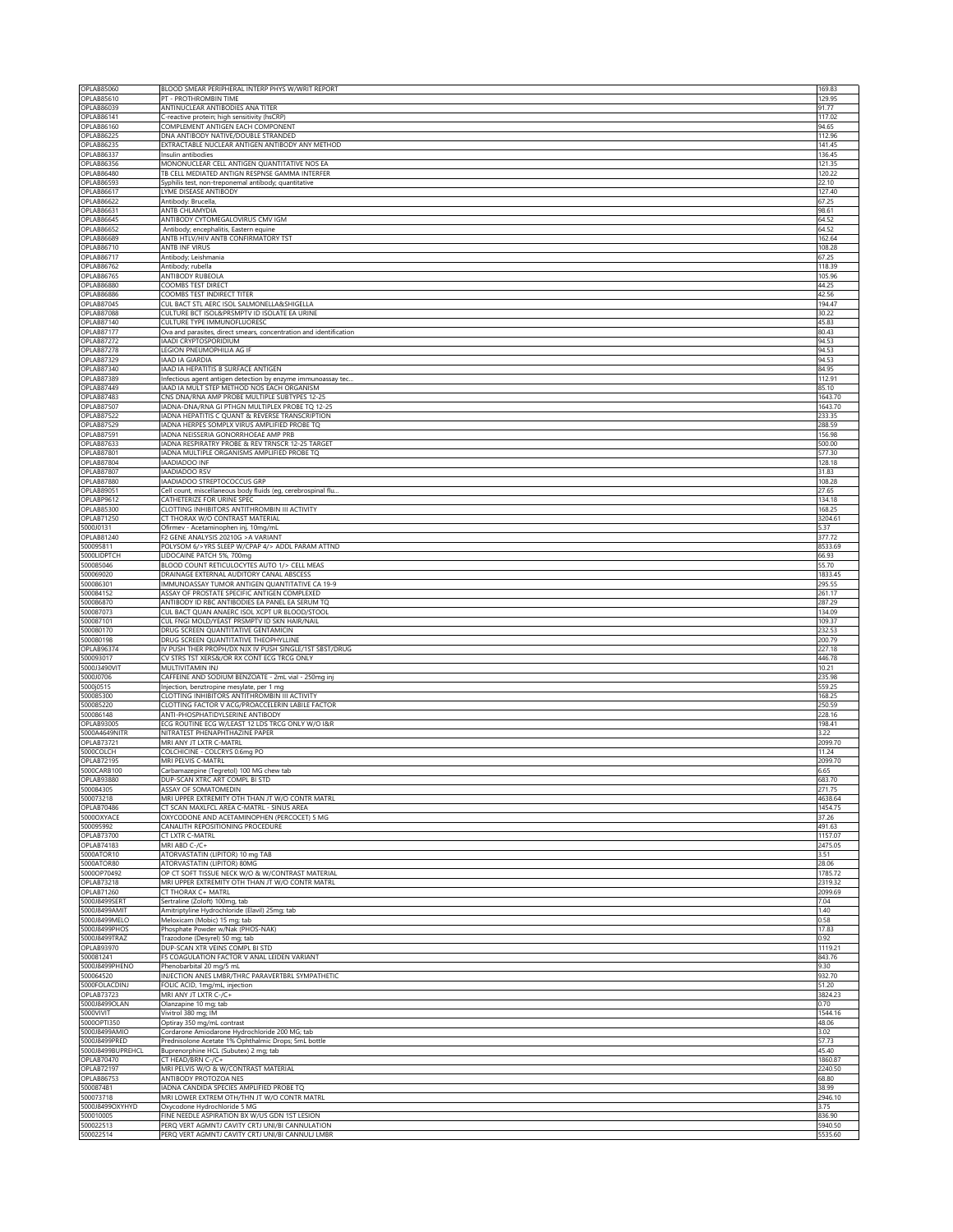| <b>OPLAB85610</b>                      | BLOOD SMEAR PERIPHERAL INTERP PHYS W/WRIT REPORT                                                    | 169.83             |
|----------------------------------------|-----------------------------------------------------------------------------------------------------|--------------------|
|                                        | PT - PROTHROMBIN TIME                                                                               | 129.95             |
| OPLAB86039                             | ANTINUCLEAR ANTIBODIES ANA TITER                                                                    | 91.77              |
| OPLAB86141<br>OPLAB86160               | C-reactive protein; high sensitivity (hsCRP)<br>COMPLEMENT ANTIGEN EACH COMPONENT                   | 117.02<br>94.65    |
| <b>OPLAB86225</b>                      | DNA ANTIBODY NATIVE/DOUBLE STRANDED                                                                 | 112.96             |
| <b>OPLAB86235</b>                      | EXTRACTABLE NUCLEAR ANTIGEN ANTIBODY ANY METHOD                                                     | 141.45             |
| <b>OPLAB86337</b>                      | Insulin antibodies                                                                                  | 136.45             |
| OPLAB86356                             | MONONUCLEAR CELL ANTIGEN QUANTITATIVE NOS EA                                                        | 121.35             |
| <b>OPLAB86480</b><br><b>OPLAB86593</b> | TB CELL MEDIATED ANTIGN RESPNSE GAMMA INTERFER                                                      | 120.22<br>22.10    |
| <b>OPLAB86617</b>                      | Syphilis test, non-treponemal antibody; quantitative<br>LYME DISEASE ANTIBODY                       | 127.40             |
| <b>OPLAB86622</b>                      | Antibody: Brucella,                                                                                 | 67.25              |
| OPLAB86631                             | <b>ANTB CHLAMYDIA</b>                                                                               | 98.61              |
| OPLAB86645                             | ANTIBODY CYTOMEGALOVIRUS CMV IGM                                                                    | 64.52              |
| <b>OPLAB86652</b>                      | Antibody; encephalitis, Eastern equine                                                              | 64.52              |
| <b>OPLAB86689</b>                      | ANTB HTLV/HIV ANTB CONFIRMATORY TST<br><b>ANTB INF VIRUS</b>                                        | 162.64             |
| OPLAB86710<br><b>OPLAB86717</b>        | Antibody; Leishmania                                                                                | 108.28<br>67.25    |
| OPLAB86762                             | Antibody; rubella                                                                                   | 118.39             |
| <b>OPLAB86765</b>                      | ANTIBODY RUBEOLA                                                                                    | 105.96             |
| OPLAB86880                             | COOMBS TEST DIRECT                                                                                  | 44.25              |
| OPLAB86886                             | COOMBS TEST INDIRECT TITER                                                                          | 42.56              |
| OPLAB87045<br>OPLAB87088               | CUL BACT STL AERC ISOL SALMONELLA&SHIGELLA<br>CULTURE BCT ISOL&PRSMPTV ID ISOLATE EA URINE          | 194.47<br>30.22    |
| OPLAB87140                             | CULTURE TYPE IMMUNOFLUORESC                                                                         | 45.83              |
| <b>OPLAB87177</b>                      | Ova and parasites, direct smears, concentration and identification                                  | 80.43              |
| OPLAB87272                             | IAADI CRYPTOSPORIDIUM                                                                               | 94.53              |
| OPLAB87278                             | LEGION PNEUMOPHILIA AG IF                                                                           | 94.53              |
| OPLAB87329<br>OPLAB87340               | IAAD IA GIARDIA<br>IAAD IA HEPATITIS B SURFACE ANTIGEN                                              | 94.53<br>84.95     |
| OPLAB87389                             | Infectious agent antigen detection by enzyme immunoassay tec.                                       | 112.91             |
| OPLAB87449                             | IAAD IA MULT STEP METHOD NOS EACH ORGANISM                                                          | 85.10              |
| OPLAB87483                             | CNS DNA/RNA AMP PROBE MULTIPLE SUBTYPES 12-25                                                       | 1643.70            |
| OPLAB87507                             | IADNA-DNA/RNA GI PTHGN MULTIPLEX PROBE TQ 12-25                                                     | 1643.70            |
| OPLAB87522                             | IADNA HEPATITIS C QUANT & REVERSE TRANSCRIPTION                                                     | 233.35             |
| <b>OPLAB87529</b><br>OPLAB87591        | ADNA HERPES SOMPLX VIRUS AMPLIFIED PROBE TQ<br>IADNA NEISSERIA GONORRHOEAE AMP PRB                  | 288.59<br>156.98   |
| OPLAB87633                             | IADNA RESPIRATRY PROBE & REV TRNSCR 12-25 TARGET                                                    | 500.00             |
| OPLAB87801                             | IADNA MULTIPLE ORGANISMS AMPLIFIED PROBE TQ                                                         | 577.30             |
| OPLAB87804                             | IAADIADOO INF                                                                                       | 128.18             |
| OPLAB87807                             | <b>IAADIADOO RSV</b>                                                                                | 31.83              |
| OPLAB87880                             | IAADIADOO STREPTOCOCCUS GRP                                                                         | 108.28             |
| OPLAB89051<br>OPLABP9612               | Cell count, miscellaneous body fluids (eg, cerebrospinal flu.<br>CATHETERIZE FOR URINE SPEC         | 27.65<br>134.18    |
| OPLAB85300                             | CLOTTING INHIBITORS ANTITHROMBIN III ACTIVITY                                                       | 168.25             |
| <b>OPLAB71250</b>                      | CT THORAX W/O CONTRAST MATERIAL                                                                     | 3204.61            |
| 5000J0131                              | Ofirmev - Acetaminophen inj, 10mg/mL                                                                | 5.37               |
| OPLAB81240                             | F2 GENE ANALYSIS 20210G > A VARIANT                                                                 | 377.72             |
| 500095811<br>5000LIDPTCH               | POLYSOM 6/>YRS SLEEP W/CPAP 4/> ADDL PARAM ATTND<br>LIDOCAINE PATCH 5%, 700mg                       | 8533.69<br>66.93   |
| 500085046                              | BLOOD COUNT RETICULOCYTES AUTO 1/> CELL MEAS                                                        | 55.70              |
| 500069020                              | DRAINAGE EXTERNAL AUDITORY CANAL ABSCESS                                                            | 1833.45            |
| 500086301                              | IMMUNOASSAY TUMOR ANTIGEN QUANTITATIVE CA 19-9                                                      | 295.55             |
| 500084152                              | ASSAY OF PROSTATE SPECIFIC ANTIGEN COMPLEXED                                                        | 261.17             |
| 500086870                              | ANTIBODY ID RBC ANTIBODIES EA PANEL EA SERUM TQ                                                     | 287.29             |
| 500087073<br>500087101                 | CUL BACT QUAN ANAERC ISOL XCPT UR BLOOD/STOOL<br>CUL FNGI MOLD/YEAST PRSMPTV ID SKN HAIR/NAIL       | 134.09<br>109.37   |
| 500080170                              | DRUG SCREEN QUANTITATIVE GENTAMICIN                                                                 | 232.53             |
|                                        |                                                                                                     |                    |
|                                        |                                                                                                     |                    |
| 500080198<br>OPLAB96374                | DRUG SCREEN QUANTITATIVE THEOPHYLLINE<br>IV PUSH THER PROPH/DX NJX IV PUSH SINGLE/1ST SBST/DRUG     | 200.79<br>227.18   |
| 500093017                              | CV STRS TST XERS&/OR RX CONT ECG TRCG ONLY                                                          | 446.78             |
| 5000J3490VIT                           | MULTIVITAMIN INJ                                                                                    | 10.21              |
| 5000J0706                              | CAFFEINE AND SODIUM BENZOATE - 2mL vial - 250mg inj                                                 | 235.98             |
| 5000j0515                              | Injection, benztropine mesylate, per 1 mg                                                           | 559.25             |
| 500085300<br>500085220                 | CLOTTING INHIBITORS ANTITHROMBIN III ACTIVITY<br>CLOTTING FACTOR V ACG/PROACCELERIN LABILE FACTOR   | 168.25<br>250.59   |
| 500086148                              | ANTI-PHOSPHATIDYLSERINE ANTIBODY                                                                    | 228.16             |
| OPLAB93005                             | ECG ROUTINE ECG W/LEAST 12 LDS TRCG ONLY W/O I&R                                                    | 198.41             |
| 5000A4649NITR                          | NITRATEST PHENAPHTHAZINE PAPER                                                                      | 3.22               |
| <b>OPLAB73721</b>                      | MRI ANY JT LXTR C-MATRL                                                                             | 2099.70            |
| 5000COLCH<br><b>OPLAB72195</b>         | COLCHICINE - COLCRYS 0.6mg PO<br>MRI PELVIS C-MATRL                                                 | 11.24<br>2099.70   |
| 5000CARB100                            | Carbamazepine (Tegretol) 100 MG chew tab                                                            | 6.65               |
| <b>OPLAB93880</b>                      | DUP-SCAN XTRC ART COMPL BI STD                                                                      | 683.70             |
| 500084305                              | ASSAY OF SOMATOMEDIN                                                                                | 271.75             |
| 500073218                              | MRI UPPER EXTREMITY OTH THAN JT W/O CONTR MATRL                                                     | 4638.64            |
| OPLAB70486<br>5000OXYACE               | CT SCAN MAXLFCL AREA C-MATRL - SINUS AREA<br>OXYCODONE AND ACETAMINOPHEN (PERCOCET) 5 MG            | 1454.75<br>37.26   |
| 500095992                              | CANALITH REPOSITIONING PROCEDURE                                                                    | 491.63             |
| <b>OPLAB73700</b>                      | CT LXTR C-MATRL                                                                                     | 1157.07            |
| <b>OPLAB74183</b>                      | MRI ABD C-/C+                                                                                       | 2475.05            |
| 5000ATOR10                             | ATORVASTATIN (LIPITOR) 10 mg TAB                                                                    | 3.51               |
| 5000ATOR80<br>5000OP70492              | ATORVASTATIN (LIPITOR) 80MG<br>OP CT SOFT TISSUE NECK W/O & W/CONTRAST MATERIAL                     | 28.06<br>1785.72   |
| <b>OPLAB73218</b>                      | MRI UPPER EXTREMITY OTH THAN JT W/O CONTR MATRL                                                     | 2319.32            |
| <b>OPLAB71260</b>                      | CT THORAX C+ MATRL                                                                                  | 2099.69            |
| 5000J8499SERT                          | Sertraline (Zoloft) 100mg, tab                                                                      | 7.04               |
| 5000J8499AMIT                          | Amitriptyline Hydrochloride (Elavil) 25mg; tab                                                      | 1.40<br>0.58       |
| 5000J8499MELO<br>5000J8499PHOS         | Meloxicam (Mobic) 15 mg; tab                                                                        | 17.83              |
| 5000J8499TRAZ                          | Phosphate Powder w/Nak (PHOS-NAK)<br>Trazodone (Desyrel) 50 mg; tab                                 | 0.92               |
| OPLAB93970                             | DUP-SCAN XTR VEINS COMPL BI STD                                                                     | 1119.21            |
| 500081241                              | F5 COAGULATION FACTOR V ANAL LEIDEN VARIANT                                                         | 843.76             |
| 5000J8499PHENO                         | Phenobarbital 20 mg/5 mL                                                                            | 9.30               |
| 500064520<br>5000FOLACDINJ             | INJECTION ANES LMBR/THRC PARAVERTBRL SYMPATHETIC                                                    | 932.70<br>51.20    |
| <b>OPLAB73723</b>                      | FOLIC ACID, 1mg/mL, injection<br>MRI ANY JT LXTR C-/C+                                              | 3824.23            |
| 5000J8499OLAN                          | Olanzapine 10 mg; tab                                                                               | 0.70               |
| 5000VIVIT                              | Vivitrol 380 mg; IM                                                                                 | 1544.16            |
| 5000OPTI350                            | Optiray 350 mg/mL contrast                                                                          | 48.06              |
| 5000J8499AMIO<br>5000J8499PRED         | Cordarone Amiodarone Hydrochloride 200 MG; tab                                                      | 3.02<br>57.73      |
| 5000J8499BUPREHCL                      | Prednisolone Acetate 1% Ophthalmic Drops; 5mL bottle<br>Buprenorphine HCL (Subutex) 2 mg; tab       | 45.40              |
| <b>OPLAB70470</b>                      | CT HEAD/BRN C-/C+                                                                                   | 1860.87            |
| <b>OPLAB72197</b>                      | MRI PELVIS W/O & W/CONTRAST MATERIAL                                                                | 2240.50            |
| <b>OPLAB86753</b>                      | ANTIBODY PROTOZOA NES                                                                               | 68.80              |
| 500087481                              | IADNA CANDIDA SPECIES AMPLIFIED PROBE TQ                                                            | 38.99              |
| 500073718<br>5000J8499OXYHYD           | MRI LOWER EXTREM OTH/THN JT W/O CONTR MATRL<br>Oxycodone Hydrochloride 5 MG                         | 2946.10<br>3.75    |
| 500010005                              | FINE NEEDLE ASPIRATION BX W/US GDN 1ST LESION                                                       | 836.90             |
| 500022513<br>500022514                 | PERQ VERT AGMNTJ CAVITY CRTJ UNI/BI CANNULATION<br>PERQ VERT AGMNTJ CAVITY CRTJ UNI/BI CANNULJ LMBR | 5940.50<br>5535.60 |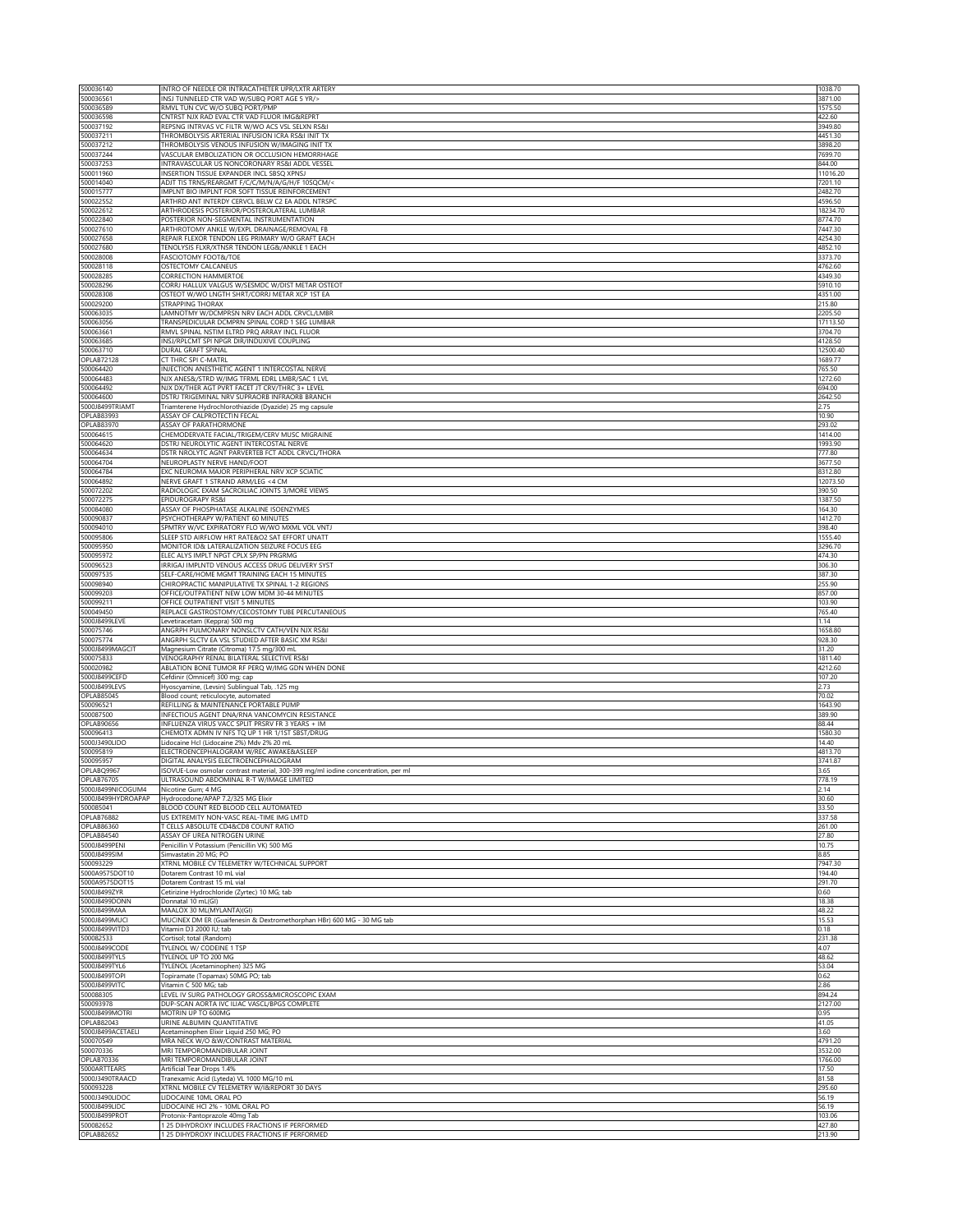| 500036140                                                                                                                                                                                                                                                                                                                                                                                                        | INTRO OF NEEDLE OR INTRACATHETER UPR/LXTR ARTERY                                                    | 1038.70             |
|------------------------------------------------------------------------------------------------------------------------------------------------------------------------------------------------------------------------------------------------------------------------------------------------------------------------------------------------------------------------------------------------------------------|-----------------------------------------------------------------------------------------------------|---------------------|
| 500036561<br>500036589                                                                                                                                                                                                                                                                                                                                                                                           | INSJ TUNNELED CTR VAD W/SUBQ PORT AGE 5 YR/><br>RMVL TUN CVC W/O SUBQ PORT/PMP                      | 3871.00<br>1575.50  |
| 500036598                                                                                                                                                                                                                                                                                                                                                                                                        | CNTRST NJX RAD EVAL CTR VAD FLUOR IMG&REPRT                                                         | 422.60              |
| 500037192<br>500037211                                                                                                                                                                                                                                                                                                                                                                                           | REPSNG INTRVAS VC FILTR W/WO ACS VSL SELXN RS&I<br>THROMBOLYSIS ARTERIAL INFUSION ICRA RS&I INIT TX | 3949.80<br>4451.30  |
| 500037212                                                                                                                                                                                                                                                                                                                                                                                                        | THROMBOLYSIS VENOUS INFUSION W/IMAGING INIT TX                                                      | 3898.20             |
| 500037244<br>500037253                                                                                                                                                                                                                                                                                                                                                                                           | VASCULAR EMBOLIZATION OR OCCLUSION HEMORRHAGE<br>INTRAVASCULAR US NONCORONARY RS&I ADDL VESSEL      | 7699.70<br>844.00   |
| 500011960                                                                                                                                                                                                                                                                                                                                                                                                        | INSERTION TISSUE EXPANDER INCL SBSQ XPNSJ                                                           | 11016.20            |
| 500014040                                                                                                                                                                                                                                                                                                                                                                                                        | ADJT TIS TRNS/REARGMT F/C/C/M/N/A/G/H/F 10SQCM/<                                                    | 7201.10             |
| 500015777<br>500022552                                                                                                                                                                                                                                                                                                                                                                                           | IMPLNT BIO IMPLNT FOR SOFT TISSUE REINFORCEMENT<br>ARTHRD ANT INTERDY CERVCL BELW C2 EA ADDL NTRSPC | 2482.70<br>4596.50  |
| 500022612                                                                                                                                                                                                                                                                                                                                                                                                        | ARTHRODESIS POSTERIOR/POSTEROLATERAL LUMBAR                                                         | 18234.70            |
| 500022840<br>500027610                                                                                                                                                                                                                                                                                                                                                                                           | POSTERIOR NON-SEGMENTAL INSTRUMENTATION<br>ARTHROTOMY ANKLE W/EXPL DRAINAGE/REMOVAL FB              | 8774.70<br>7447.30  |
| 500027658                                                                                                                                                                                                                                                                                                                                                                                                        | REPAIR FLEXOR TENDON LEG PRIMARY W/O GRAFT EACH                                                     | 4254.30             |
| 500027680<br>500028008                                                                                                                                                                                                                                                                                                                                                                                           | TENOLYSIS FLXR/XTNSR TENDON LEG&/ANKLE 1 EACH<br>FASCIOTOMY FOOT&/TOE                               | 4852.10             |
| 500028118                                                                                                                                                                                                                                                                                                                                                                                                        | OSTECTOMY CALCANEUS                                                                                 | 3373.70<br>4762.60  |
| 500028285                                                                                                                                                                                                                                                                                                                                                                                                        | CORRECTION HAMMERTOE                                                                                | 4349.30             |
| 500028296<br>500028308                                                                                                                                                                                                                                                                                                                                                                                           | CORRJ HALLUX VALGUS W/SESMDC W/DIST METAR OSTEOT<br>OSTEOT W/WO LNGTH SHRT/CORRJ METAR XCP 1ST EA   | 5910.10<br>4351.00  |
| 500029200                                                                                                                                                                                                                                                                                                                                                                                                        | STRAPPING THORAX                                                                                    | 215.80              |
| 500063035<br>500063056                                                                                                                                                                                                                                                                                                                                                                                           | LAMNOTMY W/DCMPRSN NRV EACH ADDL CRVCL/LMBR<br>TRANSPEDICULAR DCMPRN SPINAL CORD 1 SEG LUMBAR       | 2205.50<br>17113.50 |
| 500063661                                                                                                                                                                                                                                                                                                                                                                                                        | RMVL SPINAL NSTIM ELTRD PRQ ARRAY INCL FLUOR                                                        | 3704.70             |
| 500063685                                                                                                                                                                                                                                                                                                                                                                                                        | INSJ/RPLCMT SPI NPGR DIR/INDUXIVE COUPLING                                                          | 4128.50             |
| 500063710<br>OPLAB72128                                                                                                                                                                                                                                                                                                                                                                                          | DURAL GRAFT SPINAL<br>CT THRC SPI C-MATRL                                                           | 12500.40<br>1689.77 |
| 500064420                                                                                                                                                                                                                                                                                                                                                                                                        | INJECTION ANESTHETIC AGENT 1 INTERCOSTAL NERVE                                                      | 765.50              |
| 500064483<br>500064492                                                                                                                                                                                                                                                                                                                                                                                           | NJX ANES&/STRD W/IMG TFRML EDRL LMBR/SAC 1 LVL<br>NJX DX/THER AGT PVRT FACET JT CRV/THRC 3+ LEVEL   | 1272.60<br>694.00   |
| 500064600                                                                                                                                                                                                                                                                                                                                                                                                        | DSTRJ TRIGEMINAL NRV SUPRAORB INFRAORB BRANCH                                                       | 2642.50             |
| 5000J8499TRIAMT                                                                                                                                                                                                                                                                                                                                                                                                  | Triamterene Hydrochlorothiazide (Dyazide) 25 mg capsule                                             | 2.75                |
| OPLAB83993<br>OPLAB83970                                                                                                                                                                                                                                                                                                                                                                                         | ASSAY OF CALPROTECTIN FECAL<br>ASSAY OF PARATHORMONE                                                | 10.90<br>293.02     |
| 500064615                                                                                                                                                                                                                                                                                                                                                                                                        | CHEMODERVATE FACIAL/TRIGEM/CERV MUSC MIGRAINE                                                       | 1414.00             |
| 500064620<br>500064634                                                                                                                                                                                                                                                                                                                                                                                           | DSTRJ NEUROLYTIC AGENT INTERCOSTAL NERVE<br>DSTR NROLYTC AGNT PARVERTEB FCT ADDL CRVCL/THORA        | 1993.90<br>777.80   |
| 500064704                                                                                                                                                                                                                                                                                                                                                                                                        | NEUROPLASTY NERVE HAND/FOOT                                                                         | 3677.50             |
| 500064784                                                                                                                                                                                                                                                                                                                                                                                                        | EXC NEUROMA MAJOR PERIPHERAL NRV XCP SCIATIC                                                        | 8312.80             |
| 500064892<br>500072202                                                                                                                                                                                                                                                                                                                                                                                           | NERVE GRAFT 1 STRAND ARM/LEG <4 CM<br>RADIOLOGIC EXAM SACROILIAC JOINTS 3/MORE VIEWS                | 12073.50<br>390.50  |
| 500072275                                                                                                                                                                                                                                                                                                                                                                                                        | EPIDUROGRAPY RS&I                                                                                   | 1387.50             |
| 500084080<br>500090837                                                                                                                                                                                                                                                                                                                                                                                           | ASSAY OF PHOSPHATASE ALKALINE ISOENZYMES<br>PSYCHOTHERAPY W/PATIENT 60 MINUTES                      | 164.30<br>1412.70   |
| 500094010                                                                                                                                                                                                                                                                                                                                                                                                        | SPMTRY W/VC EXPIRATORY FLO W/WO MXML VOL VNTJ                                                       | 398.40              |
| 500095806                                                                                                                                                                                                                                                                                                                                                                                                        | SLEEP STD AIRFLOW HRT RATE&O2 SAT EFFORT UNATT                                                      | 1555.40             |
| 500095950<br>500095972                                                                                                                                                                                                                                                                                                                                                                                           | MONITOR ID& LATERALIZATION SEIZURE FOCUS EEG<br>ELEC ALYS IMPLT NPGT CPLX SP/PN PRGRMG              | 3296.70<br>474.30   |
| 500096523                                                                                                                                                                                                                                                                                                                                                                                                        | IRRIGAJ IMPLNTD VENOUS ACCESS DRUG DELIVERY SYST                                                    | 306.30              |
| 500097535                                                                                                                                                                                                                                                                                                                                                                                                        | SELF-CARE/HOME MGMT TRAINING EACH 15 MINUTES                                                        | 387.30              |
| 500098940<br>500099203                                                                                                                                                                                                                                                                                                                                                                                           | CHIROPRACTIC MANIPULATIVE TX SPINAL 1-2 REGIONS<br>OFFICE/OUTPATIENT NEW LOW MDM 30-44 MINUTES      | 255.90<br>857.00    |
|                                                                                                                                                                                                                                                                                                                                                                                                                  |                                                                                                     |                     |
| 500099211                                                                                                                                                                                                                                                                                                                                                                                                        | OFFICE OUTPATIENT VISIT 5 MINUTES                                                                   | 103.90              |
| 500049450                                                                                                                                                                                                                                                                                                                                                                                                        | REPLACE GASTROSTOMY/CECOSTOMY TUBE PERCUTANEOUS                                                     | 765.40              |
|                                                                                                                                                                                                                                                                                                                                                                                                                  | Levetiracetam (Keppra) 500 mg<br>ANGRPH PULMONARY NONSLCTV CATH/VEN NJX RS&I                        | 1.14<br>1658.80     |
|                                                                                                                                                                                                                                                                                                                                                                                                                  | ANGRPH SLCTV EA VSL STUDIED AFTER BASIC XM RS&I                                                     | 928.30              |
|                                                                                                                                                                                                                                                                                                                                                                                                                  | Magnesium Citrate (Citroma) 17.5 mg/300 mL                                                          | 31.20               |
|                                                                                                                                                                                                                                                                                                                                                                                                                  | VENOGRAPHY RENAL BILATERAL SELECTIVE RS&I<br>ABLATION BONE TUMOR RF PERQ W/IMG GDN WHEN DONE        | 1811.40<br>4212.60  |
|                                                                                                                                                                                                                                                                                                                                                                                                                  | Cefdinir (Omnicef) 300 mg; cap                                                                      | 107.20              |
|                                                                                                                                                                                                                                                                                                                                                                                                                  | Hyoscyamine, (Levsin) Sublingual Tab, .125 mg<br>Blood count; reticulocyte, automated               | 2.73<br>70.02       |
|                                                                                                                                                                                                                                                                                                                                                                                                                  | REFILLING & MAINTENANCE PORTABLE PUMP                                                               | 1643.90             |
|                                                                                                                                                                                                                                                                                                                                                                                                                  | INFECTIOUS AGENT DNA/RNA VANCOMYCIN RESISTANCE<br>INFLUENZA VIRUS VACC SPLIT PRSRV FR 3 YEARS + IM  | 389.90<br>88.44     |
|                                                                                                                                                                                                                                                                                                                                                                                                                  | CHEMOTX ADMN IV NFS TQ UP 1 HR 1/1ST SBST/DRUG                                                      | 1580.30             |
|                                                                                                                                                                                                                                                                                                                                                                                                                  | Lidocaine Hcl (Lidocaine 2%) Mdv 2% 20 mL                                                           | 14.40               |
|                                                                                                                                                                                                                                                                                                                                                                                                                  | ELECTROENCEPHALOGRAM W/REC AWAKE&ASLEEP<br>DIGITAL ANALYSIS ELECTROENCEPHALOGRAM                    | 4813.70<br>3741.87  |
|                                                                                                                                                                                                                                                                                                                                                                                                                  | ISOVUE-Low osmolar contrast material, 300-399 mg/ml iodine concentration, per ml                    | 3.65                |
|                                                                                                                                                                                                                                                                                                                                                                                                                  | ULTRASOUND ABDOMINAL R-T W/IMAGE LIMITED<br>Nicotine Gum; 4 MG                                      | 778.19<br>2.14      |
|                                                                                                                                                                                                                                                                                                                                                                                                                  | Hydrocodone/APAP 7.2/325 MG Elixir                                                                  | 30.60               |
|                                                                                                                                                                                                                                                                                                                                                                                                                  | BLOOD COUNT RED BLOOD CELL AUTOMATED                                                                | 33.50               |
|                                                                                                                                                                                                                                                                                                                                                                                                                  | US EXTREMITY NON-VASC REAL-TIME IMG LMTD<br>T CELLS ABSOLUTE CD4&CD8 COUNT RATIO                    | 337.58<br>261.00    |
|                                                                                                                                                                                                                                                                                                                                                                                                                  | ASSAY OF UREA NITROGEN URINE                                                                        | 27.80               |
|                                                                                                                                                                                                                                                                                                                                                                                                                  | Penicillin V Potassium (Penicillin VK) 500 MG<br>Simvastatin 20 MG; PO                              | 10.75<br>8.85       |
| 5000J8499LEVE<br>500075746<br>500075774<br>5000J8499MAGCIT<br>500075833<br>500020982<br>5000J8499CEFD<br>5000J8499LEVS<br>OPLAB85045<br>500096521<br>500087500<br>OPLAB90656<br>500096413<br>5000J3490LIDO<br>500095819<br>500095957<br>OPLABQ9967<br>OPLAB76705<br>5000J8499NICOGUM4<br>5000J8499HYDROAPAP<br>500085041<br>OPLAB76882<br>OPLAB86360<br>OPLAB84540<br>5000J8499PENI<br>5000J8499SIM<br>500093229 | XTRNL MOBILE CV TELEMETRY W/TECHNICAL SUPPORT                                                       | 7947.30             |
|                                                                                                                                                                                                                                                                                                                                                                                                                  | Dotarem Contrast 10 mL vial<br>Dotarem Contrast 15 mL vial                                          | 194.40<br>291.70    |
|                                                                                                                                                                                                                                                                                                                                                                                                                  | Cetirizine Hydrochloride (Zyrtec) 10 MG; tab                                                        | 0.60                |
|                                                                                                                                                                                                                                                                                                                                                                                                                  | Donnatal 10 mL(GI)                                                                                  | 18.38               |
|                                                                                                                                                                                                                                                                                                                                                                                                                  | MAALOX 30 ML(MYLANTA)(GI)<br>MUCINEX DM ER (Guaifenesin & Dextromethorphan HBr) 600 MG - 30 MG tab  | 48.22<br>15.53      |
| 5000A9575DOT10<br>5000A9575DOT15<br>5000J8499ZYR<br>5000J8499DONN<br>5000J8499MAA<br>5000J8499MUCI<br>5000J8499VITD3                                                                                                                                                                                                                                                                                             | Vitamin D3 2000 IU; tab                                                                             | 0.18                |
| 500082533<br>5000J8499CODE                                                                                                                                                                                                                                                                                                                                                                                       | Cortisol; total (Random)<br>TYLENOL W/ CODEINE 1 TSP                                                | 231.38<br>4.07      |
| 5000J8499TYL5                                                                                                                                                                                                                                                                                                                                                                                                    | TYLENOL UP TO 200 MG                                                                                | 48.62               |
| 5000J8499TYL6                                                                                                                                                                                                                                                                                                                                                                                                    | TYLENOL (Acetaminophen) 325 MG<br>Topiramate (Topamax) 50MG PO; tab                                 | 53.04               |
| 5000J8499TOPI<br>5000J8499VITC                                                                                                                                                                                                                                                                                                                                                                                   | Vitamin C 500 MG; tab                                                                               | 0.62<br>2.86        |
| 500088305                                                                                                                                                                                                                                                                                                                                                                                                        | LEVEL IV SURG PATHOLOGY GROSS&MICROSCOPIC EXAM                                                      | 894.24              |
| 500093978<br>5000J8499MOTRI                                                                                                                                                                                                                                                                                                                                                                                      | DUP-SCAN AORTA IVC ILIAC VASCL/BPGS COMPLETE<br>MOTRIN UP TO 600MG                                  | 2127.00<br>0.95     |
| OPLAB82043                                                                                                                                                                                                                                                                                                                                                                                                       | URINE ALBUMIN QUANTITATIVE                                                                          | 41.05               |
| 5000J8499ACETAELI                                                                                                                                                                                                                                                                                                                                                                                                | Acetaminophen Elixir Liquid 250 MG; PO                                                              | 3.60                |
| 500070549<br>500070336                                                                                                                                                                                                                                                                                                                                                                                           | MRA NECK W/O &W/CONTRAST MATERIAL<br>MRI TEMPOROMANDIBULAR JOINT                                    | 4791.20<br>3532.00  |
| OPLAB70336                                                                                                                                                                                                                                                                                                                                                                                                       | MRI TEMPOROMANDIBULAR JOINT                                                                         | 1766.00             |
| 5000ARTTEARS<br>5000J3490TRAACD                                                                                                                                                                                                                                                                                                                                                                                  | Artificial Tear Drops 1.4%<br>Tranexamic Acid (Lyteda) VL 1000 MG/10 mL                             | 17.50<br>81.58      |
| 500093228                                                                                                                                                                                                                                                                                                                                                                                                        | XTRNL MOBILE CV TELEMETRY W/I&REPORT 30 DAYS                                                        | 295.60              |
| 5000J3490LIDOC<br>5000J8499LIDC                                                                                                                                                                                                                                                                                                                                                                                  | LIDOCAINE 10ML ORAL PO<br>LIDOCAINE HCI 2% - 10ML ORAL PO                                           | 56.19<br>56.19      |
| 5000J8499PROT                                                                                                                                                                                                                                                                                                                                                                                                    | Protonix-Pantoprazole 40mg Tab                                                                      | 103.06              |
| 500082652<br>OPLAB82652                                                                                                                                                                                                                                                                                                                                                                                          | 1 25 DIHYDROXY INCLUDES FRACTIONS IF PERFORMED<br>1 25 DIHYDROXY INCLUDES FRACTIONS IF PERFORMED    | 427.80<br>213.90    |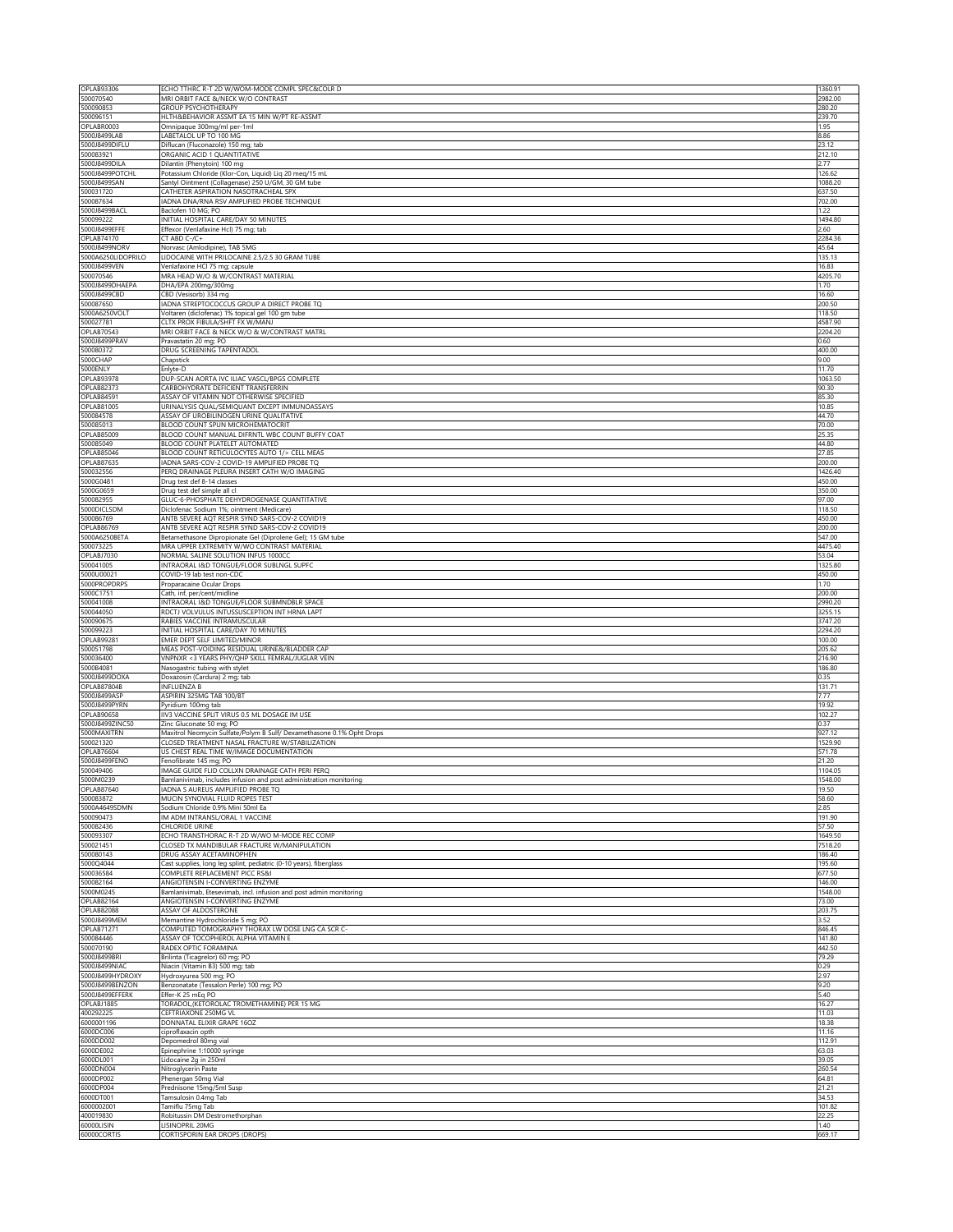| OPLAB93306                             | ECHO TTHRC R-T 2D W/WOM-MODE COMPL SPEC&COLR D                                                               | 1360.91            |
|----------------------------------------|--------------------------------------------------------------------------------------------------------------|--------------------|
| 500070540<br>500090853                 | MRI ORBIT FACE &/NECK W/O CONTRAST<br><b>GROUP PSYCHOTHERAPY</b>                                             | 2982.00<br>280.20  |
| 500096151                              | HLTH&BEHAVIOR ASSMT EA 15 MIN W/PT RE-ASSMT                                                                  | 239.70             |
| OPLABR0003                             | Omnipaque 300mg/ml per-1ml                                                                                   | 1.95               |
| 5000J8499LAB                           | LABETALOL UP TO 100 MG                                                                                       | 8.86               |
| 5000J8499DIFLU<br>500083921            | Diflucan (Fluconazole) 150 mg; tab<br>ORGANIC ACID 1 QUANTITATIVE                                            | 23.12<br>212.10    |
| 5000J8499DILA                          | Dilantin (Phenytoin) 100 mg                                                                                  | 2.77               |
| 5000J8499POTCHL                        | Potassium Chloride (Klor-Con, Liquid) Liq 20 meq/15 mL                                                       | 126.62             |
| 5000J8499SAN<br>500031720              | Santyl Ointment (Collagenase) 250 U/GM, 30 GM tube<br>CATHETER ASPIRATION NASOTRACHEAL SPX                   | 1088.20<br>637.50  |
| 500087634                              | IADNA DNA/RNA RSV AMPLIFIED PROBE TECHNIQUE                                                                  | 702.00             |
| 5000J8499BACI                          | Baclofen 10 MG; PO                                                                                           | 1.22               |
| 500099222<br>5000J8499EFFE             | INITIAL HOSPITAL CARE/DAY 50 MINUTES<br>Effexor (Venlafaxine Hcl) 75 mg; tab                                 | 1494.80<br>2.60    |
| OPLAB74170                             | CT ABD C-/C+                                                                                                 | 2284.36            |
| 5000J8499NORV                          | Norvasc (Amlodipine), TAB 5MG                                                                                | 45.64              |
| 5000A6250LIDOPRILO<br>5000J8499VEN     | LIDOCAINE WITH PRILOCAINE 2.5/2.5 30 GRAM TUBE<br>Venlafaxine HCl 75 mg; capsule                             | 135.13             |
| 500070546                              | MRA HEAD W/O & W/CONTRAST MATERIAL                                                                           | 16.83<br>4205.70   |
| 5000J8499DHAEPA                        | DHA/EPA 200mg/300mg                                                                                          | 1.70               |
| 5000J8499CBD                           | CBD (Vesisorb) 334 mg                                                                                        | 16.60              |
| 500087650<br>5000A6250VOLT             | ADNA STREPTOCOCCUS GROUP A DIRECT PROBE TQ<br>Voltaren (diclofenac) 1% topical gel 100 gm tube               | 200.50<br>118.50   |
| 500027781                              | CLTX PROX FIBULA/SHFT FX W/MANJ                                                                              | 4587.90            |
| OPLAB70543                             | MRI ORBIT FACE & NECK W/O & W/CONTRAST MATRL                                                                 | 2204.20            |
| 5000J8499PRAV<br>500080372             | Pravastatin 20 mg; PO<br>DRUG SCREENING TAPENTADOL                                                           | 0.60<br>400.00     |
| 5000CHAP                               | Chapstick                                                                                                    | 9.00               |
| 5000ENLY                               | Enlyte-D                                                                                                     | 11.70              |
| <b>OPLAB93978</b><br><b>OPLAB82373</b> | DUP-SCAN AORTA IVC ILIAC VASCL/BPGS COMPLETE<br>CARBOHYDRATE DEFICIENT TRANSFERRIN                           | 1063.50<br>90.30   |
| <b>OPLAB84591</b>                      | ASSAY OF VITAMIN NOT OTHERWISE SPECIFIED                                                                     | 85.30              |
| OPLAB81005                             | URINALYSIS QUAL/SEMIQUANT EXCEPT IMMUNOASSAYS                                                                | 10.85              |
| 500084578<br>500085013                 | ASSAY OF UROBILINOGEN URINE QUALITATIVE<br>BLOOD COUNT SPUN MICROHEMATOCRIT                                  | 44.70<br>70.00     |
| <b>OPLAB85009</b>                      | BLOOD COUNT MANUAL DIFRNTL WBC COUNT BUFFY COAT                                                              | 25.35              |
| 500085049                              | BLOOD COUNT PLATELET AUTOMATED                                                                               | 44.80              |
| OPLAB85046<br>OPLAB87635               | BLOOD COUNT RETICULOCYTES AUTO 1/> CELL MEAS<br>IADNA SARS-COV-2 COVID-19 AMPLIFIED PROBE TQ                 | 27.85<br>200.00    |
| 500032556                              | PERQ DRAINAGE PLEURA INSERT CATH W/O IMAGING                                                                 | 1426.40            |
| 5000G0481                              | Drug test def 8-14 classes                                                                                   | 450.00             |
| 5000G0659<br>500082955                 | Drug test def simple all cl<br>GLUC-6-PHOSPHATE DEHYDROGENASE QUANTITATIVE                                   | 350.00<br>97.00    |
| 5000DICLSDM                            | Diclofenac Sodium 1%; ointment (Medicare)                                                                    | 118.50             |
| 500086769                              | ANTB SEVERE AQT RESPIR SYND SARS-COV-2 COVID19                                                               | 450.00             |
| <b>OPLAB86769</b><br>5000A6250BETA     | ANTB SEVERE AQT RESPIR SYND SARS-COV-2 COVID19<br>Betamethasone Dipropionate Gel (Diprolene Gel); 15 GM tube | 200.00<br>547.00   |
| 500073225                              | MRA UPPER EXTREMITY W/WO CONTRAST MATERIAL                                                                   | 4475.40            |
| OPLABJ7030                             | NORMAL SALINE SOLUTION INFUS 1000CC                                                                          | 53.04              |
| 500041005<br>5000U00021                | INTRAORAL I&D TONGUE/FLOOR SUBLNGL SUPFC<br>COVID-19 lab test non-CDC                                        | 1325.80<br>450.00  |
| 5000PROPDRPS                           | Proparacaine Ocular Drops                                                                                    | 1.70               |
| 5000C1751                              | Cath, inf, per/cent/midline                                                                                  | 200.00             |
| 500041008<br>500044050                 | INTRAORAL I&D TONGUE/FLOOR SUBMNDBLR SPACE<br>RDCTJ VOLVULUS INTUSSUSCEPTION INT HRNA LAPT                   | 2990.20<br>3255.15 |
| 500090675                              | RABIES VACCINE INTRAMUSCULAR                                                                                 | 3747.20            |
| 500099223                              | INITIAL HOSPITAL CARE/DAY 70 MINUTES<br>EMER DEPT SELF LIMITED/MINOR                                         | 2294.20            |
| OPLAB99281<br>500051798                | MEAS POST-VOIDING RESIDUAL URINE&/BLADDER CAP                                                                | 100.00<br>205.62   |
| 500036400                              | VNPNXR <3 YEARS PHY/QHP SKILL FEMRAL/JUGLAR VEIN                                                             | 216.90             |
| 5000B4081<br>5000J8499DOXA             | Nasogastric tubing with stylet                                                                               | 186.80<br>0.35     |
| OPLAB87804B                            | Doxazosin (Cardura) 2 mg; tab<br><b>INFLUENZA B</b>                                                          | 131.71             |
| 5000J8499ASP                           | ASPIRIN 325MG TAB 100/BT                                                                                     | 7.77               |
| 5000J8499PYRN                          | Pyridium 100mg tab                                                                                           | 19.92              |
| OPLAB90658<br>5000J8499ZINC50          | IIV3 VACCINE SPLIT VIRUS 0.5 ML DOSAGE IM USE<br>Zinc Gluconate 50 mg; PO                                    | 102.27<br>0.37     |
| 5000MAXITRN                            | Maxitrol Neomycin Sulfate/Polym B Sulf/ Dexamethasone 0.1% Opht Drops                                        | 927.12             |
| 500021320<br><b>OPLAB76604</b>         | CLOSED TREATMENT NASAL FRACTURE W/STABILIZATION                                                              | 1529.90            |
| 5000J8499FENO                          | US CHEST REAL TIME W/IMAGE DOCUMENTATION<br>Fenofibrate 145 mg; PO                                           | 571.78<br>21.20    |
| 500049406                              | IMAGE GUIDE FLID COLLXN DRAINAGE CATH PERI PERQ                                                              | 1104.05            |
| 5000M0239                              | Bamlanivimab, includes infusion and post administration monitoring<br>ADNA S AUREUS AMPLIFIED PROBE TQ       | 1548.00            |
| OPLAB87640<br>500083872                | MUCIN SYNOVIAL FLUID ROPES TEST                                                                              | 19.50<br>58.60     |
| 5000A4649SDMN                          | Sodium Chloride 0.9% Mini 50ml Ea                                                                            | 2.85               |
| 500090473                              | IM ADM INTRANSL/ORAL 1 VACCINE                                                                               | 191.90             |
| 500082436<br>500093307                 | <b>CHLORIDE URINE</b><br>ECHO TRANSTHORAC R-T 2D W/WO M-MODE REC COMP                                        | 57.50<br>1649.50   |
| 500021451                              | CLOSED TX MANDIBULAR FRACTURE W/MANIPULATION                                                                 | 7518.20            |
| 500080143                              | DRUG ASSAY ACETAMINOPHEN                                                                                     | 186.40             |
| 5000Q4044<br>500036584                 | Cast supplies, long leg splint, pediatric (0-10 years), fiberglass<br>COMPLETE REPLACEMENT PICC RS&I         | 195.60<br>677.50   |
| 500082164                              | ANGIOTENSIN I-CONVERTING ENZYME                                                                              | 146.00             |
| 5000M0245<br><b>OPLAB82164</b>         | Bamlanivimab, Etesevimab, incl. infusion and post admin monitoring<br>ANGIOTENSIN I-CONVERTING ENZYME        | 1548.00<br>73.00   |
| <b>OPLAB82088</b>                      | ASSAY OF ALDOSTERONE                                                                                         | 203.75             |
| 5000J8499MEM                           | Memantine Hydrochloride 5 mg; PO                                                                             | 3.52               |
| <b>OPLAB71271</b><br>500084446         | COMPUTED TOMOGRAPHY THORAX LW DOSE LNG CA SCR C-<br>ASSAY OF TOCOPHEROL ALPHA VITAMIN E                      | 846.45<br>141.80   |
| 500070190                              | RADEX OPTIC FORAMINA                                                                                         | 442.50             |
| 5000J8499BRI                           | Brilinta (Ticagrelor) 60 mg; PO                                                                              | 79.29              |
| 5000J8499NIAC<br>5000J8499HYDROXY      | Niacin (Vitamin B3) 500 mg; tab<br>Hydroxyurea 500 mg; PO                                                    | 0.29<br>2.97       |
| 5000J8499BENZON                        | Benzonatate (Tessalon Perle) 100 mg; PO                                                                      | 9.20               |
| 5000J8499EFFERK                        | Effer-K 25 mEq PO                                                                                            | 5.40               |
| OPLABJ1885<br>400292225                | TORADOL, (KETOROLAC TROMETHAMINE) PER 15 MG<br>CEFTRIAXONE 250MG VL                                          | 16.27<br>11.03     |
| 6000001196                             | DONNATAL ELIXIR GRAPE 16OZ                                                                                   | 18.38              |
| 6000DC006                              | ciproflaxacin opth                                                                                           | 11.16              |
| 6000DD002<br>6000DE002                 | Depomedrol 80mg vial<br>Epinephrine 1:10000 syringe                                                          | 112.91<br>63.03    |
| 6000DL001                              | Lidocaine 2g in 250ml                                                                                        | 39.05              |
| 6000DN004                              | Nitroglycerin Paste                                                                                          | 260.54             |
| 6000DP002                              | Phenergan 50mg Vial                                                                                          | 64.81              |
|                                        |                                                                                                              |                    |
| 6000DP004<br>6000DT001                 | Prednisone 15mg/5ml Susp<br>Tamsulosin 0.4mg Tab                                                             | 21.21<br>34.53     |
| 6000002001                             | Tamiflu 75mg Tab                                                                                             | 101.82             |
| 400019830<br>60000LISIN                | Robitussin DM Destromethorphan<br>LISINOPRIL 20MG                                                            | 22.25<br>1.40      |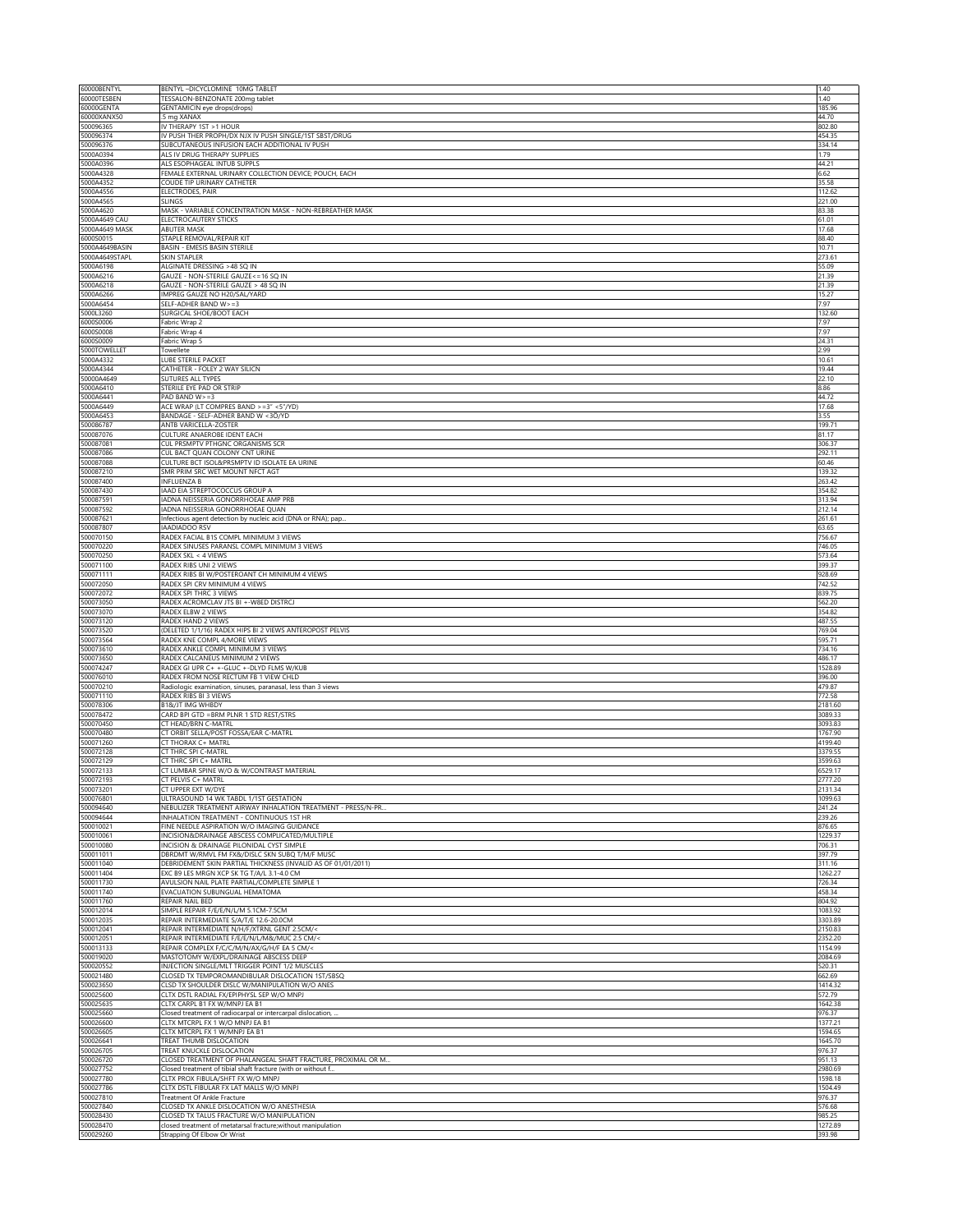| 60000BENTYL                     | BENTYL-DICYCLOMINE 10MG TABLET                                                                          | 1.40               |
|---------------------------------|---------------------------------------------------------------------------------------------------------|--------------------|
| 60000TESBEN<br>60000GENTA       | TESSALON-BENZONATE 200mg tablet<br>GENTAMICIN eye drops(drops)                                          | 1.40<br>185.96     |
| 60000XANX50                     | 5 mg XANAX                                                                                              | 44.70              |
| 500096365                       | IV THERAPY 1ST > 1 HOUR                                                                                 | 802.80             |
| 500096374<br>500096376          | IV PUSH THER PROPH/DX NJX IV PUSH SINGLE/1ST SBST/DRUG<br>SUBCUTANEOUS INFUSION EACH ADDITIONAL IV PUSH | 454.35<br>334.14   |
| 5000A0394                       | ALS IV DRUG THERAPY SUPPLIES                                                                            | 1.79               |
| 5000A0396                       | ALS ESOPHAGEAL INTUB SUPPLS                                                                             | 44.21              |
| 5000A4328                       | FEMALE EXTERNAL URINARY COLLECTION DEVICE; POUCH, EACH<br>COUDE TIP URINARY CATHETER                    | 6.62               |
| 5000A4352<br>5000A4556          | ELECTRODES, PAIR                                                                                        | 35.58<br>112.62    |
| 5000A4565                       | SLINGS                                                                                                  | 221.00             |
| 5000A4620                       | MASK - VARIABLE CONCENTRATION MASK - NON-REBREATHER MASK                                                | 83.38              |
| 5000A4649 CAU<br>5000A4649 MASK | ELECTROCAUTERY STICKS<br>ABUTER MASK                                                                    | 61.01<br>17.68     |
| 6000S0015                       | STAPLE REMOVAL/REPAIR KIT                                                                               | 88.40              |
| 5000A4649BASIN                  | BASIN - EMESIS BASIN STERILE                                                                            | 10.71              |
| 5000A4649STAPL<br>5000A6198     | SKIN STAPLER<br>ALGINATE DRESSING >48 SQ IN                                                             | 273.61<br>55.09    |
| 5000A6216                       | GAUZE - NON-STERILE GAUZE <= 16 SQ IN                                                                   | 21.39              |
| 5000A6218                       | GAUZE - NON-STERILE GAUZE > 48 SQ IN                                                                    | 21.39              |
| 5000A6266<br>5000A6454          | IMPREG GAUZE NO H20/SAL/YARD<br>SELF-ADHER BAND W>=3                                                    | 15.27<br>7.97      |
| 5000L3260                       | SURGICAL SHOE/BOOT EACH                                                                                 | 132.60             |
| 6000S0006                       | Fabric Wrap 2                                                                                           | 7.97               |
| 6000S0008                       | Fabric Wrap 4                                                                                           | 7.97               |
| 6000S0009<br>5000TOWELLET       | Fabric Wrap 5<br>Towellete                                                                              | 24.31<br>2.99      |
| 5000A4332                       | LUBE STERILE PACKET                                                                                     | 10.61              |
| 5000A4344                       | CATHETER - FOLEY 2 WAY SILICN                                                                           | 19.44              |
| 50000A4649<br>5000A6410         | SUTURES ALL TYPES<br>STERILE EYE PAD OR STRIP                                                           | 22.10<br>8.86      |
| 5000A6441                       | PAD BAND $W > = 3$                                                                                      | 44.72              |
| 5000A6449                       | ACE WRAP (LT COMPRES BAND >=3" <5"/YD)                                                                  | 17.68              |
| 5000A6453<br>500086787          | BANDAGE - SELF-ADHER BAND W <3Ö/YD<br>ANTB VARICELLA-ZOSTER                                             | 3.55<br>199.71     |
| 500087076                       | CULTURE ANAEROBE IDENT EACH                                                                             | 81.17              |
| 500087081                       | CUL PRSMPTV PTHGNC ORGANISMS SCR                                                                        | 306.37             |
| 500087086<br>500087088          | CUL BACT QUAN COLONY CNT URINE<br>CULTURE BCT ISOL&PRSMPTV ID ISOLATE EA URINE                          | 292.11<br>60.46    |
| 500087210                       | SMR PRIM SRC WET MOUNT NFCT AGT                                                                         | 139.32             |
| 500087400                       | <b>INFLUENZA B</b>                                                                                      | 263.42             |
| 500087430                       | IAAD EIA STREPTOCOCCUS GROUP A                                                                          | 354.82<br>313.94   |
| 500087591<br>500087592          | IADNA NEISSERIA GONORRHOEAE AMP PRB<br>IADNA NEISSERIA GONORRHOEAE QUAN                                 | 212.14             |
| 500087621                       | Infectious agent detection by nucleic acid (DNA or RNA); pap.                                           | 261.61             |
| 500087807                       | <b>IAADIADOO RSV</b>                                                                                    | 63.65              |
| 500070150<br>500070220          | RADEX FACIAL B1S COMPL MINIMUM 3 VIEWS<br>RADEX SINUSES PARANSL COMPL MINIMUM 3 VIEWS                   | 756.67<br>746.05   |
| 500070250                       | RADEX SKL < 4 VIEWS                                                                                     | 573.64             |
| 500071100                       | RADEX RIBS UNI 2 VIEWS                                                                                  | 399.37             |
| 500071111<br>500072050          | RADEX RIBS BI W/POSTEROANT CH MINIMUM 4 VIEWS<br>RADEX SPI CRV MINIMUM 4 VIEWS                          | 928.69<br>742.52   |
| 500072072                       | RADEX SPI THRC 3 VIEWS                                                                                  | 839.75             |
| 500073050                       | RADEX ACROMCLAV JTS BI +-W8ED DISTRCJ                                                                   | 562.20             |
| 500073070<br>500073120          | RADEX ELBW 2 VIEWS<br>RADEX HAND 2 VIEWS                                                                | 354.82<br>487.55   |
| 500073520                       | (DELETED 1/1/16) RADEX HIPS BI 2 VIEWS ANTEROPOST PELVIS                                                | 769.04             |
| 500073564                       | RADEX KNE COMPL 4/MORE VIEWS                                                                            | 595.71             |
| 500073610<br>500073650          | RADEX ANKLE COMPL MINIMUM 3 VIEWS<br>RADEX CALCANEUS MINIMUM 2 VIEWS                                    | 734.16<br>486.17   |
| 500074247                       | RADEX GI UPR C+ +-GLUC +-DLYD FLMS W/KUB                                                                | 1528.89            |
| 500076010                       | RADEX FROM NOSE RECTUM FB 1 VIEW CHLD                                                                   | 396.00             |
| 500070210<br>500071110          | Radiologic examination, sinuses, paranasal, less than 3 views<br>RADEX RIBS BI 3 VIEWS                  | 479.87<br>772.58   |
| 500078306                       | B1&/JT IMG WHBDY                                                                                        | 2181.60            |
| 500078472                       | CARD BPI GTD = BRM PLNR 1 STD REST/STRS                                                                 | 3089.33            |
| 500070450<br>500070480          | CT HEAD/BRN C-MATRL<br>CT ORBIT SELLA/POST FOSSA/EAR C-MATRL                                            | 3093.83<br>1767.90 |
| 500071260                       | CT THORAX C+ MATRL                                                                                      | 4199.40            |
| 500072128                       | CT THRC SPI C-MATRL                                                                                     | 3379.55            |
| 500072129<br>500072133          | CT THRC SPI C+ MATRL<br>CT LUMBAR SPINE W/O & W/CONTRAST MATERIAL                                       | 3599.63<br>6529.17 |
| 500072193                       | CT PELVIS C+ MATRL                                                                                      | 2777.20            |
| 500073201                       | CT UPPER EXT W/DYE                                                                                      | 2131.34            |
| 500076801<br>500094640          | ULTRASOUND 14 WK TABDL 1/1ST GESTATION<br>NEBULIZER TREATMENT AIRWAY INHALATION TREATMENT - PRESS/N-PR  | 1099.63<br>241.24  |
| 500094644                       | INHALATION TREATMENT - CONTINUOUS 1ST HR                                                                | 239.26             |
| 500010021                       | FINE NEEDLE ASPIRATION W/O IMAGING GUIDANCE                                                             | 876.65             |
| 500010061<br>500010080          | INCISION&DRAINAGE ABSCESS COMPLICATED/MULTIPLE<br>INCISION & DRAINAGE PILONIDAL CYST SIMPLE             | 1229.37<br>706.31  |
| 500011011                       | DBRDMT W/RMVL FM FX&/DISLC SKN SUBQ T/M/F MUSC                                                          | 397.79             |
| 500011040                       | DEBRIDEMENT SKIN PARTIAL THICKNESS (INVALID AS OF 01/01/2011)                                           | 311.16             |
| 500011404<br>500011730          | EXC B9 LES MRGN XCP SK TG T/A/L 3.1-4.0 CM<br>AVULSION NAIL PLATE PARTIAL/COMPLETE SIMPLE 1             | 1262.27<br>726.34  |
| 500011740                       | EVACUATION SUBUNGUAL HEMATOMA                                                                           | 458.34             |
| 500011760                       | REPAIR NAIL BED                                                                                         | 804.92             |
| 500012014<br>500012035          | SIMPLE REPAIR F/E/E/N/L/M 5.1CM-7.5CM<br>REPAIR INTERMEDIATE S/A/T/E 12.6-20.0CM                        | 1083.92<br>3303.89 |
| 500012041                       | REPAIR INTERMEDIATE N/H/F/XTRNL GENT 2.5CM/<                                                            | 2150.83            |
| 500012051                       | REPAIR INTERMEDIATE F/E/E/N/L/M&/MUC 2.5 CM/<                                                           | 2352.20            |
| 500013133                       | REPAIR COMPLEX F/C/C/M/N/AX/G/H/F EA 5 CM/<                                                             | 1154.99            |
| 500019020<br>500020552          | MASTOTOMY W/EXPL/DRAINAGE ABSCESS DEEP<br>INJECTION SINGLE/MLT TRIGGER POINT 1/2 MUSCLES                | 2084.69<br>520.31  |
| 500021480                       | CLOSED TX TEMPOROMANDIBULAR DISLOCATION 1ST/SBSQ                                                        | 662.69             |
| 500023650                       | CLSD TX SHOULDER DISLC W/MANIPULATION W/O ANES                                                          | 1414.32            |
| 500025600<br>500025635          | CLTX DSTL RADIAL FX/EPIPHYSL SEP W/O MNPJ<br>CLTX CARPL B1 FX W/MNPJ EA B1                              | 572.79<br>1642.38  |
| 500025660                       | Closed treatment of radiocarpal or intercarpal dislocation,                                             | 976.37             |
| 500026600                       | CLTX MTCRPL FX 1 W/O MNPJ EA B1                                                                         | 1377.21            |
| 500026605<br>500026641          | CLTX MTCRPL FX 1 W/MNPJ EA B1<br>TREAT THUMB DISLOCATION                                                | 1594.65<br>1645.70 |
| 500026705                       | TREAT KNUCKLE DISLOCATION                                                                               | 976.37             |
| 500026720                       | CLOSED TREATMENT OF PHALANGEAL SHAFT FRACTURE, PROXIMAL OR M                                            | 951.13             |
| 500027752<br>500027780          | Closed treatment of tibial shaft fracture (with or without f<br>CLTX PROX FIBULA/SHFT FX W/O MNPJ       | 2980.69<br>1598.18 |
| 500027786                       | CLTX DSTL FIBULAR FX LAT MALLS W/O MNPJ                                                                 | 1504.49            |
| 500027810                       | Treatment Of Ankle Fracture                                                                             | 976.37             |
| 500027840<br>500028430          | CLOSED TX ANKLE DISLOCATION W/O ANESTHESIA<br>CLOSED TX TALUS FRACTURE W/O MANIPULATION                 | 576.68<br>985.25   |
| 500028470                       | closed treatment of metatarsal fracture; without manipulation                                           | 1272.89            |
| 500029260                       | Strapping Of Elbow Or Wrist                                                                             | 393.98             |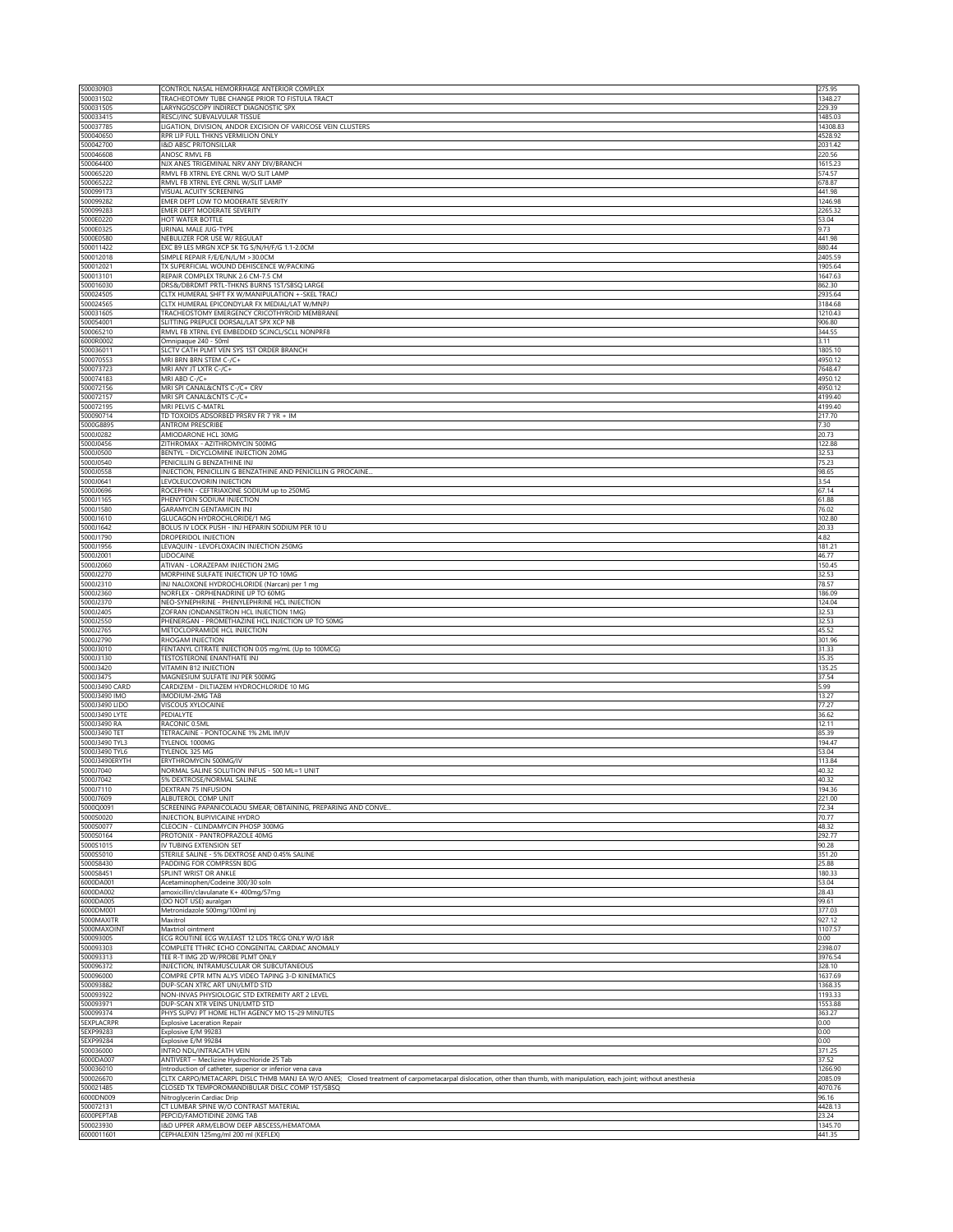| 500030903                      | CONTROL NASAL HEMORRHAGE ANTERIOR COMPLEX                                                                                                                              | 275.95              |
|--------------------------------|------------------------------------------------------------------------------------------------------------------------------------------------------------------------|---------------------|
| 500031502                      | TRACHEOTOMY TUBE CHANGE PRIOR TO FISTULA TRACT                                                                                                                         | 1348.27             |
| 500031505                      | LARYNGOSCOPY INDIRECT DIAGNOSTIC SPX                                                                                                                                   | 229.39              |
| 500033415<br>500037785         | RESCJ/INC SUBVALVULAR TISSUE<br>LIGATION, DIVISION, ANDOR EXCISION OF VARICOSE VEIN CLUSTERS                                                                           | 1485.03<br>14308.83 |
| 500040650                      | RPR LIP FULL THKNS VERMILION ONLY                                                                                                                                      | 4528.92             |
| 500042700                      | <b>I&amp;D ABSC PRITONSILLAR</b>                                                                                                                                       | 2031.42             |
| 500046608                      | ANOSC RMVL FB                                                                                                                                                          | 220.56              |
| 500064400                      | NJX ANES TRIGEMINAL NRV ANY DIV/BRANCH                                                                                                                                 | 1615.23             |
| 500065220<br>500065222         | RMVL FB XTRNL EYE CRNL W/O SLIT LAMP<br>RMVL FB XTRNL EYE CRNL W/SLIT LAMP                                                                                             | 574.57<br>678.87    |
| 500099173                      | VISUAL ACUITY SCREENING                                                                                                                                                | 441.98              |
| 500099282                      | EMER DEPT LOW TO MODERATE SEVERITY                                                                                                                                     | 1246.98             |
| 500099283                      | EMER DEPT MODERATE SEVERITY                                                                                                                                            | 2265.32             |
| 5000E0220                      | HOT WATER BOTTLE                                                                                                                                                       | 53.04               |
| 5000E0325                      | URINAL MALE JUG-TYPE                                                                                                                                                   | 9.73                |
| 5000E0580<br>500011422         | NEBULIZER FOR USE W/ REGULAT<br>EXC B9 LES MRGN XCP SK TG S/N/H/F/G 1.1-2.0CM                                                                                          | 441.98<br>880.44    |
| 500012018                      | SIMPLE REPAIR F/E/E/N/L/M > 30.0CM                                                                                                                                     | 2405.59             |
| 500012021                      | TX SUPERFICIAL WOUND DEHISCENCE W/PACKING                                                                                                                              | 1905.64             |
| 500013101                      | REPAIR COMPLEX TRUNK 2.6 CM-7.5 CM                                                                                                                                     | 1647.63             |
| 500016030                      | DRS&/DBRDMT PRTL-THKNS BURNS 1ST/SBSQ LARGE                                                                                                                            | 862.30              |
| 500024505<br>500024565         | CLTX HUMERAL SHFT FX W/MANIPULATION +-SKEL TRACJ<br>CLTX HUMERAL EPICONDYLAR FX MEDIAL/LAT W/MNPJ                                                                      | 2935.64<br>3184.68  |
| 500031605                      | TRACHEOSTOMY EMERGENCY CRICOTHYROID MEMBRANE                                                                                                                           | 1210.43             |
| 500054001                      | SLITTING PREPUCE DORSAL/LAT SPX XCP NB                                                                                                                                 | 906.80              |
| 500065210                      | RMVL FB XTRNL EYE EMBEDDED SCJNCL/SCLL NONPRF8                                                                                                                         | 344.55              |
| 6000R0002                      | Omnipaque 240 - 50ml                                                                                                                                                   | 3.11                |
| 500036011                      | SLCTV CATH PLMT VEN SYS 1ST ORDER BRANCH                                                                                                                               | 1805.10             |
| 500070553<br>500073723         | MRI BRN BRN STEM C-/C+<br>MRI ANY JT LXTR C-/C+                                                                                                                        | 4950.12<br>7648.47  |
| 500074183                      | MRI ABD C-/C+                                                                                                                                                          | 4950.12             |
| 500072156                      | MRI SPI CANAL&CNTS C-/C+ CRV                                                                                                                                           | 4950.12             |
| 500072157                      | MRI SPI CANAL&CNTS C-/C+                                                                                                                                               | 4199.40             |
| 500072195                      | MRI PELVIS C-MATRL<br>TD TOXOIDS ADSORBED PRSRV FR 7 YR + IM                                                                                                           | 4199.40             |
| 500090714<br>5000G8895         | ANTROM PRESCRIBE                                                                                                                                                       | 217.70<br>7.30      |
| 5000J0282                      | AMIODARONE HCL 30MG                                                                                                                                                    | 20.73               |
| 5000J0456                      | ZITHROMAX - AZITHROMYCIN 500MG                                                                                                                                         | 122.88              |
| 5000J0500                      | BENTYL - DICYCLOMINE INJECTION 20MG                                                                                                                                    | 32.53               |
| 5000J0540                      | PENICILLIN G BENZATHINE INJ                                                                                                                                            | 75.23               |
| 5000J0558<br>5000J0641         | INJECTION, PENICILLIN G BENZATHINE AND PENICILLIN G PROCAINE.<br>LEVOLEUCOVORIN INJECTION                                                                              | 98.65<br>3.54       |
| 5000J0696                      | ROCEPHIN - CEFTRIAXONE SODIUM up to 250MG                                                                                                                              | 67.14               |
| 5000J1165                      | PHENYTOIN SODIUM INJECTION                                                                                                                                             | 61.88               |
| 5000J1580                      | GARAMYCIN GENTAMICIN INJ                                                                                                                                               | 76.02               |
| 5000J1610                      | GLUCAGON HYDROCHLORIDE/1 MG                                                                                                                                            | 102.80              |
| 5000J1642                      | BOLUS IV LOCK PUSH - INJ HEPARIN SODIUM PER 10 U                                                                                                                       | 20.33               |
| 5000J1790                      | DROPERIDOL INJECTION                                                                                                                                                   | 4.82                |
| 5000J1956<br>5000J2001         | LEVAQUIN - LEVOFLOXACIN INJECTION 250MG<br>LIDOCAINE                                                                                                                   | 181.21<br>46.77     |
| 5000J2060                      | ATIVAN - LORAZEPAM INJECTION 2MG                                                                                                                                       | 150.45              |
| 5000J2270                      | MORPHINE SULFATE INJECTION UP TO 10MG                                                                                                                                  | 32.53               |
| 5000J2310                      | INJ NALOXONE HYDROCHLORIDE (Narcan) per 1 mg                                                                                                                           | 78.57               |
| 5000J2360                      | NORFLEX - ORPHENADRINE UP TO 60MG                                                                                                                                      | 186.09              |
| 5000J2370<br>5000J2405         | NEO-SYNEPHRINE - PHENYLEPHRINE HCL INJECTION<br>ZOFRAN (ONDANSETRON HCL INJECTION 1MG)                                                                                 | 124.04<br>32.53     |
| 5000J2550                      | PHENERGAN - PROMETHAZINE HCL INJECTION UP TO 50MG                                                                                                                      | 32.53               |
| 5000J2765                      | METOCLOPRAMIDE HCL INJECTION                                                                                                                                           | 45.52               |
| 5000J2790                      | RHOGAM INJECTION                                                                                                                                                       | 301.96              |
| 5000J3010                      | FENTANYL CITRATE INJECTION 0.05 mg/mL (Up to 100MCG)                                                                                                                   | 31.33               |
| 5000J3130                      | TESTOSTERONE ENANTHATE INJ                                                                                                                                             | 35.35<br>135.25     |
| 5000J3420<br>5000J3475         | VITAMIN B12 INJECTION<br>MAGNESIUM SULFATE INJ PER 500MG                                                                                                               | 37.54               |
| 5000J3490 CARD                 | CARDIZEM - DILTIAZEM HYDROCHLORIDE 10 MG                                                                                                                               | 5.99                |
| 5000J3490 IMO                  | IMODIUM-2MG TAB                                                                                                                                                        | 13.27               |
| 5000J3490 LIDO                 | VISCOUS XYLOCAINE                                                                                                                                                      | 77.27               |
| 5000J3490 LYTE<br>5000J3490 RA | PEDIALYTE<br>RACONIC 0.5ML                                                                                                                                             | 36.62<br>12.11      |
| 5000J3490 TET                  | TETRACAINE - PONTOCAINE 1% 2ML IM\IV                                                                                                                                   | 85.39               |
| 5000J3490 TYL3                 | TYLENOL 1000MG                                                                                                                                                         | 194.47              |
| 5000J3490 TYL6                 | TYLENOL 325 MG                                                                                                                                                         | 53.04               |
| 5000J3490ERYTH                 | ERYTHROMYCIN 500MG/IV                                                                                                                                                  | 113.84              |
| 5000J7040                      | NORMAL SALINE SOLUTION INFUS - 500 ML=1 UNIT                                                                                                                           | 40.32<br>40.32      |
| 5000J7042<br>5000J7110         | 5% DEXTROSE/NORMAL SALINE<br>DEXTRAN 75 INFUSION                                                                                                                       | 194.36              |
| 5000J7609                      | ALBUTEROL COMP UNIT                                                                                                                                                    | 221.00              |
| 5000Q0091                      | SCREENING PAPANICOLAOU SMEAR; OBTAINING, PREPARING AND CONVE                                                                                                           | 72.34               |
| 5000S0020                      | INJECTION, BUPIVICAINE HYDRO                                                                                                                                           | 70.77               |
| 5000S0077<br>5000S0164         | CLEOCIN - CLINDAMYCIN PHOSP 300MG<br>PROTONIX - PANTROPRAZOLE 40MG                                                                                                     | 48.32<br>292.77     |
| 5000S1015                      | IV TUBING EXTENSION SET                                                                                                                                                | 90.28               |
| 5000S5010                      | STERILE SALINE - 5% DEXTROSE AND 0.45% SALINE                                                                                                                          | 351.20              |
| 5000S8430                      | PADDING FOR COMPRSSN BDG                                                                                                                                               | 25.88               |
| 5000S8451                      | SPLINT WRIST OR ANKLE                                                                                                                                                  | 180.33              |
| 6000DA001<br>6000DA002         | Acetaminophen/Codeine 300/30 soln<br>amoxicillin/clavulanate K+ 400mg/57mg                                                                                             | 53.04<br>28.43      |
| 6000DA005                      | (DO NOT USE) auralgan                                                                                                                                                  | 99.61               |
| 6000DM001                      | Metronidazole 500mg/100ml inj                                                                                                                                          | 377.03              |
| 5000MAXITR                     | Maxitrol                                                                                                                                                               | 927.12              |
| 5000MAXOINT                    | Maxtriol ointment                                                                                                                                                      | 1107.57             |
| 500093005<br>500093303         | ECG ROUTINE ECG W/LEAST 12 LDS TRCG ONLY W/O I&R<br>COMPLETE TTHRC ECHO CONGENITAL CARDIAC ANOMALY                                                                     | 0.00<br>2398.07     |
| 500093313                      | TEE R-T IMG 2D W/PROBE PLMT ONLY                                                                                                                                       | 3976.54             |
| 500096372                      | INJECTION, INTRAMUSCULAR OR SUBCUTANEOUS                                                                                                                               | 328.10              |
| 500096000                      | COMPRE CPTR MTN ALYS VIDEO TAPING 3-D KINEMATICS                                                                                                                       | 1637.69             |
| 500093882                      | DUP-SCAN XTRC ART UNI/LMTD STD                                                                                                                                         | 1368.35             |
| 500093922<br>500093971         | NON-INVAS PHYSIOLOGIC STD EXTREMITY ART 2 LEVEL<br>DUP-SCAN XTR VEINS UNI/LMTD STD                                                                                     | 1193.33<br>1553.88  |
| 500099374                      | PHYS SUPVJ PT HOME HLTH AGENCY MO 15-29 MINUTES                                                                                                                        | 363.27              |
| <b>SEXPLACRPR</b>              | <b>Explosive Laceration Repair</b>                                                                                                                                     | 0.00                |
| 5EXP99283                      | Explosive E/M 99283                                                                                                                                                    | 0.00                |
| 5EXP99284                      | Explosive E/M 99284                                                                                                                                                    | 0.00                |
| 500036000<br>6000DA007         | INTRO NDL/INTRACATH VEIN                                                                                                                                               | 371.25              |
| 500036010                      | ANTIVERT - Meclizine Hydrochloride 25 Tab<br>Introduction of catheter, superior or inferior vena cava                                                                  | 37.52<br>1266.90    |
| 500026670                      | CLTX CARPO/METACARPL DISLC THMB MANJ EA W/O ANES; Closed treatment of carpometacarpal dislocation, other than thumb, with manipulation, each joint; without anesthesia | 2085.09             |
| 500021485                      | CLOSED TX TEMPOROMANDIBULAR DISLC COMP 1ST/SBSQ                                                                                                                        | 4070.76             |
| 6000DN009                      |                                                                                                                                                                        | 96.16               |
|                                | Nitroglycerin Cardiac Drip                                                                                                                                             |                     |
|                                | CT LUMBAR SPINE W/O CONTRAST MATERIAL                                                                                                                                  | 4428.13             |
| 500072131<br>6000PEPTAB        | PEPCID/FAMOTIDINE 20MG TAB                                                                                                                                             | 23.24               |
| 500023930<br>6000011601        | I&D UPPER ARM/ELBOW DEEP ABSCESS/HEMATOMA<br>CEPHALEXIN 125mg/ml 200 ml (KEFLEX)                                                                                       | 1345.70<br>441.35   |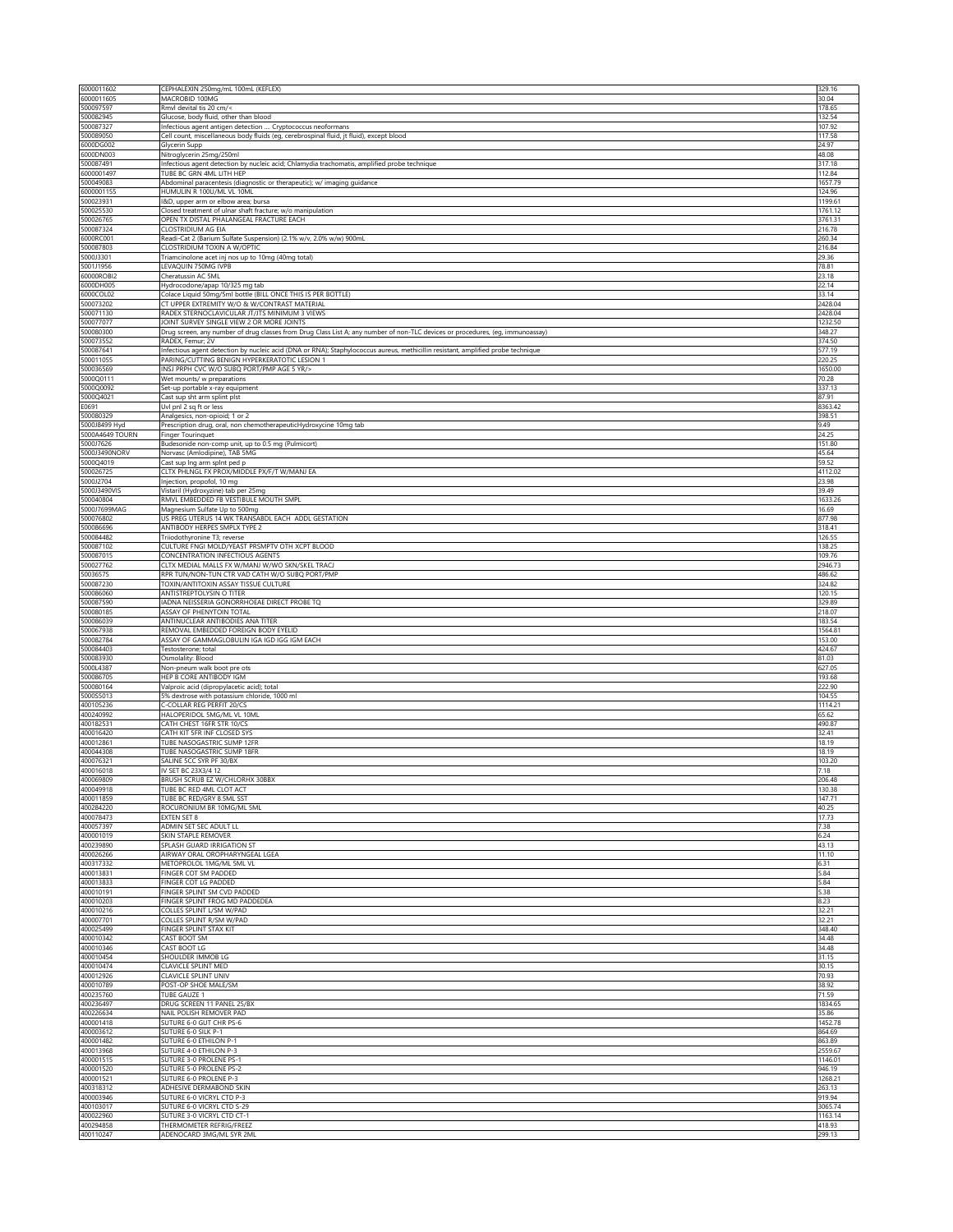| 6000011602                       | CEPHALEXIN 250mg/mL 100mL (KEFLEX)                                                                                                                                                | 329.16             |
|----------------------------------|-----------------------------------------------------------------------------------------------------------------------------------------------------------------------------------|--------------------|
| 6000011605<br>500097597          | MACROBID 100MG<br>Rmyl devital tis 20 cm/<                                                                                                                                        | 30.04<br>178.65    |
| 500082945                        | Glucose, body fluid, other than blood                                                                                                                                             | 132.54             |
| 500087327                        | Infectious agent antigen detection  Cryptococcus neoformans                                                                                                                       | 107.92             |
| 500089050<br>6000DG002           | Cell count, miscellaneous body fluids (eg, cerebrospinal fluid, jt fluid), except blood<br>Glycerin Supp                                                                          | 117.58<br>24.97    |
| 6000DN003                        | Nitroglycerin 25mg/250ml                                                                                                                                                          | 48.08              |
| 500087491                        | Infectious agent detection by nucleic acid; Chlamydia trachomatis, amplified probe technique                                                                                      | 317.18             |
| 6000001497<br>500049083          | TUBE BC GRN 4ML LITH HEP<br>Abdominal paracentesis (diagnostic or therapeutic); w/ imaging guidance                                                                               | 112.84<br>1657.79  |
| 6000001155                       | HUMULIN R 100U/ML VL 10ML                                                                                                                                                         | 124.96             |
| 500023931                        | I&D, upper arm or elbow area; bursa                                                                                                                                               | 1199.61            |
| 500025530<br>500026765           | Closed treatment of ulnar shaft fracture; w/o manipulation                                                                                                                        | 1761.12<br>3761.31 |
| 500087324                        | OPEN TX DISTAL PHALANGEAL FRACTURE EACH<br>CLOSTRIDIUM AG EIA                                                                                                                     | 216.78             |
| 6000RC001                        | Readi-Cat 2 (Barium Sulfate Suspension) (2.1% w/v, 2.0% w/w) 900mL                                                                                                                | 260.34             |
| 500087803                        | CLOSTRIDIUM TOXIN A W/OPTIC                                                                                                                                                       | 216.84             |
| 5000J3301<br>5001J1956           | Triamcinolone acet inj nos up to 10mg (40mg total)<br>LEVAQUIN 750MG IVPB                                                                                                         | 29.36<br>78.81     |
| 60000ROBI2                       | Cheratussin AC 5ML                                                                                                                                                                | 23.18              |
| 6000DH005                        | Hydrocodone/apap 10/325 mg tab                                                                                                                                                    | 22.14              |
| 6000COL02                        | Colace Liquid 50mg/5ml bottle (BILL ONCE THIS IS PER BOTTLE)                                                                                                                      | 33.14              |
| 500073202<br>500071130           | CT UPPER EXTREMITY W/O & W/CONTRAST MATERIAL<br>RADEX STERNOCLAVICULAR JT/JTS MINIMUM 3 VIEWS                                                                                     | 2428.04<br>2428.04 |
| 500077077                        | JOINT SURVEY SINGLE VIEW 2 OR MORE JOINTS                                                                                                                                         | 1232.50            |
| 500080300                        | Drug screen, any number of drug classes from Drug Class List A; any number of non-TLC devices or procedures, (eg, immunoassay)                                                    | 348.27             |
| 500073552                        | RADEX, Femur; 2V                                                                                                                                                                  | 374.50<br>577.19   |
| 500087641<br>500011055           | Infectious agent detection by nucleic acid (DNA or RNA); Staphylococcus aureus, methicillin resistant, amplified probe technique<br>PARING/CUTTING BENIGN HYPERKERATOTIC LESION 1 | 220.25             |
| 500036569                        | INSJ PRPH CVC W/O SUBQ PORT/PMP AGE 5 YR/>                                                                                                                                        | 1650.00            |
| 5000Q0111                        | Wet mounts/ w preparations                                                                                                                                                        | 70.28              |
| 5000Q0092<br>5000Q4021           | Set-up portable x-ray equipment<br>Cast sup sht arm splint plst                                                                                                                   | 337.13<br>87.91    |
| E0691                            | Uvl pnl 2 sq ft or less                                                                                                                                                           | 8363.42            |
| 500080329                        | Analgesics, non-opioid; 1 or 2                                                                                                                                                    | 398.51             |
| 5000J8499 Hyd<br>5000A4649 TOURN | Prescription drug, oral, non chemotherapeuticHydroxycine 10mg tab                                                                                                                 | 9.49<br>24.25      |
| 5000J7626                        | Finger Tourinquet<br>Budesonide non-comp unit, up to 0.5 mg (Pulmicort)                                                                                                           | 151.80             |
| 5000J3490NORV                    | Norvasc (Amlodipine), TAB 5MG                                                                                                                                                     | 45.64              |
| 5000Q4019                        | Cast sup Ing arm spInt ped p                                                                                                                                                      | 59.52              |
| 500026725<br>5000J2704           | CLTX PHLNGL FX PROX/MIDDLE PX/F/T W/MANJ EA<br>Injection, propofol, 10 mg                                                                                                         | 4112.02<br>23.98   |
| 5000J3490VIS                     | Vistaril (Hydroxyzine) tab per 25mg                                                                                                                                               | 39.49              |
| 500040804                        | RMVL EMBEDDED FB VESTIBULE MOUTH SMPL                                                                                                                                             | 1633.26            |
| 5000J7699MAG                     | Magnesium Sulfate Up to 500mg                                                                                                                                                     | 16.69              |
| 500076802<br>500086696           | US PREG UTERUS 14 WK TRANSABDL EACH ADDL GESTATION<br>ANTIBODY HERPES SMPLX TYPE 2                                                                                                | 877.98<br>318.41   |
| 500084482                        | Triiodothyronine T3; reverse                                                                                                                                                      | 126.55             |
| 500087102                        | CULTURE FNGI MOLD/YEAST PRSMPTV OTH XCPT BLOOD                                                                                                                                    | 138.25             |
| 500087015                        | CONCENTRATION INFECTIOUS AGENTS                                                                                                                                                   | 109.76             |
| 500027762<br>50036575            | CLTX MEDIAL MALLS FX W/MANJ W/WO SKN/SKEL TRACJ<br>RPR TUN/NON-TUN CTR VAD CATH W/O SUBQ PORT/PMP                                                                                 | 2946.73<br>486.62  |
| 500087230                        | TOXIN/ANTITOXIN ASSAY TISSUE CULTURE                                                                                                                                              | 324.82             |
| 500086060                        | ANTISTREPTOLYSIN O TITER                                                                                                                                                          | 120.15             |
| 500087590<br>500080185           | IADNA NEISSERIA GONORRHOEAE DIRECT PROBE TQ<br>ASSAY OF PHENYTOIN TOTAL                                                                                                           | 329.89<br>218.07   |
| 500086039                        | ANTINUCLEAR ANTIBODIES ANA TITER                                                                                                                                                  | 183.54             |
| 500067938                        | REMOVAL EMBEDDED FOREIGN BODY EYELID                                                                                                                                              | 1564.81            |
| 500082784                        | ASSAY OF GAMMAGLOBULIN IGA IGD IGG IGM EACH                                                                                                                                       | 153.00             |
| 500084403<br>500083930           | Testosterone; total<br>Osmolality: Blood                                                                                                                                          | 424.67<br>81.03    |
| 5000L4387                        | Non-pneum walk boot pre ots                                                                                                                                                       | 627.05             |
| 500086705                        | HEP B CORE ANTIBODY IGM                                                                                                                                                           | 193.68             |
| 500080164                        | Valproic acid (dipropylacetic acid); total                                                                                                                                        | 222.90             |
| 5000S5013<br>400105236           | 5% dextrose with potassium chloride, 1000 ml<br>C-COLLAR REG PERFIT 20/CS                                                                                                         | 104.55<br>1114.21  |
| 400240992                        | HALOPERIDOL 5MG/ML VL 10ML                                                                                                                                                        | 65.62              |
| 400182531                        | CATH CHEST 16FR STR 10/CS                                                                                                                                                         | 490.87             |
| 400016420<br>400012861           | CATH KIT 5FR INF CLOSED SYS<br>TUBE NASOGASTRIC SUMP 12FR                                                                                                                         | 32.41<br>18.19     |
| 400044308                        | <b>TUBE NASOGASTRIC SUMP 18FR</b>                                                                                                                                                 | 18.19              |
| 400076321                        | SALINE 5CC SYR PF 30/BX                                                                                                                                                           | 103.20             |
| 400016018                        | IV SET BC 23X3/4 12                                                                                                                                                               | 7.18               |
| 400069809<br>400049918           | BRUSH SCRUB EZ W/CHLORHX 30BBX<br>TUBE BC RED 4ML CLOT ACT                                                                                                                        | 206.48<br>130.38   |
| 400011859                        | TUBE BC RED/GRY 8.5ML SST                                                                                                                                                         | 147.71             |
| 400284220                        | ROCURONIUM BR 10MG/ML 5ML                                                                                                                                                         | 40.25              |
| 400078473<br>400057397           | <b>EXTEN SET 8</b><br>ADMIN SET SEC ADULT LL                                                                                                                                      | 17.73<br>7.38      |
| 400001019                        | SKIN STAPLE REMOVER                                                                                                                                                               | 6.24               |
| 400239890                        | SPLASH GUARD IRRIGATION ST                                                                                                                                                        | 43.13              |
| 400026266                        | AIRWAY ORAL OROPHARYNGEAL LGEA                                                                                                                                                    | 11.10              |
| 400317332<br>400013831           | METOPROLOL 1MG/ML 5ML VL<br>FINGER COT SM PADDED                                                                                                                                  | 6.31<br>5.84       |
| 400013833                        | FINGER COT LG PADDED                                                                                                                                                              | 5.84               |
| 400010191                        | FINGER SPLINT SM CVD PADDED                                                                                                                                                       | 5.38               |
| 400010203<br>400010216           | FINGER SPLINT FROG MD PADDEDEA                                                                                                                                                    | 8.23<br>32.21      |
| 400007701                        | COLLES SPLINT L/SM W/PAD<br>COLLES SPLINT R/SM W/PAD                                                                                                                              | 32.21              |
| 400025499                        | FINGER SPLINT STAX KIT                                                                                                                                                            | 348.40             |
| 400010342                        | CAST BOOT SM<br>CAST BOOT LG                                                                                                                                                      | 34.48              |
| 400010346<br>400010454           | SHOULDER IMMOB LG                                                                                                                                                                 | 34.48<br>31.15     |
| 400010474                        | <b>CLAVICLE SPLINT MED</b>                                                                                                                                                        | 30.15              |
| 400012926                        | CLAVICLE SPLINT UNIV                                                                                                                                                              | 70.93              |
| 400010789<br>400235760           | POST-OP SHOE MALE/SM<br>TUBE GAUZE 1                                                                                                                                              | 38.92<br>71.59     |
| 400236497                        | DRUG SCREEN 11 PANEL 25/BX                                                                                                                                                        | 1834.65            |
| 400226634                        | NAIL POLISH REMOVER PAD                                                                                                                                                           | 35.86              |
| 400001418                        | SUTURE 6-0 GUT CHR PS-6                                                                                                                                                           | 1452.78            |
| 400003612<br>400001482           | SUTURE 6-0 SILK P-1<br>SUTURE 6-0 ETHILON P-1                                                                                                                                     | 864.69<br>863.89   |
| 400013968                        | SUTURE 4-0 ETHILON P-3                                                                                                                                                            | 2559.67            |
| 400001515                        | SUTURE 3-0 PROLENE PS-1                                                                                                                                                           | 1146.01            |
| 400001520<br>400001521           | SUTURE 5-0 PROLENE PS-2<br>SUTURE 6-0 PROLENE P-3                                                                                                                                 | 946.19<br>1268.21  |
| 400318312                        | ADHESIVE DERMABOND SKIN                                                                                                                                                           | 263.13             |
| 400003946                        | SUTURE 6-0 VICRYL CTD P-3                                                                                                                                                         | 919.94             |
| 400103017                        | SUTURE 6-0 VICRYL CTD S-29                                                                                                                                                        | 3065.74            |
| 400022960<br>400294858           | SUTURE 3-0 VICRYL CTD CT-1<br>THERMOMETER REFRIG/FREEZ                                                                                                                            | 1163.14<br>418.93  |
| 400110247                        | ADENOCARD 3MG/ML SYR 2ML                                                                                                                                                          | 299.13             |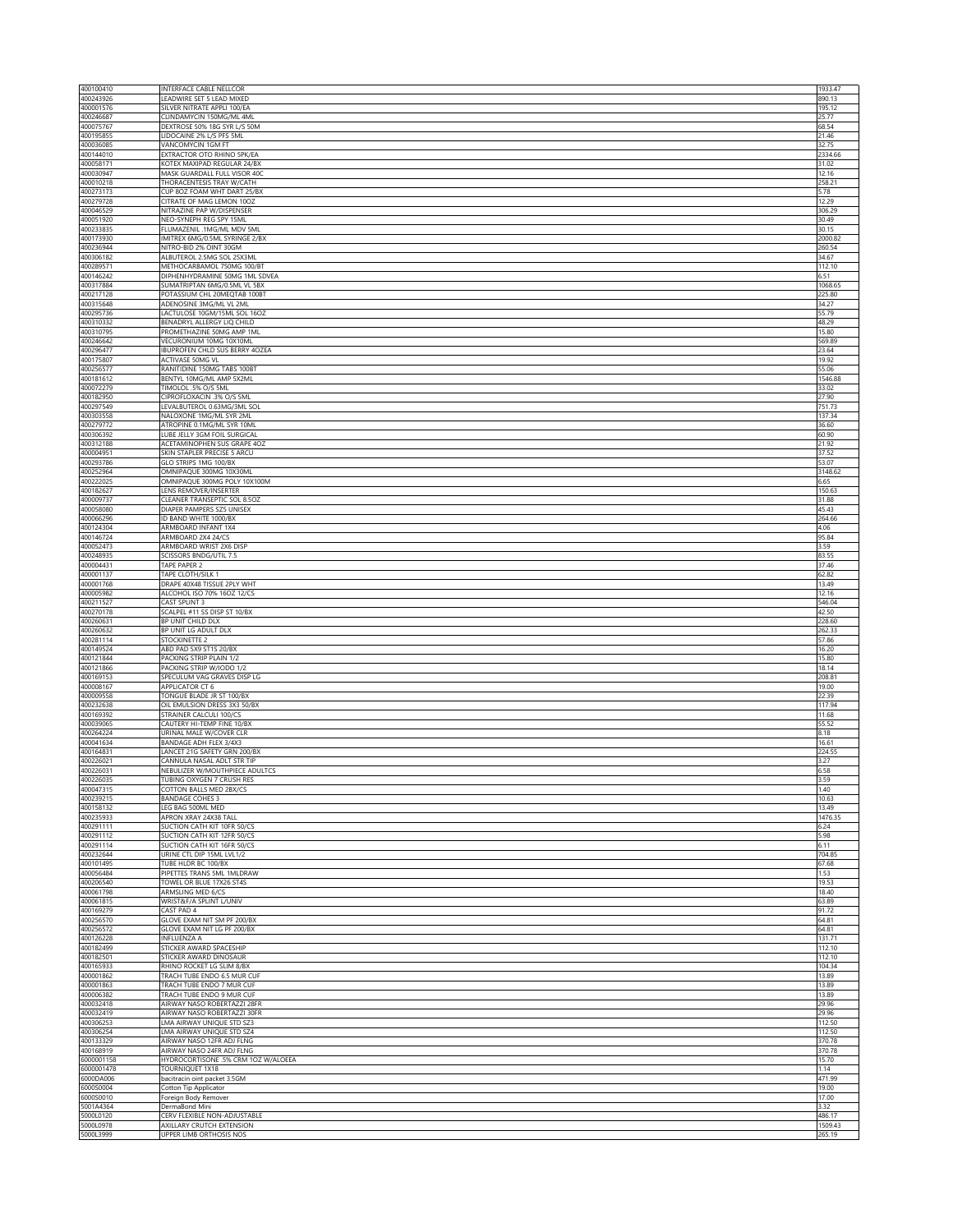| 400100410                            | INTERFACE CABLE NELLCOR                                      | 1933.47           |
|--------------------------------------|--------------------------------------------------------------|-------------------|
| 400243926                            | LEADWIRE SET 5 LEAD MIXED                                    | 890.13            |
| 400001576<br>400246687               | SILVER NITRATE APPLI 100/EA<br>CLINDAMYCIN 150MG/ML 4ML      | 195.12<br>25.77   |
| 400075767                            | DEXTROSE 50% 18G SYR L/S 50M                                 | 68.54             |
| 400195855                            | LIDOCAINE 2% L/S PFS 5ML                                     | 21.46             |
| 400036085<br>400144010               | VANCOMYCIN 1GM FT<br>EXTRACTOR OTO RHINO 5PK/EA              | 32.75<br>2334.66  |
| 400058171                            | KOTEX MAXIPAD REGULAR 24/BX                                  | 31.02             |
| 400030947                            | MASK GUARDALL FULL VISOR 40C                                 | 12.16             |
| 400010218<br>400273173               | THORACENTESIS TRAY W/CATH<br>CUP 8OZ FOAM WHT DART 25/BX     | 258.21<br>5.78    |
| 400279728                            | CITRATE OF MAG LEMON 10OZ                                    | 12.29             |
| 400046529                            | NITRAZINE PAP W/DISPENSER                                    | 306.29            |
| 400051920                            | NEO-SYNEPH REG SPY 15ML                                      | 30.49             |
| 400233835<br>400173930               | FLUMAZENIL .1MG/ML MDV 5ML<br>IMITREX 6MG/0.5ML SYRINGE 2/BX | 30.15<br>2000.82  |
| 400236944                            | NITRO-BID 2% OINT 30GM                                       | 260.54            |
| 400306182                            | ALBUTEROL 2.5MG SOL 25X3ML                                   | 34.67             |
| 400289571<br>400146242               | METHOCARBAMOL 750MG 100/BT<br>DIPHENHYDRAMINE 50MG 1ML SDVEA | 112.10<br>6.51    |
| 400317884                            | SUMATRIPTAN 6MG/0.5ML VL 5BX                                 | 1068.65           |
| 400217128                            | POTASSIUM CHL 20MEQTAB 100BT                                 | 225.80            |
| 400315648<br>400295736               | ADENOSINE 3MG/ML VL 2ML<br>LACTULOSE 10GM/15ML SOL 16OZ      | 34.27<br>55.79    |
| 400310332                            | BENADRYL ALLERGY LIQ CHILD                                   | 48.29             |
| 400310795                            | PROMETHAZINE 50MG AMP 1ML                                    | 15.80             |
| 400246642                            | VECURONIUM 10MG 10X10ML                                      | 569.89            |
| 400296477<br>400175807               | IBUPROFEN CHLD SUS BERRY 4OZEA<br>ACTIVASE 50MG VL           | 23.64<br>19.92    |
| 400256577                            | RANITIDINE 150MG TABS 100BT                                  | 55.06             |
| 400181612                            | BENTYL 10MG/ML AMP 5X2ML                                     | 1546.88           |
| 400072279<br>400182950               | TIMOLOL .5% O/S 5ML<br>CIPROFLOXACIN .3% O/S 5ML             | 33.02<br>27.90    |
| 400297549                            | LEVALBUTEROL 0.63MG/3ML SOL                                  | 751.73            |
| 400303558                            | NALOXONE 1MG/ML SYR 2ML                                      | 137.34            |
| 400279772<br>400306392               | ATROPINE 0.1MG/ML SYR 10ML<br>LUBE JELLY 3GM FOIL SURGICAL   | 36.60<br>60.90    |
| 400312188                            | ACETAMINOPHEN SUS GRAPE 4OZ                                  | 21.92             |
| 400004951                            | SKIN STAPLER PRECISE 5 ARCU                                  | 37.52             |
| 400293786                            | GLO STRIPS 1MG 100/BX                                        | 53.07             |
| 400252964<br>400222025               | OMNIPAQUE 300MG 10X30ML<br>OMNIPAQUE 300MG POLY 10X100M      | 3148.62<br>6.65   |
| 400182627                            | LENS REMOVER/INSERTER                                        | 150.63            |
| 400009737                            | CLEANER TRANSEPTIC SOL 8.5OZ                                 | 31.88             |
| 400058080<br>400066296               | DIAPER PAMPERS SZ5 UNISEX                                    | 45.43             |
| 400124304                            | ID BAND WHITE 1000/BX<br>ARMBOARD INFANT 1X4                 | 264.66<br>4.06    |
| 400146724                            | ARMBOARD 2X4 24/CS                                           | 95.84             |
| 400052473                            | ARMBOARD WRIST 2X6 DISP                                      | 3.59              |
| 400248935<br>400004431               | SCISSORS BNDG/UTIL 7.5<br>TAPE PAPER 2                       | 83.55<br>37.46    |
| 400001137                            | TAPE CLOTH/SILK 1                                            | 62.82             |
| 400001768                            | DRAPE 40X48 TISSUE 2PLY WHT                                  | 13.49             |
| 400005982<br>400211527               | ALCOHOL ISO 70% 16OZ 12/CS<br>CAST SPLINT 3                  | 12.16<br>546.04   |
| 400270178                            | SCALPEL #11 SS DISP ST 10/BX                                 | 42.50             |
| 400260631                            | BP UNIT CHILD DLX                                            | 228.60            |
| 400260632                            | BP UNIT LG ADULT DLX                                         | 262.33            |
| 400281114<br>400149524               | STOCKINETTE 2<br>ABD PAD 5X9 ST1S 20/BX                      | 57.86<br>16.20    |
| 400121844                            | PACKING STRIP PLAIN 1/2                                      | 15.80             |
| 400121866                            | PACKING STRIP W/IODO 1/2                                     | 18.14             |
| 400169153<br>400008167               | SPECULUM VAG GRAVES DISP LG<br>APPLICATOR CT 6               | 208.81<br>19.00   |
| 400009558                            | TONGUE BLADE JR ST 100/BX                                    | 22.39             |
| 400232638                            | OIL EMULSION DRESS 3X3 50/BX                                 | 117.94            |
| 400169392<br>400039065               | STRAINER CALCULI 100/CS<br>CAUTERY HI-TEMP FINE 10/BX        | 11.68<br>55.52    |
| 400264224                            | URINAL MALE W/COVER CLR                                      | 8.18              |
| 400041634                            | BANDAGE ADH FLEX 3/4X3                                       | 16.61             |
| 400164831                            | LANCET 21G SAFETY GRN 200/BX                                 | 224.55            |
| 400226021<br>400226031               | CANNULA NASAL ADLT STR TIP<br>NEBULIZER W/MOUTHPIECE ADULTCS | 3.27<br>6.58      |
| 400226035                            | TUBING OXYGEN 7 CRUSH RES                                    | 3.59              |
| 400047315                            | COTTON BALLS MED 2BX/CS                                      | 1.40              |
| 400239215<br>400158132               | <b>BANDAGE COHES 3</b><br>LEG BAG 500ML MED                  | 10.63<br>13.49    |
| 400235933                            | APRON XRAY 24X38 TALL                                        | 1476.35           |
| 400291111                            | SUCTION CATH KIT 10FR 50/CS                                  | 6.24              |
| 400291112                            | SUCTION CATH KIT 12FR 50/CS                                  | 5.98              |
|                                      |                                                              |                   |
| 400291114<br>400232644               | SUCTION CATH KIT 16FR 50/CS<br>URINE CTL DIP 15ML LVL1/2     | 6.11<br>704.85    |
| 400101495                            | TUBE HLDR BC 100/BX                                          | 67.68             |
| 400056484                            | PIPETTES TRANS 5ML 1MLDRAW                                   | 1.53              |
| 400206540                            | TOWEL OR BLUE 17X26 ST4S                                     | 19.53<br>18.40    |
| 400061798<br>400061815               | ARMSLING MED 6/CS<br>WRIST&F/A SPLINT L/UNIV                 | 63.89             |
| 400169279                            | CAST PAD 4                                                   | 91.72             |
| 400256570                            | GLOVE EXAM NIT SM PF 200/BX                                  | 64.81             |
| 400256572<br>400126228               | GLOVE EXAM NIT LG PF 200/BX<br><b>INFLUENZA A</b>            | 64.81<br>131.71   |
| 400182499                            | STICKER AWARD SPACESHIP                                      | 112.10            |
| 400182501                            | STICKER AWARD DINOSAUR                                       | 112.10            |
| 400165933<br>400001862               | RHINO ROCKET LG SLIM 8/BX<br>TRACH TUBE ENDO 6.5 MUR CUF     | 104.34<br>13.89   |
| 400001863                            | TRACH TUBE ENDO 7 MUR CUF                                    | 13.89             |
| 400006382                            | TRACH TUBE ENDO 9 MUR CUF                                    | 13.89             |
| 400032418<br>400032419               | AIRWAY NASO ROBERTAZZI 28FF<br>AIRWAY NASO ROBERTAZZI 30FR   | 29.96<br>29.96    |
| 400306253                            | LMA AIRWAY UNIQUE STD SZ3                                    | 112.50            |
| 400306254                            | LMA AIRWAY UNIQUE STD SZ4                                    | 112.50            |
| 400133329<br>400168919               | AIRWAY NASO 12FR ADJ FLNG<br>AIRWAY NASO 24FR ADJ FLNG       | 370.78<br>370.78  |
| 6000001158                           | HYDROCORTISONE .5% CRM 1OZ W/ALOEEA                          | 15.70             |
|                                      | TOURNIQUET 1X18                                              | 1.14              |
| 6000001478<br>6000DA006<br>6000S0004 | bacitracin oint packet 3.5GM<br>Cotton Tip Applicator        | 471.99<br>19.00   |
| 6000S0010                            | Foreign Body Remover                                         | 17.00             |
| 5001A4364                            | DermaBond Mini                                               | 3.32              |
| 5000L0120<br>5000L0978               | CERV FLEXIBLE NON-ADJUSTABLE<br>AXILLARY CRUTCH EXTENSION    | 486.17<br>1509.43 |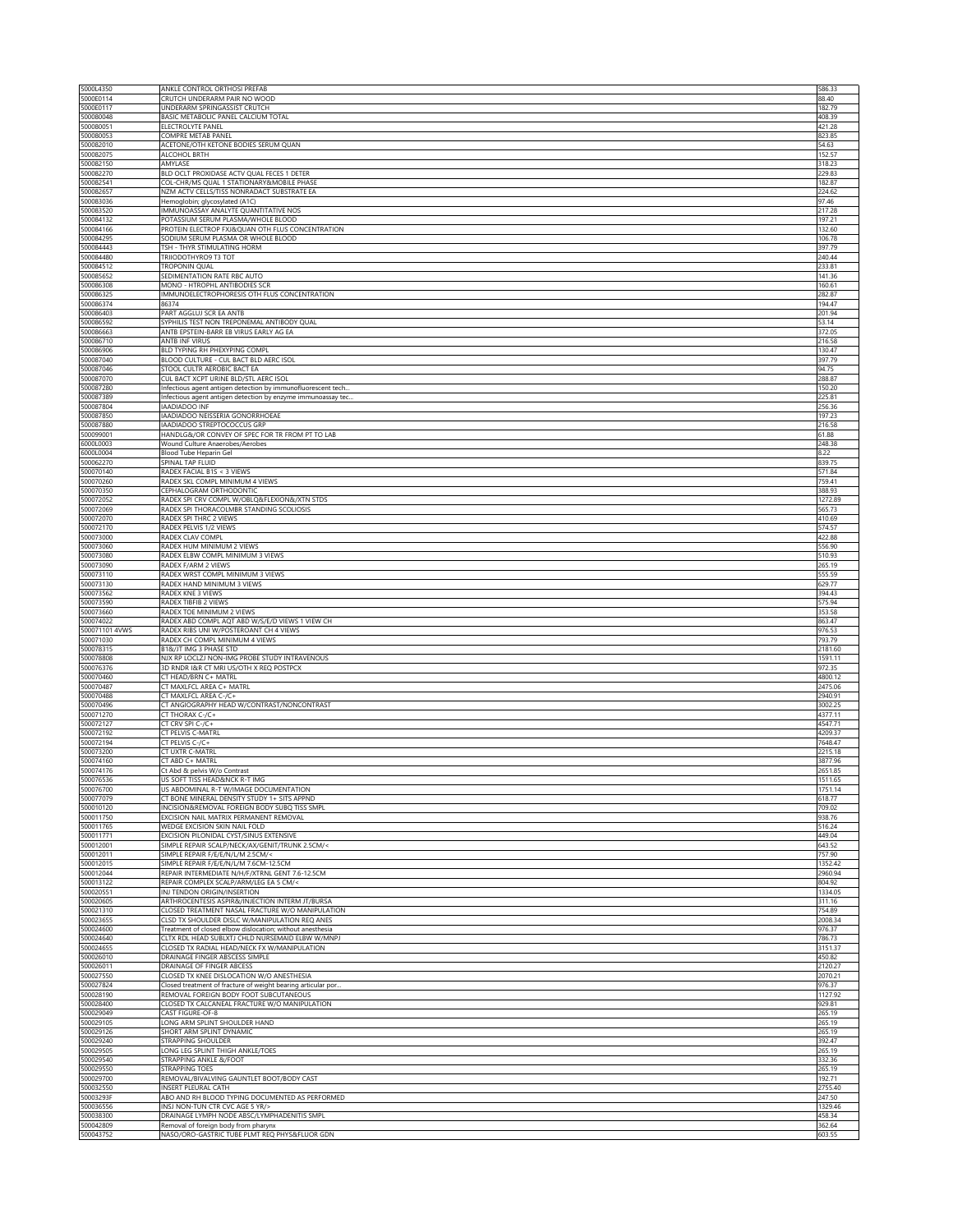| 5000L4350                                                                               | ANKLE CONTROL ORTHOSI PREFAB                                                                                  | 586.33             |
|-----------------------------------------------------------------------------------------|---------------------------------------------------------------------------------------------------------------|--------------------|
| 5000E0114<br>5000E0117                                                                  | CRUTCH UNDERARM PAIR NO WOOD<br>UNDERARM SPRINGASSIST CRUTCH                                                  | 88.40<br>182.79    |
| 500080048                                                                               | BASIC METABOLIC PANEL CALCIUM TOTAL                                                                           | 408.39             |
| 500080051                                                                               | ELECTROLYTE PANEL                                                                                             | 421.28             |
| 500080053<br>500082010                                                                  | COMPRE METAB PANEL<br>ACETONE/OTH KETONE BODIES SERUM QUAN                                                    | 823.85<br>54.63    |
| 500082075                                                                               | ALCOHOL BRTH                                                                                                  | 152.57             |
| 500082150                                                                               | AMYLASE                                                                                                       | 318.23             |
| 500082270<br>500082541                                                                  | BLD OCLT PROXIDASE ACTV QUAL FECES 1 DETER<br>COL-CHR/MS QUAL 1 STATIONARY&MOBILE PHASE                       | 229.83<br>182.87   |
| 500082657                                                                               | NZM ACTV CELLS/TISS NONRADACT SUBSTRATE EA                                                                    | 224.62             |
| 500083036                                                                               | Hemoglobin; glycosylated (A1C)                                                                                | 97.46              |
| 500083520                                                                               | IMMUNOASSAY ANALYTE QUANTITATIVE NOS                                                                          | 217.28             |
| 500084132<br>500084166                                                                  | POTASSIUM SERUM PLASMA/WHOLE BLOOD<br>PROTEIN ELECTROP FXJ&QUAN OTH FLUS CONCENTRATION                        | 197.21<br>132.60   |
| 500084295                                                                               | SODIUM SERUM PLASMA OR WHOLE BLOOD                                                                            | 106.78             |
| 500084443                                                                               | TSH - THYR STIMULATING HORM                                                                                   | 397.79             |
| 500084480                                                                               | TRIIODOTHYRO9 T3 TOT<br>TROPONIN QUAL                                                                         | 240.44<br>233.81   |
| 500084512<br>500085652                                                                  | SEDIMENTATION RATE RBC AUTO                                                                                   | 141.36             |
| 500086308                                                                               | MONO - HTROPHL ANTIBODIES SCR                                                                                 | 160.61             |
| 500086325                                                                               | IMMUNOELECTROPHORESIS OTH FLUS CONCENTRATION                                                                  | 282.87             |
| 500086374<br>500086403                                                                  | 86374<br>PART AGGLUJ SCR EA ANTB                                                                              | 194.47<br>201.94   |
| 500086592                                                                               | SYPHILIS TEST NON TREPONEMAL ANTIBODY QUAL                                                                    | 53.14              |
| 500086663                                                                               | ANTB EPSTEIN-BARR EB VIRUS EARLY AG EA                                                                        | 372.05             |
| 500086710                                                                               | ANTB INF VIRUS                                                                                                | 216.58             |
| 500086906<br>500087040                                                                  | BLD TYPING RH PHEXYPING COMPL<br>BLOOD CULTURE - CUL BACT BLD AERC ISOL                                       | 130.47<br>397.79   |
| 500087046                                                                               | STOOL CULTR AEROBIC BACT EA                                                                                   | 94.75              |
| 500087070                                                                               | CUL BACT XCPT URINE BLD/STL AERC ISOL                                                                         | 288.87             |
| 500087280<br>500087389                                                                  | Infectious agent antigen detection by immunofluorescent tech                                                  | 150.20<br>225.81   |
| 500087804                                                                               | Infectious agent antigen detection by enzyme immunoassay tec<br><b>IAADIADOO INF</b>                          | 256.36             |
| 500087850                                                                               | IAADIADOO NEISSERIA GONORRHOEAE                                                                               | 197.23             |
| 500087880                                                                               | <b>IAADIADOO STREPTOCOCCUS GRP</b>                                                                            | 216.58             |
| 500099001<br>6000L0003                                                                  | HANDLG&/OR CONVEY OF SPEC FOR TR FROM PT TO LAB<br>Wound Culture Anaerobes/Aerobes                            | 61.88<br>248.38    |
| 6000L0004                                                                               | Blood Tube Heparin Gel                                                                                        | 8.22               |
| 500062270                                                                               | SPINAL TAP FLUID                                                                                              | 839.75             |
| 500070140                                                                               | RADEX FACIAL B1S < 3 VIEWS                                                                                    | 571.84             |
| 500070260<br>500070350                                                                  | RADEX SKL COMPL MINIMUM 4 VIEWS<br>CEPHALOGRAM ORTHODONTIC                                                    | 759.41<br>388.93   |
| 500072052                                                                               | RADEX SPI CRV COMPL W/OBLQ&FLEXION&/XTN STDS                                                                  | 1272.89            |
| 500072069                                                                               | RADEX SPI THORACOLMBR STANDING SCOLIOSIS                                                                      | 565.73             |
| 500072070                                                                               | RADEX SPI THRC 2 VIEWS                                                                                        | 410.69             |
| 500072170<br>500073000                                                                  | RADEX PELVIS 1/2 VIEWS<br>RADEX CLAV COMPL                                                                    | 574.57<br>422.88   |
| 500073060                                                                               | RADEX HUM MINIMUM 2 VIEWS                                                                                     | 556.90             |
| 500073080                                                                               | RADEX ELBW COMPL MINIMUM 3 VIEWS                                                                              | 510.93             |
| 500073090                                                                               | RADEX F/ARM 2 VIEWS                                                                                           | 265.19             |
| 500073110<br>500073130                                                                  | RADEX WRST COMPL MINIMUM 3 VIEWS<br>RADEX HAND MINIMUM 3 VIEWS                                                | 555.59<br>629.77   |
| 500073562                                                                               | RADEX KNE 3 VIEWS                                                                                             | 394.43             |
| 500073590                                                                               | RADEX TIBFIB 2 VIEWS                                                                                          | 575.94             |
|                                                                                         |                                                                                                               |                    |
| 500073660                                                                               | RADEX TOE MINIMUM 2 VIEWS                                                                                     | 353.58             |
| 500074022                                                                               | RADEX ABD COMPL AQT ABD W/S/E/D VIEWS 1 VIEW CH                                                               | 863.47             |
| 500071101 4VWS<br>500071030                                                             | RADEX RIBS UNI W/POSTEROANT CH 4 VIEWS<br>RADEX CH COMPL MINIMUM 4 VIEWS                                      | 976.53<br>793.79   |
| 500078315                                                                               | B1&/JT IMG 3 PHASE STD                                                                                        | 2181.60            |
| 500078808                                                                               | NJX RP LOCLZJ NON-IMG PROBE STUDY INTRAVENOUS                                                                 | 1591.11            |
| 500076376<br>500070460                                                                  | 3D RNDR I&R CT MRI US/OTH X REQ POSTPCX<br>CT HEAD/BRN C+ MATRL                                               | 972.35<br>4800.12  |
| 500070487                                                                               | <b>CT MAXLFCL AREA C+ MATRL</b>                                                                               | 2475.06            |
| 500070488                                                                               | CT MAXLFCL AREA C-/C+                                                                                         | 2940.91            |
| 500070496                                                                               | CT ANGIOGRAPHY HEAD W/CONTRAST/NONCONTRAST                                                                    | 3002.25            |
| 500071270<br>500072127                                                                  | CT THORAX C-/C+<br>CT CRV SPI C-/C+                                                                           | 4377.11<br>4547.71 |
| 500072192                                                                               | <b>CT PELVIS C-MATRL</b>                                                                                      | 4209.37            |
| 500072194                                                                               | CT PELVIS C-/C+                                                                                               | 7648.47            |
| 500073200<br>500074160                                                                  | <b>CT UXTR C-MATRL</b><br><b>CT ABD C+ MATRL</b>                                                              | 2215.18<br>3877.96 |
| 500074176                                                                               | Ct Abd & pelvis W/o Contrast                                                                                  | 2651.85            |
| 500076536                                                                               | US SOFT TISS HEAD&NCK R-T IMG                                                                                 | 1511.65            |
| 500076700                                                                               | US ABDOMINAL R-T W/IMAGE DOCUMENTATION                                                                        | 1751.14            |
| 500077079<br>500010120                                                                  | CT BONE MINERAL DENSITY STUDY 1+ SITS APPND<br>INCISION&REMOVAL FOREIGN BODY SUBQ TISS SMPL                   | 618.77<br>709.02   |
| 500011750                                                                               | EXCISION NAIL MATRIX PERMANENT REMOVAL                                                                        | 938.76             |
| 500011765                                                                               | WEDGE EXCISION SKIN NAIL FOLD                                                                                 | 516.24             |
| 500011771<br>500012001                                                                  | EXCISION PILONIDAL CYST/SINUS EXTENSIVE<br>SIMPLE REPAIR SCALP/NECK/AX/GENIT/TRUNK 2.5CM/<                    | 449.04<br>643.52   |
| 500012011                                                                               | SIMPLE REPAIR F/E/E/N/L/M 2.5CM/<                                                                             | 757.90             |
| 500012015                                                                               | SIMPLE REPAIR F/E/E/N/L/M 7.6CM-12.5CM                                                                        | 1352.42            |
| 500012044                                                                               | REPAIR INTERMEDIATE N/H/F/XTRNL GENT 7.6-12.5CM                                                               | 2960.94            |
| 500013122<br>500020551                                                                  | REPAIR COMPLEX SCALP/ARM/LEG EA 5 CM/<<br>INJ TENDON ORIGIN/INSERTION                                         | 804.92<br>1334.05  |
| 500020605                                                                               | ARTHROCENTESIS ASPIR&/INJECTION INTERM JT/BURSA                                                               | 311.16             |
| 500021310                                                                               | CLOSED TREATMENT NASAL FRACTURE W/O MANIPULATION                                                              | 754.89             |
| 500023655<br>500024600                                                                  | CLSD TX SHOULDER DISLC W/MANIPULATION REQ ANES                                                                | 2008.34            |
| 500024640                                                                               | Treatment of closed elbow dislocation; without anesthesia<br>CLTX RDL HEAD SUBLXTJ CHLD NURSEMAID ELBW W/MNPJ | 976.37<br>786.73   |
| 500024655                                                                               | CLOSED TX RADIAL HEAD/NECK FX W/MANIPULATION                                                                  | 3151.37            |
| 500026010                                                                               | DRAINAGE FINGER ABSCESS SIMPLE                                                                                | 450.82             |
| 500026011<br>500027550                                                                  | DRAINAGE OF FINGER ABCESS<br>CLOSED TX KNEE DISLOCATION W/O ANESTHESIA                                        | 2120.27<br>2070.21 |
| 500027824                                                                               | Closed treatment of fracture of weight bearing articular por                                                  | 976.37             |
| 500028190                                                                               | REMOVAL FOREIGN BODY FOOT SUBCUTANEOUS                                                                        | 1127.92            |
| 500028400                                                                               | CLOSED TX CALCANEAL FRACTURE W/O MANIPULATION                                                                 | 929.81             |
|                                                                                         | CAST FIGURE-OF-8<br>LONG ARM SPLINT SHOULDER HAND                                                             | 265.19<br>265.19   |
|                                                                                         | SHORT ARM SPLINT DYNAMIC                                                                                      | 265.19             |
|                                                                                         | STRAPPING SHOULDER                                                                                            | 392.47             |
|                                                                                         | LONG LEG SPLINT THIGH ANKLE/TOES<br>STRAPPING ANKLE &/FOOT                                                    | 265.19<br>332.36   |
| 500029049<br>500029105<br>500029126<br>500029240<br>500029505<br>500029540<br>500029550 | <b>STRAPPING TOES</b>                                                                                         | 265.19             |
| 500029700                                                                               | REMOVAL/BIVALVING GAUNTLET BOOT/BODY CAST                                                                     | 192.71             |
| 500032550                                                                               | INSERT PLEURAL CATH                                                                                           | 2755.40            |
| 50003293F<br>500036556                                                                  | ABO AND RH BLOOD TYPING DOCUMENTED AS PERFORMED<br>INSJ NON-TUN CTR CVC AGE 5 YR/>                            | 247.50<br>1329.46  |
| 500038300                                                                               | DRAINAGE LYMPH NODE ABSC/LYMPHADENITIS SMPL                                                                   | 458.34             |
| 500042809<br>500043752                                                                  | Removal of foreign body from pharynx<br>NASO/ORO-GASTRIC TUBE PLMT REQ PHYS&FLUOR GDN                         | 362.64<br>603.55   |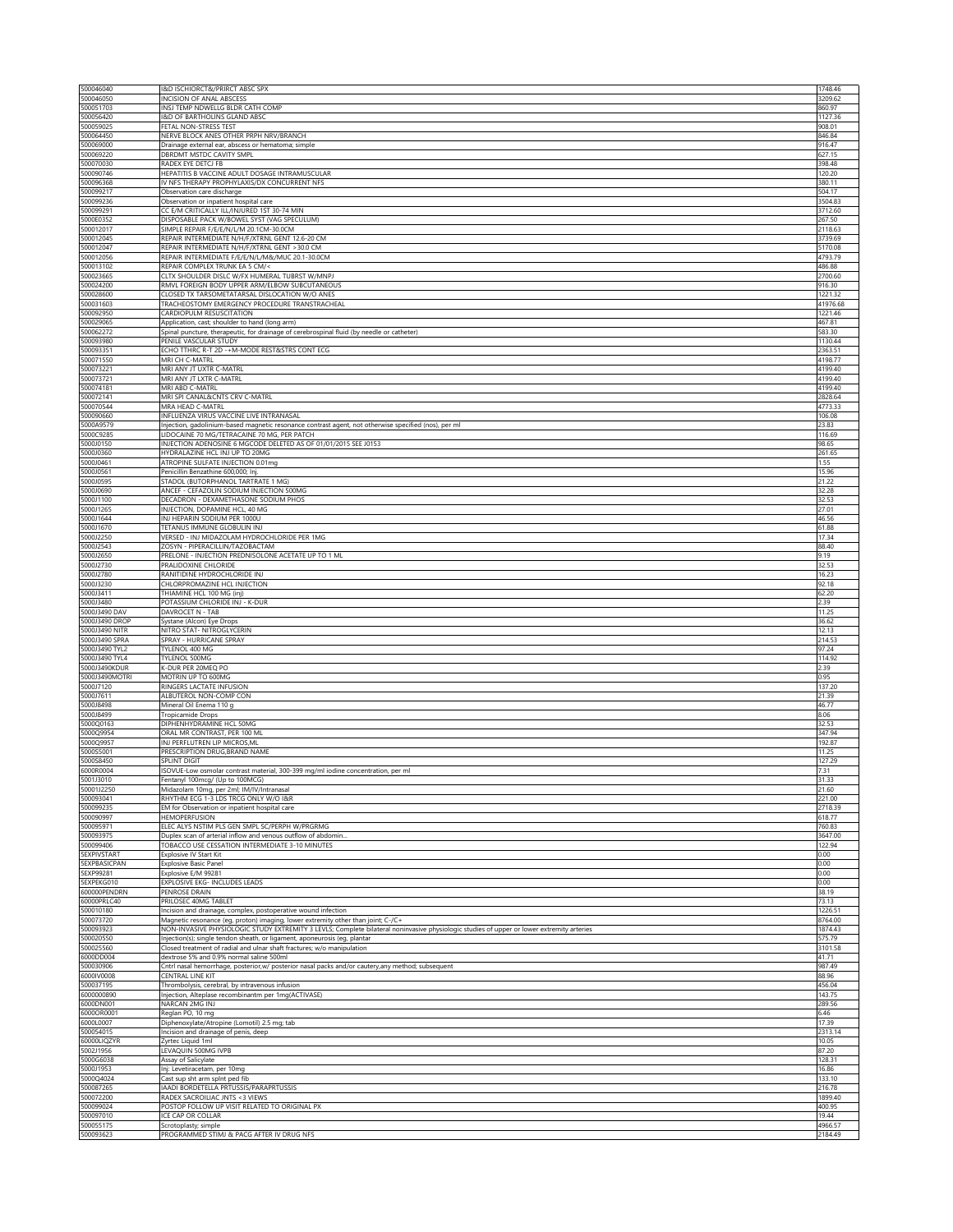| 500046040              | I&D ISCHIORCT&/PRIRCT ABSC SPX                                                                                                            | 1748.46         |
|------------------------|-------------------------------------------------------------------------------------------------------------------------------------------|-----------------|
| 500046050              | INCISION OF ANAL ABSCESS                                                                                                                  | 3209.62         |
| 500051703              | INSJ TEMP NDWELLG BLDR CATH COMP                                                                                                          | 860.97          |
| 500056420              | I&D OF BARTHOLINS GLAND ABSC                                                                                                              | 1127.36         |
| 500059025              | FETAL NON-STRESS TEST                                                                                                                     | 908.01          |
| 500064450              | NERVE BLOCK ANES OTHER PRPH NRV/BRANCH                                                                                                    | 846.84          |
| 500069000              | Drainage external ear, abscess or hematoma; simple                                                                                        | 916.47          |
| 500069220              | DBRDMT MSTDC CAVITY SMPL                                                                                                                  | 627.15          |
| 500070030              | RADEX EYE DETCJ FB                                                                                                                        | 398.48          |
| 500090746              | HEPATITIS B VACCINE ADULT DOSAGE INTRAMUSCULAR                                                                                            | 120.20          |
| 500096368              | IV NFS THERAPY PROPHYLAXIS/DX CONCURRENT NFS                                                                                              | 380.11          |
| 500099217              | Observation care discharge                                                                                                                | 504.17          |
| 500099236              | Observation or inpatient hospital care                                                                                                    | 3504.83         |
| 500099291              | CC E/M CRITICALLY ILL/INJURED 1ST 30-74 MIN                                                                                               | 3712.60         |
| 5000E0352              | DISPOSABLE PACK W/BOWEL SYST (VAG SPECULUM)                                                                                               | 267.50          |
| 500012017              | SIMPLE REPAIR F/E/E/N/L/M 20.1CM-30.0CM                                                                                                   | 2118.63         |
| 500012045              | REPAIR INTERMEDIATE N/H/F/XTRNL GENT 12.6-20 CM                                                                                           | 3739.69         |
| 500012047              | REPAIR INTERMEDIATE N/H/F/XTRNL GENT >30.0 CM                                                                                             | 5170.08         |
| 500012056              | REPAIR INTERMEDIATE F/E/E/N/L/M&/MUC 20.1-30.0CM                                                                                          | 4793.79         |
| 500013102              | REPAIR COMPLEX TRUNK EA 5 CM/<                                                                                                            | 486.88          |
| 500023665              | CLTX SHOULDER DISLC W/FX HUMERAL TUBRST W/MNPJ                                                                                            | 2700.60         |
| 500024200              | RMVL FOREIGN BODY UPPER ARM/ELBOW SUBCUTANEOUS                                                                                            | 916.30          |
| 500028600              | CLOSED TX TARSOMETATARSAL DISLOCATION W/O ANES                                                                                            | 1221.32         |
| 500031603              | TRACHEOSTOMY EMERGENCY PROCEDURE TRANSTRACHEAL                                                                                            | 41976.68        |
| 500092950              | CARDIOPULM RESUSCITATION                                                                                                                  | 1221.46         |
| 500029065              | Application, cast; shoulder to hand (long arm)                                                                                            | 467.81          |
| 500062272              | Spinal puncture, therapeutic, for drainage of cerebrospinal fluid (by needle or catheter)                                                 | 583.30          |
| 500093980              | PENILE VASCULAR STUDY                                                                                                                     | 1130.44         |
| 500093351              | ECHO TTHRC R-T 2D -+M-MODE REST&STRS CONT ECG                                                                                             | 2363.51         |
| 500071550              | MRI CH C-MATRL                                                                                                                            | 4198.77         |
| 500073221              | MRI ANY JT UXTR C-MATRL                                                                                                                   | 4199.40         |
| 500073721              | MRI ANY JT LXTR C-MATRL                                                                                                                   | 4199.40         |
| 500074181              | MRI ABD C-MATRL                                                                                                                           | 4199.40         |
| 500072141              | MRI SPI CANAL&CNTS CRV C-MATRL                                                                                                            | 2828.64         |
| 500070544              | MRA HEAD C-MATRL                                                                                                                          | 4773.33         |
| 500090660              | INFLUENZA VIRUS VACCINE LIVE INTRANASAL                                                                                                   | 106.08          |
| 5000A9579              | Injection, gadolinium-based magnetic resonance contrast agent, not otherwise specified (nos), per ml                                      | 23.83           |
| 5000C9285              | LIDOCAINE 70 MG/TETRACAINE 70 MG, PER PATCH                                                                                               | 116.69          |
| 5000J0150              | INJECTION ADENOSINE 6 MGCODE DELETED AS OF 01/01/2015 SEE J0153                                                                           | 98.65           |
| 5000J0360              | HYDRALAZINE HCL INJ UP TO 20MG                                                                                                            | 261.65          |
| 5000J0461              | ATROPINE SULFATE INJECTION 0.01mg<br>Penicillin Benzathine 600,000; Inj.                                                                  | 1.55            |
| 5000J0561<br>5000J0595 | STADOL (BUTORPHANOL TARTRATE 1 MG)                                                                                                        | 15.96<br>21.22  |
| 5000J0690              | ANCEF - CEFAZOLIN SODIUM INJECTION 500MG                                                                                                  | 32.28           |
| 5000J1100              | DECADRON - DEXAMETHASONE SODIUM PHOS                                                                                                      | 32.53           |
| 5000J1265              | INJECTION, DOPAMINE HCL, 40 MG                                                                                                            | 27.01           |
| 5000J1644              | INJ HEPARIN SODIUM PER 1000U                                                                                                              | 46.56           |
| 5000J1670              | TETANUS IMMUNE GLOBULIN INJ                                                                                                               | 61.88           |
| 5000J2250              | VERSED - INJ MIDAZOLAM HYDROCHLORIDE PER 1MG                                                                                              | 17.34           |
| 5000J2543              | ZOSYN - PIPERACILLIN/TAZOBACTAM                                                                                                           | 88.40           |
| 5000J2650              | PRELONE - INJECTION PREDNISOLONE ACETATE UP TO 1 ML                                                                                       | 9.19            |
| 5000J2730              | PRALIDOXINE CHLORIDE                                                                                                                      | 32.53           |
| 5000J2780              | RANITIDINE HYDROCHLORIDE INJ                                                                                                              | 16.23           |
| 5000J3230              | CHLORPROMAZINE HCL INJECTION                                                                                                              | 92.18           |
| 5000J3411              | THIAMINE HCL 100 MG (inj)                                                                                                                 | 62.20           |
|                        |                                                                                                                                           |                 |
| 5000J3480              | POTASSIUM CHLORIDE INJ - K-DUR                                                                                                            | 2.39            |
| 5000J3490 DAV          | DAVROCET N - TAB                                                                                                                          | 11.25           |
| 5000J3490 DROP         | Systane (Alcon) Eye Drops                                                                                                                 | 36.62           |
| 5000J3490 NITR         | NITRO STAT- NITROGLYCERIN                                                                                                                 | 12.13           |
| 5000J3490 SPRA         | SPRAY - HURRICANE SPRAY                                                                                                                   | 214.53          |
| 5000J3490 TYL2         | TYLENOL 400 MG                                                                                                                            | 97.24           |
| 5000J3490 TYL4         | TYLENOL 500MG                                                                                                                             | 114.92          |
| 5000J3490KDUR          | K-DUR PER 20MEQ PO                                                                                                                        | 2.39            |
| 5000J3490MOTRI         | MOTRIN UP TO 600MG                                                                                                                        | 0.95            |
| 5000J7120              | RINGERS LACTATE INFUSION                                                                                                                  | 137.20          |
| 5000J7611              | ALBUTEROL NON-COMP CON                                                                                                                    | 21.39           |
| 5000J8498              | Mineral Oil Enema 110 g                                                                                                                   | 46.77           |
| 5000J8499              | Tropicamide Drops                                                                                                                         | 8.06            |
| 5000Q0163              | DIPHENHYDRAMINE HCL 50MG                                                                                                                  | 32.53           |
| 5000Q9954              | ORAL MR CONTRAST, PER 100 ML                                                                                                              | 347.94          |
| 5000Q9957              | INJ PERFLUTREN LIP MICROS, ML                                                                                                             | 192.87          |
| 5000S5001              | PRESCRIPTION DRUG, BRAND NAME                                                                                                             | 11.25           |
| 5000S8450              | SPLINT DIGIT                                                                                                                              | 127.29          |
| 6000R0004              | ISOVUE-Low osmolar contrast material, 300-399 mg/ml iodine concentration, per ml                                                          | 7.31            |
| 5001J3010              | Fentanyl 100mcg/ (Up to 100MCG)                                                                                                           | 31.33           |
| 50001J2250             | Midazolam 10mg, per 2ml; IM/IV/Intranasal                                                                                                 | 21.60           |
| 500093041              | RHYTHM ECG 1-3 LDS TRCG ONLY W/O I&R                                                                                                      | 221.00          |
| 500099235              | EM for Observation or inpatient hospital care                                                                                             | 2718.39         |
| 500090997              | <b>HEMOPERFUSION</b>                                                                                                                      | 618.77          |
| 500095971              | ELEC ALYS NSTIM PLS GEN SMPL SC/PERPH W/PRGRMG                                                                                            | 760.83          |
| 500093975              | Duplex scan of arterial inflow and venous outflow of abdomin                                                                              | 3647.00         |
| 500099406              | TOBACCO USE CESSATION INTERMEDIATE 3-10 MINUTES                                                                                           | 122.94          |
| <b>SEXPIVSTART</b>     | Explosive IV Start Kit                                                                                                                    | 0.00            |
| 5EXPBASICPAN           | <b>Explosive Basic Panel</b>                                                                                                              | 0.00            |
| 5EXP99281              | Explosive E/M 99281                                                                                                                       | 0.00            |
| 5EXPEKG010             | EXPLOSIVE EKG- INCLUDES LEADS                                                                                                             | 0.00            |
| 600000PENDRN           | PENROSE DRAIN                                                                                                                             | 38.19           |
| 60000PRLC40            | PRILOSEC 40MG TABLET                                                                                                                      | 73.13           |
| 500010180              | Incision and drainage, complex, postoperative wound infection                                                                             | 1226.51         |
| 500073720              | Magnetic resonance (eg, proton) imaging, lower extremity other than joint; C-/C+                                                          | 8764.00         |
| 500093923              | NON-INVASIVE PHYSIOLOGIC STUDY EXTREMITY 3 LEVLS; Complete bilateral noninvasive physiologic studies of upper or lower extremity arteries | 1874.43         |
| 500020550              | Injection(s); single tendon sheath, or ligament, aponeurosis (eg, plantar                                                                 | 575.79          |
| 500025560              | Closed treatment of radial and ulnar shaft fractures; w/o manipulation                                                                    | 3101.58         |
| 6000DD004              | dextrose 5% and 0.9% normal saline 500ml                                                                                                  | 41.71           |
| 500030906              | Cntrl nasal hemorrhage, posterior,w/ posterior nasal packs and/or cautery,any method; subsequent                                          | 987.49          |
| 6000IV0008             | CENTRAL LINE KIT                                                                                                                          | 88.96           |
| 500037195              | Thrombolysis, cerebral, by intravenous infusion                                                                                           | 456.04          |
| 6000000890             | Injection, Alteplase recombinantm per 1mg(ACTIVASE)                                                                                       | 143.75          |
| 6000DN001              | NARCAN 2MG INJ                                                                                                                            | 289.56          |
| 6000OR0001             | Reglan PO, 10 mg                                                                                                                          | 6.46            |
| 6000L0007              | Diphenoxylate/Atropine (Lomotil) 2.5 mg; tab                                                                                              | 17.39           |
| 500054015              | Incision and drainage of penis, deep                                                                                                      | 2313.14         |
| 60000LIQZYR            | Zyrtec Liquid 1ml                                                                                                                         | 10.05           |
| 5002J1956              | LEVAQUIN 500MG IVPB                                                                                                                       | 87.20           |
| 5000G6038<br>5000J1953 | Assay of Salicylate                                                                                                                       | 128.31<br>16.86 |
| 5000Q4024              | Inj: Levetiracetam, per 10mg<br>Cast sup sht arm splnt ped fib                                                                            | 133.10          |
| 500087265              | IAADI BORDETELLA PRTUSSIS/PARAPRTUSSIS                                                                                                    | 216.78          |
| 500072200              | RADEX SACROILIAC JNTS <3 VIEWS                                                                                                            | 1899.40         |
| 500099024              | POSTOP FOLLOW UP VISIT RELATED TO ORIGINAL PX                                                                                             | 400.95          |
| 500097010              | ICE CAP OR COLLAR                                                                                                                         | 19.44           |
| 500055175              | Scrotoplasty; simple                                                                                                                      | 4966.57         |
| 500093623              | PROGRAMMED STIMJ & PACG AFTER IV DRUG NFS                                                                                                 | 2184.49         |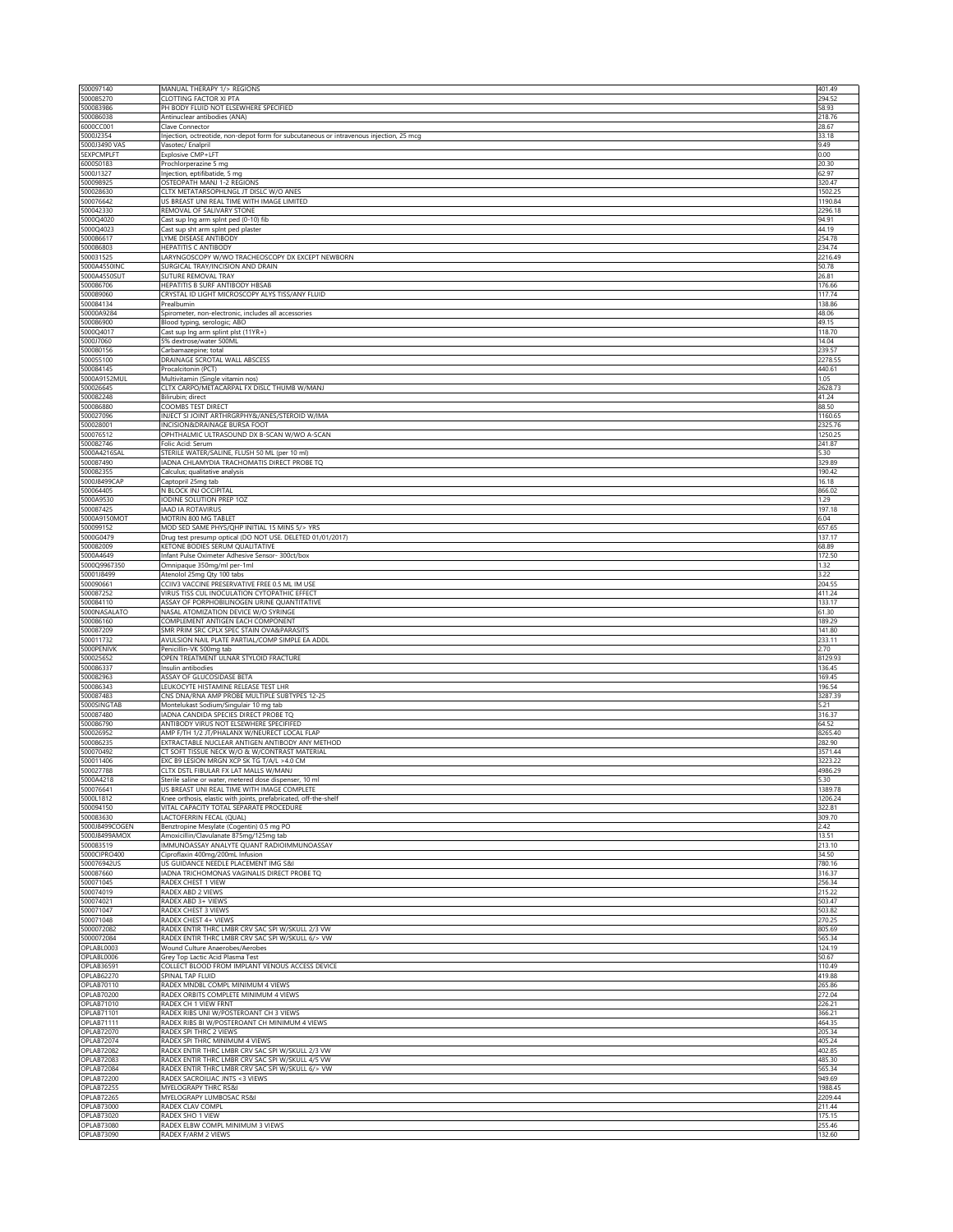| 500097140                              | MANUAL THERAPY 1/> REGIONS                                                                                      | 401.49             |
|----------------------------------------|-----------------------------------------------------------------------------------------------------------------|--------------------|
| 500085270<br>500083986                 | CLOTTING FACTOR XI PTA<br>PH BODY FLUID NOT ELSEWHERE SPECIFIED                                                 | 294.52<br>58.93    |
| 500086038                              | Antinuclear antibodies (ANA)                                                                                    | 218.76             |
| 6000CC001                              | Clave Connector                                                                                                 | 28.67              |
| 5000J2354                              | Injection, octreotide, non-depot form for subcutaneous or intravenous injection, 25 mcg                         | 33.18              |
| 5000J3490 VAS<br><b>SEXPCMPLFT</b>     | Vasotec/ Enalpril<br>Explosive CMP+LFT                                                                          | 9.49<br>0.00       |
| 6000S0183                              | Prochlorperazine 5 mg                                                                                           | 20.30              |
| 5000J1327                              | Injection, eptifibatide, 5 mg                                                                                   | 62.97              |
| 500098925<br>500028630                 | OSTEOPATH MANJ 1-2 REGIONS<br>CLTX METATARSOPHLNGL JT DISLC W/O ANES                                            | 320.47<br>1502.25  |
| 500076642                              | US BREAST UNI REAL TIME WITH IMAGE LIMITED                                                                      | 1190.84            |
| 500042330                              | REMOVAL OF SALIVARY STONE                                                                                       | 2296.18            |
| 5000Q4020<br>5000Q4023                 | Cast sup Ing arm splnt ped (0-10) fib<br>Cast sup sht arm splnt ped plaster                                     | 94.91<br>44.19     |
| 500086617                              | YME DISEASE ANTIBODY                                                                                            | 254.78             |
| 500086803                              | HEPATITIS C ANTIBODY                                                                                            | 234.74             |
| 500031525<br>5000A4550INO              | LARYNGOSCOPY W/WO TRACHEOSCOPY DX EXCEPT NEWBORN<br>SURGICAL TRAY/INCISION AND DRAIN                            | 2216.49<br>50.78   |
| 5000A4550SUT                           | SUTURE REMOVAL TRAY                                                                                             | 26.81              |
| 500086706                              | HEPATITIS B SURF ANTIBODY HBSAB                                                                                 | 176.66             |
| 500089060<br>500084134                 | CRYSTAL ID LIGHT MICROSCOPY ALYS TISS/ANY FLUID<br>Prealbumin                                                   | 117.74<br>138.86   |
| 50000A9284                             | Spirometer, non-electronic, includes all accessories                                                            | 48.06              |
| 500086900                              | Blood typing, serologic; ABO                                                                                    | 49.15              |
| 5000Q4017<br>5000J7060                 | Cast sup Ing arm splint plst (11YR+)<br>5% dextrose/water 500ML                                                 | 118.70<br>14.04    |
| 500080156                              | Carbamazepine; total                                                                                            | 239.57             |
| 500055100                              | DRAINAGE SCROTAL WALL ABSCESS                                                                                   | 2278.55            |
| 500084145<br>5000A9152MUL              | Procalcitonin (PCT)<br>Multivitamin (Single vitamin nos)                                                        | 440.61<br>1.05     |
| 500026645                              | CLTX CARPO/METACARPAL FX DISLC THUMB W/MANJ                                                                     | 2628.73            |
| 500082248                              | Bilirubin; direct                                                                                               | 41.24              |
| 500086880<br>500027096                 | COOMBS TEST DIRECT<br>INJECT SI JOINT ARTHRGRPHY&/ANES/STEROID W/IMA                                            | 88.50<br>1160.65   |
| 500028001                              | INCISION&DRAINAGE BURSA FOOT                                                                                    | 2325.76            |
| 500076512                              | OPHTHALMIC ULTRASOUND DX B-SCAN W/WO A-SCAN                                                                     | 1250.25            |
| 500082746<br>5000A4216SAL              | Folic Acid: Serum<br>STERILE WATER/SALINE, FLUSH 50 ML (per 10 ml)                                              | 241.87<br>5.30     |
| 500087490                              | ADNA CHLAMYDIA TRACHOMATIS DIRECT PROBE TQ                                                                      | 329.89             |
| 500082355                              | Calculus; qualitative analysis                                                                                  | 190.42             |
| 5000J8499CAP<br>500064405              | Captopril 25mg tab<br>N BLOCK INJ OCCIPITAL                                                                     | 16.18<br>866.02    |
| 5000A9530                              | IODINE SOLUTION PREP 1OZ                                                                                        | 1.29               |
| 500087425                              | IAAD IA ROTAVIRUS                                                                                               | 197.18             |
| 5000A9150MOT<br>500099152              | MOTRIN 800 MG TABLE<br>MOD SED SAME PHYS/QHP INITIAL 15 MINS 5/> YRS                                            | 6.04<br>657.65     |
| 5000G0479                              | Drug test presump optical (DO NOT USE. DELETED 01/01/2017)                                                      | 137.17             |
| 500082009                              | KETONE BODIES SERUM QUALITATIVE                                                                                 | 68.89              |
| 5000A4649<br>5000Q9967350              | Infant Pulse Oximeter Adhesive Sensor- 300ct/box<br>Omnipaque 350mg/ml per-1ml                                  | 172.50<br>1.32     |
| 50001J8499                             | Atenolol 25mg Qty 100 tabs                                                                                      | 3.22               |
| 500090661                              | CCIIV3 VACCINE PRESERVATIVE FREE 0.5 ML IM USE                                                                  | 204.55             |
| 500087252<br>500084110                 | VIRUS TISS CUL INOCULATION CYTOPATHIC EFFECT<br>ASSAY OF PORPHOBILINOGEN URINE QUANTITATIVE                     | 411.24<br>133.17   |
| 5000NASALATO                           | NASAL ATOMIZATION DEVICE W/O SYRINGE                                                                            | 61.30              |
| 500086160                              | COMPLEMENT ANTIGEN EACH COMPONENT                                                                               | 189.29             |
|                                        |                                                                                                                 |                    |
| 500087209                              | SMR PRIM SRC CPLX SPEC STAIN OVA&PARASITS                                                                       | 141.80             |
| 500011732<br>5000PENIVK                | AVULSION NAIL PLATE PARTIAL/COMP SIMPLE EA ADDL<br>Penicillin-VK 500mg tab                                      | 233.11<br>2.70     |
| 500025652                              | OPEN TREATMENT ULNAR STYLOID FRACTURE                                                                           | 8129.93            |
| 500086337<br>500082963                 | Insulin antibodies<br>ASSAY OF GLUCOSIDASE BETA                                                                 | 136.45             |
| 500086343                              | LEUKOCYTE HISTAMINE RELEASE TEST LHR                                                                            | 169.45<br>196.54   |
| 500087483                              | CNS DNA/RNA AMP PROBE MULTIPLE SUBTYPES 12-25                                                                   | 3287.39            |
| 5000SINGTAB                            | Montelukast Sodium/Singulair 10 mg tab                                                                          | 5.21               |
| 500087480<br>500086790                 | ADNA CANDIDA SPECIES DIRECT PROBE TQ<br>ANTIBODY VIRUS NOT ELSEWHERE SPECIFIFED                                 | 316.37<br>64.52    |
| 500026952                              | AMP F/TH 1/2 JT/PHALANX W/NEURECT LOCAL FLAP                                                                    | 8265.40            |
| 500086235<br>500070492                 | EXTRACTABLE NUCLEAR ANTIGEN ANTIBODY ANY METHOD                                                                 | 282.90<br>3571.44  |
| 500011406                              | CT SOFT TISSUE NECK W/O & W/CONTRAST MATERIAL<br>EXC B9 LESION MRGN XCP SK TG T/A/L >4.0 CM                     | 3223.22            |
| 500027788                              | CLTX DSTL FIBULAR FX LAT MALLS W/MANJ                                                                           | 4986.29            |
| 5000A4218                              | Sterile saline or water, metered dose dispenser, 10 ml                                                          | 530                |
| 500076641<br>5000L1812                 | US BREAST UNI REAL TIME WITH IMAGE COMPLETE<br>Knee orthosis, elastic with joints, prefabricated, off-the-shelf | 1389.78<br>1206.24 |
| 500094150                              | VITAL CAPACITY TOTAL SEPARATE PROCEDURE                                                                         | 322.81             |
| 500083630<br>5000J8499COGEN            | LACTOFERRIN FECAL (QUAL)                                                                                        | 309.70<br>2.42     |
| 5000J8499AMOX                          | Benztropine Mesylate (Cogentin) 0.5 mg PO<br>Amoxicillin/Clavulanate 875mg/125mg tab                            | 13.51              |
| 500083519                              | IMMUNOASSAY ANALYTE QUANT RADIOIMMUNOASSAY                                                                      | 213.10             |
| 5000CIPRO400<br>500076942US            | Ciproflaxin 400mg/200mL Infusion<br>US GUIDANCE NEEDLE PLACEMENT IMG S&I                                        | 34.50<br>780.16    |
| 500087660                              | IADNA TRICHOMONAS VAGINALIS DIRECT PROBE TQ                                                                     | 316.37             |
| 500071045                              | RADEX CHEST 1 VIEW                                                                                              | 256.34             |
| 500074019<br>500074021                 | RADEX ABD 2 VIEWS<br>RADEX ABD 3+ VIEWS                                                                         | 215.22<br>503.47   |
| 500071047                              | RADEX CHEST 3 VIEWS                                                                                             | 503.82             |
| 500071048                              | RADEX CHEST 4+ VIEWS                                                                                            | 270.25             |
| 5000072082<br>5000072084               | RADEX ENTIR THRC LMBR CRV SAC SPI W/SKULL 2/3 VW<br>RADEX ENTIR THRC LMBR CRV SAC SPI W/SKULL 6/> VW            | 805.69<br>565.34   |
| OPLABL0003                             | Wound Culture Anaerobes/Aerobes                                                                                 | 124.19             |
| OPLABL0006<br><b>OPLAB36591</b>        | Grey Top Lactic Acid Plasma Test                                                                                | 50.67<br>110.49    |
| <b>OPLAB62270</b>                      | COLLECT BLOOD FROM IMPLANT VENOUS ACCESS DEVICE<br>SPINAL TAP FLUID                                             | 419.88             |
| OPLAB70110                             | RADEX MNDBL COMPL MINIMUM 4 VIEWS                                                                               | 265.86             |
| <b>OPLAB70200</b><br>OPLAB71010        | RADEX ORBITS COMPLETE MINIMUM 4 VIEWS<br>RADEX CH 1 VIEW FRNT                                                   | 272.04<br>226.21   |
| <b>OPLAB71101</b>                      | RADEX RIBS UNI W/POSTEROANT CH 3 VIEWS                                                                          | 366.21             |
| OPLAB71111                             | RADEX RIBS BI W/POSTEROANT CH MINIMUM 4 VIEWS                                                                   | 464.35             |
| OPLAB72070<br><b>OPLAB72074</b>        | RADEX SPI THRC 2 VIEWS<br>RADEX SPI THRC MINIMUM 4 VIEWS                                                        | 205.34<br>405.24   |
| <b>OPLAB72082</b>                      | RADEX ENTIR THRC LMBR CRV SAC SPI W/SKULL 2/3 VW                                                                | 402.85             |
| OPLAB72083                             | RADEX ENTIR THRC LMBR CRV SAC SPI W/SKULL 4/5 VW                                                                | 485.30             |
| <b>OPLAB72084</b><br>OPLAB72200        | RADEX ENTIR THRC LMBR CRV SAC SPI W/SKULL 6/> VW<br>RADEX SACROILIAC JNTS <3 VIEWS                              | 565.34<br>949.69   |
| <b>OPLAB72255</b>                      | MYELOGRAPY THRC RS&I                                                                                            | 1988.45            |
| <b>OPLAB72265</b><br>OPLAB73000        | MYELOGRAPY LUMBOSAC RS&I<br>RADEX CLAV COMPL                                                                    | 2209.44<br>211.44  |
| <b>OPLAB73020</b>                      | RADEX SHO 1 VIEW                                                                                                | 175.15             |
| <b>OPLAB73080</b><br><b>OPLAB73090</b> | RADEX ELBW COMPL MINIMUM 3 VIEWS<br>RADEX F/ARM 2 VIEWS                                                         | 255.46<br>132.60   |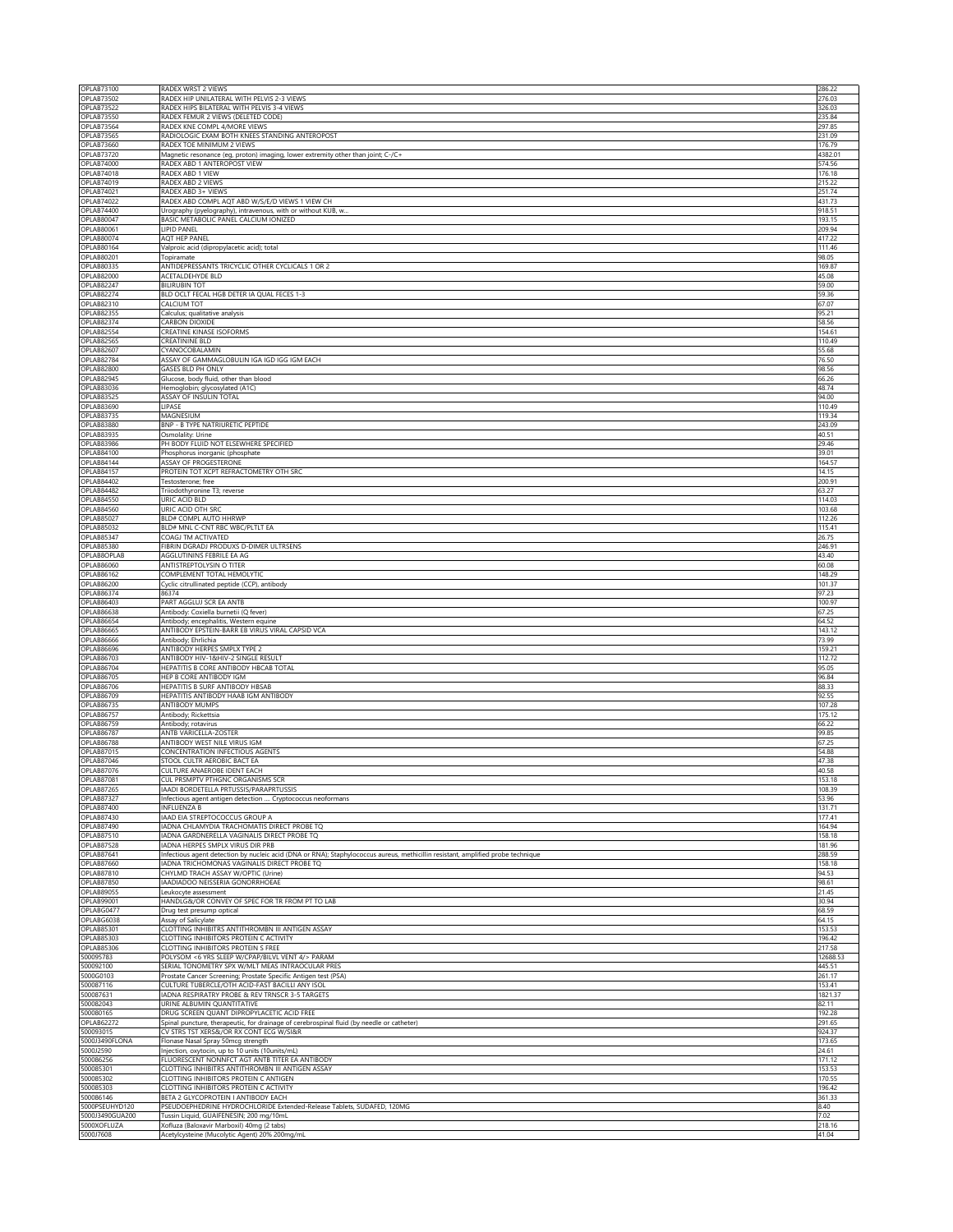| OPLAB73100<br><b>OPLAB73502</b>        | RADEX WRST 2 VIEWS<br>RADEX HIP UNILATERAL WITH PELVIS 2-3 VIEWS                                                                        | 286.22<br>276.03   |
|----------------------------------------|-----------------------------------------------------------------------------------------------------------------------------------------|--------------------|
| <b>OPLAB73522</b>                      | RADEX HIPS BILATERAL WITH PELVIS 3-4 VIEWS                                                                                              | 326.03             |
| <b>OPLAB73550</b><br>OPLAB73564        | RADEX FEMUR 2 VIEWS (DELETED CODE)<br>RADEX KNE COMPL 4/MORE VIEWS                                                                      | 235.84<br>297.85   |
| OPLAB73565                             | RADIOLOGIC EXAM BOTH KNEES STANDING ANTEROPOST                                                                                          | 231.09             |
| OPLAB73660                             | RADEX TOE MINIMUM 2 VIEWS                                                                                                               | 176.79             |
| OPLAB73720<br><b>OPLAB74000</b>        | Magnetic resonance (eg, proton) imaging, lower extremity other than joint; C-/C+<br>RADEX ABD 1 ANTEROPOST VIEW                         | 4382.01<br>574.56  |
| OPLAB74018                             | RADEX ABD 1 VIEW                                                                                                                        | 176.18             |
| OPLAB74019<br>OPLAB74021               | RADEX ABD 2 VIEWS<br>RADEX ABD 3+ VIEWS                                                                                                 | 215.22<br>251.74   |
| <b>OPLAB74022</b>                      | RADEX ABD COMPL AQT ABD W/S/E/D VIEWS 1 VIEW CH                                                                                         | 431.73             |
| OPLAB74400<br>OPLAB80047               | Urography (pyelography), intravenous, with or without KUB, w<br>BASIC METABOLIC PANEL CALCIUM IONIZED                                   | 918.51<br>193.15   |
| OPLAB80061                             | LIPID PANEL                                                                                                                             | 209.94             |
| OPLAB80074<br>OPLAB80164               | AQT HEP PANEL<br>Valproic acid (dipropylacetic acid); total                                                                             | 417.22<br>111.46   |
| OPLAB80201                             | Topiramate                                                                                                                              | 98.05              |
| OPLAB80335                             | ANTIDEPRESSANTS TRICYCLIC OTHER CYCLICALS 1 OR 2                                                                                        | 169.87             |
| OPLAB82000<br><b>OPLAB82247</b>        | ACETALDEHYDE BLD<br><b>BILIRUBIN TOT</b>                                                                                                | 45.08<br>59.00     |
| <b>OPLAB82274</b>                      | BLD OCLT FECAL HGB DETER IA QUAL FECES 1-3                                                                                              | 59.36              |
| OPLAB82310<br><b>OPLAB82355</b>        | CALCIUM TOT<br>Calculus; qualitative analysis                                                                                           | 67.07<br>95.21     |
| <b>OPLAB82374</b>                      | CARBON DIOXIDE                                                                                                                          | 58.56              |
| OPLAB82554<br><b>OPLAB82565</b>        | CREATINE KINASE ISOFORMS<br>CREATININE BLD                                                                                              | 154.61<br>110.49   |
| <b>OPLAB82607</b>                      | CYANOCOBALAMIN                                                                                                                          | 55.68              |
| OPLAB82784<br>OPLAB82800               | ASSAY OF GAMMAGLOBULIN IGA IGD IGG IGM EACH<br>GASES BLD PH ONLY                                                                        | 76.50<br>98.56     |
| OPLAB82945                             | Glucose, body fluid, other than blood                                                                                                   | 66.26              |
| OPLAB83036                             | Hemoglobin; glycosylated (A1C)                                                                                                          | 48.74              |
| <b>OPLAB83525</b><br><b>OPLAB83690</b> | ASSAY OF INSULIN TOTAL<br>LIPASE                                                                                                        | 94.00<br>110.49    |
| <b>OPLAB83735</b>                      | MAGNESIUM                                                                                                                               | 119.34             |
| <b>OPLAB83880</b><br><b>OPLAB83935</b> | BNP - B TYPE NATRIURETIC PEPTIDE<br>Osmolality: Urine                                                                                   | 243.09<br>40.51    |
| OPLAB83986                             | PH BODY FLUID NOT ELSEWHERE SPECIFIED                                                                                                   | 29.46              |
| OPLAB84100<br>OPLAB84144               | Phosphorus inorganic (phosphate<br>ASSAY OF PROGESTERONE                                                                                | 39.01<br>164.57    |
| <b>OPLAB84157</b>                      | PROTEIN TOT XCPT REFRACTOMETRY OTH SRC                                                                                                  | 14.15              |
| OPLAB84402                             | Testosterone; free                                                                                                                      | 200.91             |
| <b>OPLAB84482</b><br><b>OPLAB84550</b> | Triiodothyronine T3; reverse<br>URIC ACID BLD                                                                                           | 63.27<br>114.03    |
| OPLAB84560                             | URIC ACID OTH SRC                                                                                                                       | 103.68             |
| <b>OPLAB85027</b><br><b>OPLAB85032</b> | <b>BLD# COMPL AUTO HHRWP</b><br>BLD# MNL C-CNT RBC WBC/PLTLT EA                                                                         | 112.26<br>115.41   |
| <b>OPLAB85347</b>                      | COAGJ TM ACTIVATED                                                                                                                      | 26.75              |
| OPLAB85380<br>OPLAB8OPLAB              | FIBRIN DGRADJ PRODUXS D-DIMER ULTRSENS<br>AGGLUTININS FEBRILE EA AG                                                                     | 246.91<br>43.40    |
| OPLAB86060                             | ANTISTREPTOLYSIN O TITER                                                                                                                | 60.08              |
| <b>OPLAB86162</b><br>OPLAB86200        | COMPLEMENT TOTAL HEMOLYTIC<br>Cyclic citrullinated peptide (CCP), antibody                                                              | 148.29<br>101.37   |
| <b>OPLAB86374</b>                      | 86374                                                                                                                                   | 97.23              |
|                                        |                                                                                                                                         |                    |
| OPLAB86403                             | PART AGGLUJ SCR EA ANTB                                                                                                                 | 100.97             |
| OPLAB86638<br>OPLAB86654               | Antibody: Coxiella burnetii (Q fever)                                                                                                   | 67.25<br>64.52     |
| <b>OPLAB86665</b>                      | Antibody; encephalitis, Western equine<br>ANTIBODY EPSTEIN-BARR EB VIRUS VIRAL CAPSID VCA                                               | 143.12             |
| <b>OPLAB86666</b>                      | Antibody; Ehrlichia                                                                                                                     | 73.99              |
| OPLAB86696<br>OPLAB86703               | ANTIBODY HERPES SMPLX TYPE 2<br>ANTIBODY HIV-1&HIV-2 SINGLE RESULT                                                                      | 159.21<br>112.72   |
| <b>OPLAB86704</b>                      | HEPATITIS B CORE ANTIBODY HBCAB TOTAL                                                                                                   | 95.05              |
| OPLAB86705<br>OPLAB86706               | HEP B CORE ANTIBODY IGM<br>HEPATITIS B SURF ANTIBODY HBSAB                                                                              | 96.84<br>88.33     |
| OPLAB86709                             | HEPATITIS ANTIBODY HAAB IGM ANTIBODY                                                                                                    | 92.55              |
| OPLAB86735<br><b>OPLAB86757</b>        | <b>ANTIBODY MUMPS</b><br>Antibody; Rickettsia                                                                                           | 107.28<br>175.12   |
| <b>OPLAB86759</b>                      | Antibody; rotavirus                                                                                                                     | 66.22              |
| <b>OPLAB86787</b>                      | ANTB VARICELLA-ZOSTER                                                                                                                   | 99.85              |
| <b>OPLAB86788</b><br>OPLAB87015        | ANTIBODY WEST NILE VIRUS IGM<br>CONCENTRATION INFECTIOUS AGENTS                                                                         | 67.25<br>54.88     |
| OPLAB87046                             | STOOL CULTR AEROBIC BACT EA                                                                                                             | 47.38              |
| OPLAB87076<br>OPLAB87081               | CULTURE ANAEROBE IDENT EACH<br>CUL PRSMPTV PTHGNC ORGANISMS SCR                                                                         | 40.58<br>153.18    |
| <b>OPLAB87265</b>                      | IAADI BORDETELLA PRTUSSIS/PARAPRTUSSIS                                                                                                  | 108.39             |
| <b>OPLAB87327</b><br><b>OPLAB87400</b> | Infectious agent antigen detection  Cryptococcus neoformans<br><b>INFLUENZA B</b>                                                       | 53.96<br>131.71    |
| <b>OPLAB87430</b>                      | IAAD EIA STREPTOCOCCUS GROUP A                                                                                                          | 177.41             |
| OPLAB87490<br>OPLAB87510               | IADNA CHLAMYDIA TRACHOMATIS DIRECT PROBE TO<br>ADNA GARDNERELLA VAGINALIS DIRECT PROBE TO                                               | 164.94<br>158.18   |
| <b>OPLAB87528</b>                      | IADNA HERPES SMPLX VIRUS DIR PRB                                                                                                        | 181.96             |
| OPLAB87641                             | Infectious agent detection by nucleic acid (DNA or RNA); Staphylococcus aureus, methicillin resistant, amplified probe technique        | 288.59             |
| <b>OPLAB87660</b><br>OPLAB87810        | ADNA TRICHOMONAS VAGINALIS DIRECT PROBE TQ<br>CHYLMD TRACH ASSAY W/OPTIC (Urine)                                                        | 158.18<br>94.53    |
| <b>OPLAB87850</b>                      | IAADIADOO NEISSERIA GONORRHOEAE                                                                                                         | 98.61              |
| <b>OPLAB89055</b><br><b>OPLAB99001</b> | Leukocyte assessment<br>HANDLG&/OR CONVEY OF SPEC FOR TR FROM PT TO LAB                                                                 | 21.45<br>30.94     |
| OPLABG0477                             | Drug test presump optical                                                                                                               | 68.59              |
| OPLABG6038<br>OPLAB85301               | Assay of Salicylate<br>CLOTTING INHIBITRS ANTITHROMBN III ANTIGEN ASSAY                                                                 | 64.15<br>153.53    |
| <b>OPLAB85303</b>                      | CLOTTING INHIBITORS PROTEIN C ACTIVITY                                                                                                  | 196.42             |
| <b>OPLAB85306</b><br>500095783         | CLOTTING INHIBITORS PROTEIN S FREE<br>POLYSOM <6 YRS SLEEP W/CPAP/BILVL VENT 4/> PARAM                                                  | 217.58<br>12688.53 |
| 500092100                              | SERIAL TONOMETRY SPX W/MLT MEAS INTRAOCULAR PRES                                                                                        | 445.51             |
| 5000G0103                              | Prostate Cancer Screening; Prostate Specific Antigen test (PSA)                                                                         | 261.17<br>153.41   |
| 500087116<br>500087631                 | CULTURE TUBERCLE/OTH ACID-FAST BACILLI ANY ISOL<br>IADNA RESPIRATRY PROBE & REV TRNSCR 3-5 TARGETS                                      | 1821.37            |
| 500082043                              | URINE ALBUMIN QUANTITATIVE                                                                                                              | 82.11              |
| 500080165<br><b>OPLAB62272</b>         | DRUG SCREEN QUANT DIPROPYLACETIC ACID FREE<br>Spinal puncture, therapeutic, for drainage of cerebrospinal fluid (by needle or catheter) | 192.28<br>291.65   |
| 500093015                              | CV STRS TST XERS&/OR RX CONT ECG W/SI&R                                                                                                 | 924.37             |
| 5000J3490FLONA<br>5000J2590            | Flonase Nasal Spray 50mcg strength<br>Injection, oxytocin, up to 10 units (10units/mL)                                                  | 173.65<br>24.61    |
| 500086256                              | FLUORESCENT NONNFCT AGT ANTB TITER EA ANTIBODY                                                                                          | 171.12             |
| 500085301<br>500085302                 | CLOTTING INHIBITRS ANTITHROMBN III ANTIGEN ASSAY<br>CLOTTING INHIBITORS PROTEIN C ANTIGEN                                               | 153.53<br>170.55   |
| 500085303                              | CLOTTING INHIBITORS PROTEIN C ACTIVITY                                                                                                  | 196.42             |
| 500086146<br>5000PSEUHYD120            | BETA 2 GLYCOPROTEIN I ANTIBODY EACH                                                                                                     | 361.33<br>8.40     |
| 5000J3490GUA200                        | PSEUDOEPHEDRINE HYDROCHLORIDE Extended-Release Tablets, SUDAFED, 120MG<br>Tussin Liquid, GUAIFENESIN; 200 mg/10mL                       | 7.02               |
| 5000XOFLUZA<br>5000J7608               | Xofluza (Baloxavir Marboxil) 40mg (2 tabs)<br>Acetylcysteine (Mucolytic Agent) 20% 200mg/mL                                             | 218.16<br>41.04    |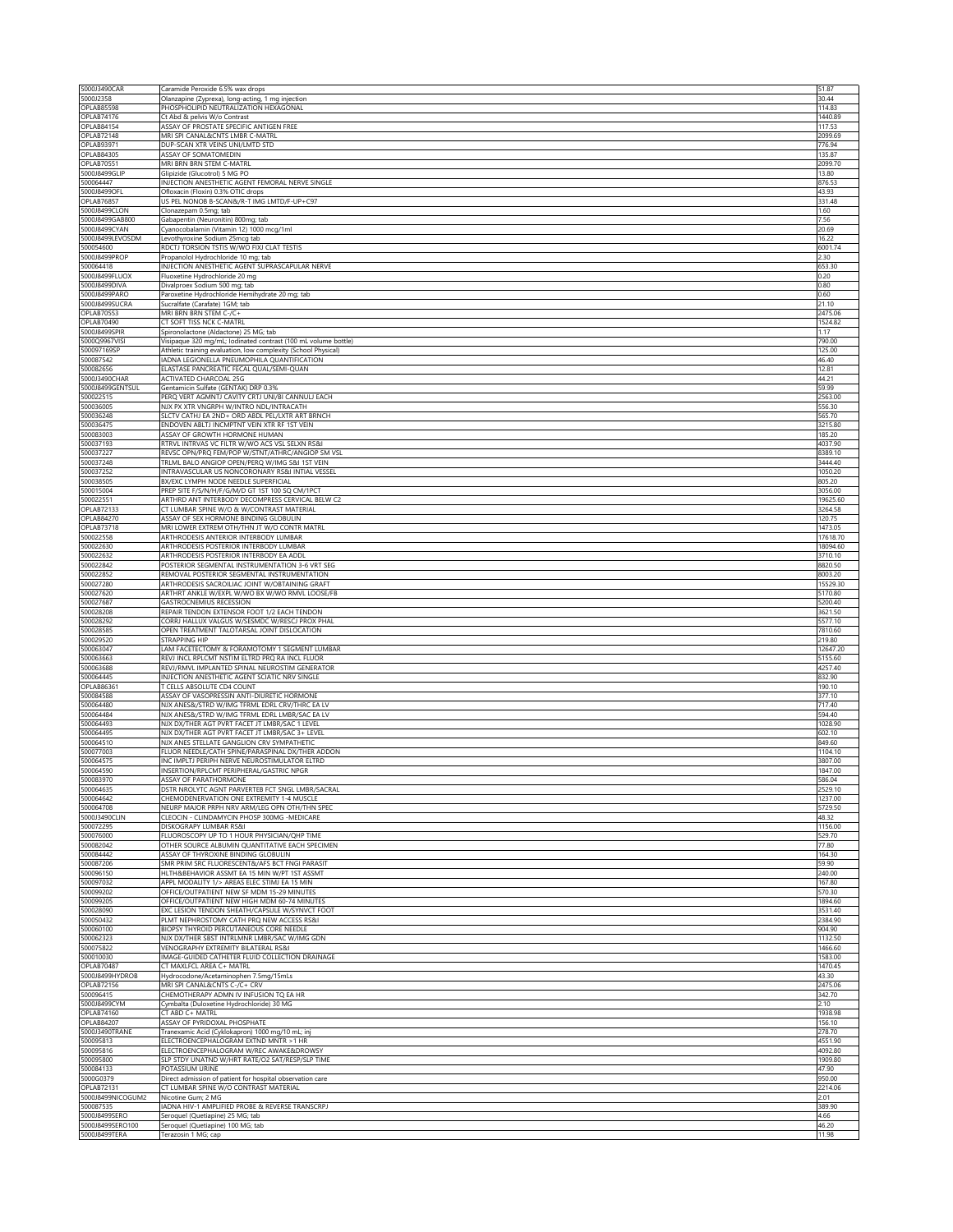| 5000J2358<br>OPLAB85598             | Caramide Peroxide 6.5% wax drops                                                                   | 51.87                |
|-------------------------------------|----------------------------------------------------------------------------------------------------|----------------------|
|                                     | Olanzapine (Zyprexa), long-acting, 1 mg injection                                                  | 30.44<br>114.83      |
| OPLAB74176                          | PHOSPHOLIPID NEUTRALIZATION HEXAGONAL<br>Ct Abd & pelvis W/o Contrast                              | 1440.89              |
| <b>OPLAB84154</b>                   | ASSAY OF PROSTATE SPECIFIC ANTIGEN FREE                                                            | 117.53               |
| OPLAB72148                          | MRI SPI CANAL&CNTS LMBR C-MATRL                                                                    | 2099.69              |
| <b>OPLAB93971</b>                   | DUP-SCAN XTR VEINS UNI/LMTD STD                                                                    | 776.94               |
| OPLAB84305<br><b>OPLAB70551</b>     | ASSAY OF SOMATOMEDIN<br>MRI BRN BRN STEM C-MATRL                                                   | 135.87<br>2099.70    |
| 5000J8499GLIP                       | Glipizide (Glucotrol) 5 MG PO                                                                      | 13.80                |
| 500064447                           | INJECTION ANESTHETIC AGENT FEMORAL NERVE SINGLE                                                    | 876.53               |
| 5000J8499OFL                        | Ofloxacin (Floxin) 0.3% OTIC drops                                                                 | 43.93                |
| <b>OPLAB76857</b><br>5000J8499CLON  | US PEL NONOB B-SCAN&/R-T IMG LMTD/F-UP+C97<br>Clonazepam 0.5mg; tab                                | 331.48<br>1.60       |
| 5000J8499GAB800                     | Gabapentin (Neuronitin) 800mg; tab                                                                 | 7.56                 |
| 5000J8499CYAN                       | Cyanocobalamin (Vitamin 12) 1000 mcg/1ml                                                           | 20.69                |
| 5000J8499LEVOSDM                    | Levothyroxine Sodium 25mcg tab                                                                     | 16.22                |
| 500054600<br>5000J8499PROP          | RDCTJ TORSION TSTIS W/WO FIXJ CLAT TESTIS                                                          | 6001.74<br>2.30      |
| 500064418                           | Propanolol Hydrochloride 10 mg; tab<br>INJECTION ANESTHETIC AGENT SUPRASCAPULAR NERVE              | 653.30               |
| 5000J8499FLUOX                      | Fluoxetine Hydrochloride 20 mg                                                                     | 0.20                 |
| 5000J8499DIVA                       | Divalproex Sodium 500 mg; tab                                                                      | 0.80                 |
| 5000J8499PARO                       | Paroxetine Hydrochloride Hemihydrate 20 mg; tab                                                    | 0.60                 |
| 5000J8499SUCRA<br><b>OPLAB70553</b> | Sucralfate (Carafate) 1GM; tab<br>MRI BRN BRN STEM C-/C+                                           | 21.10<br>2475.06     |
| OPLAB70490                          | CT SOFT TISS NCK C-MATRL                                                                           | 1524.82              |
| 5000J8499SPIR                       | Spironolactone (Aldactone) 25 MG; tab                                                              | 1.17                 |
| 5000Q9967VIS                        | Visipaque 320 mg/mL; lodinated contrast (100 mL volume bottle)                                     | 790.00               |
| 500097169SP                         | Athletic training evaluation, low complexity (School Physical)                                     | 125.00               |
| 500087542<br>500082656              | ADNA LEGIONELLA PNEUMOPHILA QUANTIFICATION<br>ELASTASE PANCREATIC FECAL QUAL/SEMI-QUAN             | 46.40<br>12.81       |
| 5000J3490CHAR                       | <b>ACTIVATED CHARCOAL 25G</b>                                                                      | 44.21                |
| 5000J8499GENTSUL                    | Gentamicin Sulfate (GENTAK) DRP 0.3%                                                               | 59.99                |
| 500022515                           | PERQ VERT AGMNTJ CAVITY CRTJ UNI/BI CANNULJ EACH                                                   | 2563.00              |
| 500036005<br>500036248              | NJX PX XTR VNGRPH W/INTRO NDL/INTRACATH<br>SLCTV CATHJ EA 2ND+ ORD ABDL PEL/LXTR ART BRNCH         | 556.30<br>565.70     |
| 500036475                           | ENDOVEN ABLTJ INCMPTNT VEIN XTR RF 1ST VEIN                                                        | 3215.80              |
| 500083003                           | ASSAY OF GROWTH HORMONE HUMAN                                                                      | 185.20               |
| 500037193                           | RTRVL INTRVAS VC FILTR W/WO ACS VSL SELXN RS&I                                                     | 4037.90              |
| 500037227                           | REVSC OPN/PRQ FEM/POP W/STNT/ATHRC/ANGIOP SM VSL                                                   | 8389.10              |
| 500037248                           | TRLML BALO ANGIOP OPEN/PERQ W/IMG S&I 1ST VEIN                                                     | 3444.40              |
| 500037252<br>500038505              | INTRAVASCULAR US NONCORONARY RS&I INTIAL VESSEL<br>BX/EXC LYMPH NODE NEEDLE SUPERFICIAL            | 1050.20<br>805.20    |
| 500015004                           | PREP SITE F/S/N/H/F/G/M/D GT 1ST 100 SQ CM/1PCT                                                    | 3056.00              |
| 500022551                           | ARTHRD ANT INTERBODY DECOMPRESS CERVICAL BELW C2                                                   | 19625.60             |
| OPLAB72133                          | CT LUMBAR SPINE W/O & W/CONTRAST MATERIAL                                                          | 3264.58              |
| OPLAB84270                          | ASSAY OF SEX HORMONE BINDING GLOBULIN                                                              | 120.75               |
| OPLAB73718                          | MRI LOWER EXTREM OTH/THN JT W/O CONTR MATRL                                                        | 1473.05              |
| 500022558<br>500022630              | ARTHRODESIS ANTERIOR INTERBODY LUMBAR<br>ARTHRODESIS POSTERIOR INTERBODY LUMBAR                    | 17618.70<br>18094.60 |
| 500022632                           | ARTHRODESIS POSTERIOR INTERBODY EA ADDL                                                            | 3710.10              |
| 500022842                           | POSTERIOR SEGMENTAL INSTRUMENTATION 3-6 VRT SEG                                                    | 8820.50              |
| 500022852                           | REMOVAL POSTERIOR SEGMENTAL INSTRUMENTATION                                                        | 8003.20              |
| 500027280                           | ARTHRODESIS SACROILIAC JOINT W/OBTAINING GRAFT                                                     | 15529.30             |
| 500027620<br>500027687              | ARTHRT ANKLE W/EXPL W/WO BX W/WO RMVL LOOSE/FB<br>GASTROCNEMIUS RECESSION                          | 5170.80<br>5200.40   |
| 500028208                           | REPAIR TENDON EXTENSOR FOOT 1/2 EACH TENDON                                                        | 3621.50              |
| 500028292                           | CORRJ HALLUX VALGUS W/SESMDC W/RESCJ PROX PHAL                                                     | 5577.10              |
| 500028585                           | OPEN TREATMENT TALOTARSAL JOINT DISLOCATION                                                        | 7810.60              |
| 500029520                           | STRAPPING HIP                                                                                      | 219.80               |
|                                     |                                                                                                    |                      |
| 500063047                           | LAM FACETECTOMY & FORAMOTOMY 1 SEGMENT LUMBAR                                                      | 12647.20             |
| 500063663                           | REVJ INCL RPLCMT NSTIM ELTRD PRQ RA INCL FLUOR                                                     | 5155.60              |
| 500063688                           | REVJ/RMVL IMPLANTED SPINAL NEUROSTIM GENERATOR                                                     | 4257.40              |
| 500064445<br>OPLAB86361             | INJECTION ANESTHETIC AGENT SCIATIC NRV SINGLE<br>T CELLS ABSOLUTE CD4 COUNT                        | 832.90               |
| 500084588                           | ASSAY OF VASOPRESSIN ANTI-DIURETIC HORMONE                                                         | 190.10<br>377.10     |
| 500064480                           | NJX ANES&/STRD W/IMG TFRML EDRL CRV/THRC EA LV                                                     | 717.40               |
| 500064484                           | NJX ANES&/STRD W/IMG TFRML EDRL LMBR/SAC EA LV                                                     | 594.40               |
| 500064493                           | NJX DX/THER AGT PVRT FACET JT LMBR/SAC 1 LEVEL                                                     | 1028.90              |
| 500064495<br>500064510              | NJX DX/THER AGT PVRT FACET JT LMBR/SAC 3+ LEVEL                                                    | 602.10               |
| 500077003                           | NJX ANES STELLATE GANGLION CRV SYMPATHETIC<br>FLUOR NEEDLE/CATH SPINE/PARASPINAL DX/THER ADDON     | 849.60<br>1104.10    |
| 500064575                           | INC IMPLTJ PERIPH NERVE NEUROSTIMULATOR ELTRD                                                      | 3807.00              |
| 500064590                           | INSERTION/RPLCMT PERIPHERAL/GASTRIC NPGR                                                           | 1847.00              |
| 500083970                           | ASSAY OF PARATHORMONE                                                                              | 586.04               |
| 500064635<br>500064642              | DSTR NROLYTC AGNT PARVERTEB FCT SNGL LMBR/SACRAL<br>CHEMODENERVATION ONE EXTREMITY 1-4 MUSCLE      | 2529.10<br>1237.00   |
| 500064708                           | NEURP MAJOR PRPH NRV ARM/LEG OPN OTH/THN SPEC                                                      | 5729.50              |
| 5000J3490CLIN                       | CLEOCIN - CLINDAMYCIN PHOSP 300MG -MEDICARE                                                        | 48.32                |
| 500072295                           | DISKOGRAPY LUMBAR RS&I                                                                             | 1156.00              |
| 500076000<br>500082042              | FLUOROSCOPY UP TO 1 HOUR PHYSICIAN/QHP TIME                                                        | 529.70<br>77.80      |
| 500084442                           | OTHER SOURCE ALBUMIN QUANTITATIVE EACH SPECIMEN<br>ASSAY OF THYROXINE BINDING GLOBULIN             | 164.30               |
| 500087206                           | SMR PRIM SRC FLUORESCENT&/AFS BCT FNGI PARASIT                                                     | 59.90                |
| 500096150                           | HLTH&BEHAVIOR ASSMT EA 15 MIN W/PT 1ST ASSMT                                                       | 240.00               |
| 500097032                           | APPL MODALITY 1/> AREAS ELEC STIMJ EA 15 MIN                                                       | 167.80               |
| 500099202<br>500099205              | OFFICE/OUTPATIENT NEW SF MDM 15-29 MINUTES                                                         | 570.30<br>1894.60    |
| 500028090                           | OFFICE/OUTPATIENT NEW HIGH MDM 60-74 MINUTES<br>EXC LESION TENDON SHEATH/CAPSULE W/SYNVCT FOOT     | 3531.40              |
| 500050432                           | PLMT NEPHROSTOMY CATH PRQ NEW ACCESS RS&I                                                          | 2384.90              |
| 500060100                           | BIOPSY THYROID PERCUTANEOUS CORE NEEDLE                                                            | 904.90               |
| 500062323                           | NJX DX/THER SBST INTRLMNR LMBR/SAC W/IMG GDN                                                       | 1132.50              |
| 500075822<br>500010030              | VENOGRAPHY EXTREMITY BILATERAL RS&I<br>IMAGE-GUIDED CATHETER FLUID COLLECTION DRAINAGE             | 1466.60<br>1583.00   |
| <b>OPLAB70487</b>                   | CT MAXLFCL AREA C+ MATRL                                                                           | 1470.45              |
| 5000J8499HYDROB                     | Hydrocodone/Acetaminophen 7.5mg/15mLs                                                              | 43.30                |
| <b>OPLAB72156</b>                   | MRI SPI CANAL&CNTS C-/C+ CRV                                                                       | 2475.06              |
| 500096415                           | CHEMOTHERAPY ADMN IV INFUSION TQ EA HR                                                             | 342.70               |
| 5000J8499CYM                        | Cymbalta (Duloxetine Hydrochloride) 30 MG                                                          | 2.10                 |
| OPLAB74160<br><b>OPLAB84207</b>     | CT ABD C+ MATRL<br>ASSAY OF PYRIDOXAL PHOSPHATE                                                    | 1938.98<br>156.10    |
| 5000J3490TRANE                      | Tranexamic Acid (Cyklokapron) 1000 mg/10 mL; inj                                                   | 278.70               |
| 500095813                           | ELECTROENCEPHALOGRAM EXTND MNTR > 1 HR                                                             | 4551.90              |
| 500095816                           | ELECTROENCEPHALOGRAM W/REC AWAKE&DROWSY                                                            | 4092.80              |
| 500095800                           | SLP STDY UNATND W/HRT RATE/O2 SAT/RESP/SLP TIME                                                    | 1909.80              |
| 500084133<br>5000G0379              | POTASSIUM URINE                                                                                    | 47.90<br>950.00      |
| <b>OPLAB72131</b>                   | Direct admission of patient for hospital observation care<br>CT LUMBAR SPINE W/O CONTRAST MATERIAL | 2214.06              |
| 5000J8499NICOGUM2                   | Nicotine Gum; 2 MG                                                                                 | 2.01                 |
| 500087535                           | IADNA HIV-1 AMPLIFIED PROBE & REVERSE TRANSCRPJ                                                    | 389.90               |
| 5000J8499SERO<br>5000J8499SERO100   | Seroquel (Quetiapine) 25 MG; tab<br>Seroquel (Quetiapine) 100 MG; tab                              | 4.66<br>46.20        |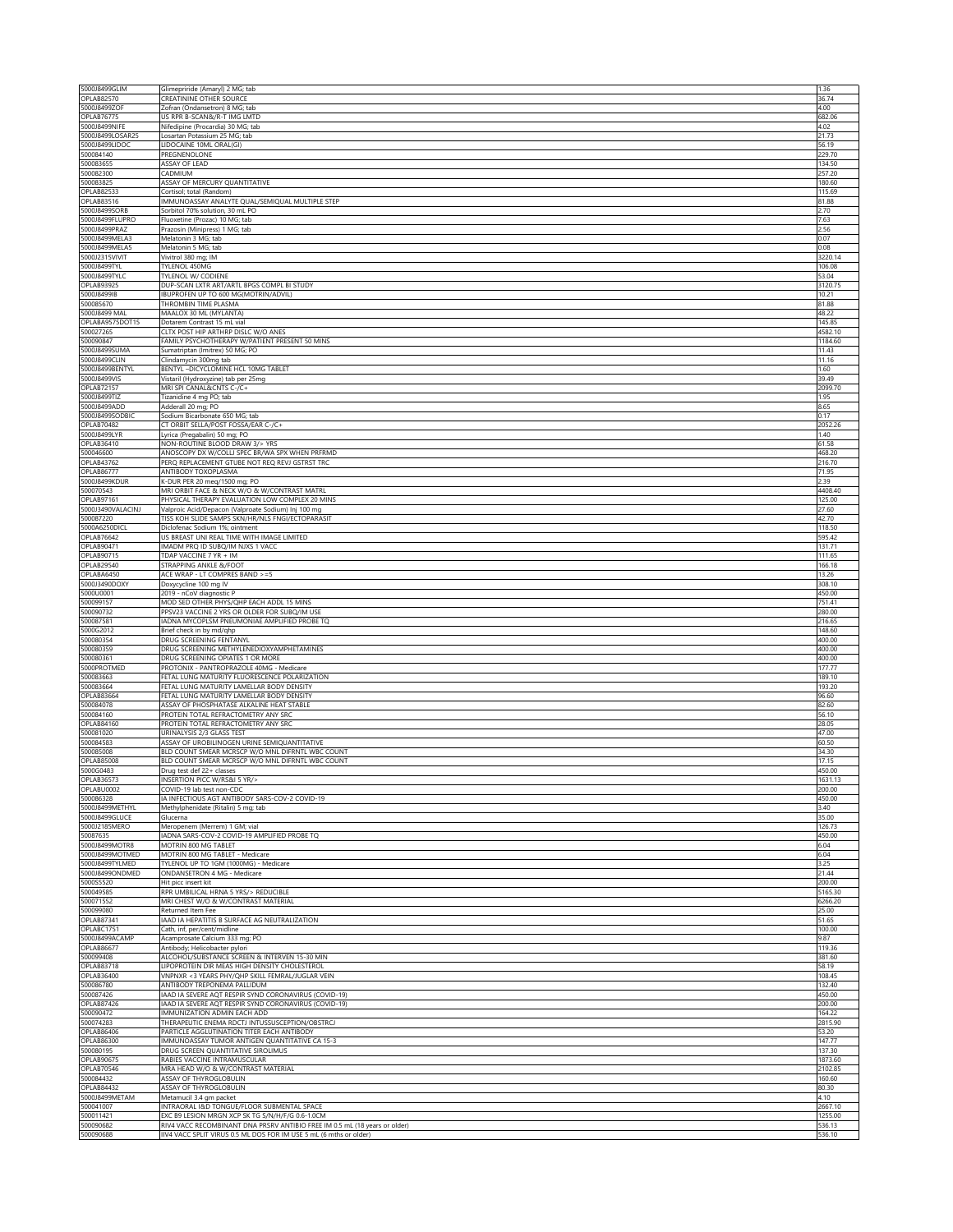|                                     | Glimepriride (Amaryl) 2 MG; tab                                                                                                | 1.36              |
|-------------------------------------|--------------------------------------------------------------------------------------------------------------------------------|-------------------|
| <b>OPLAB82570</b><br>5000J8499ZOF   | <b>CREATININE OTHER SOURCE</b><br>Zofran (Ondansetron) 8 MG; tab                                                               | 36.74<br>4.00     |
| OPLAB76775                          | US RPR B-SCAN&/R-T IMG LMTD                                                                                                    | 682.06            |
| 5000J8499NIFE                       | Nifedipine (Procardia) 30 MG; tab                                                                                              | 4.02              |
| 5000J8499LOSAR25<br>5000J8499LIDOC  | Losartan Potassium 25 MG; tab<br>LIDOCAINE 10ML ORAL(GI)                                                                       | 21.73<br>56.19    |
| 500084140                           | PREGNENOLONE                                                                                                                   | 229.70            |
| 500083655                           | ASSAY OF LEAD                                                                                                                  | 134.50            |
| 500082300<br>500083825              | CADMIUM<br>ASSAY OF MERCURY QUANTITATIVE                                                                                       | 257.20<br>180.60  |
| OPLAB82533                          | Cortisol; total (Random)                                                                                                       | 115.69            |
| OPLAB83516                          | IMMUNOASSAY ANALYTE QUAL/SEMIQUAL MULTIPLE STEP                                                                                | 81.88             |
| 5000J8499SORB<br>5000J8499FLUPRO    | Sorbitol 70% solution, 30 mL PO<br>Fluoxetine (Prozac) 10 MG; tab                                                              | 2.70<br>7.63      |
| 5000J8499PRAZ                       | Prazosin (Minipress) 1 MG; tab                                                                                                 | 2.56              |
| 5000J8499MELA3                      | Melatonin 3 MG; tab                                                                                                            | 0.07              |
| 5000J8499MELA5<br>5000J2315VIVIT    | Melatonin 5 MG; tab<br>Vivitrol 380 mg; IM                                                                                     | 0.08<br>3220.14   |
| 5000J8499TYL                        | TYLENOL 450MG                                                                                                                  | 106.08            |
| 5000J8499TYLC                       | TYLENOL W/ CODIENE                                                                                                             | 53.04             |
| <b>OPLAB93925</b><br>5000J8499IB    | DUP-SCAN LXTR ART/ARTL BPGS COMPL BI STUDY<br>IBUPROFEN UP TO 600 MG(MOTRIN/ADVIL)                                             | 3120.75<br>10.21  |
| 500085670                           | THROMBIN TIME PLASMA                                                                                                           | 81.88             |
| 5000J8499 MAL                       | MAALOX 30 ML (MYLANTA)                                                                                                         | 48.22             |
| OPLABA9575DOT15<br>500027265        | Dotarem Contrast 15 mL vial<br>CLTX POST HIP ARTHRP DISLC W/O ANES                                                             | 145.85<br>4582.10 |
| 500090847                           | FAMILY PSYCHOTHERAPY W/PATIENT PRESENT 50 MINS                                                                                 | 1184.60           |
| 5000J8499SUMA                       | Sumatriptan (Imitrex) 50 MG; PO                                                                                                | 11.43             |
| 5000J8499CLIN<br>5000J8499BENTYI    | Clindamycin 300mg tab<br>BENTYL -DICYCLOMINE HCL 10MG TABLET                                                                   | 11.16<br>1.60     |
| 5000J8499VIS                        | Vistaril (Hydroxyzine) tab per 25mg                                                                                            | 39.49             |
| OPLAB72157                          | MRI SPI CANAL&CNTS C-/C+                                                                                                       | 2099.70           |
| 5000J8499TIZ<br>5000J8499ADD        | Tizanidine 4 mg PO; tab<br>Adderall 20 mg; PO                                                                                  | 1.95<br>8.65      |
| 5000J8499SODBIC                     | Sodium Bicarbonate 650 MG; tab                                                                                                 | 0.17              |
| OPLAB70482                          | CT ORBIT SELLA/POST FOSSA/EAR C-/C+                                                                                            | 2052.26           |
| 5000J8499LYR<br>OPLAB36410          | Lyrica (Pregabalin) 50 mg; PO<br>NON-ROUTINE BLOOD DRAW 3/> YRS                                                                | 1.40<br>61.58     |
| 500046600                           | ANOSCOPY DX W/COLLJ SPEC BR/WA SPX WHEN PRFRMD                                                                                 | 468.20            |
| OPLAB43762                          | PERQ REPLACEMENT GTUBE NOT REQ REVJ GSTRST TRC                                                                                 | 216.70            |
| <b>OPLAB86777</b><br>5000J8499KDUR  | ANTIBODY TOXOPLASMA                                                                                                            | 71.95<br>2.39     |
| 500070543                           | K-DUR PER 20 meg/1500 mg; PO<br>MRI ORBIT FACE & NECK W/O & W/CONTRAST MATRL                                                   | 4408.40           |
| <b>OPLAB97161</b>                   | PHYSICAL THERAPY EVALUATION LOW COMPLEX 20 MINS                                                                                | 125.00            |
| 5000J3490VALACINJ<br>500087220      | Valproic Acid/Depacon (Valproate Sodium) Inj 100 mg<br>TISS KOH SLIDE SAMPS SKN/HR/NLS FNGI/ECTOPARASIT                        | 27.60<br>42.70    |
| 5000A6250DICL                       | Diclofenac Sodium 1%; ointment                                                                                                 | 118.50            |
| OPLAB76642                          | US BREAST UNI REAL TIME WITH IMAGE LIMITED                                                                                     | 595.42            |
| OPLAB90471<br>OPLAB90715            | IMADM PRQ ID SUBQ/IM NJXS 1 VACC<br>TDAP VACCINE 7 YR + IM                                                                     | 131.71<br>111.65  |
| OPLAB29540                          | STRAPPING ANKLE &/FOOT                                                                                                         | 166.18            |
| OPLABA6450                          | ACE WRAP - LT COMPRES BAND >=5                                                                                                 | 13.26             |
| 5000J3490DOXY<br>5000U0001          | Doxycycline 100 mg IV<br>2019 - nCoV diagnostic P                                                                              | 308.10<br>450.00  |
| 500099157                           | MOD SED OTHER PHYS/QHP EACH ADDL 15 MINS                                                                                       | 751.41            |
|                                     |                                                                                                                                | 280.00            |
| 500090732                           | PPSV23 VACCINE 2 YRS OR OLDER FOR SUBQ/IM USE                                                                                  |                   |
| 500087581                           | IADNA MYCOPLSM PNEUMONIAE AMPLIFIED PROBE TQ                                                                                   | 216.65            |
| 5000G2012                           | Brief check in by md/qhp                                                                                                       | 148.60            |
| 500080354<br>500080359              | DRUG SCREENING FENTANYL<br>DRUG SCREENING METHYLENEDIOXYAMPHETAMINES                                                           | 400.00<br>400.00  |
| 500080361                           | DRUG SCREENING OPIATES 1 OR MORE                                                                                               | 400.00            |
| 5000PROTMED                         | PROTONIX - PANTROPRAZOLE 40MG - Medicare                                                                                       | 177.77            |
| 500083663<br>500083664              | FETAL LUNG MATURITY FLUORESCENCE POLARIZATION<br>FETAL LUNG MATURITY LAMELLAR BODY DENSITY                                     | 189.10<br>193.20  |
| OPLAB83664                          | FETAL LUNG MATURITY LAMELLAR BODY DENSITY                                                                                      | 96.60             |
| 500084078                           | ASSAY OF PHOSPHATASE ALKALINE HEAT STABLE                                                                                      | 82.60             |
| 500084160<br>OPLAB84160             | PROTEIN TOTAL REFRACTOMETRY ANY SRC<br>PROTEIN TOTAL REFRACTOMETRY ANY SRC                                                     | 56.10<br>28.05    |
| 500081020                           | URINALYSIS 2/3 GLASS TEST                                                                                                      | 47.00             |
| 500084583                           | ASSAY OF UROBILINOGEN URINE SEMIQUANTITATIVE                                                                                   | 60.50<br>34.30    |
| 500085008<br><b>OPLAB85008</b>      | BLD COUNT SMEAR MCRSCP W/O MNL DIFRNTL WBC COUNT<br>BLD COUNT SMEAR MCRSCP W/O MNL DIFRNTL WBC COUNT                           | 17.15             |
| 5000G0483                           | Drug test def 22+ classes                                                                                                      | 450.00            |
| OPLAB36573                          | INSERTION PICC W/RS&I 5 YR/>                                                                                                   | 1631.13           |
| OPLABU0002<br>500086328             | COVID-19 lab test non-CDC<br>IA INFECTIOUS AGT ANTIBODY SARS-COV-2 COVID-19                                                    | 200.00<br>450.00  |
| 5000J8499METHYL                     | Methylphenidate (Ritalin) 5 mg; tab                                                                                            | 3.40              |
| 5000J8499GLUCE<br>5000J2185MERO     | Glucerna<br>Meropenem (Merrem) 1 GM; vial                                                                                      | 35.00<br>126.73   |
| 50087635                            | ADNA SARS-COV-2 COVID-19 AMPLIFIED PROBE TO                                                                                    | 450.00            |
| 5000J8499MOTR8                      | MOTRIN 800 MG TABLET                                                                                                           | 6.04              |
| 5000J8499MOTMED                     | MOTRIN 800 MG TABLET - Medicare                                                                                                | 6.04              |
| 5000J8499TYLMED<br>5000J8499ONDMED  | TYLENOL UP TO 1GM (1000MG) - Medicare<br>ONDANSETRON 4 MG - Medicare                                                           | 3.25<br>21.44     |
| 5000S5520                           | Hit picc insert kit                                                                                                            | 200.00            |
| 500049585                           | RPR UMBILICAL HRNA 5 YRS/> REDUCIBLE                                                                                           | 5165.30           |
| 500071552<br>500099080              | MRI CHEST W/O & W/CONTRAST MATERIAL<br>Returned Item Fee                                                                       | 6266.20<br>25.00  |
| <b>OPLAB87341</b>                   | IAAD IA HEPATITIS B SURFACE AG NEUTRALIZATION                                                                                  | 51.65             |
| OPLABC1751                          | Cath, inf, per/cent/midline                                                                                                    | 100.00            |
| 5000J8499ACAMP<br><b>OPLAB86677</b> | Acamprosate Calcium 333 mg; PO<br>Antibody; Helicobacter pylori                                                                | 9.87<br>119.36    |
| 500099408                           | ALCOHOL/SUBSTANCE SCREEN & INTERVEN 15-30 MIN                                                                                  | 381.60            |
| OPLAB83718                          | LIPOPROTEIN DIR MEAS HIGH DENSITY CHOLESTEROL                                                                                  | 58.19             |
| <b>OPLAB36400</b><br>500086780      | VNPNXR <3 YEARS PHY/QHP SKILL FEMRAL/JUGLAR VEIN<br>ANTIBODY TREPONEMA PALLIDUM                                                | 108.45<br>132.40  |
| 500087426                           | IAAD IA SEVERE AQT RESPIR SYND CORONAVIRUS (COVID-19)                                                                          | 450.00            |
| OPLAB87426                          | IAAD IA SEVERE AQT RESPIR SYND CORONAVIRUS (COVID-19)                                                                          | 200.00            |
| 500090472<br>500074283              | IMMUNIZATION ADMIN EACH ADD<br>THERAPEUTIC ENEMA RDCTJ INTUSSUSCEPTION/OBSTRCJ                                                 | 164.22<br>2815.90 |
| <b>OPLAB86406</b>                   | PARTICLE AGGLUTINATION TITER EACH ANTIBODY                                                                                     | 53.20             |
| <b>OPLAB86300</b>                   | IMMUNOASSAY TUMOR ANTIGEN QUANTITATIVE CA 15-3                                                                                 | 147.77            |
| 500080195<br><b>OPLAB90675</b>      | DRUG SCREEN QUANTITATIVE SIROLIMUS<br>RABIES VACCINE INTRAMUSCULAR                                                             | 137.30<br>1873.60 |
| <b>OPLAB70546</b>                   | MRA HEAD W/O & W/CONTRAST MATERIAL                                                                                             | 2102.85           |
| 500084432                           | ASSAY OF THYROGLOBULIN                                                                                                         | 160.60            |
| <b>OPLAB84432</b><br>5000J8499METAM | ASSAY OF THYROGLOBULIN<br>Metamucil 3.4 gm packet                                                                              | 80.30<br>4.10     |
| 500041007                           | INTRAORAL I&D TONGUE/FLOOR SUBMENTAL SPACE                                                                                     | 2667.10           |
| 500011421<br>500090682              | EXC B9 LESION MRGN XCP SK TG S/N/H/F/G 0.6-1.0CM<br>RIV4 VACC RECOMBINANT DNA PRSRV ANTIBIO FREE IM 0.5 mL (18 years or older) | 1255.00<br>536.13 |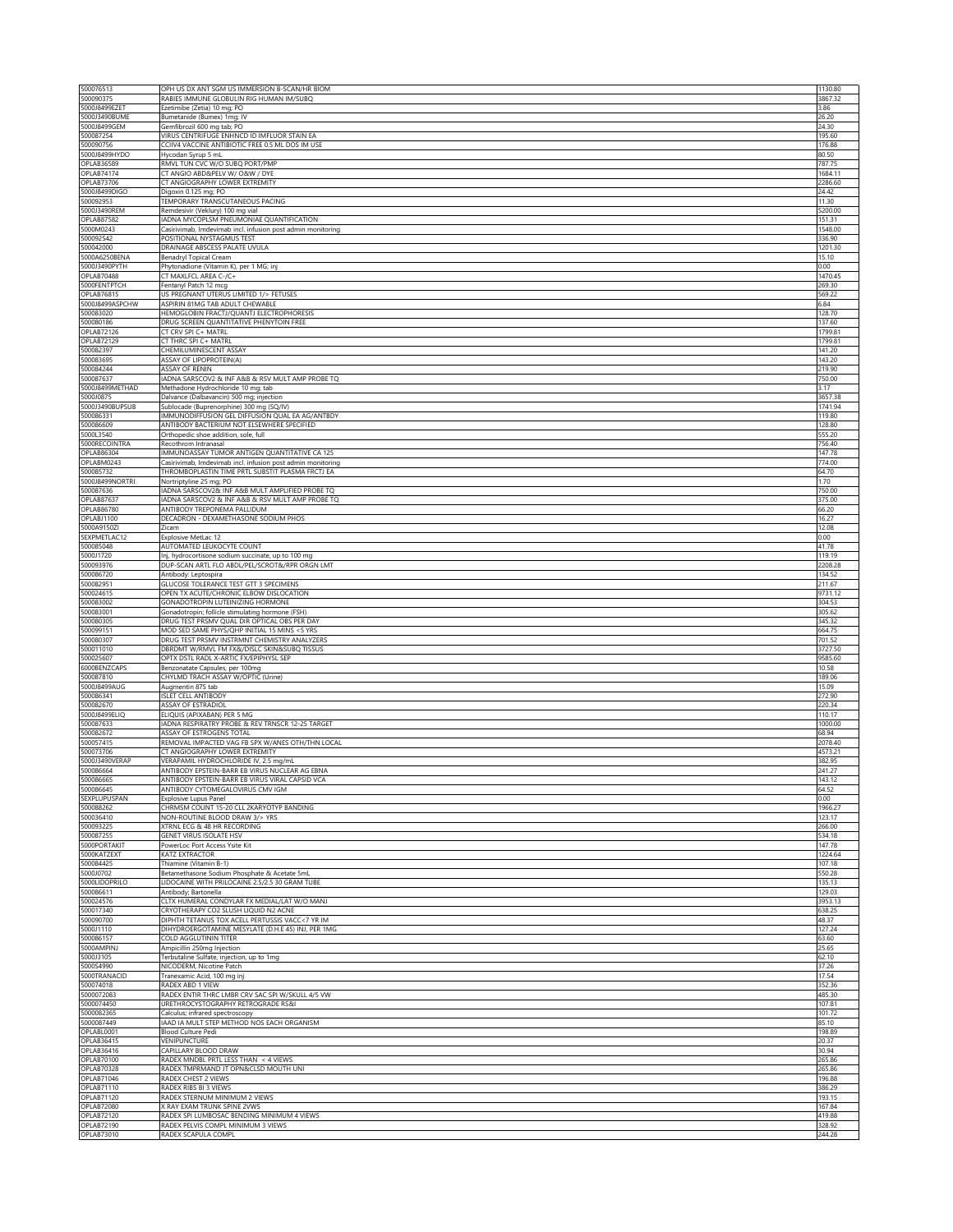| 500076513<br>500090375            | OPH US DX ANT SGM US IMMERSION B-SCAN/HR BIOM<br>RABIES IMMUNE GLOBULIN RIG HUMAN IM/SUBQ              | 1130.80<br>3867.32 |
|-----------------------------------|--------------------------------------------------------------------------------------------------------|--------------------|
| 5000J8499EZET                     | Ezetimibe (Zetia) 10 mg; PO                                                                            | 3.86               |
| 5000J3490BUME                     | Bumetanide (Bumex) 1mg; IV                                                                             | 26.20              |
| 5000J8499GEM<br>500087254         | Gemfibrozil 600 mg tab; PO<br>VIRUS CENTRIFUGE ENHNCD ID IMFLUOR STAIN EA                              | 24.30<br>195.60    |
| 500090756                         | CCIIV4 VACCINE ANTIBIOTIC FREE 0.5 ML DOS IM USE                                                       | 176.88             |
| 5000J8499HYDO<br>OPLAB36589       | Hycodan Syrup 5 mL<br>RMVL TUN CVC W/O SUBQ PORT/PMP                                                   | 80.50<br>787.75    |
| OPLAB74174                        | CT ANGIO ABD&PELV W/ O&W / DYE                                                                         | 1684.11            |
| OPLAB73706<br>5000J8499DIGO       | CT ANGIOGRAPHY LOWER EXTREMITY<br>Digoxin 0.125 mg; PO                                                 | 2286.60<br>24.42   |
| 500092953                         | TEMPORARY TRANSCUTANEOUS PACING                                                                        | 11.30              |
| 5000J3490REM                      | Remdesivir (Veklury) 100 mg vial                                                                       | 5200.00            |
| <b>OPLAB87582</b><br>5000M0243    | ADNA MYCOPLSM PNEUMONIAE QUANTIFICATION<br>Casirivimab, Imdevimab incl. infusion post admin monitoring | 151.31<br>1548.00  |
| 500092542                         | POSITIONAL NYSTAGMUS TEST                                                                              | 336.90             |
| 500042000<br>5000A6250BENA        | DRAINAGE ABSCESS PALATE UVULA<br>Benadryl Topical Cream                                                | 1201.30<br>15.10   |
| 5000J3490PYTH                     | Phytonadione (Vitamin K), per 1 MG; inj                                                                | 0.00               |
| OPLAB70488                        | CT MAXLFCL AREA C-/C+                                                                                  | 1470.45            |
| 5000FENTPTCH<br><b>OPLAB76815</b> | Fentanyl Patch 12 mcg<br>US PREGNANT UTERUS LIMITED 1/> FETUSES                                        | 269.30<br>569.22   |
| 5000J8499ASPCHW                   | ASPIRIN 81MG TAB ADULT CHEWABLE                                                                        | 6.84               |
| 500083020<br>500080186            | HEMOGLOBIN FRACTJ/QUANTJ ELECTROPHORESIS<br>DRUG SCREEN QUANTITATIVE PHENYTOIN FREE                    | 128.70<br>137.60   |
| <b>OPLAB72126</b>                 | CT CRV SPI C+ MATRL                                                                                    | 1799.81            |
| OPLAB72129                        | CT THRC SPI C+ MATRL                                                                                   | 1799.81            |
| 500082397<br>500083695            | CHEMILUMINESCENT ASSAY<br>ASSAY OF LIPOPROTEIN(A)                                                      | 141.20<br>143.20   |
| 500084244                         | ASSAY OF RENIN                                                                                         | 219.90             |
| 500087637<br>5000J8499METHAD      | ADNA SARSCOV2 & INF A&B & RSV MULT AMP PROBE TQ<br>Methadone Hydrochloride 10 mg; tab                  | 750.00<br>3.17     |
| 5000J0875                         | Dalvance (Dalbavancin) 500 mg; injection                                                               | 3657.38            |
| 5000J3490BUPSUB                   | Sublocade (Buprenorphine) 300 mg (SQ/IV)                                                               | 1741.94            |
| 500086331<br>500086609            | IMMUNODIFFUSION GEL DIFFUSION QUAL EA AG/ANTBDY<br>ANTIBODY BACTERIUM NOT ELSEWHERE SPECIFIED          | 119.80<br>128.80   |
| 5000L3540                         | Orthopedic shoe addition, sole, full                                                                   | 555.20             |
| 5000RECOINTRA<br>OPLAB86304       | Recothrom Intranasal<br>IMMUNOASSAY TUMOR ANTIGEN QUANTITATIVE CA 125                                  | 756.40<br>147.78   |
| OPLABM0243                        | Casirivimab, Imdevimab incl. infusion post admin monitoring                                            | 774.00             |
| 500085732                         | THROMBOPLASTIN TIME PRTL SUBSTIT PLASMA FRCTJ EA                                                       | 64.70              |
| 5000J8499NORTRI<br>500087636      | Nortriptyline 25 mg; PO<br>ADNA SARSCOV2& INF A&B MULT AMPLIFIED PROBE TQ                              | 1.70<br>750.00     |
| OPLAB87637                        | ADNA SARSCOV2 & INF A&B & RSV MULT AMP PROBE TQ                                                        | 375.00             |
| OPLAB86780<br>OPLABJ1100          | ANTIBODY TREPONEMA PALLIDUM<br>DECADRON - DEXAMETHASONE SODIUM PHOS                                    | 66.20<br>16.27     |
| 5000A9150ZI                       | Zicam                                                                                                  | 12.08              |
| 5EXPMETLAC12                      | Explosive MetLac 12                                                                                    | 0.00               |
| 500085048<br>5000J1720            | AUTOMATED LEUKOCYTE COUNT<br>Inj, hydrocortisone sodium succinate, up to 100 mg                        | 41.78<br>119.19    |
| 500093976                         | DUP-SCAN ARTL FLO ABDL/PEL/SCROT&/RPR ORGN LMT                                                         | 2208.28            |
| 500086720<br>500082951            | Antibody: Leptospira<br>GLUCOSE TOLERANCE TEST GTT 3 SPECIMENS                                         | 134.52<br>211.67   |
| 500024615                         | OPEN TX ACUTE/CHRONIC ELBOW DISLOCATION                                                                | 9731.12            |
| 500083002                         | GONADOTROPIN LUTEINIZING HORMONE                                                                       | 304.53             |
| 500083001<br>500080305            | Gonadotropin; follicle stimulating hormone (FSH)<br>DRUG TEST PRSMV QUAL DIR OPTICAL OBS PER DAY       | 305.62<br>345.32   |
| 500099151                         | MOD SED SAME PHYS/QHP INITIAL 15 MINS <5 YRS                                                           | 664.75             |
| 500080307<br>500011010            | DRUG TEST PRSMV INSTRMNT CHEMISTRY ANALYZERS<br>DBRDMT W/RMVL FM FX&/DISLC SKIN&SUBQ TISSUS            | 701.52<br>3727.50  |
| 500025607                         | OPTX DSTL RADL X-ARTIC FX/EPIPHYSL SEP                                                                 | 9585.60            |
| 6000BENZCAPS                      | Benzonatate Capsules, per 100mg                                                                        | 10.58              |
| 500087810<br>5000J8499AUG         | CHYLMD TRACH ASSAY W/OPTIC (Urine)<br>Augmentin 875 tab                                                | 189.06<br>15.09    |
| 500086341                         | <b>ISLET CELL ANTIBODY</b>                                                                             | 272.90             |
| 500082670<br>5000J8499ELIQ        | ASSAY OF ESTRADIOL<br>ELIQUIS (APIXABAN) PER 5 MG                                                      | 220.34<br>110.17   |
| 500087633                         | ADNA RESPIRATRY PROBE & REV TRNSCR 12-25 TARGET                                                        | 1000.00            |
| 500082672<br>500057415            | ASSAY OF ESTROGENS TOTAL                                                                               | 68.94              |
| 500073706                         | REMOVAL IMPACTED VAG FB SPX W/ANES OTH/THN LOCAL<br><b>CT ANGIOGRAPHY LOWER EXTREMITY</b>              | 2078.40<br>4573.21 |
| 5000J3490VERAP                    | VERAPAMIL HYDROCHLORIDE IV, 2.5 mg/mL                                                                  | 382.95             |
| 500086664<br>500086665            | ANTIBODY EPSTEIN-BARR EB VIRUS NUCLEAR AG EBNA<br>ANTIBODY EPSTEIN-BARR EB VIRUS VIRAL CAPSID VCA      | 241.27<br>143.12   |
| 500086645                         | ANTIBODY CYTOMEGALOVIRUS CMV IGM                                                                       | 64.52              |
| <b>SEXPLUPUSPAN</b><br>500088262  | <b>Explosive Lupus Panel</b><br>CHRMSM COUNT 15-20 CLL 2KARYOTYP BANDING                               | 0.00<br>1966.27    |
| 500036410                         | NON-ROUTINE BLOOD DRAW 3/> YRS                                                                         | 123.17             |
| 500093225                         | XTRNL ECG & 48 HR RECORDING                                                                            | 266.00             |
| 500087255<br>5000PORTAKIT         | GENET VIRUS ISOLATE HSV<br>PowerLoc Port Access Ysite Kit                                              | 534.18<br>147.78   |
| 5000KATZEXT                       | KATZ EXTRACTOR                                                                                         | 1224.64            |
| 500084425<br>5000J0702            | Thiamine (Vitamin B-1)<br>Betamethasone Sodium Phosphate & Acetate 5mL                                 | 107.18<br>550.28   |
| 5000LIDOPRILO                     | LIDOCAINE WITH PRILOCAINE 2.5/2.5 30 GRAM TUBE                                                         | 135.13             |
| 500086611                         | Antibody; Bartonella                                                                                   | 129.03             |
| 500024576<br>500017340            | CLTX HUMERAL CONDYLAR FX MEDIAL/LAT W/O MANJ<br>CRYOTHERAPY CO2 SLUSH LIQUID N2 ACNE                   | 3953.13<br>638.25  |
| 500090700                         | DIPHTH TETANUS TOX ACELL PERTUSSIS VACC<7 YR IM                                                        | 48.37              |
| 5000J1110<br>500086157            | DIHYDROERGOTAMINE MESYLATE (D.H.E 45) INJ, PER 1MG<br>COLD AGGLUTININ TITER                            | 127.24<br>63.60    |
| 5000AMPINJ                        | Ampicillin 250mg Injection                                                                             | 25.65              |
| 5000J3105                         | Terbutaline Sulfate, injection, up to 1mg                                                              | 62.10              |
| 5000S4990<br>5000TRANACID         | NICODERM, Nicotine Patch<br>Tranexamic Acid, 100 mg inj                                                | 37.26<br>17.54     |
| 500074018                         | RADEX ABD 1 VIEW                                                                                       | 352.36             |
| 5000072083<br>5000074450          | RADEX ENTIR THRC LMBR CRV SAC SPI W/SKULL 4/5 VW<br>URETHROCYSTOGRAPHY RETROGRADE RS&I                 | 485.30<br>107.81   |
| 5000082365                        | Calculus; infrared spectroscopy                                                                        | 101.72             |
| 5000087449                        | IAAD IA MULT STEP METHOD NOS EACH ORGANISM                                                             | 85.10              |
| OPLABL0001<br><b>OPLAB36415</b>   | Blood Culture Pedi<br>VENIPUNCTURE                                                                     | 198.89<br>20.37    |
| OPLAB36416                        | CAPILLARY BLOOD DRAW                                                                                   | 30.94              |
| OPLAB70100<br><b>OPLAB70328</b>   | RADEX MNDBL PRTL LESS THAN < 4 VIEWS<br>RADEX TMPRMAND JT OPN&CLSD MOUTH UNI                           | 265.86<br>265.86   |
| OPLAB71046                        | RADEX CHEST 2 VIEWS                                                                                    | 196.88             |
| OPLAB71110                        | RADEX RIBS BI 3 VIEWS                                                                                  | 386.29             |
| OPLAB71120<br><b>OPLAB72080</b>   | RADEX STERNUM MINIMUM 2 VIEWS<br>K RAY EXAM TRUNK SPINE 2VWS                                           | 193.15<br>167.84   |
| OPLAB72120                        | RADEX SPI LUMBOSAC BENDING MINIMUM 4 VIEWS                                                             | 419.88             |
| OPLAB72190<br><b>OPLAB73010</b>   | RADEX PELVIS COMPL MINIMUM 3 VIEWS<br>RADEX SCAPULA COMPL                                              | 328.92<br>244.28   |
|                                   |                                                                                                        |                    |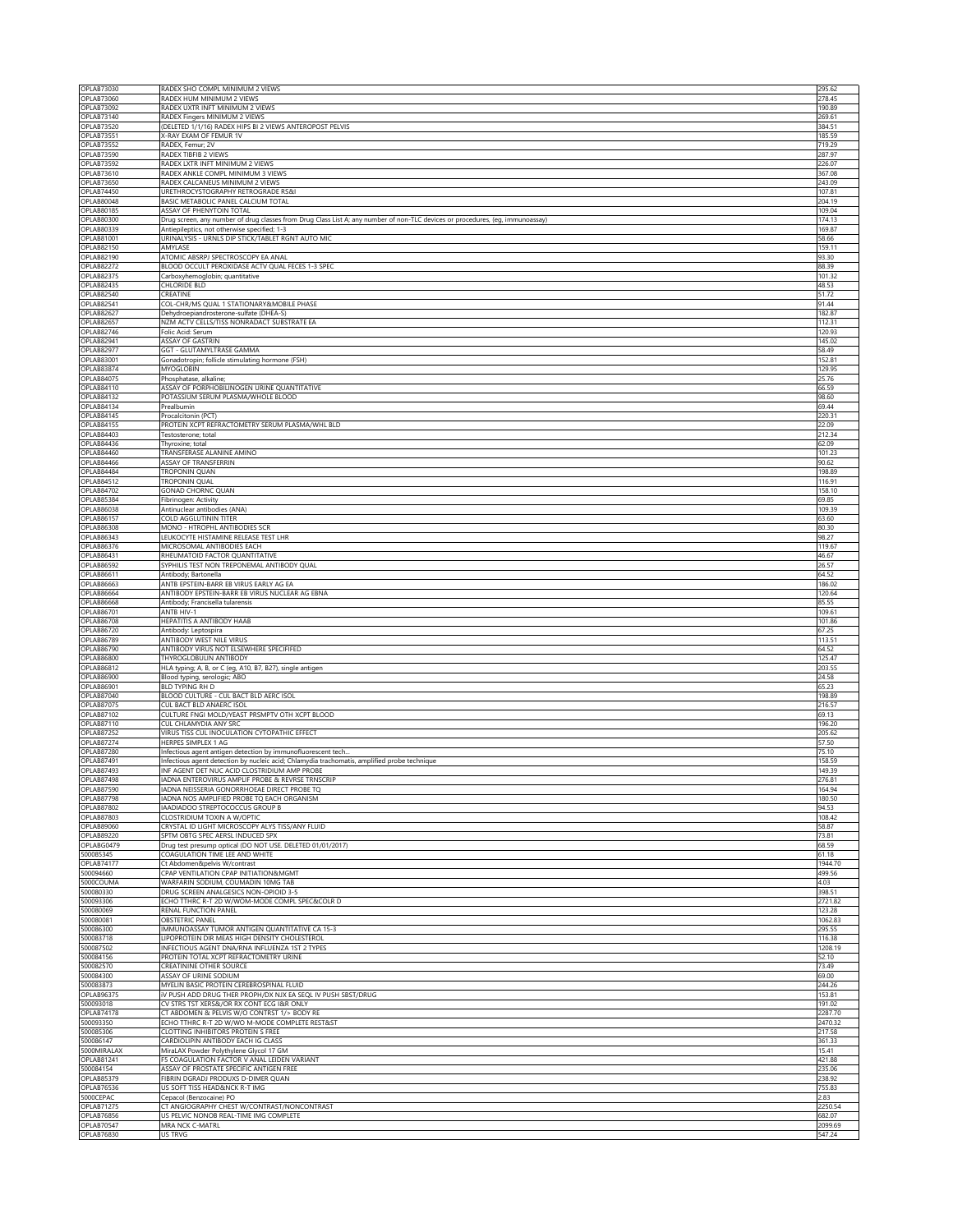| OPLAB73030                             | RADEX SHO COMPL MINIMUM 2 VIEWS                                                                                                                                                | 295.62            |
|----------------------------------------|--------------------------------------------------------------------------------------------------------------------------------------------------------------------------------|-------------------|
| OPLAB73060<br>OPLAB73092               | RADEX HUM MINIMUM 2 VIEWS<br>RADEX UXTR INFT MINIMUM 2 VIEWS                                                                                                                   | 278.45<br>190.89  |
| OPLAB73140                             | RADEX Fingers MINIMUM 2 VIEWS                                                                                                                                                  | 269.61            |
| OPLAB73520                             | (DELETED 1/1/16) RADEX HIPS BI 2 VIEWS ANTEROPOST PELVIS                                                                                                                       | 384.51            |
| <b>OPLAB73551</b><br><b>OPLAB73552</b> | X-RAY EXAM OF FEMUR 1V<br>RADEX, Femur; 2V                                                                                                                                     | 185.59<br>719.29  |
| OPLAB73590                             | RADEX TIBFIB 2 VIEWS                                                                                                                                                           | 287.97            |
| <b>OPLAB73592</b>                      | RADEX LXTR INFT MINIMUM 2 VIEWS                                                                                                                                                | 226.07            |
| OPLAB73610<br>OPLAB73650               | RADEX ANKLE COMPL MINIMUM 3 VIEWS<br>RADEX CALCANEUS MINIMUM 2 VIEWS                                                                                                           | 367.08<br>243.09  |
| OPLAB74450                             | URETHROCYSTOGRAPHY RETROGRADE RS&I                                                                                                                                             | 107.81            |
| OPLAB80048                             | BASIC METABOLIC PANEL CALCIUM TOTAL                                                                                                                                            | 204.19            |
| OPLAB80185                             | ASSAY OF PHENYTOIN TOTAL                                                                                                                                                       | 109.04            |
| OPLAB80300<br>OPLAB80339               | Drug screen, any number of drug classes from Drug Class List A; any number of non-TLC devices or procedures, (eg, immunoassay)<br>Antiepileptics, not otherwise specified; 1-3 | 174.13<br>169.87  |
| OPLAB81001                             | URINALYSIS - URNLS DIP STICK/TABLET RGNT AUTO MIC                                                                                                                              | 58.66             |
| OPLAB82150                             | <b>AMYI ASF</b>                                                                                                                                                                | 159.11            |
| OPLAB82190                             | ATOMIC ABSRPJ SPECTROSCOPY EA ANAL                                                                                                                                             | 93.30             |
| <b>OPLAB82272</b><br>OPLAB82375        | BLOOD OCCULT PEROXIDASE ACTV QUAL FECES 1-3 SPEC<br>Carboxyhemoglobin; quantitative                                                                                            | 88.39<br>101.32   |
| <b>OPLAB82435</b>                      | CHLORIDE BLD                                                                                                                                                                   | 48.53             |
| OPLAB82540                             | CREATINE                                                                                                                                                                       | 51.72             |
| OPLAB82541                             | COL-CHR/MS QUAL 1 STATIONARY&MOBILE PHASE                                                                                                                                      | 91.44             |
| <b>OPLAB82627</b><br><b>OPLAB82657</b> | Dehydroepiandrosterone-sulfate (DHEA-S)<br>NZM ACTV CELLS/TISS NONRADACT SUBSTRATE EA                                                                                          | 182.87<br>112.31  |
| OPLAB82746                             | Folic Acid: Serum                                                                                                                                                              | 120.93            |
| OPLAB82941                             | ASSAY OF GASTRIN                                                                                                                                                               | 145.02            |
| <b>OPLAB82977</b>                      | GGT - GLUTAMYLTRASE GAMMA                                                                                                                                                      | 58.49             |
| OPLAB83001<br>OPLAB83874               | Gonadotropin; follicle stimulating hormone (FSH)<br><b>MYOGLOBIN</b>                                                                                                           | 152.81<br>129.95  |
| OPLAB84075                             | Phosphatase, alkaline;                                                                                                                                                         | 25.76             |
| OPLAB84110                             | ASSAY OF PORPHOBILINOGEN URINE QUANTITATIVE                                                                                                                                    | 66.59             |
| OPLAB84132<br><b>OPLAB84134</b>        | POTASSIUM SERUM PLASMA/WHOLE BLOOD<br>Prealbumin                                                                                                                               | 98.60<br>69.44    |
| <b>OPLAB84145</b>                      | Procalcitonin (PCT)                                                                                                                                                            | 220.31            |
| OPLAB84155                             | PROTEIN XCPT REFRACTOMETRY SERUM PLASMA/WHL BLD                                                                                                                                | 22.09             |
| OPLAB84403                             | Testosterone: total                                                                                                                                                            | 212.34            |
| OPLAB84436<br>OPLAB84460               | Thyroxine; total<br>TRANSFERASE ALANINE AMINO                                                                                                                                  | 62.09<br>101.23   |
| OPLAB84466                             | ASSAY OF TRANSFERRIN                                                                                                                                                           | 90.62             |
| OPLAB84484                             | TROPONIN QUAN                                                                                                                                                                  | 198.89            |
| <b>OPLAB84512</b>                      | TROPONIN QUAL                                                                                                                                                                  | 116.91            |
| OPLAB84702<br>OPLAB85384               | GONAD CHORNC QUAN<br>Fibrinogen: Activity                                                                                                                                      | 158.10<br>69.85   |
| OPLAB86038                             | Antinuclear antibodies (ANA)                                                                                                                                                   | 109.39            |
| <b>OPLAB86157</b>                      | COLD AGGLUTININ TITER                                                                                                                                                          | 63.60             |
| OPLAB86308                             | MONO - HTROPHL ANTIBODIES SCR                                                                                                                                                  | 80.30<br>98.27    |
| OPLAB86343<br>OPLAB86376               | LEUKOCYTE HISTAMINE RELEASE TEST LHR<br>MICROSOMAL ANTIBODIES EACH                                                                                                             | 119.67            |
| OPLAB86431                             | RHEUMATOID FACTOR QUANTITATIVE                                                                                                                                                 | 46.67             |
| <b>OPLAB86592</b>                      | SYPHILIS TEST NON TREPONEMAL ANTIBODY QUAL                                                                                                                                     | 26.57             |
| OPLAB86611<br>OPLAB86663               | Antibody; Bartonella<br>ANTB EPSTEIN-BARR EB VIRUS EARLY AG EA                                                                                                                 | 64.52<br>186.02   |
| <b>OPLAB86664</b>                      | ANTIBODY EPSTEIN-BARR EB VIRUS NUCLEAR AG EBNA                                                                                                                                 | 120.64            |
| <b>OPLAB86668</b>                      | Antibody; Francisella tularensis                                                                                                                                               | 85.55             |
| OPLAB86701<br>OPLAB86708               | ANTB HIV-1                                                                                                                                                                     | 109.61<br>101.86  |
|                                        |                                                                                                                                                                                |                   |
|                                        | HEPATITIS A ANTIBODY HAAB                                                                                                                                                      |                   |
| OPLAB86720<br>OPLAB86789               | Antibody: Leptospira<br>ANTIBODY WEST NILE VIRUS                                                                                                                               | 67.25<br>113.51   |
| OPLAB86790                             | ANTIBODY VIRUS NOT ELSEWHERE SPECIFIFED                                                                                                                                        | 64.52             |
| OPLAB86800                             | THYROGLOBULIN ANTIBODY                                                                                                                                                         | 125.47            |
| OPLAB86812                             | HLA typing; A, B, or C (eg, A10, B7, B27), single antigen                                                                                                                      | 203.55            |
| OPLAB86900<br>OPLAB86901               | Blood typing, serologic; ABO<br>BLD TYPING RH D                                                                                                                                | 24.58<br>65.23    |
| OPLAB87040                             | BLOOD CULTURE - CUL BACT BLD AERC ISOL                                                                                                                                         | 198.89            |
| <b>OPLAB87075</b>                      | CUL BACT BLD ANAERC ISOL                                                                                                                                                       | 216.57            |
| <b>OPLAB87102</b>                      | CULTURE FNGI MOLD/YEAST PRSMPTV OTH XCPT BLOOD                                                                                                                                 | 69.13             |
| OPLAB87110<br><b>OPLAB87252</b>        | CUL CHLAMYDIA ANY SRC<br>VIRUS TISS CUL INOCULATION CYTOPATHIC EFFECT                                                                                                          | 196.20<br>205.62  |
| OPLAB87274                             | HERPES SIMPLEX 1 AG                                                                                                                                                            | 57.50             |
| OPLAB87280                             | Infectious agent antigen detection by immunofluorescent tech                                                                                                                   | 75.10             |
| OPLAB87491<br>OPLAB87493               | Infectious agent detection by nucleic acid; Chlamydia trachomatis, amplified probe technique<br>INF AGENT DET NUC ACID CLOSTRIDIUM AMP PROBE                                   | 158.59<br>149.39  |
| OPLAB87498                             | IADNA ENTEROVIRUS AMPLIF PROBE & REVRSE TRNSCRIP                                                                                                                               | 276.81            |
| OPLAB87590                             | IADNA NEISSERIA GONORRHOEAE DIRECT PROBE TQ                                                                                                                                    | 164.94            |
| OPLAB87798                             | IADNA NOS AMPLIFIED PROBE TQ EACH ORGANISM<br>IAADIADOO STREPTOCOCCUS GROUP B                                                                                                  | 180.50            |
| OPLAB87802<br>OPLAB87803               | CLOSTRIDIUM TOXIN A W/OPTIC                                                                                                                                                    | 94.53<br>108.42   |
| <b>OPLAB89060</b>                      | CRYSTAL ID LIGHT MICROSCOPY ALYS TISS/ANY FLUID                                                                                                                                | 58.87             |
| OPLAB89220                             | SPTM OBTG SPEC AERSL INDUCED SPX                                                                                                                                               | 73.81             |
| OPLABG0479                             | Drug test presump optical (DO NOT USE. DELETED 01/01/2017)                                                                                                                     | 68.59             |
| 500085345<br>OPLAB74177                | COAGULATION TIME LEE AND WHITE<br>Ct Abdomen&pelvis W/contrast                                                                                                                 | 61.18<br>1944.70  |
| 500094660                              | CPAP VENTILATION CPAP INITIATION&MGMT                                                                                                                                          | 499.56            |
| 5000COUMA                              | WARFARIN SODIUM, COUMADIN 10MG TAB                                                                                                                                             | 4.03              |
| 500080330<br>500093306                 | DRUG SCREEN ANALGESICS NON-OPIOID 3-5<br>ECHO TTHRC R-T 2D W/WOM-MODE COMPL SPEC&COLR D                                                                                        | 398.51<br>2721.82 |
| 500080069                              | RENAL FUNCTION PANEL                                                                                                                                                           | 123.28            |
| 500080081                              | <b>OBSTETRIC PANEL</b>                                                                                                                                                         | 1062.83           |
| 500086300                              | IMMUNOASSAY TUMOR ANTIGEN QUANTITATIVE CA 15-3                                                                                                                                 | 295.55            |
| 500083718<br>500087502                 | LIPOPROTEIN DIR MEAS HIGH DENSITY CHOLESTEROL<br>INFECTIOUS AGENT DNA/RNA INFLUENZA 1ST 2 TYPES                                                                                | 116.38<br>1208.19 |
| 500084156                              | PROTEIN TOTAL XCPT REFRACTOMETRY URINE                                                                                                                                         | 52.10             |
| 500082570                              | CREATININE OTHER SOURCE                                                                                                                                                        | 73.49             |
| 500084300<br>500083873                 | ASSAY OF URINE SODIUM<br>MYELIN BASIC PROTEIN CEREBROSPINAL FLUID                                                                                                              | 69.00<br>244.26   |
| OPLAB96375                             | IV PUSH ADD DRUG THER PROPH/DX NJX EA SEQL IV PUSH SBST/DRUG                                                                                                                   | 153.81            |
| 500093018                              | CV STRS TST XERS&/OR RX CONT ECG I&R ONLY                                                                                                                                      | 191.02            |
| OPLAB74178                             | CT ABDOMEN & PELVIS W/O CONTRST 1/> BODY RE                                                                                                                                    | 2287.70           |
| 500093350<br>500085306                 | ECHO TTHRC R-T 2D W/WO M-MODE COMPLETE REST&ST<br>CLOTTING INHIBITORS PROTEIN S FREE                                                                                           | 2470.32<br>217.58 |
| 500086147                              | CARDIOLIPIN ANTIBODY EACH IG CLASS                                                                                                                                             | 361.33            |
| 5000MIRALAX                            | MiraLAX Powder Polythylene Glycol 17 GM                                                                                                                                        | 15.41             |
| OPLAB81241                             | F5 COAGULATION FACTOR V ANAL LEIDEN VARIANT                                                                                                                                    | 421.88            |
| 500084154<br><b>OPLAB85379</b>         | ASSAY OF PROSTATE SPECIFIC ANTIGEN FREE<br>FIBRIN DGRADJ PRODUXS D-DIMER QUAN                                                                                                  | 235.06<br>238.92  |
| OPLAB76536                             | US SOFT TISS HEAD&NCK R-T IMG                                                                                                                                                  | 755.83            |
| 5000CEPAC                              | Cepacol (Benzocaine) PO                                                                                                                                                        | 2.83              |
| <b>OPLAB71275</b><br>OPLAB76856        | CT ANGIOGRAPHY CHEST W/CONTRAST/NONCONTRAST<br>US PELVIC NONOB REAL-TIME IMG COMPLETE                                                                                          | 2250.54<br>682.07 |
| OPLAB70547<br>OPLAB76830               | MRA NCK C-MATRL<br>US TRVG                                                                                                                                                     | 2099.69<br>547.24 |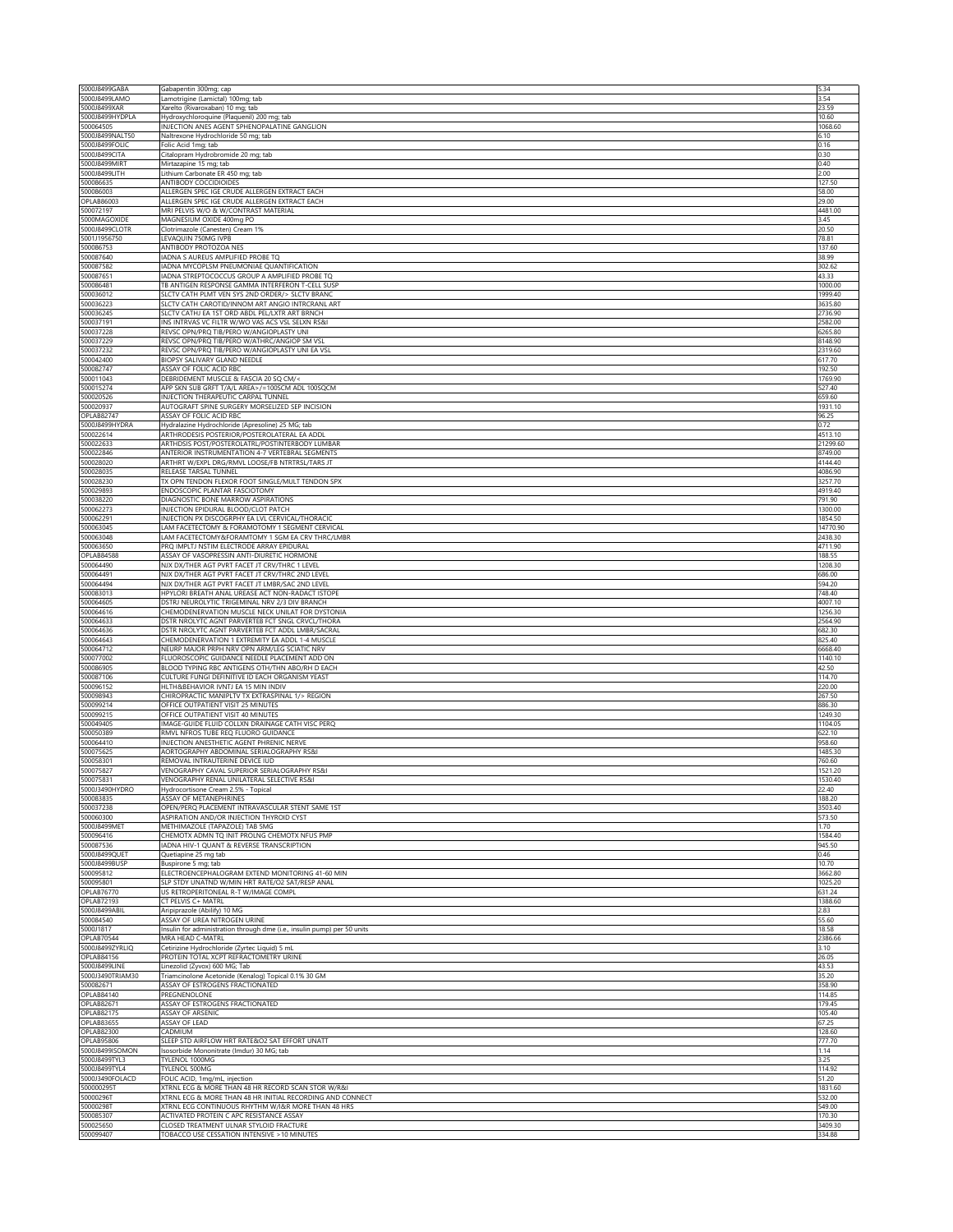| 5000J8499GABA                          | Gabapentin 300mg; cap                                                                                           | 5.34               |
|----------------------------------------|-----------------------------------------------------------------------------------------------------------------|--------------------|
| 5000J8499LAMO                          | Lamotrigine (Lamictal) 100mg; tab                                                                               | 3.54               |
| 5000J8499XAR<br>5000J8499HYDPLA        | Xarelto (Rivaroxaban) 10 mg; tab<br>Hydroxychloroquine (Plaquenil) 200 mg; tab                                  | 23.59<br>10.60     |
| 500064505                              | INJECTION ANES AGENT SPHENOPALATINE GANGLION                                                                    | 1068.60            |
| 5000J8499NALT50                        | Naltrexone Hydrochloride 50 mg; tab                                                                             | 6.10               |
| 5000J8499FOLIC                         | Folic Acid 1mg; tab                                                                                             | 0.16               |
| 5000J8499CITA<br>5000J8499MIRT         | Citalopram Hydrobromide 20 mg; tab<br>Mirtazapine 15 mg; tab                                                    | 0.30<br>0.40       |
| 5000J8499LITH                          | Lithium Carbonate ER 450 mg; tab                                                                                | 2.00               |
| 500086635                              | <b>ANTIBODY COCCIDIOIDES</b>                                                                                    | 127.50             |
| 500086003                              | ALLERGEN SPEC IGE CRUDE ALLERGEN EXTRACT EACH                                                                   | 58.00              |
| OPLAB86003                             | ALLERGEN SPEC IGE CRUDE ALLERGEN EXTRACT EACH                                                                   | 29.00              |
| 500072197                              | MRI PELVIS W/O & W/CONTRAST MATERIAL                                                                            | 4481.00            |
| 5000MAGOXIDE<br>5000J8499CLOTR         | MAGNESIUM OXIDE 400mg PO<br>Clotrimazole (Canesten) Cream 1%                                                    | 3.45<br>20.50      |
| 5001J1956750                           | LEVAQUIN 750MG IVPB                                                                                             | 78.81              |
| 500086753                              | ANTIBODY PROTOZOA NES                                                                                           | 137.60             |
| 500087640                              | ADNA S AUREUS AMPLIFIED PROBE TQ                                                                                | 38.99              |
| 500087582                              | ADNA MYCOPLSM PNEUMONIAE QUANTIFICATION                                                                         | 302.62             |
| 500087651                              | IADNA STREPTOCOCCUS GROUP A AMPLIFIED PROBE TQ                                                                  | 43.33              |
| 500086481                              | TB ANTIGEN RESPONSE GAMMA INTERFERON T-CELL SUSP                                                                | 1000.00            |
| 500036012<br>500036223                 | SLCTV CATH PLMT VEN SYS 2ND ORDER/> SLCTV BRANC<br>SLCTV CATH CAROTID/INNOM ART ANGIO INTRCRANL ART             | 1999.40<br>3635.80 |
| 500036245                              | SLCTV CATHJ EA 1ST ORD ABDL PEL/LXTR ART BRNCH                                                                  | 2736.90            |
| 500037191                              | INS INTRVAS VC FILTR W/WO VAS ACS VSL SELXN RS&I                                                                | 2582.00            |
| 500037228                              | REVSC OPN/PRQ TIB/PERO W/ANGIOPLASTY UNI                                                                        | 6265.80            |
| 500037229                              | REVSC OPN/PRQ TIB/PERO W/ATHRC/ANGIOP SM VSL                                                                    | 8148.90            |
| 500037232<br>500042400                 | REVSC OPN/PRQ TIB/PERO W/ANGIOPLASTY UNI EA VSL                                                                 | 2319.60<br>617.70  |
| 500082747                              | BIOPSY SALIVARY GLAND NEEDLE<br>ASSAY OF FOLIC ACID RBC                                                         | 192.50             |
| 500011043                              | DEBRIDEMENT MUSCLE & FASCIA 20 SQ CM/<                                                                          | 1769.90            |
| 500015274                              | APP SKN SUB GRFT T/A/L AREA>/=100SCM ADL 100SQCM                                                                | 527.40             |
| 500020526                              | INJECTION THERAPEUTIC CARPAL TUNNEL                                                                             | 659.60             |
| 500020937                              | AUTOGRAFT SPINE SURGERY MORSELIZED SEP INCISION                                                                 | 1931.10            |
| OPLAB82747<br>5000J8499HYDRA           | ASSAY OF FOLIC ACID RBC                                                                                         | 96.25              |
| 500022614                              | Hydralazine Hydrochloride (Apresoline) 25 MG; tab<br>ARTHRODESIS POSTERIOR/POSTEROLATERAL EA ADDL               | 0.72<br>4513.10    |
| 500022633                              | ARTHDSIS POST/POSTEROLATRL/POSTINTERBODY LUMBAR                                                                 | 21299.60           |
| 500022846                              | ANTERIOR INSTRUMENTATION 4-7 VERTEBRAL SEGMENTS                                                                 | 8749.00            |
| 500028020                              | ARTHRT W/EXPL DRG/RMVL LOOSE/FB NTRTRSL/TARS JT                                                                 | 4144.40            |
| 500028035                              | RELEASE TARSAL TUNNEL                                                                                           | 4086.90            |
| 500028230                              | TX OPN TENDON FLEXOR FOOT SINGLE/MULT TENDON SPX                                                                | 3257.70            |
| 500029893<br>500038220                 | ENDOSCOPIC PLANTAR FASCIOTOMY<br>DIAGNOSTIC BONE MARROW ASPIRATIONS                                             | 4919.40<br>791.90  |
| 500062273                              | INJECTION EPIDURAL BLOOD/CLOT PATCH                                                                             | 1300.00            |
| 500062291                              | INJECTION PX DISCOGRPHY EA LVL CERVICAL/THORACIO                                                                | 1854.50            |
| 500063045                              | LAM FACETECTOMY & FORAMOTOMY 1 SEGMENT CERVICAL                                                                 | 14770.90           |
| 500063048                              | LAM FACETECTOMY&FORAMTOMY 1 SGM EA CRV THRC/LMBR                                                                | 2438.30            |
| 500063650                              | PRQ IMPLTJ NSTIM ELECTRODE ARRAY EPIDURAL                                                                       | 4711.90            |
| OPLAB84588                             | ASSAY OF VASOPRESSIN ANTI-DIURETIC HORMONE                                                                      | 188.55             |
| 500064490<br>500064491                 | NJX DX/THER AGT PVRT FACET JT CRV/THRC 1 LEVEL<br>NJX DX/THER AGT PVRT FACET JT CRV/THRC 2ND LEVEL              | 1208.30<br>686.00  |
| 500064494                              | NJX DX/THER AGT PVRT FACET JT LMBR/SAC 2ND LEVEL                                                                | 594.20             |
| 500083013                              | HPYLORI BREATH ANAL UREASE ACT NON-RADACT ISTOPE                                                                | 748.40             |
| 500064605                              | DSTRJ NEUROLYTIC TRIGEMINAL NRV 2/3 DIV BRANCH                                                                  | 4007.10            |
| 500064616                              | CHEMODENERVATION MUSCLE NECK UNILAT FOR DYSTONIA                                                                | 1256.30            |
| 500064633                              | DSTR NROLYTC AGNT PARVERTEB FCT SNGL CRVCL/THORA                                                                | 2564.90            |
| 500064636<br>500064643                 | DSTR NROLYTC AGNT PARVERTEB FCT ADDL LMBR/SACRAL<br>CHEMODENERVATION 1 EXTREMITY EA ADDL 1-4 MUSCLE             | 682.30<br>825.40   |
| 500064712                              | NEURP MAJOR PRPH NRV OPN ARM/LEG SCIATIC NRV                                                                    | 6668.40            |
| 500077002                              | FLUOROSCOPIC GUIDANCE NEEDLE PLACEMENT ADD ON                                                                   | 1140.10            |
| 500086905                              | BLOOD TYPING RBC ANTIGENS OTH/THN ABO/RH D EACH                                                                 | 42.50              |
| 500087106                              | CULTURE FUNGI DEFINITIVE ID EACH ORGANISM YEAST                                                                 | 114.70             |
| 500096152                              | HLTH&BEHAVIOR IVNTJ EA 15 MIN INDIV                                                                             | 220.00             |
| 500098943<br>500099214                 | CHIROPRACTIC MANIPLTV TX EXTRASPINAL 1/> REGION<br>OFFICE OUTPATIENT VISIT 25 MINUTES                           | 267.50<br>886.30   |
| 500099215                              | OFFICE OUTPATIENT VISIT 40 MINUTES                                                                              | 1249.30            |
| 500049405                              | IMAGE-GUIDE FLUID COLLXN DRAINAGE CATH VISC PERQ                                                                | 1104.05            |
| 500050389                              | RMVL NFROS TUBE REQ FLUORO GUIDANCE                                                                             | 622.10             |
| 500064410                              | INJECTION ANESTHETIC AGENT PHRENIC NERVE                                                                        | 958.60             |
| 500075625<br>500058301                 | AORTOGRAPHY ABDOMINAL SERIALOGRAPHY RS&I<br>REMOVAL INTRAUTERINE DEVICE IUD                                     | 1485.30            |
| 500075827                              | VENOGRAPHY CAVAL SUPERIOR SERIALOGRAPHY RS&I                                                                    | 760.60<br>1521.20  |
| 500075831                              | VENOGRAPHY RENAL UNILATERAL SELECTIVE RS&I                                                                      | 1530.40            |
| 5000J3490HYDRO                         | Hydrocortisone Cream 2.5% - Topical                                                                             | 22.40              |
| 500083835                              | <b>ASSAY OF METANEPHRINES</b>                                                                                   | 188.20             |
| 500037238                              | OPEN/PERQ PLACEMENT INTRAVASCULAR STENT SAME 1ST                                                                | 3503.40            |
| 500060300<br>5000J8499MET              | ASPIRATION AND/OR INJECTION THYROID CYST                                                                        | 573.50             |
| 500096416                              | METHIMAZOLE (TAPAZOLE) TAB 5MG<br>CHEMOTX ADMN TQ INIT PROLNG CHEMOTX NFUS PMP                                  | 1.70<br>1584.40    |
| 500087536                              | IADNA HIV-1 QUANT & REVERSE TRANSCRIPTION                                                                       | 945.50             |
| 5000J8499QUET                          | Quetiapine 25 mg tab                                                                                            | 0.46               |
| 5000J8499BUSP                          | Buspirone 5 mg; tab                                                                                             | 10.70              |
| 500095812                              | ELECTROENCEPHALOGRAM EXTEND MONITORING 41-60 MIN                                                                | 3662.80            |
| 500095801<br><b>OPLAB76770</b>         | SLP STDY UNATND W/MIN HRT RATE/O2 SAT/RESP ANAL<br>US RETROPERITONEAL R-T W/IMAGE COMPL                         | 1025.20<br>631.24  |
| <b>OPLAB72193</b>                      | CT PELVIS C+ MATRL                                                                                              | 1388.60            |
| 5000J8499ABIL                          | Aripiprazole (Abilify) 10 MG                                                                                    | 2.83               |
| 500084540                              | ASSAY OF UREA NITROGEN URINE                                                                                    | 55.60              |
| 5000J1817                              | Insulin for administration through dme (i.e., insulin pump) per 50 units                                        | 18.58              |
| OPLAB70544                             | MRA HEAD C-MATRL                                                                                                | 2386.66            |
| 5000J8499ZYRLIQ                        | Cetirizine Hydrochloride (Zyrtec Liquid) 5 mL                                                                   | 3.10               |
| <b>OPLAB84156</b><br>5000J8499LINE     | PROTEIN TOTAL XCPT REFRACTOMETRY URINE<br>Linezolid (Zyvox) 600 MG; Tab                                         | 26.05<br>43.53     |
| 5000J3490TRIAM30                       | Triamcinolone Acetonide (Kenalog) Topical 0.1% 30 GM                                                            | 35.20              |
| 500082671                              | ASSAY OF ESTROGENS FRACTIONATED                                                                                 | 358.90             |
| <b>OPLAB84140</b>                      | PREGNENOLONE                                                                                                    | 114.85             |
| <b>OPLAB82671</b>                      | ASSAY OF ESTROGENS FRACTIONATED                                                                                 | 179.45             |
| <b>OPLAB82175</b>                      | <b>ASSAY OF ARSENIC</b>                                                                                         | 105.40             |
| <b>OPLAB83655</b><br><b>OPLAB82300</b> | ASSAY OF LEAD<br>CADMIUM                                                                                        | 67.25<br>128.60    |
| <b>OPLAB95806</b>                      | SLEEP STD AIRFLOW HRT RATE&O2 SAT EFFORT UNATT                                                                  | 777.70             |
| 5000J8499ISOMON                        | Isosorbide Mononitrate (Imdur) 30 MG; tab                                                                       | 1.14               |
| 5000J8499TYL3                          | TYLENOL 1000MG                                                                                                  | 3.25               |
| 5000J8499TYL4                          | TYLENOL 500MG                                                                                                   | 114.92             |
| 5000J3490FOLACD                        | FOLIC ACID, 1mg/mL, injection                                                                                   | 51.20              |
| 500000295T<br>50000296T                | XTRNL ECG & MORE THAN 48 HR RECORD SCAN STOR W/R&I<br>XTRNL ECG & MORE THAN 48 HR INITIAL RECORDING AND CONNECT | 1831.60<br>532.00  |
| 50000298T                              | XTRNL ECG CONTINUOUS RHYTHM W/I&R MORE THAN 48 HRS                                                              | 549.00             |
|                                        |                                                                                                                 |                    |
| 500085307                              | ACTIVATED PROTEIN C APC RESISTANCE ASSAY                                                                        | 170.30             |
| 500025650<br>500099407                 | CLOSED TREATMENT ULNAR STYLOID FRACTURE<br>TOBACCO USE CESSATION INTENSIVE > 10 MINUTES                         | 3409.30<br>334.88  |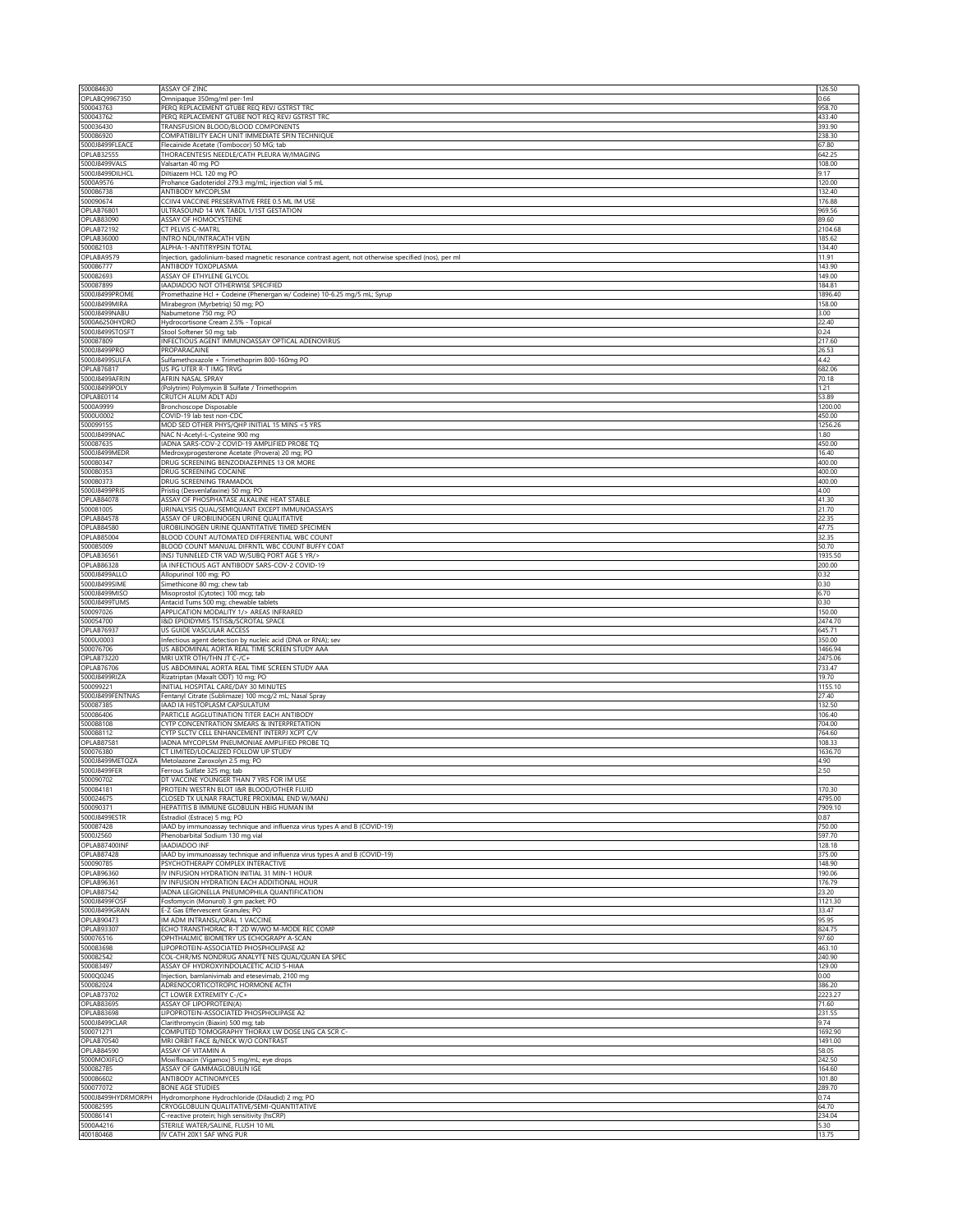| 500084630                              | ASSAY OF ZINC                                                                                                               | 126.50             |
|----------------------------------------|-----------------------------------------------------------------------------------------------------------------------------|--------------------|
| OPLABQ9967350<br>500043763             | Omnipaque 350mg/ml per-1ml<br>PERQ REPLACEMENT GTUBE REQ REVJ GSTRST TRC                                                    | 0.66               |
| 500043762                              | PERQ REPLACEMENT GTUBE NOT REQ REVJ GSTRST TRC                                                                              | 958.70<br>433.40   |
| 500036430                              | TRANSFUSION BLOOD/BLOOD COMPONENTS                                                                                          | 393.90             |
| 500086920                              | COMPATIBILITY EACH UNIT IMMEDIATE SPIN TECHNIQUE                                                                            | 238.30             |
| 5000J8499FLEACE                        | Flecainide Acetate (Tombocor) 50 MG; tab                                                                                    | 67.80              |
| OPLAB32555<br>5000J8499VALS            | THORACENTESIS NEEDLE/CATH PLEURA W/IMAGING<br>Valsartan 40 mg PO                                                            | 642.25<br>108.00   |
| 5000J8499DILHCL                        | Diltiazem HCL 120 mg PO                                                                                                     | 9.17               |
| 5000A9576                              | Prohance Gadoteridol 279.3 mg/mL; injection vial 5 mL                                                                       | 120.00             |
| 500086738                              | ANTIBODY MYCOPLSM                                                                                                           | 132.40             |
| 500090674<br><b>OPLAB76801</b>         | CCIIV4 VACCINE PRESERVATIVE FREE 0.5 ML IM USE<br>ULTRASOUND 14 WK TABDL 1/1ST GESTATION                                    | 176.88<br>969.56   |
| OPLAB83090                             | ASSAY OF HOMOCYSTEINE                                                                                                       | 89.60              |
| OPLAB72192                             | CT PELVIS C-MATRL                                                                                                           | 2104.68            |
| OPLAB36000                             | INTRO NDL/INTRACATH VEIN                                                                                                    | 185.62             |
| 500082103<br>OPLABA9579                | ALPHA-1-ANTITRYPSIN TOTAL                                                                                                   | 134.40<br>11.91    |
| 500086777                              | Injection, gadolinium-based magnetic resonance contrast agent, not otherwise specified (nos), per ml<br>ANTIBODY TOXOPLASMA | 143.90             |
| 500082693                              | ASSAY OF ETHYLENE GLYCOL                                                                                                    | 149.00             |
| 500087899                              | IAADIADOO NOT OTHERWISE SPECIFIED                                                                                           | 184.81             |
| 5000J8499PROME                         | Promethazine Hcl + Codeine (Phenergan w/ Codeine) 10-6.25 mg/5 mL; Syrup                                                    | 1896.40            |
| 5000J8499MIRA<br>5000J8499NABU         | Mirabegron (Myrbetriq) 50 mg; PO<br>Nabumetone 750 mg; PO                                                                   | 158.00<br>3.00     |
| 5000A6250HYDRO                         | Hydrocortisone Cream 2.5% - Topical                                                                                         | 22.40              |
| 5000J8499STOSFT                        | Stool Softener 50 mg; tab                                                                                                   | 0.24               |
| 500087809                              | INFECTIOUS AGENT IMMUNOASSAY OPTICAL ADENOVIRUS                                                                             | 217.60             |
| 5000J8499PRO                           | PROPARACAINE                                                                                                                | 26.53              |
| 5000J8499SULFA<br>OPLAB76817           | Sulfamethoxazole + Trimethoprim 800-160mg PO<br>US PG UTER R-T IMG TRVG                                                     | 4.42<br>682.06     |
| 5000J8499AFRIN                         | AFRIN NASAL SPRAY                                                                                                           | 70.18              |
| 5000J8499POLY                          | (Polytrim) Polymyxin B Sulfate / Trimethoprim                                                                               | 1.21               |
| OPLABE0114                             | CRUTCH ALUM ADLT ADJ                                                                                                        | 53.89              |
| 5000A9999                              | Bronchoscope Disposable                                                                                                     | 1200.00            |
| 5000U0002<br>500099155                 | COVID-19 lab test non-CDC<br>MOD SED OTHER PHYS/QHP INITIAL 15 MINS <5 YRS                                                  | 450.00<br>1256.26  |
| 5000J8499NAC                           | NAC N-Acetyl-L-Cysteine 900 mg                                                                                              | 1.80               |
| 500087635                              | ADNA SARS-COV-2 COVID-19 AMPLIFIED PROBE TQ                                                                                 | 450.00             |
| 5000J8499MEDR                          | Medroxyprogesterone Acetate (Provera) 20 mg; PO                                                                             | 16.40              |
| 500080347<br>500080353                 | DRUG SCREENING BENZODIAZEPINES 13 OR MORE<br>DRUG SCREENING COCAINE                                                         | 400.00<br>400.00   |
| 500080373                              | DRUG SCREENING TRAMADOI                                                                                                     | 400.00             |
| 5000J8499PRIS                          | Pristiq (Desvenlafaxine) 50 mg; PO                                                                                          | 4.00               |
| OPLAB84078                             | ASSAY OF PHOSPHATASE ALKALINE HEAT STABLE                                                                                   | 41.30              |
| 500081005                              | URINALYSIS QUAL/SEMIQUANT EXCEPT IMMUNOASSAYS                                                                               | 21.70              |
| OPLAB84578                             | ASSAY OF UROBILINOGEN URINE QUALITATIVE                                                                                     | 22.35              |
| OPLAB84580<br><b>OPLAB85004</b>        | UROBILINOGEN URINE QUANTITATIVE TIMED SPECIMEN<br>BLOOD COUNT AUTOMATED DIFFERENTIAL WBC COUNT                              | 47.75<br>32.35     |
| 500085009                              | BLOOD COUNT MANUAL DIFRNTL WBC COUNT BUFFY COAT                                                                             | 50.70              |
| <b>OPLAB36561</b>                      | INSJ TUNNELED CTR VAD W/SUBQ PORT AGE 5 YR/>                                                                                | 1935.50            |
| OPLAB86328                             | IA INFECTIOUS AGT ANTIBODY SARS-COV-2 COVID-19                                                                              | 200.00             |
| 5000J8499ALLO                          | Allopurinol 100 mg; PO                                                                                                      | 0.32               |
| 5000J8499SIME<br>5000J8499MISO         | Simethicone 80 mg; chew tab                                                                                                 | 0.30<br>6.70       |
| 5000J8499TUMS                          | Misoprostol (Cytotec) 100 mcg; tab<br>Antacid Tums 500 mg; chewable tablets                                                 | 0.30               |
| 500097026                              | APPLICATION MODALITY 1/> AREAS INFRARED                                                                                     | 150.00             |
| 500054700                              | I&D EPIDIDYMIS TSTIS&/SCROTAL SPACE                                                                                         | 2474.70            |
| OPLAB76937                             | US GUIDE VASCULAR ACCESS                                                                                                    | 645.71             |
| 5000U0003<br>500076706                 | Infectious agent detection by nucleic acid (DNA or RNA); sev<br>US ABDOMINAL AORTA REAL TIME SCREEN STUDY AAA               | 350.00             |
| <b>OPLAB73220</b>                      | MRI UXTR OTH/THN JT C-/C+                                                                                                   | 1466.94<br>2475.06 |
| OPLAB76706                             | US ABDOMINAL AORTA REAL TIME SCREEN STUDY AAA                                                                               | 733.47             |
| 5000J8499RIZA                          | Rizatriptan (Maxalt ODT) 10 mg; PO                                                                                          | 19.70              |
| 500099221                              | INITIAL HOSPITAL CARE/DAY 30 MINUTES                                                                                        | 1155.10            |
| 5000J8499FENTNAS<br>500087385          | Fentanyl Citrate (Sublimaze) 100 mcg/2 mL; Nasal Spray<br><b>JAAD IA HISTOPLASM CAPSULATUM</b>                              | 27.40<br>132.50    |
| 500086406                              | PARTICLE AGGLUTINATION TITER EACH ANTIBODY                                                                                  | 106.40             |
| 500088108                              | <b>CYTP CONCENTRATION SMEARS &amp; INTERPRETATION</b>                                                                       | 704.00             |
| 500088112                              | CYTP SLCTV CELL ENHANCEMENT INTERPJ XCPT C/V                                                                                | 764.60             |
| <b>OPLAB87581</b>                      | ADNA MYCOPLSM PNEUMONIAE AMPLIFIED PROBE TQ                                                                                 | 108.33             |
| 500076380<br>5000J8499METOZA           | CT LIMITED/LOCALIZED FOLLOW UP STUDY                                                                                        | 1636.70<br>4.90    |
| 5000J8499FER                           | Metolazone Zaroxolyn 2.5 mg; PO<br>Ferrous Sulfate 325 mg; tab                                                              | 2.50               |
| 500090702                              | DT VACCINE YOUNGER THAN 7 YRS FOR IM USE                                                                                    |                    |
| 500084181                              | PROTEIN WESTRN BLOT I&R BLOOD/OTHER FLUID                                                                                   | 170.30             |
| 500024675                              | CLOSED TX ULNAR FRACTURE PROXIMAL END W/MANJ                                                                                | 4795.00            |
| 500090371<br>5000J8499ESTR             | HEPATITIS B IMMUNE GLOBULIN HBIG HUMAN IM                                                                                   | 7909.10            |
| 500087428                              | Estradiol (Estrace) 5 mg; PO<br>IAAD by immunoassay technique and influenza virus types A and B (COVID-19)                  | 0.87<br>750.00     |
| 5000J2560                              | Phenobarbital Sodium 130 mg vial                                                                                            | 597.70             |
| OPLAB87400INF                          | <b>IAADIADOO INF</b>                                                                                                        | 128.18             |
| OPLAB87428                             | IAAD by immunoassay technique and influenza virus types A and B (COVID-19)                                                  | 375.00             |
| 500090785<br><b>OPLAB96360</b>         | PSYCHOTHERAPY COMPLEX INTERACTIVE<br>IV INFUSION HYDRATION INITIAL 31 MIN-1 HOUR                                            | 148.90             |
| <b>OPLAB96361</b>                      | IV INFUSION HYDRATION EACH ADDITIONAL HOUR                                                                                  | 190.06<br>176.79   |
| <b>OPLAB87542</b>                      | IADNA LEGIONELLA PNEUMOPHILA QUANTIFICATION                                                                                 | 23.20              |
| 5000J8499FOSF                          | Fosfomycin (Monurol) 3 gm packet; PO                                                                                        | 1121.30            |
| 5000J8499GRAN                          | E-Z Gas Effervescent Granules; PO                                                                                           | 33.47              |
| <b>OPLAB90473</b><br><b>OPLAB93307</b> | IM ADM INTRANSL/ORAL 1 VACCINE                                                                                              | 95.95              |
| 500076516                              | ECHO TRANSTHORAC R-T 2D W/WO M-MODE REC COMP                                                                                | 824.75<br>97.60    |
| 500083698                              |                                                                                                                             |                    |
| 500082542                              | OPHTHALMIC BIOMETRY US ECHOGRAPY A-SCAN<br>LIPOPROTEIN-ASSOCIATED PHOSPHOLIPASE A2                                          | 463.10             |
|                                        | COL-CHR/MS NONDRUG ANALYTE NES QUAL/QUAN EA SPEC                                                                            | 240.90             |
| 500083497                              | ASSAY OF HYDROXYINDOLACETIC ACID 5-HIAA                                                                                     | 129.00             |
| 5000Q0245                              | Injection, bamlanivimab and etesevimab, 2100 mg                                                                             | 0.00               |
| 500082024                              | ADRENOCORTICOTROPIC HORMONE ACTH                                                                                            | 386.20             |
| <b>OPLAB73702</b><br><b>OPLAB83695</b> | CT LOWER EXTREMITY C-/C+                                                                                                    | 2223.27<br>71.60   |
| <b>OPLAB83698</b>                      | <b>ASSAY OF LIPOPROTEIN(A)</b><br>LIPOPROTEIN-ASSOCIATED PHOSPHOLIPASE A2                                                   | 231.55             |
| 5000J8499CLAR                          | Clarithromycin (Biaxin) 500 mg; tab                                                                                         | 9.74               |
| 500071271                              | COMPUTED TOMOGRAPHY THORAX LW DOSE LNG CA SCR C-                                                                            | 1692 90            |
| <b>OPLAB70540</b>                      | MRI ORBIT FACE &/NECK W/O CONTRAST                                                                                          | 1491.00            |
| <b>OPLAB84590</b>                      | ASSAY OF VITAMIN A                                                                                                          | 58.05              |
| 5000MOXIFLO<br>500082785               | Moxifloxacin (Vigamox) 5 mg/mL; eye drops<br>ASSAY OF GAMMAGLOBULIN IGE                                                     | 242.50<br>164.60   |
| 500086602                              | ANTIBODY ACTINOMYCES                                                                                                        | 10180              |
| 500077072                              | <b>BONE AGE STUDIES</b>                                                                                                     | 289.70             |
| 5000J8499HYDRMORPH                     | Hydromorphone Hydrochloride (Dilaudid) 2 mg; PO                                                                             | 0.74               |
| 500082595                              | CRYOGLOBULIN QUALITATIVE/SEMI-QUANTITATIVE                                                                                  | 64.70              |
| 500086141<br>5000A4216                 | C-reactive protein; high sensitivity (hsCRP)<br>STERILE WATER/SALINE, FLUSH 10 ML                                           | 234.04<br>5.30     |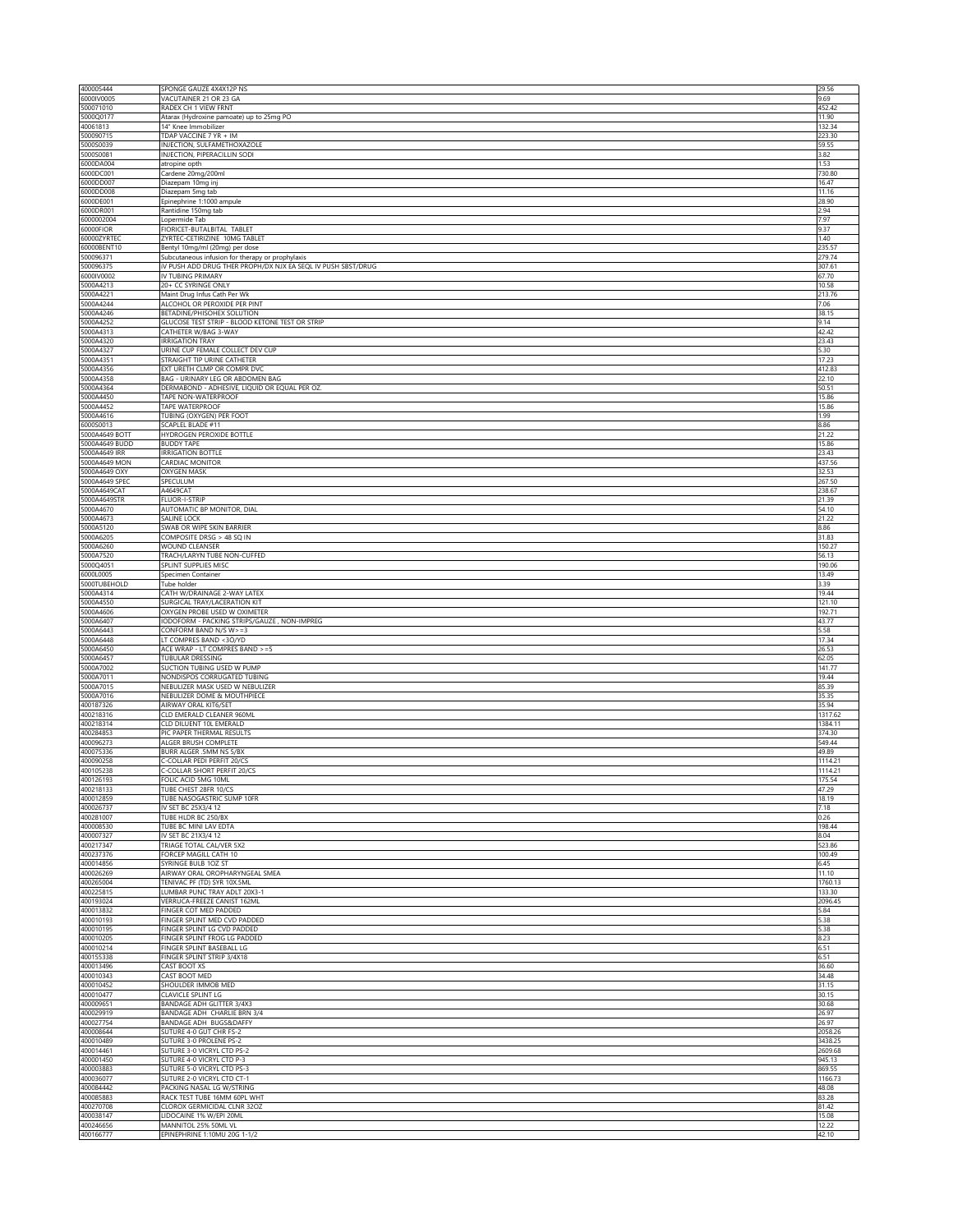| 400005444                      | SPONGE GAUZE 4X4X12P NS                                                                                          | 29.56              |
|--------------------------------|------------------------------------------------------------------------------------------------------------------|--------------------|
| 6000IV0005<br>500071010        | VACUTAINER 21 OR 23 GA<br>RADEX CH 1 VIEW FRNT                                                                   | 9.69<br>452.42     |
| 5000Q0177                      | Atarax (Hydroxine pamoate) up to 25mg PO                                                                         | 11.90              |
| 40061813                       | 14" Knee Immobilizer                                                                                             | 132.34             |
| 500090715<br>5000S0039         | TDAP VACCINE 7 YR + IM<br>INJECTION, SULFAMETHOXAZOLE                                                            | 223.30<br>59.55    |
| 5000S0081                      | INJECTION, PIPERACILLIN SODI                                                                                     | 3.82               |
| 6000DA004                      | atropine opth                                                                                                    | 1.53               |
| 6000DC001<br>6000DD007         | Cardene 20mg/200ml<br>Diazepam 10mg inj                                                                          | 730.80<br>16.47    |
| 6000DD008                      | Diazepam 5mg tab                                                                                                 | 11.16              |
| 6000DE001                      | Epinephrine 1:1000 ampule                                                                                        | 28.90              |
| 6000DR001<br>6000002004        | Rantidine 150mg tab<br>Lopermide Tab                                                                             | 2.94<br>7.97       |
| 60000FIOR                      | FIORICET-BUTALBITAL TABLET                                                                                       | 9.37               |
| 60000ZYRTEO                    | ZYRTEC-CETIRIZINE 10MG TABLET                                                                                    | 1.40               |
| 60000BENT10<br>500096371       | Bentyl 10mg/ml (20mg) per dose                                                                                   | 235.57<br>279.74   |
| 500096375                      | Subcutaneous infusion for therapy or prophylaxis<br>IV PUSH ADD DRUG THER PROPH/DX NJX EA SEQL IV PUSH SBST/DRUG | 307.61             |
| 6000IV0002                     | IV TUBING PRIMARY                                                                                                | 67.70              |
| 5000A4213                      | 20+ CC SYRINGE ONLY                                                                                              | 10.58              |
| 5000A4221<br>5000A4244         | Maint Drug Infus Cath Per Wk<br>ALCOHOL OR PEROXIDE PER PINT                                                     | 213.76<br>7.06     |
| 5000A4246                      | BETADINE/PHISOHEX SOLUTION                                                                                       | 38.15              |
| 5000A4252                      | GLUCOSE TEST STRIP - BLOOD KETONE TEST OR STRIP                                                                  | 9.14               |
| 5000A4313<br>5000A4320         | CATHETER W/BAG 3-WAY<br><b>IRRIGATION TRAY</b>                                                                   | 42.42<br>23.43     |
| 5000A4327                      | URINE CUP FEMALE COLLECT DEV CUP                                                                                 | 5.30               |
| 5000A4351                      | STRAIGHT TIP URINE CATHETER                                                                                      | 17.23              |
| 5000A4356<br>5000A4358         | EXT URETH CLMP OR COMPR DVC<br>BAG - URINARY LEG OR ABDOMEN BAG                                                  | 412.83<br>22.10    |
| 5000A4364                      | DERMABOND - ADHESIVE, LIQUID OR EQUAL PER OZ.                                                                    | 50.51              |
| 5000A4450                      | TAPE NON-WATERPROOF                                                                                              | 15.86              |
| 5000A4452<br>5000A4616         | TAPE WATERPROOF<br>TUBING (OXYGEN) PER FOOT                                                                      | 15.86<br>1.99      |
| 6000S0013                      | SCAPLEL BLADE #11                                                                                                | 8.86               |
| 5000A4649 BOTT                 | HYDROGEN PEROXIDE BOTTLE                                                                                         | 21.22              |
| 5000A4649 BUDD                 | <b>BUDDY TAPE</b>                                                                                                | 15.86              |
| 5000A4649 IRR<br>5000A4649 MON | <b>IRRIGATION BOTTLE</b><br>CARDIAC MONITOR                                                                      | 23.43<br>437.56    |
| 5000A4649 OXY                  | OXYGEN MASK                                                                                                      | 32.53              |
| 5000A4649 SPEC                 | SPECULUM                                                                                                         | 267.50             |
| 5000A4649CAT<br>5000A4649STR   | A4649CAT<br>FLUOR-I-STRIP                                                                                        | 238.67<br>21.39    |
| 5000A4670                      | AUTOMATIC BP MONITOR, DIAL                                                                                       | 54.10              |
| 5000A4673                      | SALINE LOCK                                                                                                      | 21.22              |
| 5000A5120<br>5000A6205         | SWAB OR WIPE SKIN BARRIER<br>COMPOSITE DRSG > 48 SQ IN                                                           | 8.86<br>31.83      |
| 5000A6260                      | WOUND CLEANSER                                                                                                   | 150.27             |
| 5000A7520                      | TRACH/LARYN TUBE NON-CUFFED                                                                                      | 56.13              |
| 5000Q4051                      | SPLINT SUPPLIES MISC                                                                                             | 190.06             |
| 6000L0005<br>5000TUBEHOLD      | Specimen Container<br>Tube holder                                                                                | 13.49<br>3.39      |
| 5000A4314                      | CATH W/DRAINAGE 2-WAY LATEX                                                                                      | 19.44              |
| 5000A4550                      | SURGICAL TRAY/LACERATION KIT                                                                                     | 121.10             |
| 5000A4606<br>5000A6407         | OXYGEN PROBE USED W OXIMETER<br>IODOFORM - PACKING STRIPS/GAUZE, NON-IMPREG                                      | 192.71<br>43.77    |
| 5000A6443                      | CONFORM BAND N/S W>=3                                                                                            | 5.58               |
| 5000A6448                      | T COMPRES BAND <3Ö/YD                                                                                            | 17.34              |
| 5000A6450<br>5000A6457         | ACE WRAP - LT COMPRES BAND >=5<br><b>TUBULAR DRESSING</b>                                                        | 26.53<br>62.05     |
| 5000A7002                      | SUCTION TUBING USED W PUMP                                                                                       | 141.77             |
| 5000A7011                      | NONDISPOS CORRUGATED TUBING                                                                                      | 19.44              |
| 5000A7015<br>5000A7016         | NEBULIZER MASK USED W NEBULIZER<br>NEBULIZER DOME & MOUTHPIECE                                                   | 85.39<br>35.35     |
| 400187326                      | AIRWAY ORAL KIT6/SET                                                                                             | 35.94              |
| 400218316                      | CLD EMERALD CLEANER 960ML                                                                                        | 1317.62            |
| 400218314<br>400284853         | CLD DILUENT 10L EMERALD<br>PIC PAPER THERMAL RESULTS                                                             | 1384.11<br>374.30  |
| 400096273                      | ALGER BRUSH COMPLETE                                                                                             | 549.44             |
| 400075336                      | BURR ALGER .5MM NS 5/BX                                                                                          | 49.89              |
| 400090258<br>400105238         | C-COLLAR PEDI PERFIT 20/CS<br>C-COLLAR SHORT PERFIT 20/CS                                                        | 1114.21            |
| 400126193                      | FOLIC ACID 5MG 10ML                                                                                              | 1114.21<br>175.54  |
| 400218133                      | TUBE CHEST 28FR 10/CS                                                                                            | 47.29              |
| 400012859<br>400026737         | TUBE NASOGASTRIC SUMP 10FR<br>IV SET BC 25X3/4 12                                                                | 18.19<br>7.18      |
| 400281007                      | TUBE HLDR BC 250/BX                                                                                              | 0.26               |
| 400008530                      | TUBE BC MINI LAV EDTA                                                                                            | 198.44             |
| 400007327<br>400217347         | IV SET BC 21X3/4 12<br>TRIAGE TOTAL CAL/VER 5X2                                                                  | 8.04<br>523.86     |
| 400237376                      | FORCEP MAGILL CATH 10                                                                                            | 100.49             |
| 400014856                      | SYRINGE BULB 1OZ ST                                                                                              | 6.45               |
| 400026269<br>400265004         | AIRWAY ORAL OROPHARYNGEAL SMEA<br>TENIVAC PF (TD) SYR 10X.5ML                                                    | 11.10<br>1760.13   |
| 400225815                      | LUMBAR PUNC TRAY ADLT 20X3-1                                                                                     | 133.30             |
| 400193024                      | VERRUCA-FREEZE CANIST 162ML                                                                                      | 2096.45            |
| 400013832<br>400010193         | FINGER COT MED PADDED<br>FINGER SPLINT MED CVD PADDED                                                            | 5.84<br>5.38       |
| 400010195                      | FINGER SPLINT LG CVD PADDED                                                                                      | 5.38               |
| 400010205                      | FINGER SPLINT FROG LG PADDED                                                                                     | 8.23               |
| 400010214                      | FINGER SPLINT BASEBALL LG                                                                                        | 6.51               |
| 400155338<br>400013496         | FINGER SPLINT STRIP 3/4X18<br>CAST BOOT XS                                                                       | 6.51<br>36.60      |
| 400010343                      | CAST BOOT MED                                                                                                    | 34.48              |
| 400010452<br>400010477         | SHOULDER IMMOB MED                                                                                               | 31.15              |
| 400009651                      | CLAVICLE SPLINT LG<br><b>BANDAGE ADH GLITTER 3/4X3</b>                                                           | 30.15<br>30.68     |
| 400029919                      | BANDAGE ADH CHARLIE BRN 3/4                                                                                      | 26.97              |
| 400027754                      | BANDAGE ADH BUGS&DAFFY                                                                                           | 26.97              |
| 400008644<br>400010489         | SUTURE 4-0 GUT CHR FS-2<br>SUTURE 3-0 PROLENE PS-2                                                               | 2058.26<br>3438.25 |
| 400014461                      | SUTURE 3-0 VICRYL CTD PS-2                                                                                       | 2609.68            |
| 400001450                      | SUTURE 4-0 VICRYL CTD P-3                                                                                        | 945.13             |
| 400003883<br>400036077         | SUTURE 5-0 VICRYL CTD PS-3<br>SUTURE 2-0 VICRYL CTD CT-1                                                         | 869.55<br>1166.73  |
| 400084442                      | PACKING NASAL LG W/STRING                                                                                        | 48.08              |
| 400085883                      | RACK TEST TUBE 16MM 60PL WHT                                                                                     | 83.28              |
| 400270708<br>400038147         | CLOROX GERMICIDAL CLNR 32OZ<br>LIDOCAINE 1% W/EPI 20ML                                                           | 81.42<br>15.08     |
| 400246656                      | MANNITOL 25% 50ML VL                                                                                             | 12.22              |
| 400166777                      | EPINEPHRINE 1:10MU 20G 1-1/2                                                                                     | 42.10              |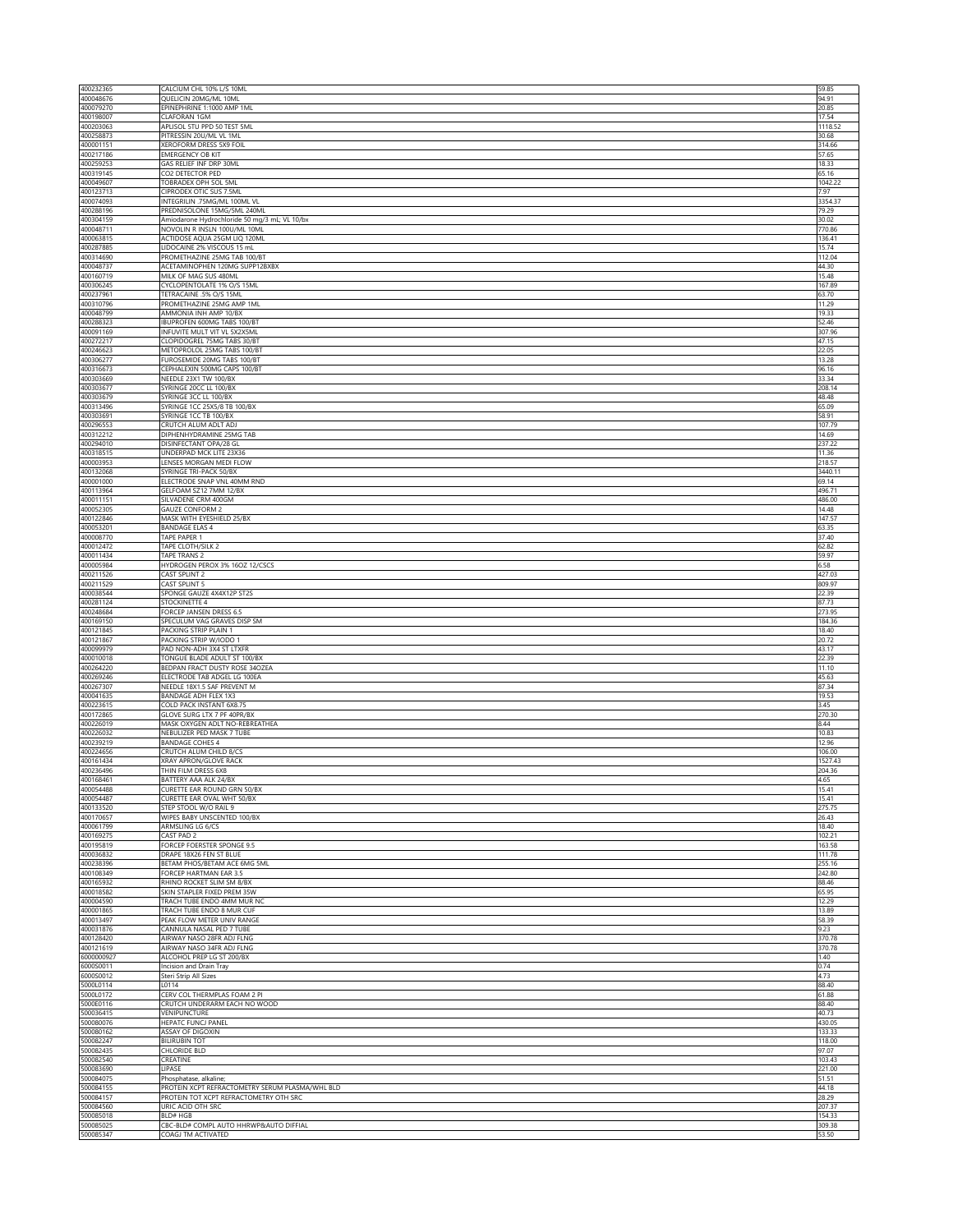| 400232365              | CALCIUM CHL 10% L/S 10ML                                                                  | 59.85             |
|------------------------|-------------------------------------------------------------------------------------------|-------------------|
| 400048676              | QUELICIN 20MG/ML 10ML                                                                     | 94.91             |
| 400079270<br>400198007 | EPINEPHRINE 1:1000 AMP 1ML<br>CLAFORAN 1GM                                                | 20.85<br>17.54    |
| 400203063              | APLISOL 5TU PPD 50 TEST 5ML                                                               | 1118.52           |
| 400258873              | PITRESSIN 20U/ML VL 1ML                                                                   | 30.68             |
| 400001151<br>400217186 | XEROFORM DRESS 5X9 FOIL<br><b>EMERGENCY OB KIT</b>                                        | 314.66<br>57.65   |
| 400259253              | GAS RELIEF INF DRP 30ML                                                                   | 18.33             |
| 400319145<br>400049607 | CO2 DETECTOR PED<br>TOBRADEX OPH SOL 5ML                                                  | 65.16<br>1042.22  |
| 400123713              | CIPRODEX OTIC SUS 7.5ML                                                                   | 7.97              |
| 400074093              | INTEGRILIN .75MG/ML 100ML VL                                                              | 3354.37           |
| 400288196<br>400304159 | PREDNISOLONE 15MG/5ML 240ML<br>Amiodarone Hydrochloride 50 mg/3 mL; VL 10/bx              | 79.29<br>30.02    |
| 400048711              | NOVOLIN R INSLN 100U/ML 10ML                                                              | 770.86            |
| 400063815              | ACTIDOSE AQUA 25GM LIQ 120ML                                                              | 136.41            |
| 400287885<br>400314690 | LIDOCAINE 2% VISCOUS 15 mL<br>PROMETHAZINE 25MG TAB 100/BT                                | 15.74<br>112.04   |
| 400048737              | ACETAMINOPHEN 120MG SUPP12BXBX                                                            | 44.30             |
| 400160719              | MILK OF MAG SUS 480ML                                                                     | 15.48             |
| 400306245<br>400237961 | CYCLOPENTOLATE 1% O/S 15ML<br>TETRACAINE .5% O/S 15ML                                     | 167.89<br>63.70   |
| 400310796              | PROMETHAZINE 25MG AMP 1ML                                                                 | 11.29             |
| 400048799              | AMMONIA INH AMP 10/BX                                                                     | 19.33             |
| 400288323<br>400091169 | IBUPROFEN 600MG TABS 100/BT<br>INFUVITE MULT VIT VL 5X2X5ML                               | 52.46<br>307.96   |
| 400272217              | CLOPIDOGREL 75MG TABS 30/BT                                                               | 47.15             |
| 400246623              | METOPROLOL 25MG TABS 100/BT                                                               | 22.05             |
| 400306277<br>400316673 | FUROSEMIDE 20MG TABS 100/BT<br>CEPHALEXIN 500MG CAPS 100/BT                               | 13.28<br>96.16    |
| 400303669              | NEEDLE 23X1 TW 100/BX                                                                     | 33.34             |
| 400303677              | SYRINGE 20CC LL 100/BX                                                                    | 208.14            |
| 400303679<br>400313496 | SYRINGE 3CC LL 100/BX<br>SYRINGE 1CC 25X5/8 TB 100/BX                                     | 48.48<br>65.09    |
| 400303691              | SYRINGE 1CC TB 100/BX                                                                     | 58.91             |
| 400296553<br>400312212 | CRUTCH ALUM ADLT ADJ<br>DIPHENHYDRAMINE 25MG TAB                                          | 107.79<br>14.69   |
| 400294010              | DISINFECTANT OPA/28 GL                                                                    | 237.22            |
| 400318515              | UNDERPAD MCK LITE 23X36                                                                   | 11.36             |
| 400003953<br>400132068 | LENSES MORGAN MEDI FLOW<br>SYRINGE TRI-PACK 50/BX                                         | 218.57<br>3440.11 |
| 400001000              | ELECTRODE SNAP VNL 40MM RND                                                               | 69.14             |
| 400113964              | GELFOAM SZ12 7MM 12/BX                                                                    | 496.71            |
| 400011151<br>400052305 | SILVADENE CRM 400GM<br><b>GAUZE CONFORM 2</b>                                             | 486.00<br>14.48   |
| 400122846              | MASK WITH EYESHIELD 25/BX                                                                 | 147.57            |
| 400053201              | <b>BANDAGE ELAS 4</b>                                                                     | 63.35             |
| 400008770<br>400012472 | TAPE PAPER 1<br>TAPE CLOTH/SILK 2                                                         | 37.40<br>62.82    |
| 400011434              | TAPE TRANS 2                                                                              | 59.97             |
| 400005984              | HYDROGEN PEROX 3% 16OZ 12/CSCS                                                            | 6.58              |
| 400211526<br>400211529 | CAST SPLINT 2<br>CAST SPLINT 5                                                            | 427.03<br>809.97  |
| 400038544              | SPONGE GAUZE 4X4X12P ST2S                                                                 | 22.39             |
| 400281124              | STOCKINETTE 4                                                                             | 87.73             |
| 400248684<br>400169150 | FORCEP JANSEN DRESS 6.5<br>SPECULUM VAG GRAVES DISP SM                                    | 273.95<br>184.36  |
| 400121845              | PACKING STRIP PLAIN 1                                                                     | 18.40             |
| 400121867              | PACKING STRIP W/IODO 1                                                                    | 20.72             |
| 400099979<br>400010018 | PAD NON-ADH 3X4 ST LTXFR<br>TONGUE BLADE ADULT ST 100/BX                                  | 43.17<br>22.39    |
| 400264220              | BEDPAN FRACT DUSTY ROSE 34OZEA                                                            | 11.10             |
| 400269246              | ELECTRODE TAB ADGEL LG 100EA                                                              | 45.63             |
| 400267307<br>400041635 | NEEDLE 18X1.5 SAF PREVENT M<br><b>BANDAGE ADH FLEX 1X3</b>                                | 87.34<br>19.53    |
| 400223615              | COLD PACK INSTANT 6X8.75                                                                  | 3.45              |
| 400172865              | GLOVE SURG LTX 7 PF 40PR/BX                                                               | 270.30            |
| 400226019<br>400226032 | MASK OXYGEN ADLT NO-REBREATHEA<br>NEBULIZER PED MASK 7 TUBE                               | 8.44<br>10.83     |
| 400239219              | <b>BANDAGE COHES 4</b>                                                                    | 12.96             |
| 400224656              | CRUTCH ALUM CHILD 8/CS                                                                    | 106.00            |
| 400161434<br>400236496 | XRAY APRON/GLOVE RACK<br>THIN FILM DRESS 6X8                                              | 1527.43<br>204.36 |
| 400168461              | BATTERY AAA ALK 24/B)                                                                     | 4.65              |
| 400054488<br>400054487 | CURETTE EAR ROUND GRN 50/BX                                                               | 15.41             |
| 400133520              | CURETTE EAR OVAL WHT 50/BX<br>STEP STOOL W/O RAIL 9                                       | 15.41<br>275.75   |
| 400170657              | WIPES BABY UNSCENTED 100/BX                                                               | 26.43             |
| 400061799              | ARMSLING LG 6/CS                                                                          | 18.40             |
| 400169275<br>400195819 | CAST PAD 2<br>FORCEP FOERSTER SPONGE 9.5                                                  | 102.21<br>163.58  |
| 400036832              | DRAPE 18X26 FEN ST BLUE                                                                   | 111.78            |
| 400238396              | BETAM PHOS/BETAM ACE 6MG 5ML<br>FORCEP HARTMAN EAR 3.5                                    | 255.16            |
| 400108349<br>400165932 | RHINO ROCKET SLIM SM 8/BX                                                                 | 242.80<br>88.46   |
| 400018582              | SKIN STAPLER FIXED PREM 35W                                                               | 65.95             |
| 400004590<br>400001865 | TRACH TUBE ENDO 4MM MUR NC<br>TRACH TUBE ENDO 8 MUR CUF                                   | 12.29<br>13.89    |
| 400013497              | PEAK FLOW METER UNIV RANGE                                                                | 58.39             |
| 400031876              | CANNULA NASAL PED 7 TUBE                                                                  | 9.23              |
| 400128420<br>400121619 | AIRWAY NASO 28FR ADJ FLNG<br>AIRWAY NASO 34FR ADJ FLNG                                    | 370.78<br>370.78  |
| 6000000927             | ALCOHOL PREP LG ST 200/BX                                                                 | 1.40              |
| 6000S0011              | Incision and Drain Tray                                                                   | 0.74              |
| 6000S0012<br>5000L0114 | Steri Strip All Sizes<br>L0114                                                            | 4.73<br>88.40     |
| 5000L0172              | CERV COL THERMPLAS FOAM 2 PI                                                              | 61.88             |
| 5000E0116              | CRUTCH UNDERARM EACH NO WOOD                                                              | 88.40             |
| 500036415<br>500080076 | <b>VENIPUNCTURE</b><br>HEPATC FUNCJ PANEL                                                 | 40.73<br>430.05   |
| 500080162              | ASSAY OF DIGOXIN                                                                          | 133.33            |
| 500082247              | <b>BILIRUBIN TOT</b>                                                                      | 118.00            |
| 500082435<br>500082540 | CHLORIDE BLD<br>CREATINE                                                                  | 97.07<br>103.43   |
| 500083690              | LIPASE                                                                                    | 221.00            |
| 500084075              | Phosphatase, alkaline;                                                                    | 51.51             |
| 500084155<br>500084157 | PROTEIN XCPT REFRACTOMETRY SERUM PLASMA/WHL BLD<br>PROTEIN TOT XCPT REFRACTOMETRY OTH SRC | 44.18<br>28.29    |
| 500084560              | URIC ACID OTH SRC                                                                         | 207.37            |
| 500085018              | <b>BLD#HGB</b>                                                                            | 154.33            |
| 500085025<br>500085347 | CBC-BLD# COMPL AUTO HHRWP&AUTO DIFFIAL<br>COAGJ TM ACTIVATED                              | 309.38<br>53.50   |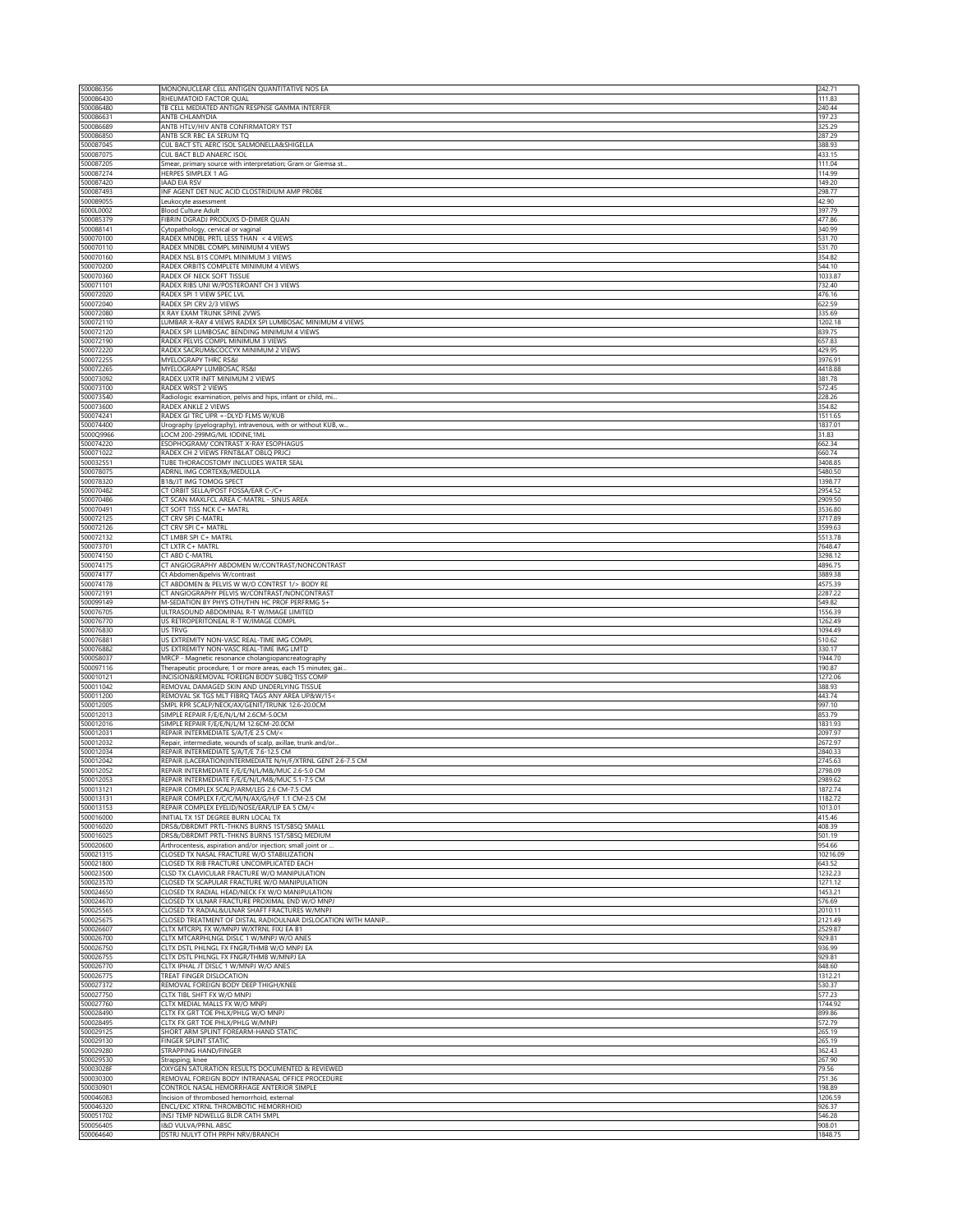| 500086356              | MONONUCLEAR CELL ANTIGEN QUANTITATIVE NOS EA                                                                       | 242.71             |
|------------------------|--------------------------------------------------------------------------------------------------------------------|--------------------|
| 500086430<br>500086480 | RHEUMATOID FACTOR QUAL<br>TB CELL MEDIATED ANTIGN RESPNSE GAMMA INTERFER                                           | 111.83<br>240.44   |
| 500086631              | ANTB CHLAMYDIA                                                                                                     | 197.23             |
| 500086689              | ANTB HTLV/HIV ANTB CONFIRMATORY TST                                                                                | 325.29             |
| 500086850              | ANTB SCR RBC EA SERUM TO                                                                                           | 287.29             |
| 500087045              | CUL BACT STL AERC ISOL SALMONELLA&SHIGELLA                                                                         | 388.93             |
| 500087075<br>500087205 | CUL BACT BLD ANAERC ISOL<br>Smear, primary source with interpretation; Gram or Giemsa st.                          | 433.15<br>111.04   |
| 500087274              | HERPES SIMPLEX 1 AG                                                                                                | 114.99             |
| 500087420              | <b>IAAD EIA RSV</b>                                                                                                | 149.20             |
| 500087493              | INF AGENT DET NUC ACID CLOSTRIDIUM AMP PROBE                                                                       | 298.77             |
| 500089055              | Leukocyte assessment                                                                                               | 42.90              |
| 6000L0002              | <b>Blood Culture Adult</b>                                                                                         | 397.79             |
| 500085379<br>500088141 | FIBRIN DGRADJ PRODUXS D-DIMER QUAN<br>Cytopathology, cervical or vaginal                                           | 477.86<br>340.99   |
| 500070100              | RADEX MNDBL PRTL LESS THAN < 4 VIEWS                                                                               | 531.70             |
| 500070110              | RADEX MNDBL COMPL MINIMUM 4 VIEWS                                                                                  | 531.70             |
| 500070160              | RADEX NSL B1S COMPL MINIMUM 3 VIEWS                                                                                | 354.82             |
| 500070200              | RADEX ORBITS COMPLETE MINIMUM 4 VIEWS                                                                              | 544.10             |
| 500070360              | RADEX OF NECK SOFT TISSUE                                                                                          | 1033.87            |
| 500071101<br>500072020 | RADEX RIBS UNI W/POSTEROANT CH 3 VIEWS                                                                             | 732.40             |
| 500072040              | RADEX SPI 1 VIEW SPEC LVL<br>RADEX SPI CRV 2/3 VIEWS                                                               | 476.16<br>622.59   |
| 500072080              | K RAY EXAM TRUNK SPINE 2VWS                                                                                        | 335.69             |
| 500072110              | LUMBAR X-RAY 4 VIEWS RADEX SPI LUMBOSAC MINIMUM 4 VIEWS                                                            | 1202.18            |
| 500072120              | RADEX SPI LUMBOSAC BENDING MINIMUM 4 VIEWS                                                                         | 839.75             |
| 500072190              | RADEX PELVIS COMPL MINIMUM 3 VIEWS                                                                                 | 657.83             |
| 500072220              | RADEX SACRUM&COCCYX MINIMUM 2 VIEWS                                                                                | 429.95             |
| 500072255<br>500072265 | MYELOGRAPY THRC RS&I<br>MYELOGRAPY LUMBOSAC RS&I                                                                   | 3976.91<br>4418.88 |
| 500073092              | RADEX UXTR INFT MINIMUM 2 VIEWS                                                                                    | 381.78             |
| 500073100              | RADEX WRST 2 VIEWS                                                                                                 | 572.45             |
| 500073540              | Radiologic examination, pelvis and hips, infant or child, mi                                                       | 228.26             |
| 500073600              | RADEX ANKLE 2 VIEWS                                                                                                | 354.82             |
| 500074241              | RADEX GI TRC UPR +-DLYD FLMS W/KUB                                                                                 | 1511.65            |
| 500074400<br>5000Q9966 | Urography (pyelography), intravenous, with or without KUB, w.                                                      | 1837.01            |
| 500074220              | LOCM 200-299MG/ML IODINE,1ML<br>ESOPHOGRAM/ CONTRAST X-RAY ESOPHAGUS                                               | 31.83<br>662.34    |
| 500071022              | RADEX CH 2 VIEWS FRNT&LAT OBLQ PRJCJ                                                                               | 660.74             |
| 500032551              | TUBE THORACOSTOMY INCLUDES WATER SEAL                                                                              | 3408.85            |
| 500078075              | ADRNL IMG CORTEX&/MEDULLA                                                                                          | 5480.50            |
| 500078320              | B1&/JT IMG TOMOG SPECT                                                                                             | 1398.77            |
| 500070482              | CT ORBIT SELLA/POST FOSSA/EAR C-/C+                                                                                | 2954.52            |
| 500070486              | CT SCAN MAXLFCL AREA C-MATRL - SINUS AREA                                                                          | 2909.50            |
| 500070491<br>500072125 | CT SOFT TISS NCK C+ MATRL<br>CT CRV SPI C-MATRL                                                                    | 3536.80<br>3717.89 |
| 500072126              | CT CRV SPI C+ MATRL                                                                                                | 3599.63            |
| 500072132              | CT LMBR SPI C+ MATRL                                                                                               | 5513.78            |
| 500073701              | CT LXTR C+ MATRL                                                                                                   | 7648.47            |
| 500074150              | CT ABD C-MATRL                                                                                                     | 3298.12            |
| 500074175              | CT ANGIOGRAPHY ABDOMEN W/CONTRAST/NONCONTRAST                                                                      | 4896.75            |
| 500074177              | Ct Abdomen&pelvis W/contrast                                                                                       | 3889.38            |
| 500074178<br>500072191 | CT ABDOMEN & PELVIS W W/O CONTRST 1/> BODY RE<br>CT ANGIOGRAPHY PELVIS W/CONTRAST/NONCONTRAST                      | 4575.39<br>2287.22 |
| 500099149              | M-SEDATION BY PHYS OTH/THN HC PROF PERFRMG 5+                                                                      | 549.82             |
| 500076705              | ULTRASOUND ABDOMINAL R-T W/IMAGE LIMITED                                                                           | 1556.39            |
| 500076770              | US RETROPERITONEAL R-T W/IMAGE COMPL                                                                               | 1262.49            |
| 500076830              | US TRVG                                                                                                            | 1094.49            |
| 500076881              | US EXTREMITY NON-VASC REAL-TIME IMG COMPL                                                                          | 510.62             |
| 500076882              | US EXTREMITY NON-VASC REAL-TIME IMG LMTD                                                                           | 330.17             |
| 5000S8037<br>500097116 | MRCP - Magnetic resonance cholangiopancreatography<br>Therapeutic procedure, 1 or more areas, each 15 minutes; gai | 1944.70<br>190.87  |
| 500010121              | INCISION&REMOVAL FOREIGN BODY SUBQ TISS COMP                                                                       | 1272.06            |
| 500011042              |                                                                                                                    |                    |
|                        | REMOVAL DAMAGED SKIN AND UNDERLYING TISSUE                                                                         | 388.93             |
| 500011200              | REMOVAL SK TGS MLT FIBRQ TAGS ANY AREA UP&W/15<                                                                    | 443.74             |
| 500012005              | SMPL RPR SCALP/NECK/AX/GENIT/TRUNK 12.6-20.0CM                                                                     | 997.10             |
| 500012013              | SIMPLE REPAIR F/E/E/N/L/M 2.6CM-5.0CM                                                                              | 853.79             |
| 500012016              | SIMPLE REPAIR F/E/E/N/L/M 12.6CM-20.0CM                                                                            | 1831.93            |
| 500012031              | REPAIR INTERMEDIATE S/A/T/E 2.5 CM/<                                                                               | 2097.97            |
| 500012032              | Repair, intermediate, wounds of scalp, axillae, trunk and/or                                                       | 2672.97            |
| 500012034<br>500012042 | REPAIR INTERMEDIATE S/A/T/E 7.6-12.5 CM<br>REPAIR (LACERATION)INTERMEDIATE N/H/F/XTRNL GENT 2.6-7.5 CM             | 2840.33<br>2745.63 |
| 500012052              | REPAIR INTERMEDIATE F/E/E/N/L/M&/MUC 2.6-5.0 CM                                                                    | 2798.09            |
| 500012053              | REPAIR INTERMEDIATE F/E/E/N/L/M&/MUC 5.1-7.5 CM                                                                    | 2989.62            |
| 500013121              | REPAIR COMPLEX SCALP/ARM/LEG 2.6 CM-7.5 CM                                                                         | 1872.74            |
| 500013131              | REPAIR COMPLEX F/C/C/M/N/AX/G/H/F 1.1 CM-2.5 CM                                                                    | 1182.72            |
| 500013153              | REPAIR COMPLEX EYELID/NOSE/EAR/LIP EA 5 CM/<                                                                       | 1013.01            |
| 500016000<br>500016020 | INITIAL TX 1ST DEGREE BURN LOCAL TX<br>DRS&/DBRDMT PRTL-THKNS BURNS 1ST/SBSO SMALL                                 | 415.46<br>408.39   |
| 500016025              | DRS&/DBRDMT PRTL-THKNS BURNS 1ST/SBSQ MEDIUM                                                                       | 501.19             |
| 500020600              | Arthrocentesis, aspiration and/or injection; small joint or                                                        | 954.66             |
| 500021315              | CLOSED TX NASAL FRACTURE W/O STABILIZATION                                                                         | 10216.09           |
| 500021800              | CLOSED TX RIB FRACTURE UNCOMPLICATED EACH                                                                          | 643.52             |
| 500023500              | CLSD TX CLAVICULAR FRACTURE W/O MANIPULATION                                                                       | 1232.23            |
| 500023570              | CLOSED TX SCAPULAR FRACTURE W/O MANIPULATION                                                                       | 1271.12            |
| 500024650<br>500024670 | CLOSED TX RADIAL HEAD/NECK FX W/O MANIPULATION                                                                     | 1453.21            |
| 500025565              | CLOSED TX ULNAR FRACTURE PROXIMAL END W/O MNPJ<br>CLOSED TX RADIAL&ULNAR SHAFT FRACTURES W/MNPJ                    | 576.69<br>2010.11  |
| 500025675              | CLOSED TREATMENT OF DISTAL RADIOULNAR DISLOCATION WITH MANIP.                                                      | 2121.49            |
| 500026607              | CLTX MTCRPL FX W/MNPJ W/XTRNL FIXJ EA B1                                                                           | 2529.87            |
| 500026700              | CLTX MTCARPHLNGL DISLC 1 W/MNPJ W/O ANES                                                                           | 929.81             |
| 500026750              | CLTX DSTL PHLNGL FX FNGR/THMB W/O MNPJ EA                                                                          | 936.99             |
| 500026755              | CLTX DSTL PHLNGL FX FNGR/THMB W/MNPJ EA                                                                            | 929.81             |
| 500026770              | CLTX IPHAL JT DISLC 1 W/MNPJ W/O ANES                                                                              | 848.60             |
| 500026775<br>500027372 | TREAT FINGER DISLOCATION<br>REMOVAL FOREIGN BODY DEEP THIGH/KNEE                                                   | 1312.21<br>530.37  |
| 500027750              | CLTX TIBL SHFT FX W/O MNPJ                                                                                         | 577.23             |
| 500027760              | CLTX MEDIAL MALLS FX W/O MNPJ                                                                                      | 1744.92            |
| 500028490              | CLTX FX GRT TOE PHLX/PHLG W/O MNPJ                                                                                 | 899.86             |
| 500028495              | CLTX FX GRT TOE PHLX/PHLG W/MNPJ                                                                                   | 572.79             |
| 500029125              | SHORT ARM SPLINT FOREARM-HAND STATIC                                                                               | 265.19             |
| 500029130              | FINGER SPLINT STATIC                                                                                               | 265.19             |
| 500029280              | STRAPPING HAND/FINGER                                                                                              | 362.43             |
| 500029530<br>50003028F | Strapping; knee<br>OXYGEN SATURATION RESULTS DOCUMENTED & REVIEWED                                                 | 267.90<br>79.56    |
|                        | REMOVAL FOREIGN BODY INTRANASAL OFFICE PROCEDURE                                                                   | 751.36             |
| 500030300<br>500030901 | CONTROL NASAL HEMORRHAGE ANTERIOR SIMPLE                                                                           | 198.89             |
| 500046083              | Incision of thrombosed hemorrhoid, external                                                                        | 1206.59            |
| 500046320              | ENCL/EXC XTRNL THROMBOTIC HEMORRHOID                                                                               | 926.37             |
| 500051702<br>500056405 | INSJ TEMP NDWELLG BLDR CATH SMPL<br><b>I&amp;D VULVA/PRNL ABSC</b>                                                 | 546.28<br>908.01   |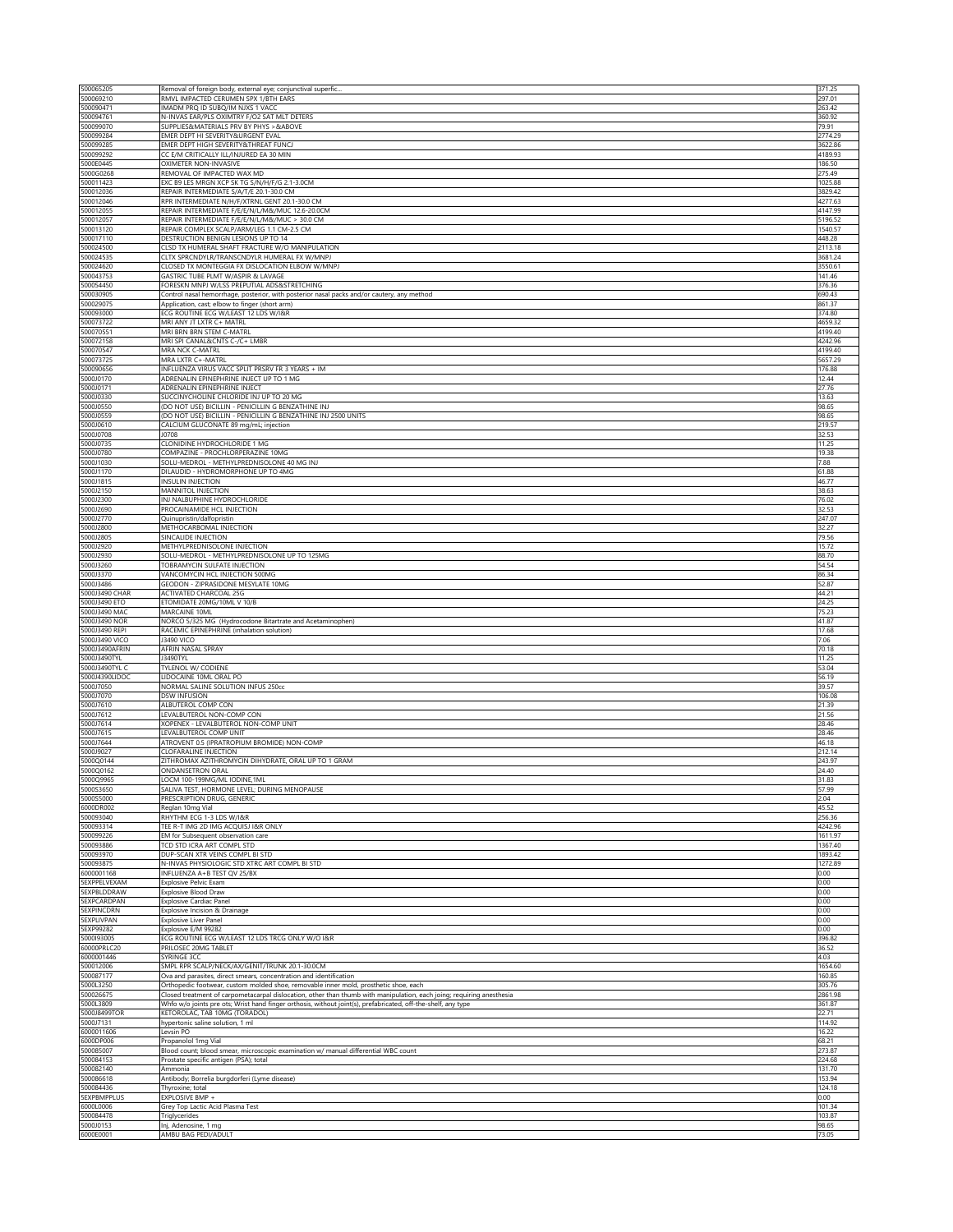| 500065205<br>500069210            | Removal of foreign body, external eye; conjunctival superfic                                                                                                                                                                           | 371.25<br>297.01   |
|-----------------------------------|----------------------------------------------------------------------------------------------------------------------------------------------------------------------------------------------------------------------------------------|--------------------|
| 500090471                         | RMVL IMPACTED CERUMEN SPX 1/BTH EARS<br>IMADM PRQ ID SUBQ/IM NJXS 1 VACC                                                                                                                                                               | 263.42             |
| 500094761                         | N-INVAS EAR/PLS OXIMTRY F/O2 SAT MLT DETERS                                                                                                                                                                                            | 360.92             |
| 500099070<br>500099284            | SUPPLIES&MATERIALS PRV BY PHYS > &ABOVE<br>EMER DEPT HI SEVERITY&URGENT EVAL                                                                                                                                                           | 79.91<br>2774.29   |
| 500099285                         | EMER DEPT HIGH SEVERITY&THREAT FUNCJ                                                                                                                                                                                                   | 3622.86            |
| 500099292<br>5000E0445            | CC E/M CRITICALLY ILL/INJURED EA 30 MIN<br>OXIMETER NON-INVASIVE                                                                                                                                                                       | 4189.93<br>186.50  |
| 5000G0268                         | REMOVAL OF IMPACTED WAX MD                                                                                                                                                                                                             | 275.49             |
| 500011423<br>500012036            | EXC B9 LES MRGN XCP SK TG S/N/H/F/G 2.1-3.0CM<br>REPAIR INTERMEDIATE S/A/T/E 20.1-30.0 CM                                                                                                                                              | 1025.88<br>3829.42 |
| 500012046                         | RPR INTERMEDIATE N/H/F/XTRNL GENT 20.1-30.0 CM                                                                                                                                                                                         | 4277.63            |
| 500012055                         | REPAIR INTERMEDIATE F/E/E/N/L/M&/MUC 12.6-20.0CM                                                                                                                                                                                       | 4147.99            |
| 500012057<br>500013120            | REPAIR INTERMEDIATE F/E/E/N/L/M&/MUC > 30.0 CM<br>REPAIR COMPLEX SCALP/ARM/LEG 1.1 CM-2.5 CM                                                                                                                                           | 5196.52<br>1540.57 |
| 500017110                         | DESTRUCTION BENIGN LESIONS UP TO 14                                                                                                                                                                                                    | 448.28             |
| 500024500<br>500024535            | CLSD TX HUMERAL SHAFT FRACTURE W/O MANIPULATION<br>CLTX SPRCNDYLR/TRANSCNDYLR HUMERAL FX W/MNPJ                                                                                                                                        | 2113.18<br>3681.24 |
| 500024620                         | CLOSED TX MONTEGGIA FX DISLOCATION ELBOW W/MNPJ                                                                                                                                                                                        | 3550.61            |
| 500043753                         | GASTRIC TUBE PLMT W/ASPIR & LAVAGE                                                                                                                                                                                                     | 141.46             |
| 500054450<br>500030905            | FORESKN MNPJ W/LSS PREPUTIAL ADS&STRETCHING<br>Control nasal hemorrhage, posterior, with posterior nasal packs and/or cautery, any method                                                                                              | 376.36<br>690.43   |
| 500029075                         | Application, cast; elbow to finger (short arm)                                                                                                                                                                                         | 861.37             |
| 500093000<br>500073722            | ECG ROUTINE ECG W/LEAST 12 LDS W/I&R<br>MRI ANY JT LXTR C+ MATRL                                                                                                                                                                       | 374.80<br>4659.32  |
| 500070551                         | MRI BRN BRN STEM C-MATRI                                                                                                                                                                                                               | 4199.40            |
| 500072158                         | MRI SPI CANAL&CNTS C-/C+ LMBR                                                                                                                                                                                                          | 4242.96            |
| 500070547<br>500073725            | MRA NCK C-MATRL<br>MRA LXTR C+-MATRL                                                                                                                                                                                                   | 4199.40<br>5657.29 |
| 500090656                         | INFLUENZA VIRUS VACC SPLIT PRSRV FR 3 YEARS + IM                                                                                                                                                                                       | 176.88             |
| 5000J0170<br>5000J0171            | ADRENALIN EPINEPHRINE INJECT UP TO 1 MG<br>ADRENALIN EPINEPHRINE INJECT                                                                                                                                                                | 12.44<br>27.76     |
| 5000J0330                         | SUCCINYCHOLINE CHLORIDE INJ UP TO 20 MG                                                                                                                                                                                                | 13.63              |
| 5000J0550                         | (DO NOT USE) BICILLIN - PENICILLIN G BENZATHINE INJ                                                                                                                                                                                    | 98.65              |
| 5000J0559<br>5000J0610            | (DO NOT USE) BICILLIN - PENICILLIN G BENZATHINE INJ 2500 UNITS<br>CALCIUM GLUCONATE 89 mg/mL; injection                                                                                                                                | 98.65<br>219.57    |
| 5000J0708                         | J0708                                                                                                                                                                                                                                  | 32.53              |
| 5000J0735                         | CLONIDINE HYDROCHLORIDE 1 MG<br>COMPAZINE - PROCHLORPERAZINE 10MG                                                                                                                                                                      | 11.25<br>19.38     |
| 5000J0780<br>5000J1030            | SOLU-MEDROL - METHYLPREDNISOLONE 40 MG INJ                                                                                                                                                                                             | 7.88               |
| 5000J1170                         | DILAUDID - HYDROMORPHONE UP TO 4MG                                                                                                                                                                                                     | 61.88              |
| 5000J1815<br>5000J2150            | INSULIN INJECTION<br>MANNITOL INJECTION                                                                                                                                                                                                | 46.77<br>38.63     |
| 5000J2300                         | INJ NALBUPHINE HYDROCHLORIDE                                                                                                                                                                                                           | 76.02              |
| 5000J2690                         | PROCAINAMIDE HCL INJECTION                                                                                                                                                                                                             | 32.53              |
| 5000J2770<br>5000J2800            | Quinupristin/dalfopristin<br>METHOCARBOMAL INJECTION                                                                                                                                                                                   | 247.07<br>32.27    |
| 5000J2805                         | SINCALIDE INJECTION                                                                                                                                                                                                                    | 79.56              |
| 5000J2920<br>5000J2930            | METHYLPREDNISOLONE INJECTION<br>SOLU-MEDROL - METHYLPREDNISOLONE UP TO 125MG                                                                                                                                                           | 15.72<br>88.70     |
| 5000J3260                         | TOBRAMYCIN SULFATE INJECTION                                                                                                                                                                                                           | 54.54              |
| 5000J3370                         | VANCOMYCIN HCL INJECTION 500MG                                                                                                                                                                                                         | 86.34              |
| 5000J3486<br>5000J3490 CHAR       | GEODON - ZIPRASIDONE MESYLATE 10MG<br><b>ACTIVATED CHARCOAL 25G</b>                                                                                                                                                                    | 52.87<br>44.21     |
| 5000J3490 ETO                     | ETOMIDATE 20MG/10ML V 10/B                                                                                                                                                                                                             | 24.25              |
| 5000J3490 MAC                     | MARCAINE 10ML                                                                                                                                                                                                                          | 75.23              |
| 5000J3490 NOR<br>5000J3490 REPI   | NORCO 5/325 MG (Hydrocodone Bitartrate and Acetaminophen)<br>RACEMIC EPINEPHRINE (inhalation solution)                                                                                                                                 | 41.87<br>17.68     |
|                                   |                                                                                                                                                                                                                                        |                    |
| 5000J3490 VICO                    | 3490 VICO                                                                                                                                                                                                                              | 7.06               |
| 5000J3490AFRIN                    | AFRIN NASAL SPRAY                                                                                                                                                                                                                      | 70.18              |
| 5000J3490TYL<br>5000J3490TYL C    | J3490TYL<br>TYLENOL W/ CODIENE                                                                                                                                                                                                         | 11.25<br>53.04     |
| 5000J4390LIDOC                    | LIDOCAINE 10ML ORAL PO                                                                                                                                                                                                                 | 56.19              |
| 5000J7050                         | NORMAL SALINE SOLUTION INFUS 250cc                                                                                                                                                                                                     | 39.57              |
| 5000J7070<br>5000J7610            | <b>D5W INFUSION</b><br>ALBUTEROL COMP CON                                                                                                                                                                                              | 106.08<br>21.39    |
| 5000J7612                         | LEVALBUTEROL NON-COMP CON                                                                                                                                                                                                              | 21.56              |
| 5000J7614<br>5000J7615            | XOPENEX - LEVALBUTEROL NON-COMP UNIT<br>LEVALBUTEROL COMP UNIT                                                                                                                                                                         | 28.46<br>28.46     |
| 5000J7644                         | ATROVENT 0.5 (IPRATROPIUM BROMIDE) NON-COMP                                                                                                                                                                                            | 46.18              |
| 5000J9027                         | <b>CLOFARALINE INJECTION</b>                                                                                                                                                                                                           | 212.14<br>243.97   |
| 5000Q0144<br>5000Q0162            | ZITHROMAX AZITHROMYCIN DIHYDRATE, ORAL UP TO 1 GRAM<br>ONDANSETRON ORAL                                                                                                                                                                | 24.40              |
| 5000Q9965                         | LOCM 100-199MG/ML IODINE,1ML                                                                                                                                                                                                           | 31.83              |
| 5000S3650<br>5000S5000            | SALIVA TEST, HORMONE LEVEL; DURING MENOPAUSE                                                                                                                                                                                           | 57.99<br>2.04      |
| 6000DR002                         | PRESCRIPTION DRUG, GENERIC<br>Reglan 10mg Vial                                                                                                                                                                                         | 45.52              |
| 500093040                         | RHYTHM ECG 1-3 LDS W/I&R                                                                                                                                                                                                               | 256.36             |
| 500093314<br>500099226            | TEE R-T IMG 2D IMG ACQUISJ I&R ONLY<br>EM for Subsequent observation care                                                                                                                                                              | 4242.96<br>1611.97 |
| 500093886                         | TCD STD ICRA ART COMPL STD                                                                                                                                                                                                             | 1367.40            |
| 500093970                         | DUP-SCAN XTR VEINS COMPL BI STD                                                                                                                                                                                                        | 1893.42<br>1272.89 |
| 500093875<br>6000001168           | N-INVAS PHYSIOLOGIC STD XTRC ART COMPL BI STD<br>INFLUENZA A+B TEST QV 25/BX                                                                                                                                                           | 0.00               |
| <b>SEXPPELVEXAM</b>               | Explosive Pelvic Exam                                                                                                                                                                                                                  | 0.00               |
| 5EXPBLDDRAW<br><b>SEXPCARDPAN</b> | Explosive Blood Draw<br><b>Explosive Cardiac Panel</b>                                                                                                                                                                                 | 0.00<br>0.00       |
| <b>SEXPINCDRN</b>                 | Explosive Incision & Drainage                                                                                                                                                                                                          | 0.00               |
| <b>SEXPLIVPAN</b>                 | <b>Explosive Liver Panel</b>                                                                                                                                                                                                           | 0.00<br>0.00       |
| 5EXP99282<br>5000193005           | Explosive E/M 99282<br>ECG ROUTINE ECG W/LEAST 12 LDS TRCG ONLY W/O I&R                                                                                                                                                                | 396.82             |
| 60000PRLC20                       | PRILOSEC 20MG TABLET                                                                                                                                                                                                                   | 36.52              |
| 6000001446<br>500012006           | SYRINGE 3CC<br>SMPL RPR SCALP/NECK/AX/GENIT/TRUNK 20.1-30.0CM                                                                                                                                                                          | 4.03<br>1654.60    |
| 500087177                         | Ova and parasites, direct smears, concentration and identification                                                                                                                                                                     | 160.85             |
| 5000L3250                         | Orthopedic footwear, custom molded shoe, removable inner mold, prosthetic shoe, each                                                                                                                                                   | 305.76<br>2861.98  |
| 500026675<br>5000L3809            | Closed treatment of carpometacarpal dislocation, other than thumb with manipulation, each joing; requiring anesthesia<br>Whfo w/o joints pre ots; Wrist hand finger orthosis, without joint(s), prefabricated, off-the-shelf, any type | 361.87             |
| 5000J8499TOR                      | KETOROLAC, TAB 10MG (TORADOL)                                                                                                                                                                                                          | 22.71              |
| 5000J7131<br>6000011606           | hypertonic saline solution, 1 ml<br>Levsin PO                                                                                                                                                                                          | 114.92<br>16.22    |
| 6000DP006                         | Propanolol 1mg Vial                                                                                                                                                                                                                    | 68.21              |
| 500085007                         | Blood count; blood smear, microscopic examination w/ manual differential WBC count                                                                                                                                                     | 273.87             |
| 500084153<br>500082140            | Prostate specific antigen (PSA); total<br>Ammonia                                                                                                                                                                                      | 224.68<br>131.70   |
| 500086618                         | Antibody; Borrelia burgdorferi (Lyme disease)                                                                                                                                                                                          | 153.94             |
| 500084436<br><b>SEXPBMPPLUS</b>   | Thyroxine; total<br>EXPLOSIVE BMP +                                                                                                                                                                                                    | 124.18<br>0.00     |
| 6000L0006                         | Grey Top Lactic Acid Plasma Test                                                                                                                                                                                                       | 101.34             |
| 500084478<br>5000J0153            | Triglycerides<br>Inj, Adenosine, 1 mg                                                                                                                                                                                                  | 103.87<br>98.65    |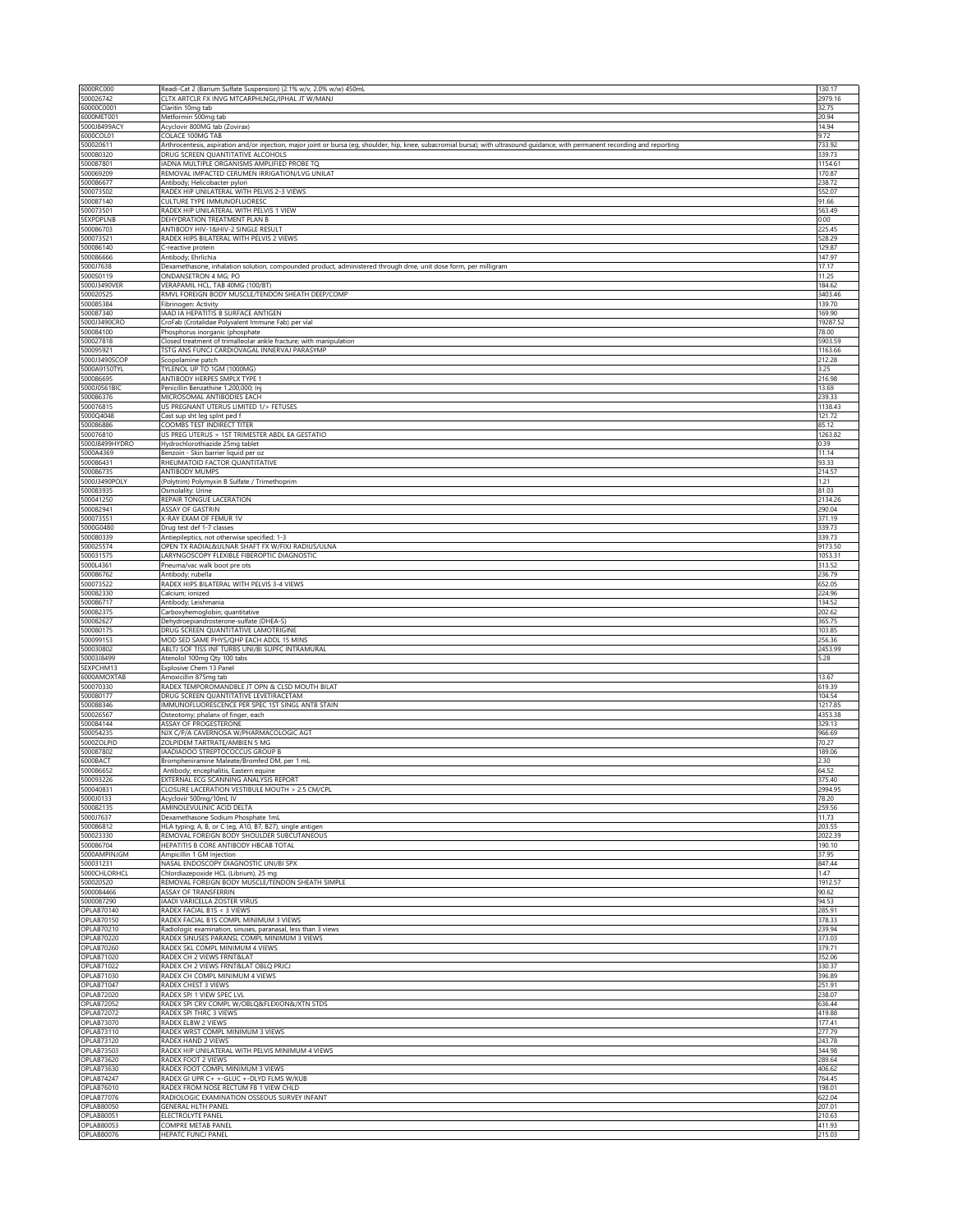| 6000RC000                                                                                                                                              | Readi-Cat 2 (Barium Sulfate Suspension) (2.1% w/v, 2.0% w/w) 450mL                                                                                                               | 130.17            |
|--------------------------------------------------------------------------------------------------------------------------------------------------------|----------------------------------------------------------------------------------------------------------------------------------------------------------------------------------|-------------------|
| 500026742                                                                                                                                              | CLTX ARTCLR FX INVG MTCARPHLNGL/IPHAL JT W/MANJ                                                                                                                                  | 2979.16           |
| 60000C0001                                                                                                                                             | Claritin 10mg tab                                                                                                                                                                | 32.75             |
| 6000MET001                                                                                                                                             | Metformin 500mg tab                                                                                                                                                              | 20.94             |
| 5000J8499ACY                                                                                                                                           | Acyclovir 800MG tab (Zovirax)                                                                                                                                                    | 14.94             |
| 6000COL01                                                                                                                                              | COLACE 100MG TAB                                                                                                                                                                 | 9.72              |
| 500020611                                                                                                                                              | Arthrocentesis, aspiration and/or injection, major joint or bursa (eg, shoulder, hip, knee, subacromial bursa); with ultrasound guidance, with permanent recording and reporting | 733.92            |
| 500080320                                                                                                                                              | DRUG SCREEN QUANTITATIVE ALCOHOLS                                                                                                                                                | 339.73            |
| 500087801<br>500069209                                                                                                                                 | IADNA MULTIPLE ORGANISMS AMPLIFIED PROBE TQ<br>REMOVAL IMPACTED CERUMEN IRRIGATION/LVG UNILAT                                                                                    | 1154.61<br>170.87 |
| 500086677                                                                                                                                              | Antibody; Helicobacter pylori                                                                                                                                                    | 238.72            |
| 500073502                                                                                                                                              | RADEX HIP UNILATERAL WITH PELVIS 2-3 VIEWS                                                                                                                                       | 552.07            |
| 500087140                                                                                                                                              | CULTURE TYPE IMMUNOFLUORESC                                                                                                                                                      | 91.66             |
| 500073501                                                                                                                                              | RADEX HIP UNILATERAL WITH PELVIS 1 VIEW                                                                                                                                          | 563.49            |
| <b>SEXPDPLNB</b>                                                                                                                                       | DEHYDRATION TREATMENT PLAN B                                                                                                                                                     | 0.00              |
| 500086703                                                                                                                                              | ANTIBODY HIV-1&HIV-2 SINGLE RESULT                                                                                                                                               | 225.45            |
| 500073521                                                                                                                                              | RADEX HIPS BILATERAL WITH PELVIS 2 VIEWS                                                                                                                                         | 528.29            |
| 500086140                                                                                                                                              | C-reactive protein                                                                                                                                                               | 129.87            |
| 500086666                                                                                                                                              | Antibody; Ehrlichia                                                                                                                                                              | 147.97            |
| 5000J7638                                                                                                                                              | Dexamethasone, inhalation solution, compounded product, administered through dme, unit dose form, per milligram                                                                  | 17.17             |
| 5000S0119                                                                                                                                              | ONDANSETRON 4 MG: PO                                                                                                                                                             | 11.25             |
| 5000J3490VER                                                                                                                                           | VERAPAMIL HCL, TAB 40MG (100/BT)                                                                                                                                                 | 184.62            |
| 500020525                                                                                                                                              | RMVL FOREIGN BODY MUSCLE/TENDON SHEATH DEEP/COMP                                                                                                                                 | 3403.46           |
| 500085384                                                                                                                                              | Fibrinogen: Activity                                                                                                                                                             | 139.70            |
| 500087340<br>5000J3490CRO                                                                                                                              | IAAD IA HEPATITIS B SURFACE ANTIGEN                                                                                                                                              | 169.90            |
| 500084100                                                                                                                                              | CroFab (Crotalidae Polyvalent Immune Fab) per vial                                                                                                                               | 19287.52<br>78.00 |
| 500027818                                                                                                                                              | Phosphorus inorganic (phosphate<br>Closed treatment of trimalleolar ankle fracture; with manipulation                                                                            | 5903.59           |
| 500095921                                                                                                                                              | TSTG ANS FUNCJ CARDIOVAGAL INNERVAJ PARASYMP                                                                                                                                     | 1163.66           |
| 5000J3490SCOP                                                                                                                                          | Scopolamine patch                                                                                                                                                                | 212.28            |
| 5000A9150TYL                                                                                                                                           | TYLENOL UP TO 1GM (1000MG)                                                                                                                                                       | 3.25              |
| 500086695                                                                                                                                              | ANTIBODY HERPES SMPLX TYPE 1                                                                                                                                                     | 216.98            |
| 5000J0561BIC                                                                                                                                           | Penicillin Benzathine 1,200,000; Inj                                                                                                                                             | 13.69             |
| 500086376                                                                                                                                              | MICROSOMAL ANTIBODIES EACH                                                                                                                                                       | 239.33            |
| 500076815                                                                                                                                              | US PREGNANT UTERUS LIMITED 1/> FETUSES                                                                                                                                           | 1138.43           |
| 5000Q4048                                                                                                                                              | Cast sup sht leg spint ped f                                                                                                                                                     | 121.72            |
| 500086886                                                                                                                                              | COOMBS TEST INDIRECT TITER                                                                                                                                                       | 85.12             |
| 500076810                                                                                                                                              | US PREG UTERUS > 1ST TRIMESTER ABDL EA GESTATIO                                                                                                                                  | 1263.82           |
| 5000J8499HYDRO                                                                                                                                         | Hydrochlorothiazide 25mg tablet                                                                                                                                                  | 0.39              |
| 5000A4369                                                                                                                                              | Benzoin - Skin barrier liquid per oz                                                                                                                                             | 11.14             |
| 500086431                                                                                                                                              | RHEUMATOID FACTOR QUANTITATIVE                                                                                                                                                   | 93.33             |
| 500086735                                                                                                                                              | ANTIBODY MUMPS                                                                                                                                                                   | 214.57            |
| 5000J3490POLY                                                                                                                                          | (Polytrim) Polymyxin B Sulfate / Trimethoprim                                                                                                                                    | 1.21              |
| 500083935<br>500041250                                                                                                                                 | Osmolality: Urine                                                                                                                                                                | 81.03             |
| 500082941                                                                                                                                              | REPAIR TONGUE LACERATION<br>ASSAY OF GASTRIN                                                                                                                                     | 2134.26<br>290.04 |
| 500073551                                                                                                                                              | X-RAY EXAM OF FEMUR 1V                                                                                                                                                           | 371.19            |
| 5000G0480                                                                                                                                              | Drug test def 1-7 classes                                                                                                                                                        | 339.73            |
| 500080339                                                                                                                                              | Antiepileptics, not otherwise specified; 1-3                                                                                                                                     | 339.73            |
| 500025574                                                                                                                                              | OPEN TX RADIAL&ULNAR SHAFT FX W/FIXJ RADIUS/ULNA                                                                                                                                 | 9173.50           |
| 500031575                                                                                                                                              | LARYNGOSCOPY FLEXIBLE FIBEROPTIC DIAGNOSTIC                                                                                                                                      | 1053.31           |
| 5000L4361                                                                                                                                              | Pneuma/vac walk boot pre ots                                                                                                                                                     | 313.52            |
| 500086762                                                                                                                                              | Antibody; rubella                                                                                                                                                                | 236.79            |
| 500073522                                                                                                                                              | RADEX HIPS BILATERAL WITH PELVIS 3-4 VIEWS                                                                                                                                       | 652.05            |
| 500082330                                                                                                                                              | Calcium: ionized                                                                                                                                                                 | 224.96            |
| 500086717                                                                                                                                              | Antibody; Leishmania                                                                                                                                                             | 134.52            |
| 500082375                                                                                                                                              | Carboxyhemoglobin; quantitative                                                                                                                                                  | 202.62            |
| 500082627                                                                                                                                              | Dehydroepiandrosterone-sulfate (DHEA-S)                                                                                                                                          | 365.75            |
| 500080175                                                                                                                                              | DRUG SCREEN QUANTITATIVE LAMOTRIGINE                                                                                                                                             | 103.85            |
| 500099153                                                                                                                                              | MOD SED SAME PHYS/QHP EACH ADDL 15 MINS                                                                                                                                          | 256.36            |
| 500030802                                                                                                                                              | ABLTJ SOF TISS INF TURBS UNI/BI SUPFC INTRAMURAL                                                                                                                                 | 2453.99           |
| 50003J8499                                                                                                                                             | Atenolol 100mg Qty 100 tabs                                                                                                                                                      | 5.28              |
| 5EXPCHM13<br>6000AMOXTAB                                                                                                                               | Explosive Chem 13 Panel<br>Amoxicillin 875mg tab                                                                                                                                 | 13.67             |
| 500070330                                                                                                                                              | RADEX TEMPOROMANDBLE JT OPN & CLSD MOUTH BILAT                                                                                                                                   | 619.39            |
| 500080177                                                                                                                                              | DRUG SCREEN QUANTITATIVE LEVETIRACETAM                                                                                                                                           | 104.54            |
| 500088346                                                                                                                                              | IMMUNOFLUORESCENCE PER SPEC 1ST SINGL ANTB STAIN                                                                                                                                 | 1217.85           |
| 500026567                                                                                                                                              | Osteotomy; phalanx of finger, each                                                                                                                                               | 4353.38           |
| 500084144                                                                                                                                              | ASSAY OF PROGESTERONE                                                                                                                                                            | 329.13            |
| 500054235                                                                                                                                              | NJX C/P/A CAVERNOSA W/PHARMACOLOGIC AGT                                                                                                                                          | 966.69            |
| 5000ZOLPID                                                                                                                                             | ZOLPIDEM TARTRATE/AMBIEN 5 MG                                                                                                                                                    | 70.27             |
| 500087802                                                                                                                                              | IAADIADOO STREPTOCOCCUS GROUP B                                                                                                                                                  | 189.06            |
| 6000BACT                                                                                                                                               | Brompheniramine Maleate/Bromfed DM, per 1 mL                                                                                                                                     | 2.30              |
| 500086652                                                                                                                                              | Antibody; encephalitis, Eastern equine                                                                                                                                           | 64.52             |
| 500093226                                                                                                                                              | EXTERNAL ECG SCANNING ANALYSIS REPORT                                                                                                                                            | 375.40            |
| 500040831                                                                                                                                              | CLOSURE LACERATION VESTIBULE MOUTH > 2.5 CM/CPL                                                                                                                                  | 1994.95           |
| 5000J0133                                                                                                                                              | Acyclovir 500mg/10mL IV                                                                                                                                                          | 78.20             |
| 500082135                                                                                                                                              | AMINOLEVULINIC ACID DELTA                                                                                                                                                        | 259.56            |
| 5000J7637<br>500086812                                                                                                                                 | Dexamethasone Sodium Phosphate 1mL                                                                                                                                               | 11.73<br>203.55   |
| 500023330                                                                                                                                              | HLA typing; A, B, or C (eg, A10, B7, B27), single antigen<br>REMOVAL FOREIGN BODY SHOULDER SUBCUTANEOUS                                                                          | 2022.39           |
| 500086704                                                                                                                                              | HEPATITIS B CORE ANTIBODY HBCAB TOTAL                                                                                                                                            | 190.10            |
| 5000AMPINJGM                                                                                                                                           | Ampicillin 1 GM Injection                                                                                                                                                        | 37.95             |
| 500031231                                                                                                                                              | NASAL ENDOSCOPY DIAGNOSTIC UNI/BI SPX                                                                                                                                            | 847.44            |
| 5000CHLORHCL                                                                                                                                           | Chlordiazepoxide HCL (Librium), 25 mg                                                                                                                                            | 1.47              |
| 500020520                                                                                                                                              | REMOVAL FOREIGN BODY MUSCLE/TENDON SHEATH SIMPLE                                                                                                                                 | 1912.57           |
| 5000084466                                                                                                                                             | ASSAY OF TRANSFERRIN                                                                                                                                                             | 90.62             |
| 5000087290                                                                                                                                             | IAADI VARICELLA ZOSTER VIRUS                                                                                                                                                     | 94.53             |
| OPLAB70140                                                                                                                                             | RADEX FACIAL B1S < 3 VIEWS                                                                                                                                                       | 285.91            |
| OPLAB70150                                                                                                                                             | RADEX FACIAL B1S COMPL MINIMUM 3 VIEWS                                                                                                                                           | 378.33            |
| OPLAB70210                                                                                                                                             | Radiologic examination, sinuses, paranasal, less than 3 views                                                                                                                    | 239.94            |
| OPLAB70220                                                                                                                                             | RADEX SINUSES PARANSL COMPL MINIMUM 3 VIEWS                                                                                                                                      | 373.03            |
| OPLAB70260                                                                                                                                             | RADEX SKL COMPL MINIMUM 4 VIEWS                                                                                                                                                  | 379.71            |
| OPLAB71020<br><b>OPLAB71022</b>                                                                                                                        | RADEX CH 2 VIEWS FRNT&LAT<br>RADEX CH 2 VIEWS FRNT&LAT OBLQ PRJCJ                                                                                                                | 352.06<br>330.37  |
| <b>OPLAB71030</b>                                                                                                                                      | RADEX CH COMPL MINIMUM 4 VIEWS                                                                                                                                                   | 396.89            |
| OPLAB71047                                                                                                                                             | RADEX CHEST 3 VIEWS                                                                                                                                                              | 251.91            |
| <b>OPLAB72020</b>                                                                                                                                      | RADEX SPI 1 VIEW SPEC LVL                                                                                                                                                        | 238.07            |
| <b>OPLAB72052</b>                                                                                                                                      | RADEX SPI CRV COMPL W/OBLQ&FLEXION&/XTN STDS                                                                                                                                     | 636.44            |
| <b>OPLAB72072</b>                                                                                                                                      | RADEX SPI THRC 3 VIEWS                                                                                                                                                           | 419.88            |
| OPLAB73070                                                                                                                                             | RADEX ELBW 2 VIEWS                                                                                                                                                               | 177.41            |
| OPLAB73110                                                                                                                                             |                                                                                                                                                                                  |                   |
|                                                                                                                                                        | RADEX WRST COMPL MINIMUM 3 VIEWS                                                                                                                                                 | 277.79            |
|                                                                                                                                                        | RADEX HAND 2 VIEWS                                                                                                                                                               | 243.78            |
|                                                                                                                                                        | RADEX HIP UNILATERAL WITH PELVIS MINIMUM 4 VIEWS                                                                                                                                 | 344.98            |
|                                                                                                                                                        | RADEX FOOT 2 VIEWS                                                                                                                                                               | 289.64            |
|                                                                                                                                                        | RADEX FOOT COMPL MINIMUM 3 VIEWS                                                                                                                                                 | 406.62            |
|                                                                                                                                                        | RADEX GI UPR C+ +-GLUC +-DLYD FLMS W/KUB                                                                                                                                         | 764.45            |
|                                                                                                                                                        | RADEX FROM NOSE RECTUM FB 1 VIEW CHLD                                                                                                                                            | 198.01            |
|                                                                                                                                                        | RADIOLOGIC EXAMINATION OSSEOUS SURVEY INFANT                                                                                                                                     | 622.04            |
|                                                                                                                                                        | <b>GENERAL HLTH PANEL</b>                                                                                                                                                        | 207.01            |
| OPLAB73120<br><b>OPLAB73503</b><br><b>OPLAB73620</b><br><b>OPLAB73630</b><br>OPLAB74247<br>OPLAB76010<br><b>OPLAB77076</b><br>OPLAB80050<br>OPLAB80051 | ELECTROLYTE PANEL                                                                                                                                                                | 210.63            |
| OPLAB80053<br><b>OPLAB80076</b>                                                                                                                        | COMPRE METAB PANEL<br>HEPATC FUNCJ PANEL                                                                                                                                         | 411.93<br>215.03  |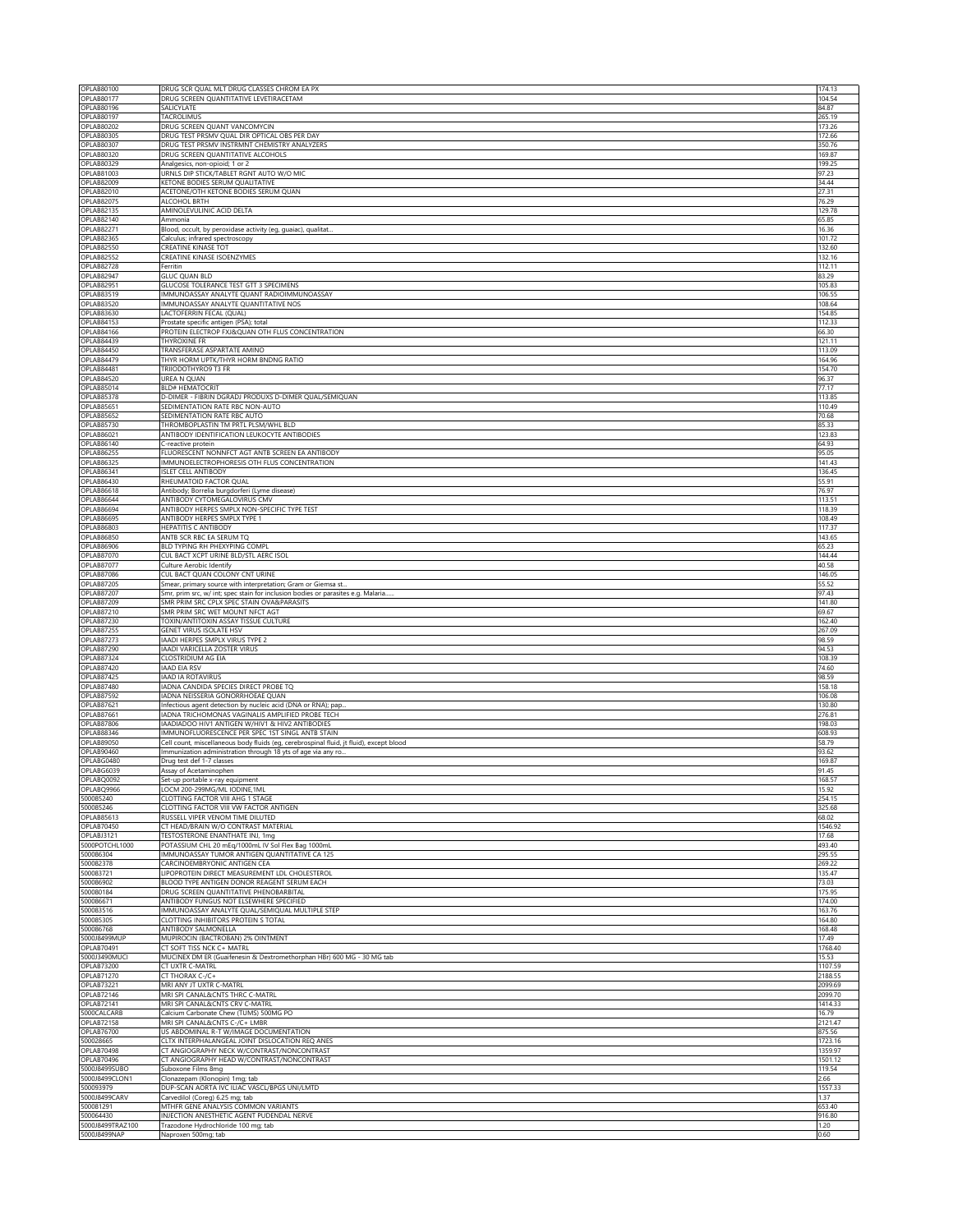| OPLAB80100                       | DRUG SCR QUAL MLT DRUG CLASSES CHROM EA PX                                              | 174.13       |
|----------------------------------|-----------------------------------------------------------------------------------------|--------------|
| <b>OPLAB80177</b>                | DRUG SCREEN QUANTITATIVE LEVETIRACETAM                                                  | 104.54       |
| <b>OPLAB80196</b>                | SALICYLATE                                                                              | 84.87        |
| OPLAB80197                       | TACROLIMUS                                                                              | 265.19       |
| OPLAB80202                       | DRUG SCREEN QUANT VANCOMYCIN                                                            | 173.26       |
| <b>OPLAB80305</b>                | DRUG TEST PRSMV QUAL DIR OPTICAL OBS PER DAY                                            | 172.66       |
| OPLAB80307                       | DRUG TEST PRSMV INSTRMNT CHEMISTRY ANALYZERS                                            | 350.76       |
| OPLAB80320                       | DRUG SCREEN QUANTITATIVE ALCOHOLS                                                       | 169.87       |
| OPLAB80329                       | Analgesics, non-opioid; 1 or 2                                                          | 199.25       |
| OPLAB81003                       | URNLS DIP STICK/TABLET RGNT AUTO W/O MIC                                                | 97.23        |
| OPLAB82009                       | KETONE BODIES SERUM QUALITATIVE                                                         | 34.44        |
| OPLAB82010                       | ACETONE/OTH KETONE BODIES SERUM QUAN                                                    | 27.31        |
| <b>OPLAB82075</b>                | ALCOHOL BRTH                                                                            | 76.29        |
| <b>OPLAB82135</b>                | AMINOLEVULINIC ACID DELTA                                                               | 129.78       |
| OPLAB82140                       | Ammonia                                                                                 | 65.85        |
| <b>OPLAB82271</b>                | Blood, occult, by peroxidase activity (eg, guaiac), qualitat.                           | 16.36        |
| OPLAB82365                       | Calculus; infrared spectroscopy                                                         | 101.72       |
| <b>OPLAB82550</b>                | CREATINE KINASE TOT                                                                     | 132.60       |
| <b>OPLAB82552</b>                | CREATINE KINASE ISOENZYMES                                                              | 132.16       |
| OPLAB82728                       | Ferritin                                                                                | 112.11       |
| OPLAB82947                       | <b>GLUC QUAN BLD</b>                                                                    | 83.29        |
| <b>OPLAB82951</b>                | <b>GLUCOSE TOLERANCE TEST GTT 3 SPECIMENS</b>                                           | 105.83       |
| OPLAB83519                       | IMMUNOASSAY ANALYTE QUANT RADIOIMMUNOASSAY                                              | 106.55       |
| OPLAB83520                       | IMMUNOASSAY ANALYTE QUANTITATIVE NOS                                                    | 108.64       |
| OPLAB83630                       | LACTOFERRIN FECAL (QUAL)                                                                | 154.85       |
| <b>OPLAB84153</b>                | Prostate specific antigen (PSA); total                                                  | 112.33       |
| OPLAB84166                       | PROTEIN ELECTROP FXJ&QUAN OTH FLUS CONCENTRATION                                        | 66.30        |
| OPLAB84439                       | THYROXINE FR                                                                            | 121.11       |
| OPLAB84450                       | TRANSFERASE ASPARTATE AMINO                                                             | 113.09       |
| OPLAB84479                       | THYR HORM UPTK/THYR HORM BNDNG RATIO                                                    | 164.96       |
| OPLAB84481                       | TRIIODOTHYRO9 T3 FR                                                                     | 154.70       |
| OPLAB84520                       | UREA N QUAN                                                                             | 96.37        |
| <b>OPLAB85014</b>                | <b>BLD# HEMATOCRIT</b>                                                                  | 77.17        |
| OPLAB85378                       | D-DIMER - FIBRIN DGRADJ PRODUXS D-DIMER QUAL/SEMIQUAN                                   | 113.85       |
| <b>OPLAB85651</b>                | SEDIMENTATION RATE RBC NON-AUTO                                                         | 110.49       |
| OPLAB85652                       | SEDIMENTATION RATE RBC AUTO                                                             | 70.68        |
| <b>OPLAB85730</b>                | THROMBOPLASTIN TM PRTL PLSM/WHL BLD                                                     | 85.33        |
| OPLAB86021                       | ANTIBODY IDENTIFICATION LEUKOCYTE ANTIBODIES                                            | 123.83       |
| OPLAB86140                       | C-reactive protein                                                                      | 64.93        |
| <b>OPLAB86255</b>                | FLUORESCENT NONNFCT AGT ANTB SCREEN EA ANTIBODY                                         | 95.05        |
| <b>OPLAB86325</b>                | IMMUNOELECTROPHORESIS OTH FLUS CONCENTRATION                                            | 141.43       |
| OPLAB86341                       | <b>ISLET CELL ANTIBODY</b>                                                              | 136.45       |
| OPLAB86430                       | RHEUMATOID FACTOR QUAL                                                                  | 55.91        |
| OPLAB86618                       | Antibody; Borrelia burgdorferi (Lyme disease)                                           | 76.97        |
| OPLAB86644                       | ANTIBODY CYTOMEGALOVIRUS CMV                                                            | 113.51       |
| OPLAB86694                       | ANTIBODY HERPES SMPLX NON-SPECIFIC TYPE TEST                                            | 118.39       |
| <b>OPLAB86695</b>                | ANTIBODY HERPES SMPLX TYPE 1                                                            | 108.49       |
| OPLAB86803                       | HEPATITIS C ANTIBODY                                                                    | 117.37       |
| <b>OPLAB86850</b>                | ANTB SCR RBC EA SERUM TQ                                                                | 143.65       |
| <b>OPLAB86906</b>                | BLD TYPING RH PHEXYPING COMPL                                                           | 65.23        |
| OPLAB87070                       | CUL BACT XCPT URINE BLD/STL AERC ISOL                                                   | 144.44       |
| OPLAB87077                       | Culture Aerobic Identify                                                                | 40.58        |
| OPLAB87086                       | CUL BACT QUAN COLONY CNT URINE                                                          | 146.05       |
| <b>OPLAB87205</b>                | Smear, primary source with interpretation; Gram or Giemsa st                            | 55.52        |
| <b>OPLAB87207</b>                | Smr, prim src, w/ int; spec stain for inclusion bodies or parasites e.g. Malaria.       | 97.43        |
| <b>OPLAB87209</b>                | SMR PRIM SRC CPLX SPEC STAIN OVA&PARASITS                                               | 141.80       |
| OPLAB87210                       | SMR PRIM SRC WET MOUNT NFCT AGT                                                         | 69.67        |
| OPLAB87230                       | TOXIN/ANTITOXIN ASSAY TISSUE CULTURE                                                    | 162.40       |
| OPLAB87255                       | GENET VIRUS ISOLATE HSV                                                                 | 267.09       |
| OPLAB87273                       | IAADI HERPES SMPLX VIRUS TYPE 2                                                         | 98.59        |
| OPLAB87290                       | IAADI VARICELLA ZOSTER VIRUS                                                            | 94.53        |
| OPLAB87324                       | CLOSTRIDIUM AG EIA                                                                      | 108.39       |
| OPLAB87420                       | <b>IAAD EIA RSV</b>                                                                     | 74.60        |
| OPLAB87425                       | <b>IAAD IA ROTAVIRUS</b>                                                                | 98.59        |
| OPLAB87480                       | IADNA CANDIDA SPECIES DIRECT PROBE TQ                                                   | 158.18       |
| OPLAB87592                       | IADNA NEISSERIA GONORRHOEAE QUAN                                                        | 106.08       |
| <b>OPLAB87621</b>                | Infectious agent detection by nucleic acid (DNA or RNA); pap.                           | 130.80       |
| OPLAB87661                       | IADNA TRICHOMONAS VAGINALIS AMPLIFIED PROBE TECH                                        | 276.81       |
| OPLAB87806                       | IAADIADOO HIV1 ANTIGEN W/HIV1 & HIV2 ANTIBODIES                                         | 198.03       |
| <b>OPLAB88346</b>                | IMMUNOFLUORESCENCE PER SPEC 1ST SINGL ANTB STAIN                                        | 608.93       |
| <b>OPLAB89050</b>                | Cell count, miscellaneous body fluids (eg, cerebrospinal fluid, jt fluid), except blood | 58.79        |
| OPLAB90460                       | Immunization administration through 18 yts of age via any ro                            | 93.62        |
| OPLABG0480                       | Drug test def 1-7 classes                                                               | 169.87       |
| OPLABG6039                       | Assay of Acetaminophen                                                                  | 91.45        |
| OPLABQ0092                       | Set-up portable x-ray equipment                                                         | 168.57       |
| OPLABQ9966                       | LOCM 200-299MG/ML IODINE, 1ML                                                           | 15.92        |
| 500085240                        | CLOTTING FACTOR VIII AHG 1 STAGE                                                        | 254.15       |
| 500085246                        | CLOTTING FACTOR VIII VW FACTOR ANTIGEN                                                  | 325.68       |
| <b>OPLAB85613</b>                | RUSSELL VIPER VENOM TIME DILUTED                                                        | 68.02        |
| OPLAB70450                       | CT HEAD/BRAIN W/O CONTRAST MATERIAL                                                     | 1546.92      |
| OPLABJ3121                       | <b>TESTOSTERONE ENANTHATE INJ, 1mg</b>                                                  | 17.68        |
| 5000POTCHL1000                   | POTASSIUM CHL 20 mEq/1000mL IV Sol Flex Bag 1000mL                                      | 493.40       |
| 500086304<br>500082378           | IMMUNOASSAY TUMOR ANTIGEN QUANTITATIVE CA 125<br>CARCINOEMBRYONIC ANTIGEN CEA           | 295.55       |
|                                  |                                                                                         | 269.22       |
| 500083721                        | LIPOPROTEIN DIRECT MEASUREMENT LDL CHOLESTEROL                                          | 135.47       |
| 500086902                        | BLOOD TYPE ANTIGEN DONOR REAGENT SERUM EACH                                             | 73.03        |
| 500080184                        | DRUG SCREEN QUANTITATIVE PHENOBARBITAL                                                  | 175.95       |
| 500086671                        | ANTIBODY FUNGUS NOT ELSEWHERE SPECIFIED                                                 | 174.00       |
| 500083516                        | IMMUNOASSAY ANALYTE QUAL/SEMIQUAL MULTIPLE STEP                                         | 163.76       |
| 500085305                        | CLOTTING INHIBITORS PROTEIN S TOTAL                                                     | 164.80       |
| 500086768                        | ANTIBODY SALMONELLA                                                                     | 168.48       |
| 5000J8499MUP                     | MUPIROCIN (BACTROBAN) 2% OINTMENT                                                       | 17.49        |
| <b>OPLAB70491</b>                | CT SOFT TISS NCK C+ MATRL                                                               | 1768.40      |
| 5000J3490MUCI                    | MUCINEX DM ER (Guaifenesin & Dextromethorphan HBr) 600 MG - 30 MG tab                   | 15.53        |
| <b>OPLAB73200</b>                | CT UXTR C-MATRL                                                                         | 1107.59      |
| <b>OPLAB71270</b>                | CT THORAX C-/C+                                                                         | 2188.55      |
| <b>OPLAB73221</b>                | MRI ANY JT UXTR C-MATRL                                                                 | 2099.69      |
| OPLAB72146                       | MRI SPI CANAL&CNTS THRC C-MATRL                                                         | 2099.70      |
| OPLAB72141                       | MRI SPI CANAL&CNTS CRV C-MATRL                                                          | 1414.33      |
| 5000CALCARB                      | Calcium Carbonate Chew (TUMS) 500MG PO                                                  | 16.79        |
| <b>OPLAB72158</b>                | MRI SPI CANAL&CNTS C-/C+ LMBR                                                           | 2121.47      |
| OPLAB76700                       | US ABDOMINAL R-T W/IMAGE DOCUMENTATION                                                  | 875.56       |
| 500028665                        | CLTX INTERPHALANGEAL JOINT DISLOCATION REQ ANES                                         | 1723.16      |
|                                  | CT ANGIOGRAPHY NECK W/CONTRAST/NONCONTRAST                                              | 1359.97      |
| <b>OPLAB70498</b>                |                                                                                         |              |
| <b>OPLAB70496</b>                | CT ANGIOGRAPHY HEAD W/CONTRAST/NONCONTRAST                                              | 1501.12      |
| 5000J8499SUBO                    | Suboxone Films 8mg                                                                      | 119.54       |
| 5000J8499CLON1                   | Clonazepam (Klonopin) 1mg; tab                                                          | 2.66         |
| 500093979                        | DUP-SCAN AORTA IVC ILIAC VASCL/BPGS UNI/LMTD                                            | 1557.33      |
| 5000J8499CARV                    | Carvedilol (Coreg) 6.25 mg; tab                                                         | 1.37         |
| 500081291                        | MTHFR GENE ANALYSIS COMMON VARIANTS                                                     | 653.40       |
| 500064430                        | INJECTION ANESTHETIC AGENT PUDENDAL NERVE                                               | 916.80       |
| 5000J8499TRAZ100<br>5000J8499NAP | Trazodone Hydrochloride 100 mg; tab<br>Naproxen 500mg; tab                              | 1.20<br>0.60 |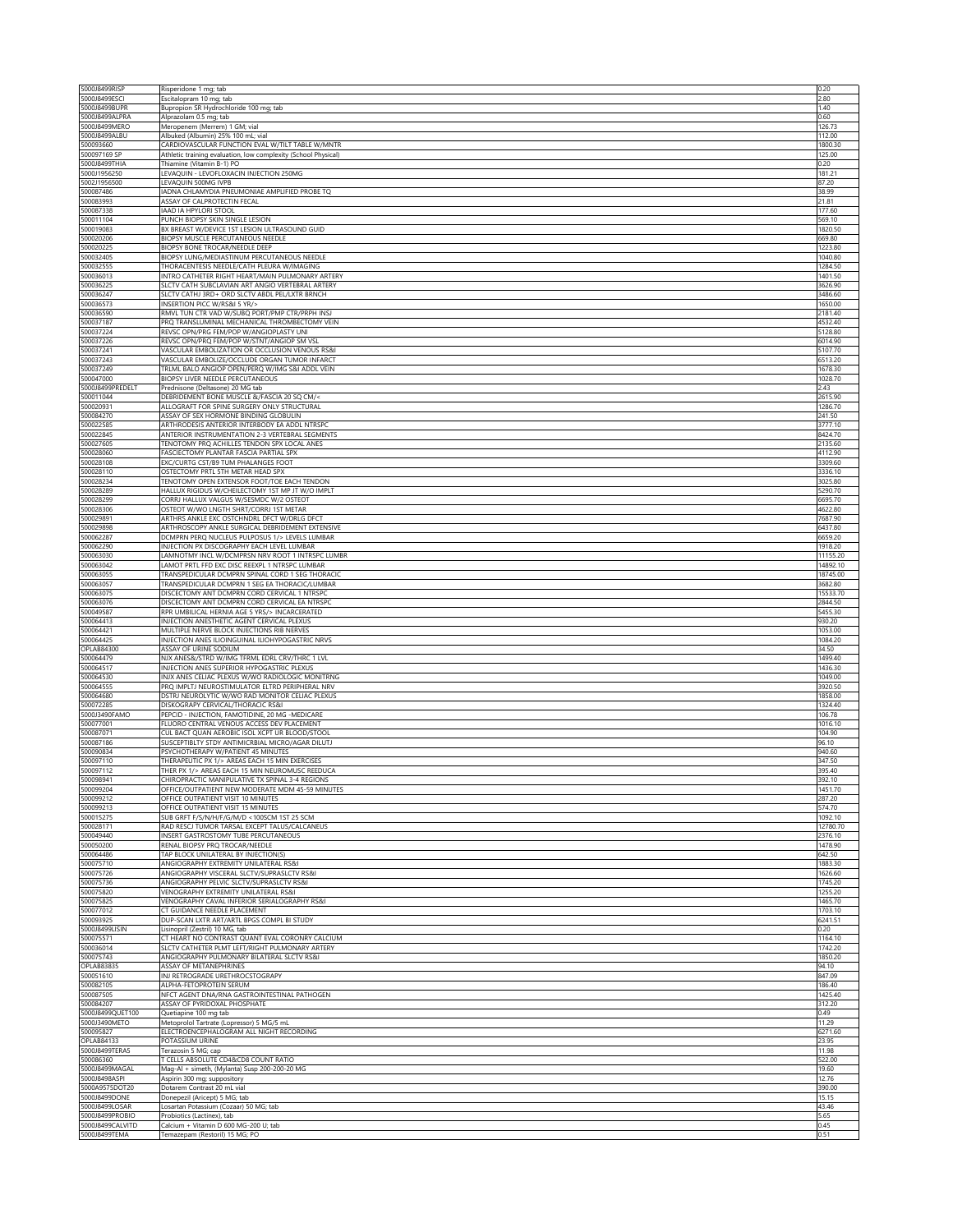| 5000J8499RISP                  | Risperidone 1 mg; tab                                                                              | 0.20                |
|--------------------------------|----------------------------------------------------------------------------------------------------|---------------------|
| 5000J8499ESCI                  | Escitalopram 10 mg; tab                                                                            | 2.80                |
| 5000J8499BUPR                  | Bupropion SR Hydrochloride 100 mg; tab                                                             | 1.40                |
| 5000J8499ALPRA                 | Alprazolam 0.5 mg; tab                                                                             | 0.60                |
| 5000J8499MERO                  | Meropenem (Merrem) 1 GM; vial                                                                      | 126.73              |
| 5000J8499ALBU<br>500093660     | Albuked (Albumin) 25% 100 mL; vial<br>CARDIOVASCULAR FUNCTION EVAL W/TILT TABLE W/MNTR             | 112.00<br>1800.30   |
| 500097169 SP                   | Athletic training evaluation, low complexity (School Physical)                                     | 125.00              |
| 5000J8499THIA                  | Thiamine (Vitamin B-1) PO                                                                          | 0.20                |
| 5000J1956250                   | LEVAQUIN - LEVOFLOXACIN INJECTION 250MG                                                            | 181.21              |
| 5002J1956500                   | LEVAQUIN 500MG IVPB                                                                                | 87.20               |
| 500087486                      | IADNA CHLAMYDIA PNEUMONIAE AMPLIFIED PROBE TQ                                                      | 38.99               |
| 500083993                      | ASSAY OF CALPROTECTIN FECAL                                                                        | 21.81               |
| 500087338                      | IAAD IA HPYLORI STOOL                                                                              | 177.60              |
| 500011104<br>500019083         | PUNCH BIOPSY SKIN SINGLE LESION<br>BX BREAST W/DEVICE 1ST LESION ULTRASOUND GUID                   | 569.10<br>1820.50   |
| 500020206                      | BIOPSY MUSCLE PERCUTANEOUS NEEDLE                                                                  | 669.80              |
| 500020225                      | BIOPSY BONE TROCAR/NEEDLE DEEP                                                                     | 1223.80             |
| 500032405                      | BIOPSY LUNG/MEDIASTINUM PERCUTANEOUS NEEDLE                                                        | 1040.80             |
| 500032555                      | THORACENTESIS NEEDLE/CATH PLEURA W/IMAGING                                                         | 1284.50             |
| 500036013                      | INTRO CATHETER RIGHT HEART/MAIN PULMONARY ARTERY                                                   | 1401.50             |
| 500036225                      | SLCTV CATH SUBCLAVIAN ART ANGIO VERTEBRAL ARTERY                                                   | 3626.90             |
| 500036247                      | SLCTV CATHJ 3RD+ ORD SLCTV ABDL PEL/LXTR BRNCH                                                     | 3486.60             |
| 500036573                      | <b>INSERTION PICC W/RS&amp;I 5 YR/&gt;</b>                                                         | 1650.00             |
| 500036590<br>500037187         | RMVL TUN CTR VAD W/SUBQ PORT/PMP CTR/PRPH INSJ                                                     | 2181.40<br>4532.40  |
| 500037224                      | PRQ TRANSLUMINAL MECHANICAL THROMBECTOMY VEIN<br>REVSC OPN/PRG FEM/POP W/ANGIOPLASTY UNI           | 5128.80             |
| 500037226                      | REVSC OPN/PRQ FEM/POP W/STNT/ANGIOP SM VSI                                                         | 6014.90             |
| 500037241                      | VASCULAR EMBOLIZATION OR OCCLUSION VENOUS RS&I                                                     | 5107.70             |
| 500037243                      | VASCULAR EMBOLIZE/OCCLUDE ORGAN TUMOR INFARCT                                                      | 6513.20             |
| 500037249                      | TRLML BALO ANGIOP OPEN/PERQ W/IMG S&I ADDL VEIN                                                    | 1678.30             |
| 500047000                      | BIOPSY LIVER NEEDLE PERCUTANEOUS                                                                   | 1028.70             |
| 5000J8499PREDELT               | Prednisone (Deltasone) 20 MG tab                                                                   | 2.43                |
| 500011044                      | DEBRIDEMENT BONE MUSCLE &/FASCIA 20 SQ CM/<                                                        | 2615.90             |
| 500020931                      | ALLOGRAFT FOR SPINE SURGERY ONLY STRUCTURAL                                                        | 1286.70             |
| 500084270                      | ASSAY OF SEX HORMONE BINDING GLOBULIN<br>ARTHRODESIS ANTERIOR INTERBODY EA ADDL NTRSPO             | 241.50              |
| 500022585                      |                                                                                                    | 3777.10             |
| 500022845<br>500027605         | ANTERIOR INSTRUMENTATION 2-3 VERTEBRAL SEGMENTS<br>TENOTOMY PRQ ACHILLES TENDON SPX LOCAL ANES     | 8424.70<br>2135.60  |
| 500028060                      | FASCIECTOMY PLANTAR FASCIA PARTIAL SPX                                                             | 4112.90             |
| 500028108                      | EXC/CURTG CST/B9 TUM PHALANGES FOOT                                                                | 3309.60             |
| 500028110                      | OSTECTOMY PRTL 5TH METAR HEAD SPX                                                                  | 3336.10             |
| 500028234                      | TENOTOMY OPEN EXTENSOR FOOT/TOE EACH TENDON                                                        | 3025.80             |
| 500028289                      | HALLUX RIGIDUS W/CHEILECTOMY 1ST MP JT W/O IMPLT                                                   | 5290.70             |
| 500028299                      | CORRJ HALLUX VALGUS W/SESMDC W/2 OSTEOT                                                            | 6695.70             |
| 500028306                      | OSTEOT W/WO LNGTH SHRT/CORRJ 1ST METAR                                                             | 4622.80             |
| 500029891                      | ARTHRS ANKLE EXC OSTCHNDRL DFCT W/DRLG DFCT                                                        | 7687.90             |
| 500029898                      | ARTHROSCOPY ANKLE SURGICAL DEBRIDEMENT EXTENSIVE                                                   | 6437.80             |
| 500062287                      | DCMPRN PERQ NUCLEUS PULPOSUS 1/> LEVELS LUMBAR                                                     | 6659.20             |
| 500062290                      | INJECTION PX DISCOGRAPHY EACH LEVEL LUMBAR                                                         | 1918.20             |
| 500063030                      | LAMNOTMY INCL W/DCMPRSN NRV ROOT 1 INTRSPC LUMBR                                                   | 11155.20            |
| 500063042                      | LAMOT PRTL FFD EXC DISC REEXPL 1 NTRSPC LUMBAR                                                     | 14892.10            |
| 500063055<br>500063057         | TRANSPEDICULAR DCMPRN SPINAL CORD 1 SEG THORACIO<br>TRANSPEDICULAR DCMPRN 1 SEG EA THORACIC/LUMBAR | 18745.00<br>3682.80 |
| 500063075                      | DISCECTOMY ANT DCMPRN CORD CERVICAL 1 NTRSPC                                                       | 15533.70            |
| 500063076                      | DISCECTOMY ANT DCMPRN CORD CERVICAL EA NTRSPC                                                      | 2844.50             |
| 500049587                      | RPR UMBILICAL HERNIA AGE 5 YRS/> INCARCERATED                                                      | 5455.30             |
| 500064413                      | INJECTION ANESTHETIC AGENT CERVICAL PLEXUS                                                         | 930.20              |
| 500064421                      | MULTIPLE NERVE BLOCK INJECTIONS RIB NERVES                                                         | 1053.00             |
| 500064425                      | INJECTION ANES ILIOINGUINAL ILIOHYPOGASTRIC NRVS                                                   | 1084.20             |
| OPLAB84300                     | ASSAY OF URINE SODIUM                                                                              | 34.50               |
| 500064479                      | NJX ANES&/STRD W/IMG TFRML EDRL CRV/THRC 1 LVL                                                     | 1499.40             |
| 500064517                      | INJECTION ANES SUPERIOR HYPOGASTRIC PLEXUS                                                         | 1436.30             |
| 500064530                      | INJX ANES CELIAC PLEXUS W/WO RADIOLOGIC MONITRNG                                                   | 1049.00             |
| 500064555                      | PRQ IMPLTJ NEUROSTIMULATOR ELTRD PERIPHERAL NRV                                                    | 3920.50             |
| 500064680<br>500072285         | DSTRJ NEUROLYTIC W/WO RAD MONITOR CELIAC PLEXUS                                                    | 1858.00<br>1324.40  |
| 5000J3490FAMO                  | DISKOGRAPY CERVICAL/THORACIC RS&I<br>PEPCID - INJECTION, FAMOTIDINE, 20 MG -MEDICARE               | 106.78              |
| 500077001                      | FLUORO CENTRAL VENOUS ACCESS DEV PLACEMENT                                                         | 1016.10             |
| 500087071                      | CUL BACT QUAN AEROBIC ISOL XCPT UR BLOOD/STOOL                                                     | 104.90              |
| 500087186                      | SUSCEPTIBLTY STDY ANTIMICRBIAL MICRO/AGAR DILUTJ                                                   | 96.10               |
| 500090834                      | PSYCHOTHERAPY W/PATIENT 45 MINUTES                                                                 | 940.60              |
| 500097110                      | THERAPEUTIC PX 1/> AREAS EACH 15 MIN EXERCISES                                                     | 347.50              |
| 500097112                      | THER PX 1/> AREAS EACH 15 MIN NEUROMUSC REEDUCA                                                    | 395.40              |
| 500098941                      | CHIROPRACTIC MANIPULATIVE TX SPINAL 3-4 REGIONS                                                    | 392.10              |
| 500099204                      | OFFICE/OUTPATIENT NEW MODERATE MDM 45-59 MINUTES                                                   | 1451.70             |
| 500099212<br>500099213         | OFFICE OUTPATIENT VISIT 10 MINUTES<br>OFFICE OUTPATIENT VISIT 15 MINUTES                           | 287.20<br>574.70    |
| 500015275                      | SUB GRFT F/S/N/H/F/G/M/D <100SCM 1ST 25 SCM                                                        | 1092.10             |
| 500028171                      | RAD RESCJ TUMOR TARSAL EXCEPT TALUS/CALCANEUS                                                      | 12780.70            |
| 500049440                      | INSERT GASTROSTOMY TUBE PERCUTANEOUS                                                               | 2376.10             |
| 500050200                      | RENAL BIOPSY PRQ TROCAR/NEEDLE                                                                     | 1478.90             |
| 500064486                      | TAP BLOCK UNILATERAL BY INJECTION(S)                                                               | 642.50              |
| 500075710                      | ANGIOGRAPHY EXTREMITY UNILATERAL RS&I                                                              | 1883.30             |
| 500075726                      | ANGIOGRAPHY VISCERAL SLCTV/SUPRASLCTV RS&I                                                         | 1626.60             |
| 500075736                      | ANGIOGRAPHY PELVIC SLCTV/SUPRASLCTV RS&I                                                           | 1745.20             |
| 500075820                      | VENOGRAPHY EXTREMITY UNILATERAL RS&I                                                               | 1255.20             |
| 500075825                      | VENOGRAPHY CAVAL INFERIOR SERIALOGRAPHY RS&I                                                       | 1465.70             |
| 500077012                      | CT GUIDANCE NEEDLE PLACEMENT                                                                       | 1703.10             |
| 500093925<br>5000J8499LISIN    | DUP-SCAN LXTR ART/ARTL BPGS COMPL BI STUDY<br>Lisinopril (Zestril) 10 MG, tab                      | 6241.51<br>0.20     |
| 500075571                      | CT HEART NO CONTRAST QUANT EVAL CORONRY CALCIUM                                                    | 1164.10             |
| 500036014                      | SLCTV CATHETER PLMT LEFT/RIGHT PULMONARY ARTERY                                                    | 1742.20             |
| 500075743                      | ANGIOGRAPHY PULMONARY BILATERAL SLCTV RS&I                                                         | 1850.20             |
| <b>OPLAB83835</b>              | ASSAY OF METANEPHRINES                                                                             | 94.10               |
| 500051610                      | INJ RETROGRADE URETHROCSTOGRAPY                                                                    | 847.09              |
| 500082105                      | ALPHA-FETOPROTEIN SERUM                                                                            | 186.40              |
| 500087505                      | NFCT AGENT DNA/RNA GASTROINTESTINAL PATHOGEN                                                       | 1425.40             |
| 500084207                      | ASSAY OF PYRIDOXAL PHOSPHATE                                                                       | 312.20              |
| 5000J8499QUET100               | Quetiapine 100 mg tab                                                                              | 0.49                |
| 5000J3490METO                  | Metoprolol Tartrate (Lopressor) 5 MG/5 mL                                                          | 11.29               |
| 500095827<br><b>OPLAB84133</b> | ELECTROENCEPHALOGRAM ALL NIGHT RECORDING<br>POTASSIUM URINE                                        | 6271.60<br>23.95    |
| 5000J8499TERA5                 | Terazosin 5 MG; cap                                                                                | 11.98               |
| 500086360                      | T CELLS ABSOLUTE CD4&CD8 COUNT RATIO                                                               | 522.00              |
| 5000J8499MAGAL                 | Mag-Al + simeth, (Mylanta) Susp 200-200-20 MG                                                      | 19.60               |
| 5000J8498ASPI                  | Aspirin 300 mg; suppository                                                                        | 12.76               |
| 5000A9575DOT20                 | Dotarem Contrast 20 mL vial                                                                        | 390.00              |
| 5000J8499DONE                  | Donepezil (Aricept) 5 MG; tab                                                                      | 15.15               |
| 5000J8499LOSAR                 | Losartan Potassium (Cozaar) 50 MG; tab                                                             | 43.46               |
| 5000J8499PROBIO                | Probiotics (Lactinex), tab                                                                         | 5.65                |
| 5000J8499CALVITD               | Calcium + Vitamin D 600 MG-200 U; tab                                                              | 0.45                |
| 5000J8499TEMA                  | Temazepam (Restoril) 15 MG; PO                                                                     | 0.51                |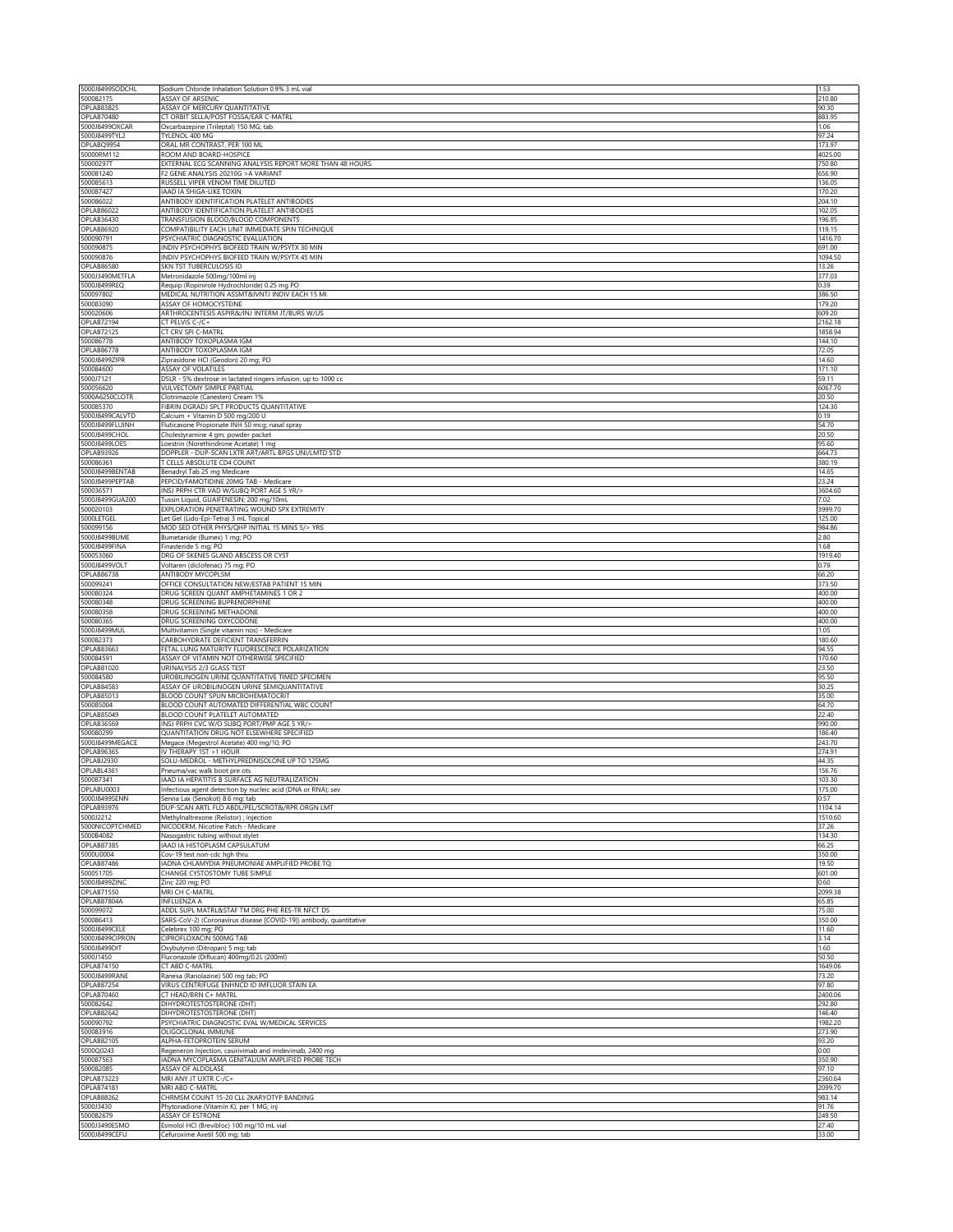| 5000J8499SODCHL                 | Sodium Chloride Inhalation Solution 0.9% 3 mL vial                                      | 1.53              |
|---------------------------------|-----------------------------------------------------------------------------------------|-------------------|
| 500082175                       | ASSAY OF ARSENIC                                                                        | 210.80            |
| <b>OPLAB83825</b>               | ASSAY OF MERCURY QUANTITATIVE                                                           | 90.30             |
| OPLAB70480                      | CT ORBIT SELLA/POST FOSSA/EAR C-MATRL                                                   | 883.95            |
| 5000J8499OXCAR<br>5000J8499TYL2 | Oxcarbazepine (Trileptal) 150 MG; tab<br>TYLENOL 400 MG                                 | 1.06<br>97.24     |
| OPLABQ9954                      | ORAL MR CONTRAST, PER 100 ML                                                            | 173.97            |
| 50000RM112                      | ROOM AND BOARD-HOSPICE                                                                  | 4025.00           |
| 50000297T                       | EXTERNAL ECG SCANNING ANALYSIS REPORT MORE THAN 48 HOURS                                | 750.80            |
| 500081240                       | F2 GENE ANALYSIS 20210G > A VARIANT                                                     | 656.90            |
| 500085613                       | RUSSELL VIPER VENOM TIME DILUTED                                                        | 136.05            |
| 500087427                       | IAAD IA SHIGA-LIKE TOXIN                                                                | 170.20            |
| 500086022                       | ANTIBODY IDENTIFICATION PLATELET ANTIBODIES                                             | 204.10            |
| OPLAB86022<br>OPLAB36430        | ANTIBODY IDENTIFICATION PLATELET ANTIBODIES<br>TRANSFUSION BLOOD/BLOOD COMPONENTS       | 102.05<br>196.95  |
| OPLAB86920                      | COMPATIBILITY EACH UNIT IMMEDIATE SPIN TECHNIQUE                                        | 119.15            |
| 500090791                       | PSYCHIATRIC DIAGNOSTIC EVALUATION                                                       | 1416.70           |
| 500090875                       | INDIV PSYCHOPHYS BIOFEED TRAIN W/PSYTX 30 MIN                                           | 691.00            |
| 500090876                       | INDIV PSYCHOPHYS BIOFEED TRAIN W/PSYTX 45 MIN                                           | 1094.50           |
| OPLAB86580                      | SKN TST TUBERCULOSIS ID                                                                 | 13.26             |
| 5000J3490METFLA                 | Metronidazole 500mg/100ml inj                                                           | 377.03            |
| 5000J8499REQ                    | Requip (Ropinirole Hydrochloride) 0.25 mg PO                                            | 0.39              |
| 500097802                       | MEDICAL NUTRITION ASSMT&IVNTJ INDIV EACH 15 MI                                          | 386.50            |
| 500083090                       | ASSAY OF HOMOCYSTEINE                                                                   | 179.20            |
| 500020606<br>OPLAB72194         | ARTHROCENTESIS ASPIR&/INJ INTERM JT/BURS W/US<br>CT PELVIS C-/C+                        | 609.20<br>2162.18 |
| OPLAB72125                      | CT CRV SPI C-MATRL                                                                      | 1858.94           |
| 500086778                       | ANTIBODY TOXOPLASMA IGM                                                                 | 144.10            |
| OPLAB86778                      | ANTIBODY TOXOPLASMA IGM                                                                 | 72.05             |
| 5000J8499ZIPR                   | Ziprasidone HCI (Geodon) 20 mg; PO                                                      | 14.60             |
| 500084600                       | ASSAY OF VOLATILES                                                                      | 171.10            |
| 5000J7121                       | D5LR - 5% dextrose in lactated ringers infusion, up to 1000 cc                          | 59.11             |
| 500056620                       | VULVECTOMY SIMPLE PARTIAL                                                               | 6067.70           |
| 5000A6250CLOTR                  | Clotrimazole (Canesten) Cream 1%                                                        | 20.50             |
| 500085370<br>5000J8499CALVTD    | FIBRIN DGRADJ SPLT PRODUCTS QUANTITATIVE<br>Calcium + Vitamin D 500 mg/200 U            | 124.30<br>0.19    |
| 5000J8499FLUINH                 | Fluticasone Propionate INH 50 mcg; nasal spray                                          | 54.70             |
| 5000J8499CHOL                   | Cholestyramine 4 gm; powder packet                                                      | 20.50             |
| 5000J8499LOES                   | Loestrin (Norethindrone Acetate) 1 mg                                                   | 95.60             |
| OPLAB93926                      | DOPPLER - DUP-SCAN LXTR ART/ARTL BPGS UNI/LMTD STD                                      | 664.73            |
| 500086361                       | T CELLS ABSOLUTE CD4 COUNT                                                              | 380.19            |
| 5000J8499BENTAB                 | Benadryl Tab 25 mg Medicare                                                             | 14.65             |
| 5000J8499PEPTAB                 | PEPCID/FAMOTIDINE 20MG TAB - Medicare                                                   | 23.24             |
| 500036571                       | INSJ PRPH CTR VAD W/SUBQ PORT AGE 5 YR/>                                                | 3604.60           |
| 5000J8499GUA200                 | Tussin Liquid, GUAIFENESIN; 200 mg/10mL                                                 | 7.02              |
| 500020103                       | EXPLORATION PENETRATING WOUND SPX EXTREMITY                                             | 3999.70           |
| 5000LETGEL<br>500099156         | Let Gel (Lido-Epi-Tetra) 3 mL Topical<br>MOD SED OTHER PHYS/QHP INITIAL 15 MINS 5/> YRS | 125.00<br>984.86  |
| 5000J8499BUME                   | Bumetanide (Bumex) 1 mg; PO                                                             | 2.80              |
| 5000J8499FINA                   | Finasteride 5 mg; PO                                                                    | 1.68              |
| 500053060                       | DRG OF SKENES GLAND ABSCESS OR CYST                                                     | 1919.40           |
| 5000J8499VOLT                   | Voltaren (diclofenac) 75 mg; PO                                                         | 0.79              |
| OPLAB86738                      | ANTIBODY MYCOPLSM                                                                       | 66.20             |
| 500099241                       | OFFICE CONSULTATION NEW/ESTAB PATIENT 15 MIN                                            | 373.50            |
| 500080324                       | DRUG SCREEN QUANT AMPHETAMINES 1 OR 2                                                   | 400.00            |
| 500080348                       | DRUG SCREENING BUPRENORPHINE                                                            | 400.00            |
| 500080358                       | DRUG SCREENING METHADONE                                                                | 400.00            |
| 500080365<br>5000J8499MUL       | DRUG SCREENING OXYCODONE<br>Multivitamin (Single vitamin nos) - Medicare                | 400.00<br>1.05    |
| 500082373                       | CARBOHYDRATE DEFICIENT TRANSFERRIN                                                      | 180.60            |
| OPLAB83663                      | FETAL LUNG MATURITY FLUORESCENCE POLARIZATION                                           | 94.55             |
| 500084591                       | ASSAY OF VITAMIN NOT OTHERWISE SPECIFIED                                                | 170.60            |
| OPLAB81020                      | URINALYSIS 2/3 GLASS TEST                                                               | 23.50             |
| 500084580                       | UROBILINOGEN URINE QUANTITATIVE TIMED SPECIMEN                                          | 95.50             |
| <b>OPLAB84583</b>               | ASSAY OF UROBILINOGEN URINE SEMIOUANTITATIVE                                            | 30.25             |
| <b>OPLAB85013</b>               | BLOOD COUNT SPUN MICROHEMATOCRIT                                                        | 35.00             |
| 500085004                       | BLOOD COUNT AUTOMATED DIFFERENTIAL WBC COUNT                                            | 64.70             |
| OPLAB85049<br><b>OPLAB36569</b> | BLOOD COUNT PLATELET AUTOMATED<br>INSJ PRPH CVC W/O SUBQ PORT/PMP AGE 5 YR/>            | 22.40<br>990.00   |
| 500080299                       | QUANTITATION DRUG NOT ELSEWHERE SPECIFIED                                               | 186.40            |
| 5000J8499MEGACE                 | Megace (Megestrol Acetate) 400 mg/10; PO                                                | 243.70            |
| <b>OPLAB96365</b>               | IV THERAPY 1ST > 1 HOUR                                                                 | 274.91            |
| OPLABJ2930                      | SOLU-MEDROL - METHYLPREDNISOLONE UP TO 125MG                                            | 44.35             |
| OPLABL4361                      | Pneuma/vac walk boot pre ots                                                            | 156.76            |
| 500087341                       | IAAD IA HEPATITIS B SURFACE AG NEUTRALIZATION                                           | 103.30            |
| OPLABU0003                      | Infectious agent detection by nucleic acid (DNA or RNA); sev                            | 175.00            |
| 5000J8499SENN                   | Senna Lax (Senokot) 8.6 mg; tab                                                         | 0.57              |
| <b>OPLAB93976</b>               | DUP-SCAN ARTL FLO ABDL/PEL/SCROT&/RPR ORGN LMT                                          | 1104.14           |
| 5000J2212<br>5000NICOPTCHMED    | Methylnaltrexone (Relistor) ; injection<br>NICODERM, Nicotine Patch - Medicare          | 1510.60<br>37.26  |
| 5000B4082                       | Nasogastric tubing without stylet                                                       | 134.30            |
| <b>OPLAB87385</b>               | IAAD IA HISTOPLASM CAPSULATUM                                                           | 66.25             |
| 5000U0004                       | Cov-19 test non-cdc hgh thru                                                            | 350.00            |
| OPLAB87486                      | IADNA CHLAMYDIA PNEUMONIAE AMPLIFIED PROBE TQ                                           | 19.50             |
| 500051705                       | CHANGE CYSTOSTOMY TUBE SIMPLE                                                           | 601.00            |
| 5000J8499ZINC                   | Zinc 220 mg; PO                                                                         | 0.60              |
| <b>OPLAB71550</b>               | MRI CH C-MATRL                                                                          | 2099.38           |
| OPLAB87804A<br>500099072        | <b>INFLUENZA A</b><br>ADDL SUPL MATRL&STAF TM DRG PHE RES-TR NFCT DS                    | 65.85<br>75.00    |
| 500086413                       | SARS-CoV-2) (Coronavirus disease [COVID-19]) antibody, quantitative                     | 350.00            |
| 5000J8499CELE                   | Celebrex 100 mg; PO                                                                     | 11.60             |
| 5000J8499CIPRON                 | CIPROFLOXACIN 500MG TAB                                                                 | 3.14              |
| 5000J8499DIT                    | Oxybutynin (Ditropan) 5 mg; tab                                                         | 1.60              |
| 5000J1450                       | Fluconazole (Diflucan) 400mg/0.2L (200ml)                                               | 50.50             |
| OPLAB74150                      | CT ABD C-MATRL                                                                          | 1649.06           |
| 5000J8499RANE                   | Ranexa (Ranolazine) 500 mg tab; PO                                                      | 73.20             |
| <b>OPLAB87254</b>               | VIRUS CENTRIFUGE ENHNCD ID IMFLUOR STAIN EA                                             | 97.80             |
| OPLAB70460                      | CT HEAD/BRN C+ MATRL                                                                    | 2400.06           |
| 500082642                       | DIHYDROTESTOSTERONE (DHT)                                                               | 292.80            |
| OPLAB82642<br>500090792         | DIHYDROTESTOSTERONE (DHT)<br>PSYCHIATRIC DIAGNOSTIC EVAL W/MEDICAL SERVICES             | 146.40<br>1982.20 |
| 500083916                       | OLIGOCLONAL IMMUNE                                                                      | 273.90            |
| <b>OPLAB82105</b>               | ALPHA-FETOPROTEIN SERUM                                                                 | 93.20             |
|                                 | Regeneron Injection, casirivimab and imdevimab, 2400 mg                                 | 0.00              |
| 5000Q0243                       |                                                                                         |                   |
| 500087563                       | IADNA MYCOPLASMA GENITALIUM AMPLIFIED PROBE TECH                                        | 350.90            |
| 500082085                       | ASSAY OF ALDOLASE                                                                       | 97.10             |
|                                 | MRI ANY JT UXTR C-/C+                                                                   | 2360.64           |
| <b>OPLAB73223</b><br>OPLAB74181 | MRI ABD C-MATRL                                                                         | 2099.70           |
| <b>OPLAB88262</b>               | CHRMSM COUNT 15-20 CLL 2KARYOTYP BANDING                                                | 983.14            |
| 5000J3430                       | Phytonadione (Vitamin K), per 1 MG; inj                                                 | 91.76             |
| 500082679<br>5000J3490ESMO      | ASSAY OF ESTRONE<br>Esmolol HCl (Brevibloc) 100 mg/10 mL vial                           | 249.50<br>27.40   |